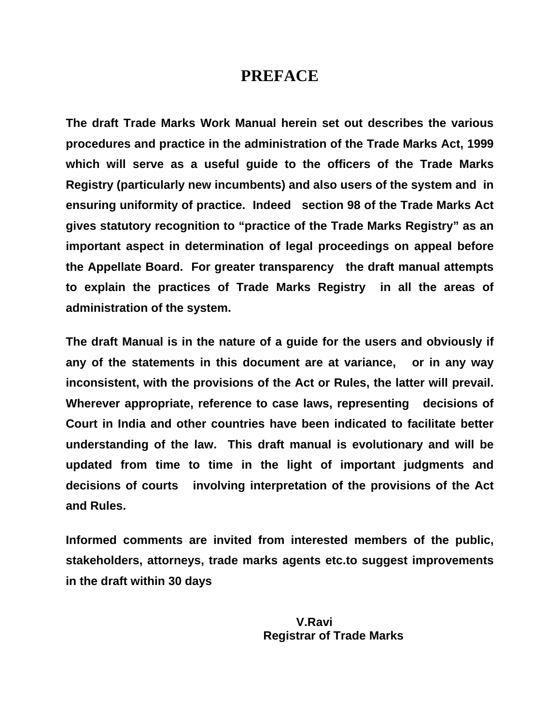## **PREFACE**

**The draft Trade Marks Work Manual herein set out describes the various procedures and practice in the administration of the Trade Marks Act, 1999 which will serve as a useful guide to the officers of the Trade Marks Registry (particularly new incumbents) and also users of the system and in ensuring uniformity of practice. Indeed section 98 of the Trade Marks Act gives statutory recognition to "practice of the Trade Marks Registry" as an important aspect in determination of legal proceedings on appeal before the Appellate Board. For greater transparency the draft manual attempts to explain the practices of Trade Marks Registry in all the areas of administration of the system.** 

**The draft Manual is in the nature of a guide for the users and obviously if any of the statements in this document are at variance, or in any way inconsistent, with the provisions of the Act or Rules, the latter will prevail. Wherever appropriate, reference to case laws, representing decisions of Court in India and other countries have been indicated to facilitate better understanding of the law. This draft manual is evolutionary and will be updated from time to time in the light of important judgments and decisions of courts involving interpretation of the provisions of the Act and Rules.** 

**Informed comments are invited from interested members of the public, stakeholders, attorneys, trade marks agents etc.to suggest improvements in the draft within 30 days**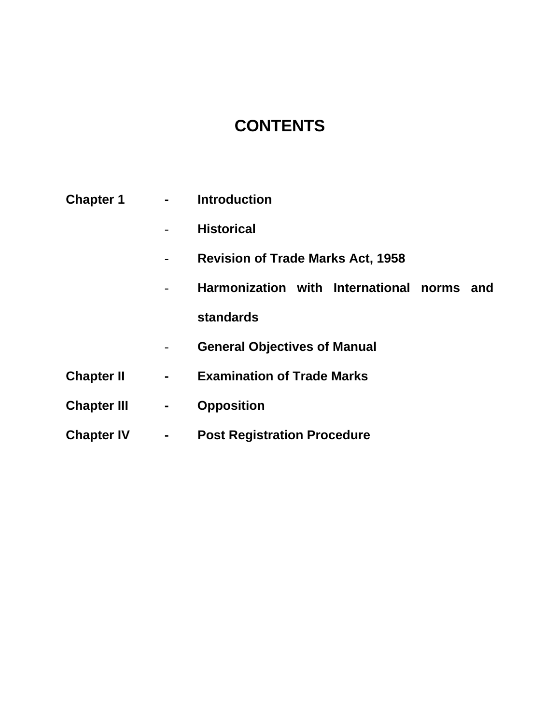# **CONTENTS**

| <b>Chapter 1</b>   | <b>Contract Contract</b> | <b>Introduction</b>                              |
|--------------------|--------------------------|--------------------------------------------------|
|                    |                          | <b>Historical</b>                                |
|                    |                          | <b>Revision of Trade Marks Act, 1958</b>         |
|                    |                          | Harmonization with International<br>norms<br>and |
|                    |                          | <b>standards</b>                                 |
|                    |                          | <b>General Objectives of Manual</b>              |
| <b>Chapter II</b>  | ٠                        | <b>Examination of Trade Marks</b>                |
| <b>Chapter III</b> | $\blacksquare$           | <b>Opposition</b>                                |
| <b>Chapter IV</b>  |                          | <b>Post Registration Procedure</b>               |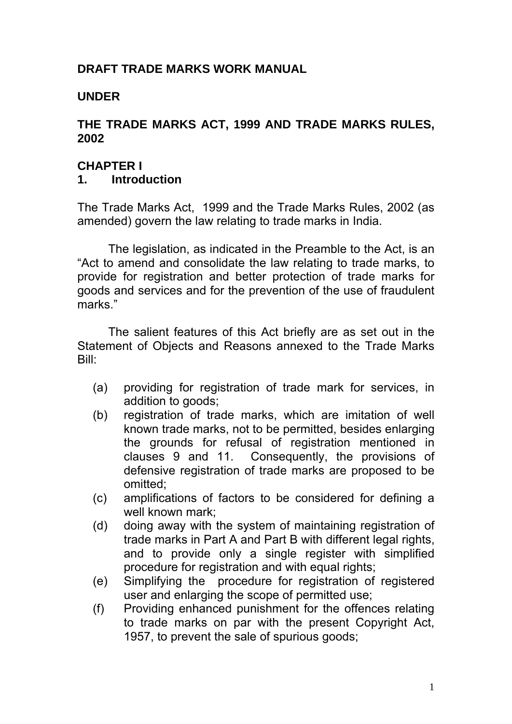#### **DRAFT TRADE MARKS WORK MANUAL**

#### **UNDER**

#### **THE TRADE MARKS ACT, 1999 AND TRADE MARKS RULES, 2002**

#### **CHAPTER I 1. Introduction**

The Trade Marks Act, 1999 and the Trade Marks Rules, 2002 (as amended) govern the law relating to trade marks in India.

 The legislation, as indicated in the Preamble to the Act, is an "Act to amend and consolidate the law relating to trade marks, to provide for registration and better protection of trade marks for goods and services and for the prevention of the use of fraudulent marks."

 The salient features of this Act briefly are as set out in the Statement of Objects and Reasons annexed to the Trade Marks Bill:

- (a) providing for registration of trade mark for services, in addition to goods;
- (b) registration of trade marks, which are imitation of well known trade marks, not to be permitted, besides enlarging the grounds for refusal of registration mentioned in clauses 9 and 11. Consequently, the provisions of defensive registration of trade marks are proposed to be omitted;
- (c) amplifications of factors to be considered for defining a well known mark;
- (d) doing away with the system of maintaining registration of trade marks in Part A and Part B with different legal rights, and to provide only a single register with simplified procedure for registration and with equal rights;
- (e) Simplifying the procedure for registration of registered user and enlarging the scope of permitted use;
- (f) Providing enhanced punishment for the offences relating to trade marks on par with the present Copyright Act, 1957, to prevent the sale of spurious goods;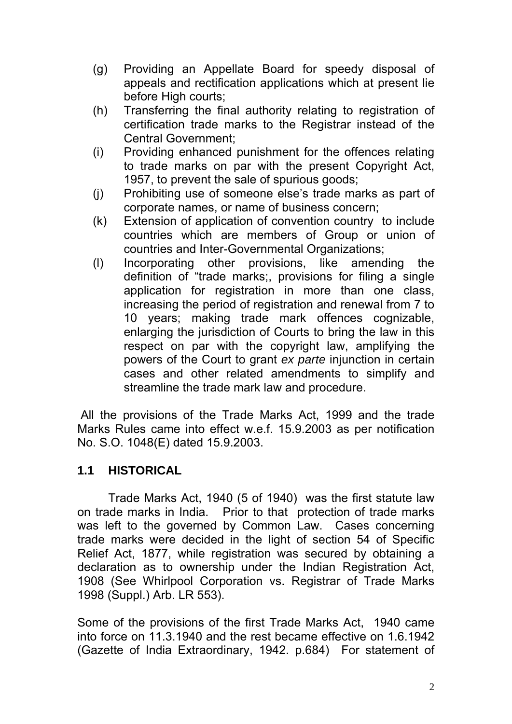- (g) Providing an Appellate Board for speedy disposal of appeals and rectification applications which at present lie before High courts;
- (h) Transferring the final authority relating to registration of certification trade marks to the Registrar instead of the Central Government;
- (i) Providing enhanced punishment for the offences relating to trade marks on par with the present Copyright Act, 1957, to prevent the sale of spurious goods;
- (j) Prohibiting use of someone else's trade marks as part of corporate names, or name of business concern;
- (k) Extension of application of convention country to include countries which are members of Group or union of countries and Inter-Governmental Organizations;
- (l) Incorporating other provisions, like amending the definition of "trade marks;, provisions for filing a single application for registration in more than one class, increasing the period of registration and renewal from 7 to 10 years; making trade mark offences cognizable, enlarging the jurisdiction of Courts to bring the law in this respect on par with the copyright law, amplifying the powers of the Court to grant *ex parte* injunction in certain cases and other related amendments to simplify and streamline the trade mark law and procedure.

 All the provisions of the Trade Marks Act, 1999 and the trade Marks Rules came into effect w.e.f. 15.9.2003 as per notification No. S.O. 1048(E) dated 15.9.2003.

#### **1.1 HISTORICAL**

Trade Marks Act, 1940 (5 of 1940) was the first statute law on trade marks in India. Prior to that protection of trade marks was left to the governed by Common Law. Cases concerning trade marks were decided in the light of section 54 of Specific Relief Act, 1877, while registration was secured by obtaining a declaration as to ownership under the Indian Registration Act, 1908 (See Whirlpool Corporation vs. Registrar of Trade Marks 1998 (Suppl.) Arb. LR 553).

Some of the provisions of the first Trade Marks Act, 1940 came into force on 11.3.1940 and the rest became effective on 1.6.1942 (Gazette of India Extraordinary, 1942. p.684) For statement of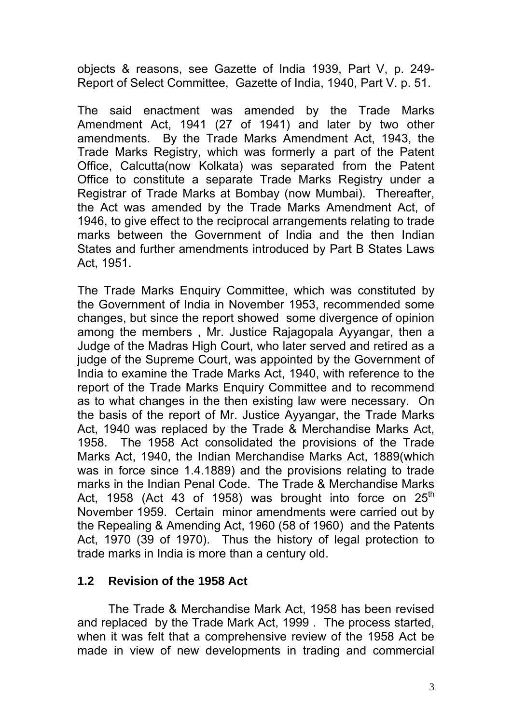objects & reasons, see Gazette of India 1939, Part V, p. 249- Report of Select Committee, Gazette of India, 1940, Part V. p. 51.

The said enactment was amended by the Trade Marks Amendment Act, 1941 (27 of 1941) and later by two other amendments. By the Trade Marks Amendment Act, 1943, the Trade Marks Registry, which was formerly a part of the Patent Office, Calcutta(now Kolkata) was separated from the Patent Office to constitute a separate Trade Marks Registry under a Registrar of Trade Marks at Bombay (now Mumbai). Thereafter, the Act was amended by the Trade Marks Amendment Act, of 1946, to give effect to the reciprocal arrangements relating to trade marks between the Government of India and the then Indian States and further amendments introduced by Part B States Laws Act, 1951.

The Trade Marks Enquiry Committee, which was constituted by the Government of India in November 1953, recommended some changes, but since the report showed some divergence of opinion among the members , Mr. Justice Rajagopala Ayyangar, then a Judge of the Madras High Court, who later served and retired as a judge of the Supreme Court, was appointed by the Government of India to examine the Trade Marks Act, 1940, with reference to the report of the Trade Marks Enquiry Committee and to recommend as to what changes in the then existing law were necessary. On the basis of the report of Mr. Justice Ayyangar, the Trade Marks Act, 1940 was replaced by the Trade & Merchandise Marks Act, 1958. The 1958 Act consolidated the provisions of the Trade Marks Act, 1940, the Indian Merchandise Marks Act, 1889(which was in force since 1.4.1889) and the provisions relating to trade marks in the Indian Penal Code. The Trade & Merchandise Marks Act, 1958 (Act 43 of 1958) was brought into force on  $25<sup>th</sup>$ November 1959. Certain minor amendments were carried out by the Repealing & Amending Act, 1960 (58 of 1960) and the Patents Act, 1970 (39 of 1970). Thus the history of legal protection to trade marks in India is more than a century old.

#### **1.2 Revision of the 1958 Act**

The Trade & Merchandise Mark Act, 1958 has been revised and replaced by the Trade Mark Act, 1999 . The process started, when it was felt that a comprehensive review of the 1958 Act be made in view of new developments in trading and commercial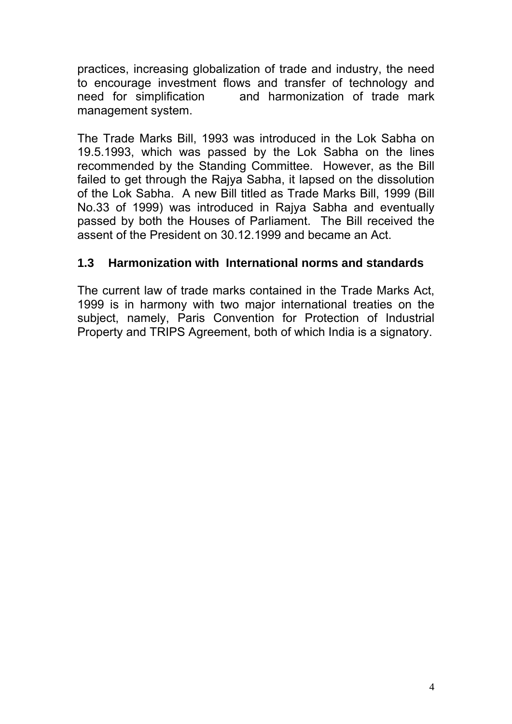practices, increasing globalization of trade and industry, the need to encourage investment flows and transfer of technology and need for simplification and harmonization of trade mark management system.

The Trade Marks Bill, 1993 was introduced in the Lok Sabha on 19.5.1993, which was passed by the Lok Sabha on the lines recommended by the Standing Committee. However, as the Bill failed to get through the Rajya Sabha, it lapsed on the dissolution of the Lok Sabha. A new Bill titled as Trade Marks Bill, 1999 (Bill No.33 of 1999) was introduced in Rajya Sabha and eventually passed by both the Houses of Parliament. The Bill received the assent of the President on 30.12.1999 and became an Act.

### **1.3 Harmonization with International norms and standards**

The current law of trade marks contained in the Trade Marks Act, 1999 is in harmony with two major international treaties on the subject, namely, Paris Convention for Protection of Industrial Property and TRIPS Agreement, both of which India is a signatory.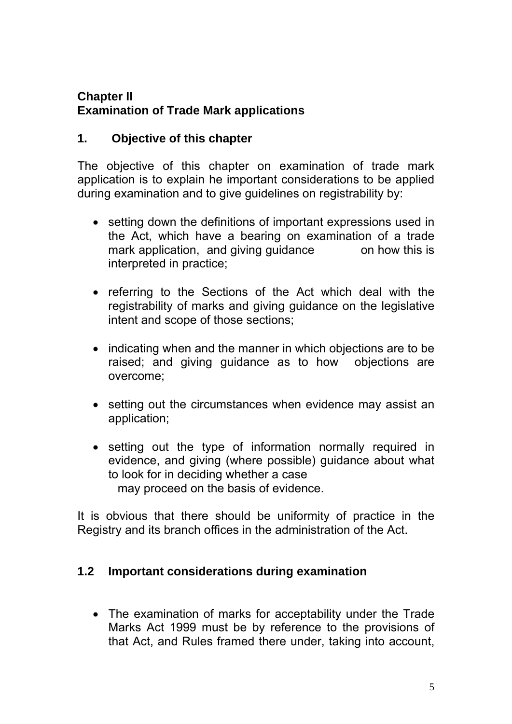### **Chapter II Examination of Trade Mark applications**

### **1. Objective of this chapter**

The objective of this chapter on examination of trade mark application is to explain he important considerations to be applied during examination and to give guidelines on registrability by:

- setting down the definitions of important expressions used in the Act, which have a bearing on examination of a trade mark application, and giving guidance on how this is interpreted in practice;
- referring to the Sections of the Act which deal with the registrability of marks and giving guidance on the legislative intent and scope of those sections;
- indicating when and the manner in which objections are to be raised; and giving guidance as to how objections are overcome;
- setting out the circumstances when evidence may assist an application;
- setting out the type of information normally required in evidence, and giving (where possible) guidance about what to look for in deciding whether a case may proceed on the basis of evidence.

It is obvious that there should be uniformity of practice in the Registry and its branch offices in the administration of the Act.

#### **1.2 Important considerations during examination**

• The examination of marks for acceptability under the Trade Marks Act 1999 must be by reference to the provisions of that Act, and Rules framed there under, taking into account,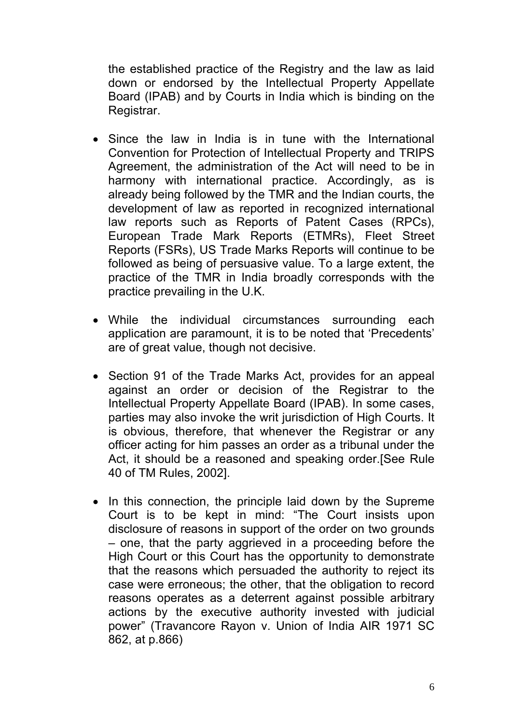the established practice of the Registry and the law as laid down or endorsed by the Intellectual Property Appellate Board (IPAB) and by Courts in India which is binding on the Registrar.

- Since the law in India is in tune with the International Convention for Protection of Intellectual Property and TRIPS Agreement, the administration of the Act will need to be in harmony with international practice. Accordingly, as is already being followed by the TMR and the Indian courts, the development of law as reported in recognized international law reports such as Reports of Patent Cases (RPCs), European Trade Mark Reports (ETMRs), Fleet Street Reports (FSRs), US Trade Marks Reports will continue to be followed as being of persuasive value. To a large extent, the practice of the TMR in India broadly corresponds with the practice prevailing in the U.K.
- While the individual circumstances surrounding each application are paramount, it is to be noted that 'Precedents' are of great value, though not decisive.
- Section 91 of the Trade Marks Act, provides for an appeal against an order or decision of the Registrar to the Intellectual Property Appellate Board (IPAB). In some cases, parties may also invoke the writ jurisdiction of High Courts. It is obvious, therefore, that whenever the Registrar or any officer acting for him passes an order as a tribunal under the Act, it should be a reasoned and speaking order.[See Rule 40 of TM Rules, 2002].
- In this connection, the principle laid down by the Supreme Court is to be kept in mind: "The Court insists upon disclosure of reasons in support of the order on two grounds – one, that the party aggrieved in a proceeding before the High Court or this Court has the opportunity to demonstrate that the reasons which persuaded the authority to reject its case were erroneous; the other, that the obligation to record reasons operates as a deterrent against possible arbitrary actions by the executive authority invested with judicial power" (Travancore Rayon v. Union of India AIR 1971 SC 862, at p.866)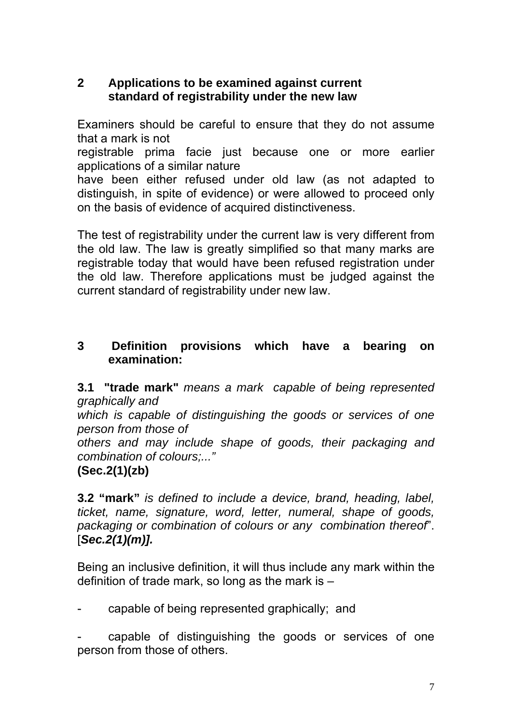### **2 Applications to be examined against current standard of registrability under the new law**

Examiners should be careful to ensure that they do not assume that a mark is not

registrable prima facie just because one or more earlier applications of a similar nature

have been either refused under old law (as not adapted to distinguish, in spite of evidence) or were allowed to proceed only on the basis of evidence of acquired distinctiveness.

The test of registrability under the current law is very different from the old law. The law is greatly simplified so that many marks are registrable today that would have been refused registration under the old law. Therefore applications must be judged against the current standard of registrability under new law.

### **3 Definition provisions which have a bearing on examination:**

**3.1 "trade mark"** *means a mark capable of being represented graphically and* 

*which is capable of distinguishing the goods or services of one person from those of* 

*others and may include shape of goods, their packaging and combination of colours;..."* 

# **(Sec.2(1)(zb)**

**3.2 "mark"** *is defined to include a device, brand, heading, label, ticket, name, signature, word, letter, numeral, shape of goods, packaging or combination of colours or any combination thereof*". [*Sec.2(1)(m)].* 

Being an inclusive definition, it will thus include any mark within the definition of trade mark, so long as the mark is –

capable of being represented graphically; and

capable of distinguishing the goods or services of one person from those of others.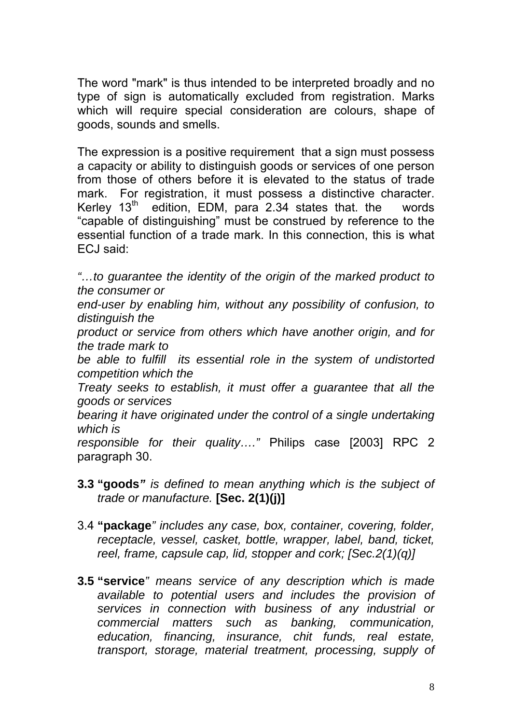The word "mark" is thus intended to be interpreted broadly and no type of sign is automatically excluded from registration. Marks which will require special consideration are colours, shape of goods, sounds and smells.

The expression is a positive requirement that a sign must possess a capacity or ability to distinguish goods or services of one person from those of others before it is elevated to the status of trade mark. For registration, it must possess a distinctive character. Kerley  $13<sup>th</sup>$  edition, EDM, para 2.34 states that. the words "capable of distinguishing" must be construed by reference to the essential function of a trade mark. In this connection, this is what ECJ said:

*"…to guarantee the identity of the origin of the marked product to the consumer or* 

*end-user by enabling him, without any possibility of confusion, to distinguish the* 

*product or service from others which have another origin, and for the trade mark to* 

*be able to fulfill its essential role in the system of undistorted competition which the* 

*Treaty seeks to establish, it must offer a guarantee that all the goods or services* 

*bearing it have originated under the control of a single undertaking which is* 

*responsible for their quality…."* Philips case [2003] RPC 2 paragraph 30.

- **3.3 "goods***" is defined to mean anything which is the subject of trade or manufacture.* **[Sec. 2(1)(j)]**
- 3.4 **"package***" includes any case, box, container, covering, folder, receptacle, vessel, casket, bottle, wrapper, label, band, ticket, reel, frame, capsule cap, lid, stopper and cork; [Sec.2(1)(q)]*
- **3.5 "service***" means service of any description which is made available to potential users and includes the provision of services in connection with business of any industrial or commercial matters such as banking, communication, education, financing, insurance, chit funds, real estate, transport, storage, material treatment, processing, supply of*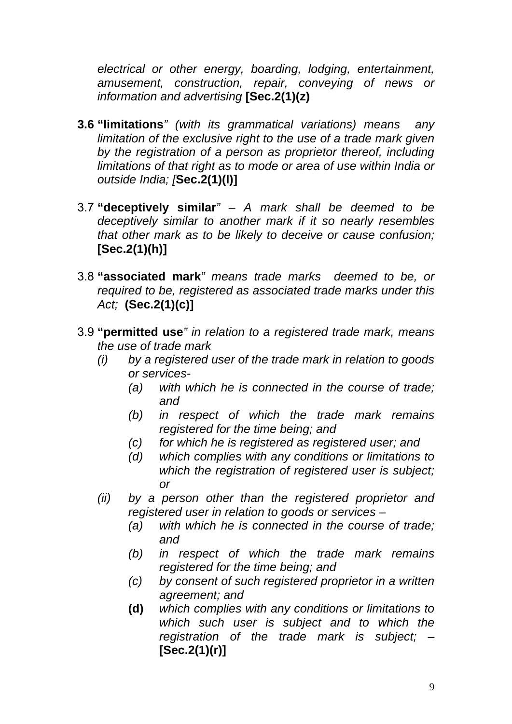*electrical or other energy, boarding, lodging, entertainment, amusement, construction, repair, conveying of news or information and advertising* **[Sec.2(1)(z)** 

- **3.6 "limitations***" (with its grammatical variations) means any limitation of the exclusive right to the use of a trade mark given by the registration of a person as proprietor thereof, including limitations of that right as to mode or area of use within India or outside India; [***Sec.2(1)(l)]**
- 3.7 **"deceptively similar***" A mark shall be deemed to be deceptively similar to another mark if it so nearly resembles that other mark as to be likely to deceive or cause confusion;*  **[Sec.2(1)(h)]**
- 3.8 **"associated mark***" means trade marks deemed to be, or required to be, registered as associated trade marks under this Act;* **(Sec.2(1)(c)]**
- 3.9 **"permitted use***" in relation to a registered trade mark, means the use of trade mark* 
	- *(i) by a registered user of the trade mark in relation to goods or services-* 
		- *(a) with which he is connected in the course of trade; and*
		- *(b) in respect of which the trade mark remains registered for the time being; and*
		- *(c) for which he is registered as registered user; and*
		- *(d) which complies with any conditions or limitations to which the registration of registered user is subject; or*
	- *(ii) by a person other than the registered proprietor and registered user in relation to goods or services –* 
		- *(a) with which he is connected in the course of trade; and*
		- *(b) in respect of which the trade mark remains registered for the time being; and*
		- *(c) by consent of such registered proprietor in a written agreement; and*
		- **(d)** *which complies with any conditions or limitations to which such user is subject and to which the registration of the trade mark is subject; –*  **[Sec.2(1)(r)]**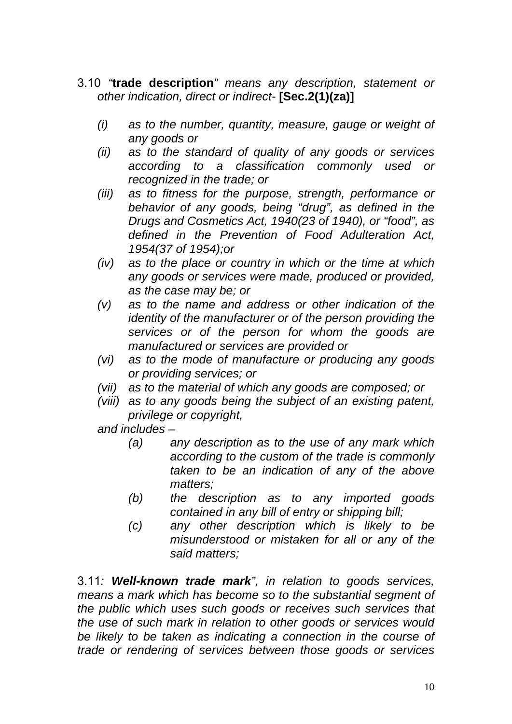- 3.10 *"***trade description***" means any description, statement or other indication, direct or indirect-* **[Sec.2(1)(za)]**
	- *(i) as to the number, quantity, measure, gauge or weight of any goods or*
	- *(ii) as to the standard of quality of any goods or services according to a classification commonly used or recognized in the trade; or*
	- *(iii) as to fitness for the purpose, strength, performance or behavior of any goods, being "drug", as defined in the Drugs and Cosmetics Act, 1940(23 of 1940), or "food", as defined in the Prevention of Food Adulteration Act, 1954(37 of 1954);or*
	- *(iv) as to the place or country in which or the time at which any goods or services were made, produced or provided, as the case may be; or*
	- *(v) as to the name and address or other indication of the identity of the manufacturer or of the person providing the services or of the person for whom the goods are manufactured or services are provided or*
	- *(vi) as to the mode of manufacture or producing any goods or providing services; or*
	- *(vii) as to the material of which any goods are composed; or*
	- *(viii) as to any goods being the subject of an existing patent, privilege or copyright,*

*and includes –* 

- *(a) any description as to the use of any mark which according to the custom of the trade is commonly taken to be an indication of any of the above matters;*
- *(b) the description as to any imported goods contained in any bill of entry or shipping bill;*
- *(c) any other description which is likely to be misunderstood or mistaken for all or any of the said matters;*

3.11*: Well-known trade mark", in relation to goods services, means a mark which has become so to the substantial segment of the public which uses such goods or receives such services that the use of such mark in relation to other goods or services would be likely to be taken as indicating a connection in the course of trade or rendering of services between those goods or services*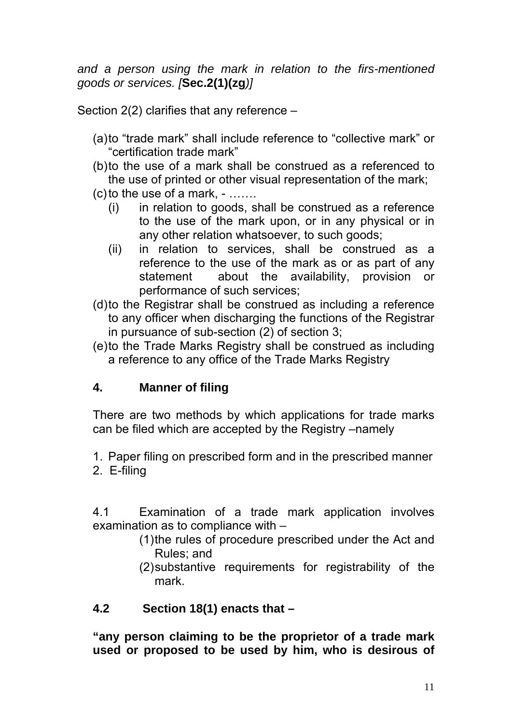*and a person using the mark in relation to the firs-mentioned goods or services. [***Sec.2(1)(zg***)]* 

Section 2(2) clarifies that any reference –

- (a) to "trade mark" shall include reference to "collective mark" or "certification trade mark"
- (b) to the use of a mark shall be construed as a referenced to the use of printed or other visual representation of the mark;
- $(c)$  to the use of a mark,  $-$  ......
	- (i) in relation to goods, shall be construed as a reference to the use of the mark upon, or in any physical or in any other relation whatsoever, to such goods;
	- (ii) in relation to services, shall be construed as a reference to the use of the mark as or as part of any statement about the availability, provision or performance of such services;
- (d) to the Registrar shall be construed as including a reference to any officer when discharging the functions of the Registrar in pursuance of sub-section (2) of section 3;
- (e) to the Trade Marks Registry shall be construed as including a reference to any office of the Trade Marks Registry

### **4. Manner of filing**

There are two methods by which applications for trade marks can be filed which are accepted by the Registry –namely

- 1. Paper filing on prescribed form and in the prescribed manner
- 2. E-filing

4.1 Examination of a trade mark application involves examination as to compliance with –

- (1) the rules of procedure prescribed under the Act and Rules; and
- (2) substantive requirements for registrability of the mark.

### **4.2 Section 18(1) enacts that –**

**"any person claiming to be the proprietor of a trade mark used or proposed to be used by him, who is desirous of**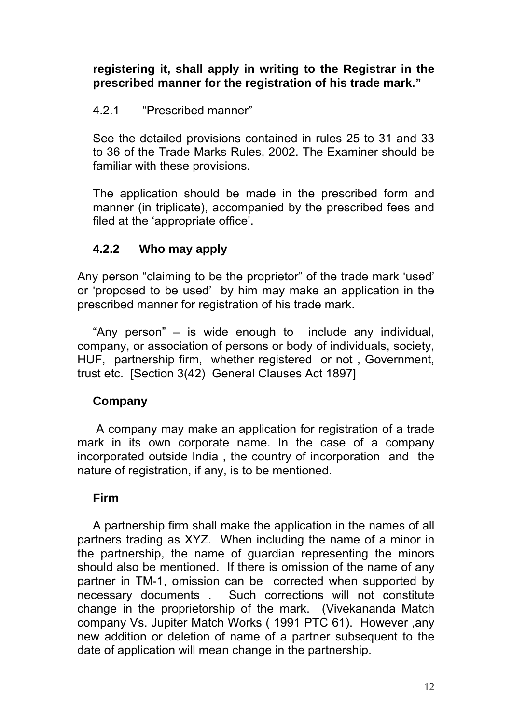#### **registering it, shall apply in writing to the Registrar in the prescribed manner for the registration of his trade mark."**

#### 4.2.1 "Prescribed manner"

See the detailed provisions contained in rules 25 to 31 and 33 to 36 of the Trade Marks Rules, 2002. The Examiner should be familiar with these provisions.

The application should be made in the prescribed form and manner (in triplicate), accompanied by the prescribed fees and filed at the 'appropriate office'.

### **4.2.2 Who may apply**

Any person "claiming to be the proprietor" of the trade mark 'used' or 'proposed to be used' by him may make an application in the prescribed manner for registration of his trade mark.

"Any person" – is wide enough to include any individual, company, or association of persons or body of individuals, society, HUF, partnership firm, whether registered or not , Government, trust etc. [Section 3(42) General Clauses Act 1897]

#### **Company**

 A company may make an application for registration of a trade mark in its own corporate name. In the case of a company incorporated outside India , the country of incorporation and the nature of registration, if any, is to be mentioned.

#### **Firm**

A partnership firm shall make the application in the names of all partners trading as XYZ. When including the name of a minor in the partnership, the name of guardian representing the minors should also be mentioned. If there is omission of the name of any partner in TM-1, omission can be corrected when supported by necessary documents . Such corrections will not constitute change in the proprietorship of the mark. (Vivekananda Match company Vs. Jupiter Match Works ( 1991 PTC 61). However ,any new addition or deletion of name of a partner subsequent to the date of application will mean change in the partnership.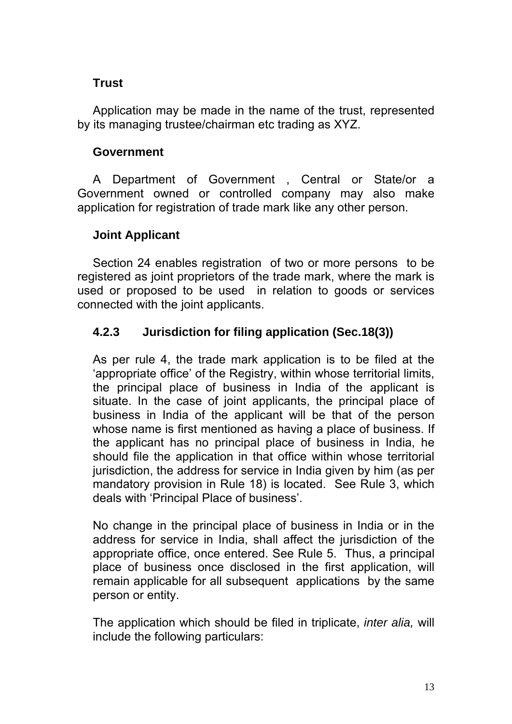### **Trust**

Application may be made in the name of the trust, represented by its managing trustee/chairman etc trading as XYZ.

#### **Government**

A Department of Government , Central or State/or a Government owned or controlled company may also make application for registration of trade mark like any other person.

### **Joint Applicant**

Section 24 enables registration of two or more persons to be registered as joint proprietors of the trade mark, where the mark is used or proposed to be used in relation to goods or services connected with the joint applicants.

### **4.2.3 Jurisdiction for filing application (Sec.18(3))**

As per rule 4, the trade mark application is to be filed at the 'appropriate office' of the Registry, within whose territorial limits, the principal place of business in India of the applicant is situate. In the case of joint applicants, the principal place of business in India of the applicant will be that of the person whose name is first mentioned as having a place of business. If the applicant has no principal place of business in India, he should file the application in that office within whose territorial jurisdiction, the address for service in India given by him (as per mandatory provision in Rule 18) is located. See Rule 3, which deals with 'Principal Place of business'.

No change in the principal place of business in India or in the address for service in India, shall affect the jurisdiction of the appropriate office, once entered. See Rule 5. Thus, a principal place of business once disclosed in the first application, will remain applicable for all subsequent applications by the same person or entity.

The application which should be filed in triplicate, *inter alia,* will include the following particulars: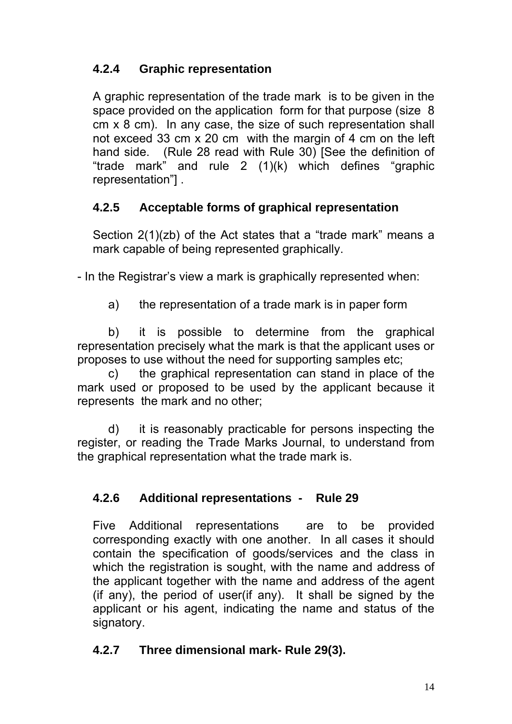# **4.2.4 Graphic representation**

A graphic representation of the trade mark is to be given in the space provided on the application form for that purpose (size 8 cm x 8 cm). In any case, the size of such representation shall not exceed 33 cm x 20 cm with the margin of 4 cm on the left hand side. (Rule 28 read with Rule 30) [See the definition of "trade mark" and rule 2 (1)(k) which defines "graphic representation"] .

# **4.2.5 Acceptable forms of graphical representation**

Section 2(1)(zb) of the Act states that a "trade mark" means a mark capable of being represented graphically.

- In the Registrar's view a mark is graphically represented when:

a) the representation of a trade mark is in paper form

b) it is possible to determine from the graphical representation precisely what the mark is that the applicant uses or proposes to use without the need for supporting samples etc;

c) the graphical representation can stand in place of the mark used or proposed to be used by the applicant because it represents the mark and no other;

d) it is reasonably practicable for persons inspecting the register, or reading the Trade Marks Journal, to understand from the graphical representation what the trade mark is.

# **4.2.6 Additional representations - Rule 29**

Five Additional representations are to be provided corresponding exactly with one another. In all cases it should contain the specification of goods/services and the class in which the registration is sought, with the name and address of the applicant together with the name and address of the agent (if any), the period of user(if any). It shall be signed by the applicant or his agent, indicating the name and status of the signatory.

### **4.2.7 Three dimensional mark- Rule 29(3).**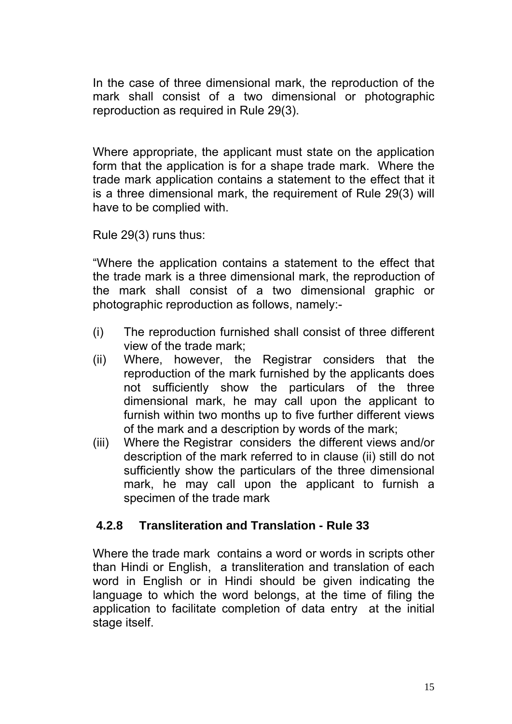In the case of three dimensional mark, the reproduction of the mark shall consist of a two dimensional or photographic reproduction as required in Rule 29(3).

Where appropriate, the applicant must state on the application form that the application is for a shape trade mark. Where the trade mark application contains a statement to the effect that it is a three dimensional mark, the requirement of Rule 29(3) will have to be complied with.

Rule 29(3) runs thus:

"Where the application contains a statement to the effect that the trade mark is a three dimensional mark, the reproduction of the mark shall consist of a two dimensional graphic or photographic reproduction as follows, namely:-

- (i) The reproduction furnished shall consist of three different view of the trade mark;
- (ii) Where, however, the Registrar considers that the reproduction of the mark furnished by the applicants does not sufficiently show the particulars of the three dimensional mark, he may call upon the applicant to furnish within two months up to five further different views of the mark and a description by words of the mark;
- (iii) Where the Registrar considers the different views and/or description of the mark referred to in clause (ii) still do not sufficiently show the particulars of the three dimensional mark, he may call upon the applicant to furnish a specimen of the trade mark

### **4.2.8 Transliteration and Translation - Rule 33**

Where the trade mark contains a word or words in scripts other than Hindi or English, a transliteration and translation of each word in English or in Hindi should be given indicating the language to which the word belongs, at the time of filing the application to facilitate completion of data entry at the initial stage itself.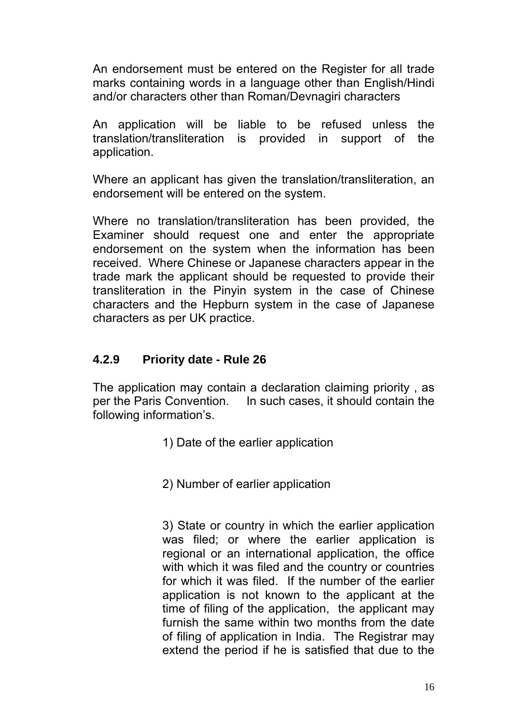An endorsement must be entered on the Register for all trade marks containing words in a language other than English/Hindi and/or characters other than Roman/Devnagiri characters

An application will be liable to be refused unless the translation/transliteration is provided in support of the application.

Where an applicant has given the translation/transliteration, an endorsement will be entered on the system.

Where no translation/transliteration has been provided, the Examiner should request one and enter the appropriate endorsement on the system when the information has been received. Where Chinese or Japanese characters appear in the trade mark the applicant should be requested to provide their transliteration in the Pinyin system in the case of Chinese characters and the Hepburn system in the case of Japanese characters as per UK practice.

#### **4.2.9 Priority date - Rule 26**

The application may contain a declaration claiming priority , as per the Paris Convention. In such cases, it should contain the following information's.

1) Date of the earlier application

2) Number of earlier application

3) State or country in which the earlier application was filed; or where the earlier application is regional or an international application, the office with which it was filed and the country or countries for which it was filed. If the number of the earlier application is not known to the applicant at the time of filing of the application, the applicant may furnish the same within two months from the date of filing of application in India. The Registrar may extend the period if he is satisfied that due to the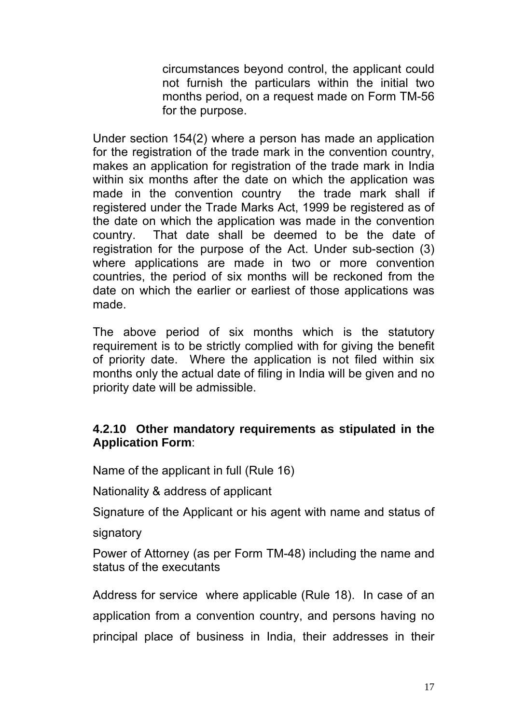circumstances beyond control, the applicant could not furnish the particulars within the initial two months period, on a request made on Form TM-56 for the purpose.

Under section 154(2) where a person has made an application for the registration of the trade mark in the convention country, makes an application for registration of the trade mark in India within six months after the date on which the application was made in the convention country the trade mark shall if registered under the Trade Marks Act, 1999 be registered as of the date on which the application was made in the convention country. That date shall be deemed to be the date of registration for the purpose of the Act. Under sub-section (3) where applications are made in two or more convention countries, the period of six months will be reckoned from the date on which the earlier or earliest of those applications was made.

The above period of six months which is the statutory requirement is to be strictly complied with for giving the benefit of priority date. Where the application is not filed within six months only the actual date of filing in India will be given and no priority date will be admissible.

#### **4.2.10 Other mandatory requirements as stipulated in the Application Form**:

Name of the applicant in full (Rule 16)

Nationality & address of applicant

Signature of the Applicant or his agent with name and status of

signatory

Power of Attorney (as per Form TM-48) including the name and status of the executants

Address for service where applicable (Rule 18). In case of an application from a convention country, and persons having no principal place of business in India, their addresses in their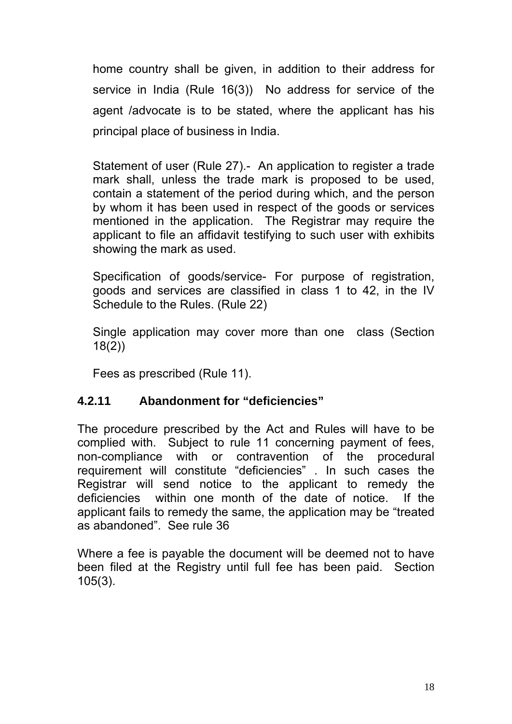home country shall be given, in addition to their address for service in India (Rule 16(3)) No address for service of the agent /advocate is to be stated, where the applicant has his principal place of business in India.

Statement of user (Rule 27).- An application to register a trade mark shall, unless the trade mark is proposed to be used, contain a statement of the period during which, and the person by whom it has been used in respect of the goods or services mentioned in the application. The Registrar may require the applicant to file an affidavit testifying to such user with exhibits showing the mark as used.

Specification of goods/service- For purpose of registration, goods and services are classified in class 1 to 42, in the IV Schedule to the Rules. (Rule 22)

Single application may cover more than one class (Section 18(2))

Fees as prescribed (Rule 11).

#### **4.2.11 Abandonment for "deficiencies"**

The procedure prescribed by the Act and Rules will have to be complied with. Subject to rule 11 concerning payment of fees, non-compliance with or contravention of the procedural requirement will constitute "deficiencies" . In such cases the Registrar will send notice to the applicant to remedy the deficiencies within one month of the date of notice. If the applicant fails to remedy the same, the application may be "treated as abandoned". See rule 36

Where a fee is payable the document will be deemed not to have been filed at the Registry until full fee has been paid. Section 105(3).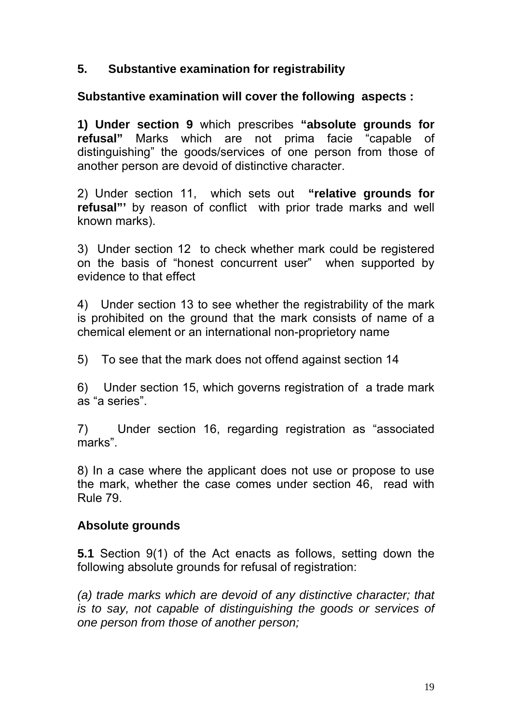#### **5. Substantive examination for registrability**

#### **Substantive examination will cover the following aspects :**

**1) Under section 9** which prescribes **"absolute grounds for refusal"** Marks which are not prima facie "capable of distinguishing" the goods/services of one person from those of another person are devoid of distinctive character.

2) Under section 11, which sets out **"relative grounds for refusal"'** by reason of conflict with prior trade marks and well known marks).

3) Under section 12 to check whether mark could be registered on the basis of "honest concurrent user" when supported by evidence to that effect

4) Under section 13 to see whether the registrability of the mark is prohibited on the ground that the mark consists of name of a chemical element or an international non-proprietory name

5) To see that the mark does not offend against section 14

6) Under section 15, which governs registration of a trade mark as "a series".

7) Under section 16, regarding registration as "associated marks".

8) In a case where the applicant does not use or propose to use the mark, whether the case comes under section 46, read with Rule 79.

#### **Absolute grounds**

**5.1** Section 9(1) of the Act enacts as follows, setting down the following absolute grounds for refusal of registration:

*(a) trade marks which are devoid of any distinctive character; that is to say, not capable of distinguishing the goods or services of one person from those of another person;*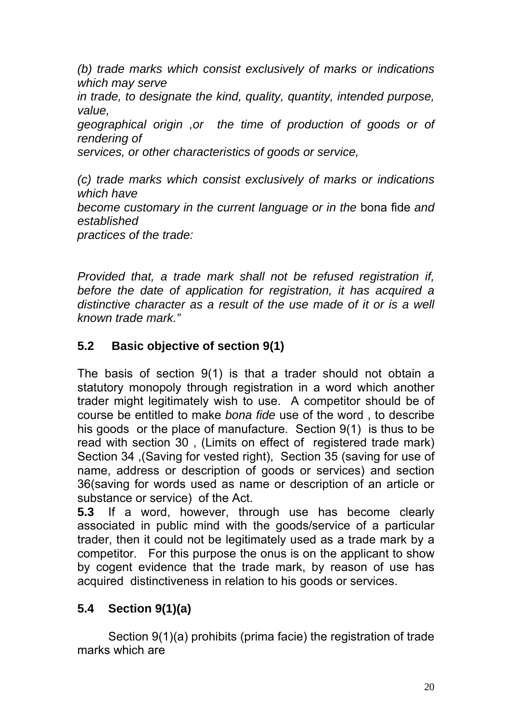*(b) trade marks which consist exclusively of marks or indications which may serve* 

*in trade, to designate the kind, quality, quantity, intended purpose, value,* 

*geographical origin ,or the time of production of goods or of rendering of* 

*services, or other characteristics of goods or service,* 

*(c) trade marks which consist exclusively of marks or indications which have become customary in the current language or in the* bona fide *and established* 

*practices of the trade:* 

*Provided that, a trade mark shall not be refused registration if, before the date of application for registration, it has acquired a*  distinctive character as a result of the use made of it or is a well *known trade mark."* 

# **5.2 Basic objective of section 9(1)**

The basis of section 9(1) is that a trader should not obtain a statutory monopoly through registration in a word which another trader might legitimately wish to use. A competitor should be of course be entitled to make *bona fide* use of the word , to describe his goods or the place of manufacture. Section 9(1) is thus to be read with section 30 , (Limits on effect of registered trade mark) Section 34 ,(Saving for vested right), Section 35 (saving for use of name, address or description of goods or services) and section 36(saving for words used as name or description of an article or substance or service) of the Act.

**5.3** If a word, however, through use has become clearly associated in public mind with the goods/service of a particular trader, then it could not be legitimately used as a trade mark by a competitor. For this purpose the onus is on the applicant to show by cogent evidence that the trade mark, by reason of use has acquired distinctiveness in relation to his goods or services.

# **5.4 Section 9(1)(a)**

Section 9(1)(a) prohibits (prima facie) the registration of trade marks which are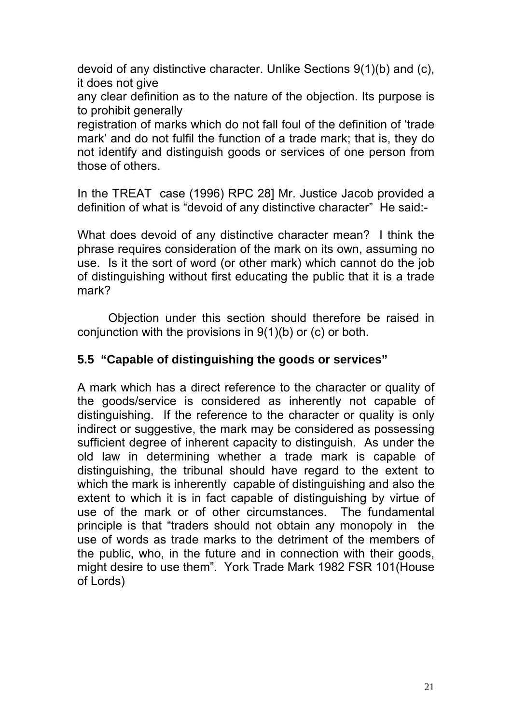devoid of any distinctive character. Unlike Sections 9(1)(b) and (c), it does not give

any clear definition as to the nature of the objection. Its purpose is to prohibit generally

registration of marks which do not fall foul of the definition of 'trade mark' and do not fulfil the function of a trade mark; that is, they do not identify and distinguish goods or services of one person from those of others.

In the TREAT case (1996) RPC 28] Mr. Justice Jacob provided a definition of what is "devoid of any distinctive character" He said:-

What does devoid of any distinctive character mean? I think the phrase requires consideration of the mark on its own, assuming no use. Is it the sort of word (or other mark) which cannot do the job of distinguishing without first educating the public that it is a trade mark?

 Objection under this section should therefore be raised in conjunction with the provisions in  $9(1)(b)$  or (c) or both.

#### **5.5 "Capable of distinguishing the goods or services"**

A mark which has a direct reference to the character or quality of the goods/service is considered as inherently not capable of distinguishing. If the reference to the character or quality is only indirect or suggestive, the mark may be considered as possessing sufficient degree of inherent capacity to distinguish. As under the old law in determining whether a trade mark is capable of distinguishing, the tribunal should have regard to the extent to which the mark is inherently capable of distinguishing and also the extent to which it is in fact capable of distinguishing by virtue of use of the mark or of other circumstances. The fundamental principle is that "traders should not obtain any monopoly in the use of words as trade marks to the detriment of the members of the public, who, in the future and in connection with their goods, might desire to use them". York Trade Mark 1982 FSR 101(House of Lords)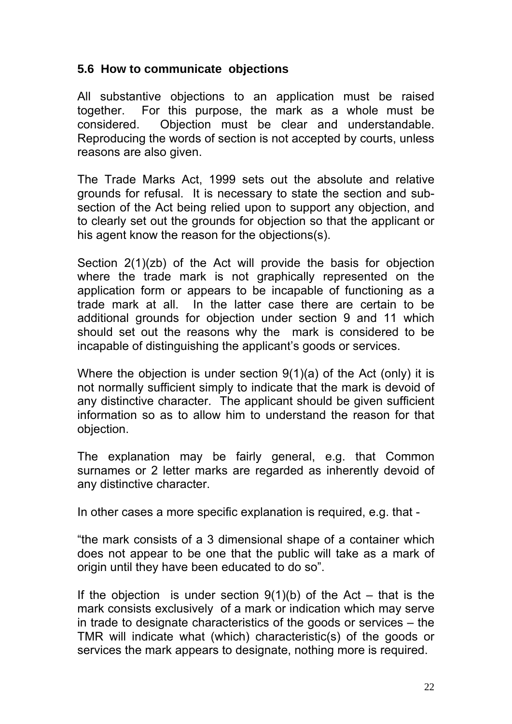#### **5.6 How to communicate objections**

All substantive objections to an application must be raised together. For this purpose, the mark as a whole must be considered. Objection must be clear and understandable. Reproducing the words of section is not accepted by courts, unless reasons are also given.

The Trade Marks Act, 1999 sets out the absolute and relative grounds for refusal. It is necessary to state the section and subsection of the Act being relied upon to support any objection, and to clearly set out the grounds for objection so that the applicant or his agent know the reason for the objections(s).

Section 2(1)(zb) of the Act will provide the basis for objection where the trade mark is not graphically represented on the application form or appears to be incapable of functioning as a trade mark at all. In the latter case there are certain to be additional grounds for objection under section 9 and 11 which should set out the reasons why the mark is considered to be incapable of distinguishing the applicant's goods or services.

Where the objection is under section 9(1)(a) of the Act (only) it is not normally sufficient simply to indicate that the mark is devoid of any distinctive character. The applicant should be given sufficient information so as to allow him to understand the reason for that objection.

The explanation may be fairly general, e.g. that Common surnames or 2 letter marks are regarded as inherently devoid of any distinctive character.

In other cases a more specific explanation is required, e.g. that -

"the mark consists of a 3 dimensional shape of a container which does not appear to be one that the public will take as a mark of origin until they have been educated to do so".

If the objection is under section  $9(1)(b)$  of the Act – that is the mark consists exclusively of a mark or indication which may serve in trade to designate characteristics of the goods or services – the TMR will indicate what (which) characteristic(s) of the goods or services the mark appears to designate, nothing more is required.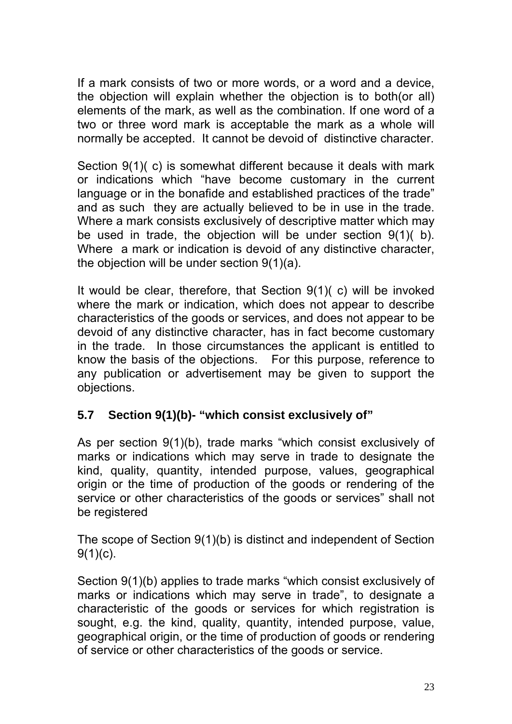If a mark consists of two or more words, or a word and a device, the objection will explain whether the objection is to both(or all) elements of the mark, as well as the combination. If one word of a two or three word mark is acceptable the mark as a whole will normally be accepted. It cannot be devoid of distinctive character.

Section 9(1)( c) is somewhat different because it deals with mark or indications which "have become customary in the current language or in the bonafide and established practices of the trade" and as such they are actually believed to be in use in the trade. Where a mark consists exclusively of descriptive matter which may be used in trade, the objection will be under section 9(1)( b). Where a mark or indication is devoid of any distinctive character, the objection will be under section 9(1)(a).

It would be clear, therefore, that Section 9(1)( c) will be invoked where the mark or indication, which does not appear to describe characteristics of the goods or services, and does not appear to be devoid of any distinctive character, has in fact become customary in the trade. In those circumstances the applicant is entitled to know the basis of the objections. For this purpose, reference to any publication or advertisement may be given to support the objections.

# **5.7 Section 9(1)(b)- "which consist exclusively of"**

As per section 9(1)(b), trade marks "which consist exclusively of marks or indications which may serve in trade to designate the kind, quality, quantity, intended purpose, values, geographical origin or the time of production of the goods or rendering of the service or other characteristics of the goods or services" shall not be registered

The scope of Section 9(1)(b) is distinct and independent of Section 9(1)(c).

Section 9(1)(b) applies to trade marks "which consist exclusively of marks or indications which may serve in trade", to designate a characteristic of the goods or services for which registration is sought, e.g. the kind, quality, quantity, intended purpose, value, geographical origin, or the time of production of goods or rendering of service or other characteristics of the goods or service.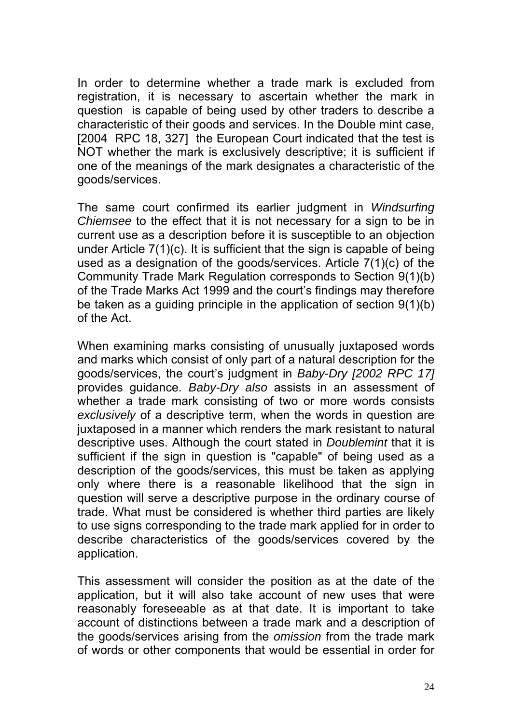In order to determine whether a trade mark is excluded from registration, it is necessary to ascertain whether the mark in question is capable of being used by other traders to describe a characteristic of their goods and services. In the Double mint case, [2004 RPC 18, 327] the European Court indicated that the test is NOT whether the mark is exclusively descriptive; it is sufficient if one of the meanings of the mark designates a characteristic of the goods/services.

The same court confirmed its earlier judgment in *Windsurfing Chiemsee* to the effect that it is not necessary for a sign to be in current use as a description before it is susceptible to an objection under Article 7(1)(c). It is sufficient that the sign is capable of being used as a designation of the goods/services. Article 7(1)(c) of the Community Trade Mark Regulation corresponds to Section 9(1)(b) of the Trade Marks Act 1999 and the court's findings may therefore be taken as a guiding principle in the application of section 9(1)(b) of the Act.

When examining marks consisting of unusually juxtaposed words and marks which consist of only part of a natural description for the goods/services, the court's judgment in *Baby-Dry [2002 RPC 17]*  provides guidance. *Baby-Dry also* assists in an assessment of whether a trade mark consisting of two or more words consists *exclusively* of a descriptive term, when the words in question are juxtaposed in a manner which renders the mark resistant to natural descriptive uses. Although the court stated in *Doublemint* that it is sufficient if the sign in question is "capable" of being used as a description of the goods/services, this must be taken as applying only where there is a reasonable likelihood that the sign in question will serve a descriptive purpose in the ordinary course of trade. What must be considered is whether third parties are likely to use signs corresponding to the trade mark applied for in order to describe characteristics of the goods/services covered by the application.

This assessment will consider the position as at the date of the application, but it will also take account of new uses that were reasonably foreseeable as at that date. It is important to take account of distinctions between a trade mark and a description of the goods/services arising from the *omission* from the trade mark of words or other components that would be essential in order for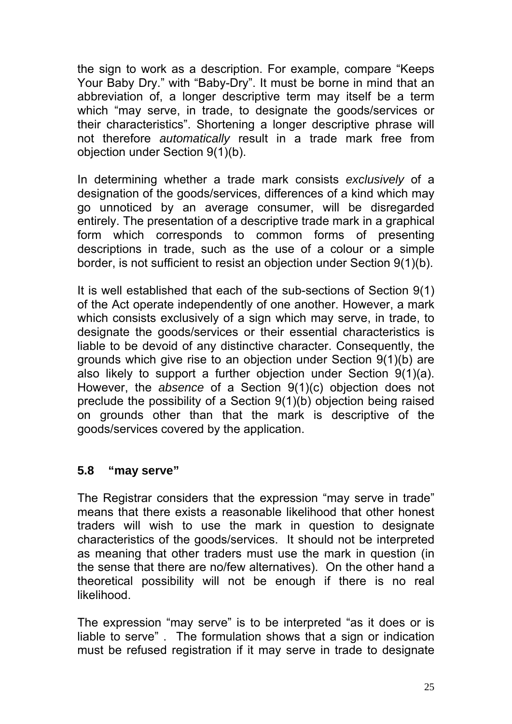the sign to work as a description. For example, compare "Keeps Your Baby Dry." with "Baby-Dry". It must be borne in mind that an abbreviation of, a longer descriptive term may itself be a term which "may serve, in trade, to designate the goods/services or their characteristics". Shortening a longer descriptive phrase will not therefore *automatically* result in a trade mark free from objection under Section 9(1)(b).

In determining whether a trade mark consists *exclusively* of a designation of the goods/services, differences of a kind which may go unnoticed by an average consumer, will be disregarded entirely. The presentation of a descriptive trade mark in a graphical form which corresponds to common forms of presenting descriptions in trade, such as the use of a colour or a simple border, is not sufficient to resist an objection under Section 9(1)(b).

It is well established that each of the sub-sections of Section 9(1) of the Act operate independently of one another. However, a mark which consists exclusively of a sign which may serve, in trade, to designate the goods/services or their essential characteristics is liable to be devoid of any distinctive character. Consequently, the grounds which give rise to an objection under Section 9(1)(b) are also likely to support a further objection under Section 9(1)(a). However, the *absence* of a Section 9(1)(c) objection does not preclude the possibility of a Section 9(1)(b) objection being raised on grounds other than that the mark is descriptive of the goods/services covered by the application.

#### **5.8 "may serve"**

The Registrar considers that the expression "may serve in trade" means that there exists a reasonable likelihood that other honest traders will wish to use the mark in question to designate characteristics of the goods/services. It should not be interpreted as meaning that other traders must use the mark in question (in the sense that there are no/few alternatives). On the other hand a theoretical possibility will not be enough if there is no real likelihood.

The expression "may serve" is to be interpreted "as it does or is liable to serve" . The formulation shows that a sign or indication must be refused registration if it may serve in trade to designate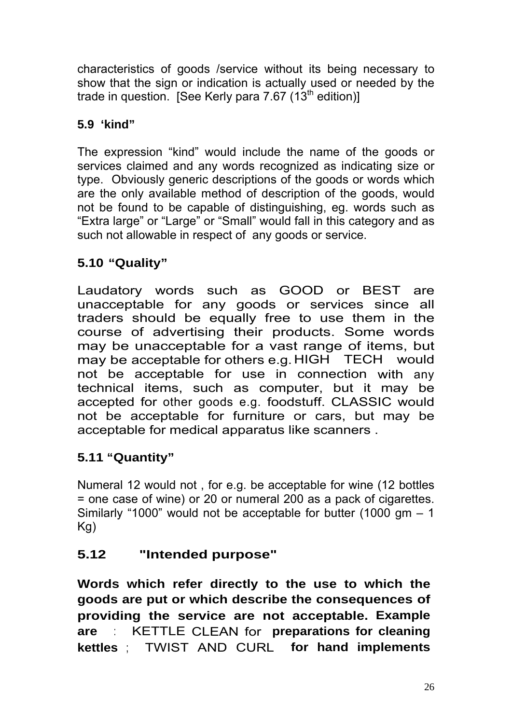characteristics of goods /service without its being necessary to show that the sign or indication is actually used or needed by the trade in question. [See Kerly para 7.67  $(13<sup>th</sup>$  edition]]

# **5.9 'kind"**

The expression "kind" would include the name of the goods or services claimed and any words recognized as indicating size or type. Obviously generic descriptions of the goods or words which are the only available method of description of the goods, would not be found to be capable of distinguishing, eg. words such as "Extra large" or "Large" or "Small" would fall in this category and as such not allowable in respect of any goods or service.

# **5.10 "Quality"**

Laudatory words such as GOOD or BEST are unacceptable for any goods or services since all traders should be equally free to use them in the course of advertising their products. Some words may be unacceptable for a vast range of items, but may be acceptable for others e.g. HIGH TECH would not be acceptable for use in connection with any technical items, such as computer, but it may be accepted for other goods e.g. foodstuff. CLASSIC would not be acceptable for furniture or cars, but may be acceptable for medical apparatus like scanners .

# **5.11 "Quantity"**

Numeral 12 would not , for e.g. be acceptable for wine (12 bottles = one case of wine) or 20 or numeral 200 as a pack of cigarettes. Similarly "1000" would not be acceptable for butter  $(1000 \text{ cm} - 1)$ Kg)

# **5.12 "Intended purpose"**

**Words which refer directly to the use to which the goods are put or which describe the consequences of providing the service are not acceptable. Example are** : KETTLE CLEAN for **preparations for cleaning kettles** ; TWIST AND CURL **for hand implements**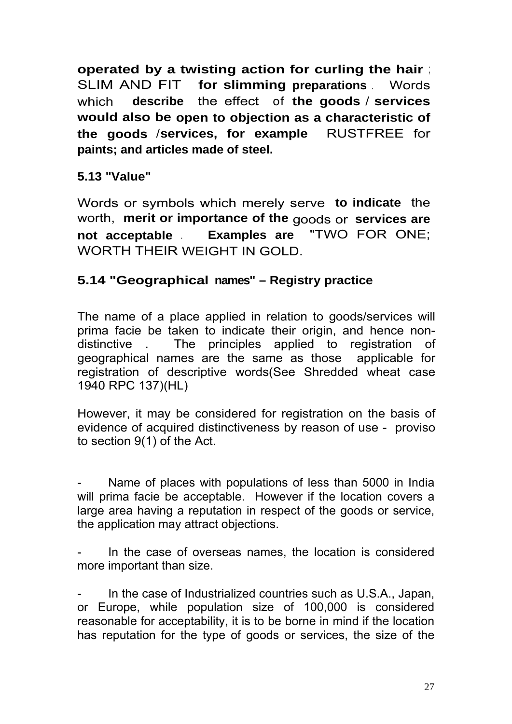**operated by a twisting action for curling the hair** ; SLIM AND FIT **for slimming preparations** . Words which **describe** the effect of **the goods** / **services would also be open to objection as a characteristic of the goods** /**services, for example** RUSTFREE for **paints; and articles made of steel.**

### **5.13 "Value"**

Words or symbols which merely serve **to indicate** the worth, **merit or importance of the** goods or **services are not acceptable** . **Examples are** "TWO FOR ONE; WORTH THEIR WEIGHT IN GOLD.

### **5.14 "Geographical names" – Registry practice**

The name of a place applied in relation to goods/services will prima facie be taken to indicate their origin, and hence nondistinctive . The principles applied to registration of geographical names are the same as those applicable for registration of descriptive words(See Shredded wheat case 1940 RPC 137)(HL)

However, it may be considered for registration on the basis of evidence of acquired distinctiveness by reason of use - proviso to section 9(1) of the Act.

Name of places with populations of less than 5000 in India will prima facie be acceptable. However if the location covers a large area having a reputation in respect of the goods or service, the application may attract objections.

In the case of overseas names, the location is considered more important than size.

In the case of Industrialized countries such as U.S.A., Japan, or Europe, while population size of 100,000 is considered reasonable for acceptability, it is to be borne in mind if the location has reputation for the type of goods or services, the size of the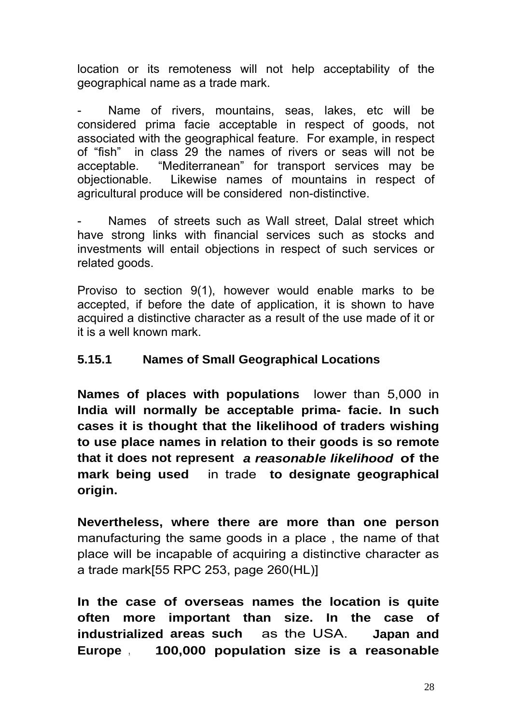location or its remoteness will not help acceptability of the geographical name as a trade mark.

Name of rivers, mountains, seas, lakes, etc will be considered prima facie acceptable in respect of goods, not associated with the geographical feature. For example, in respect of "fish" in class 29 the names of rivers or seas will not be acceptable. "Mediterranean" for transport services may be objectionable. Likewise names of mountains in respect of agricultural produce will be considered non-distinctive.

Names of streets such as Wall street. Dalal street which have strong links with financial services such as stocks and investments will entail objections in respect of such services or related goods.

Proviso to section 9(1), however would enable marks to be accepted, if before the date of application, it is shown to have acquired a distinctive character as a result of the use made of it or it is a well known mark.

### **5.15.1 Names of Small Geographical Locations**

**Names of places with populations** lower than 5,000 in **India will normally be acceptable prima- facie. In such cases it is thought that the likelihood of traders wishing to use place names in relation to their goods is so remote that it does not represent** *a reasonable likelihood* **of the mark being used** in trade **to designate geographical origin.** 

**Nevertheless, where there are more than one person**  manufacturing the same goods in a place , the name of that place will be incapable of acquiring a distinctive character as a trade mark[55 RPC 253, page 260(HL)]

**In the case of overseas names the location is quite often more important than size. In the case of industrialized areas such** as the USA. **Japan and Europe** , **100,000 population size is a reasonable**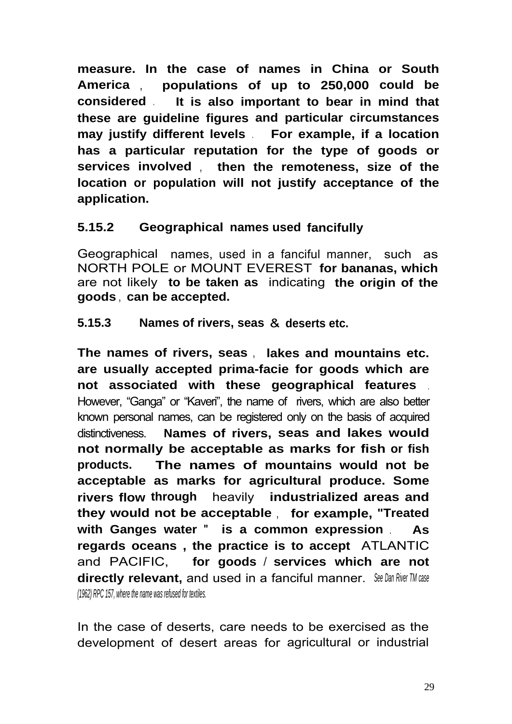**measure. In the case of names in China or South America** , **populations of up to 250,000 could be considered** . **It is also important to bear in mind that these are guideline figures and particular circumstances may justify different levels** . **For example, if a location has a particular reputation for the type of goods or services involved** , **then the remoteness, size of the location or population will not justify acceptance of the application.**

### **5.15.2 Geographical names used fancifully**

Geographical names, used in a fanciful manner, suchas NORTH POLE or MOUNT EVEREST **for bananas, which**  are not likely **to be taken as** indicating **the origin of the goods** , **can be accepted.**

**5.15.3 Names of rivers, seas** & **deserts etc.**

**The names of rivers, seas** , **lakes and mountains etc. are usually accepted prima-facie for goods which are not associated with these geographical features** . However, "Ganga" or "Kaveri", the name of rivers, which are also better known personal names, can be registered only on the basis of acquired distinctiveness. **Names of rivers, seas and lakes would not normally be acceptable as marks for fish or fish products. The names of mountains would not be acceptable as marks for agricultural produce. Some rivers flow through** heavily **industrialized areas and they would not be acceptable** , **for example, "Treated with Ganges water** " **is a common expression** . **As regards oceans , the practice is to accept** ATLANTIC and PACIFIC, **for goods** / **services which are not directly relevant,** and used in a fanciful manner. *See Dan River TM case (1962) RPC 157, where the name was refused for textiles.*

In the case of deserts, care needs to be exercised as the development of desert areas for agricultural or industrial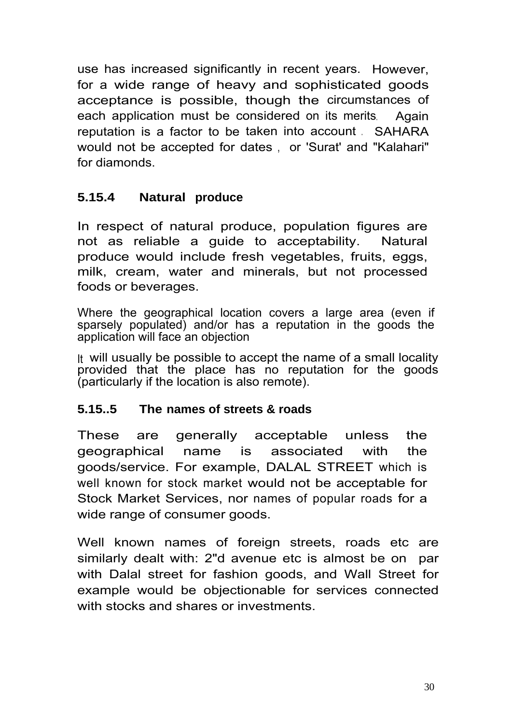use has increased significantly in recent years. However, for a wide range of heavy and sophisticated goods acceptance is possible, though the circumstances of each application must be considered on its merits. Again reputation is a factor to be taken into account . SAHARA would not be accepted for dates , or 'Surat' and "Kalahari" for diamonds.

### **5.15.4 Natural produce**

In respect of natural produce, population figures are not as reliable a guide to acceptability. Natural produce would include fresh vegetables, fruits, eggs, milk, cream, water and minerals, but not processed foods or beverages.

Where the geographical location covers a large area (even if sparsely populated) and/or has a reputation in the goods the application will face an objection

It will usually be possible to accept the name of a small locality provided that the place has no reputation for the goods (particularly if the location is also remote).

#### **5.15..5 The names of streets & roads**

These are generally acceptable unless the geographical name is associated with the goods/service. For example, DALAL STREET which is well known for stock market would not be acceptable for Stock Market Services, nor names of popular roads for a wide range of consumer goods.

Well known names of foreign streets, roads etc are similarly dealt with: 2"d avenue etc is almost be on par with Dalal street for fashion goods, and Wall Street for example would be objectionable for services connected with stocks and shares or investments.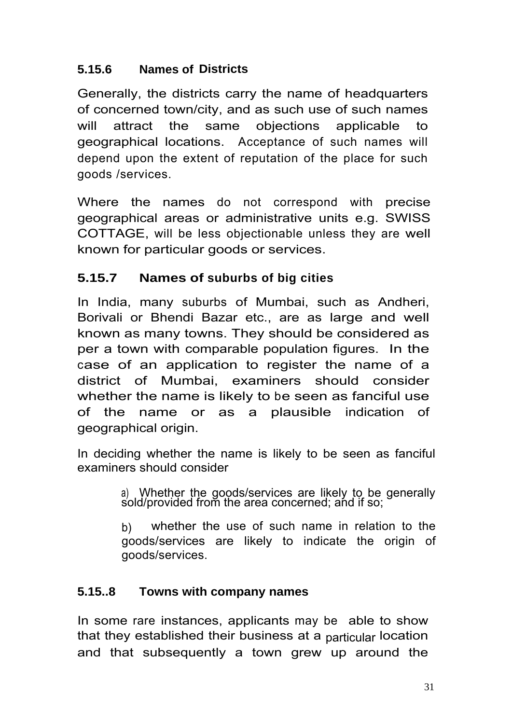# **5.15.6 Names of Districts**

Generally, the districts carry the name of headquarters of concerned town/city, and as such use of such names will attract the same objections applicable to geographical locations. Acceptance of such names will depend upon the extent of reputation of the place for such goods /services.

Where the names do not correspond with precise geographical areas or administrative units e.g. SWISS COTTAGE, will be less objectionable unless they are well known for particular goods or services.

# **5.15.7 Names of suburbs of big cities**

In India, many suburbs of Mumbai, such as Andheri, Borivali or Bhendi Bazar etc., are as large and well known as many towns. They should be considered as per a town with comparable population figures. In the case of an application to register the name of a district of Mumbai, examiners should consider whether the name is likely to be seen as fanciful use of the name or as a plausible indication of geographical origin.

In deciding whether the name is likely to be seen as fanciful examiners should consider

> a) Whether the goods/services are likely to be generally sold/provided from the area concerned; and if so;

> b) whether the use of such name in relation to the goods/services are likely to indicate the origin of goods/services.

### **5.15..8 Towns with company names**

In some rare instances, applicants may be able to show that they established their business at a particular location and that subsequently a town grew up around the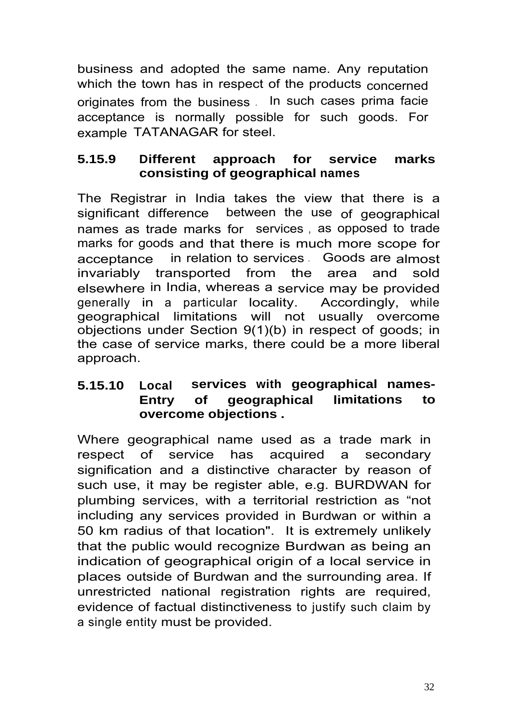business and adopted the same name. Any reputation which the town has in respect of the products concerned originates from the business . In such cases prima facie acceptance is normally possible for such goods. For example TATANAGAR for steel.

### **5.15.9 Different approach for service marks consisting of geographical names**

The Registrar in India takes the view that there is a significant difference between the use of geographical names as trade marks for services , as opposed to trade marks for goods and that there is much more scope for acceptance in relation to services . Goods are almost invariably transported from the area and sold elsewhere in India, whereas a service may be provided generally in a particular locality. Accordingly, while geographical limitations will not usually overcome objections under Section 9(1)(b) in respect of goods; in the case of service marks, there could be a more liberal approach.

### **5.15.10 Local services with geographical names-Entry of geographical limitations to overcome objections .**

Where geographical name used as a trade mark in respect of service has acquired a secondary signification and a distinctive character by reason of such use, it may be register able, e.g. BURDWAN for plumbing services, with a territorial restriction as "not including any services provided in Burdwan or within a 50 km radius of that location". It is extremely unlikely that the public would recognize Burdwan as being an indication of geographical origin of a local service in places outside of Burdwan and the surrounding area. If unrestricted national registration rights are required, evidence of factual distinctiveness to justify such claim by a single entity must be provided.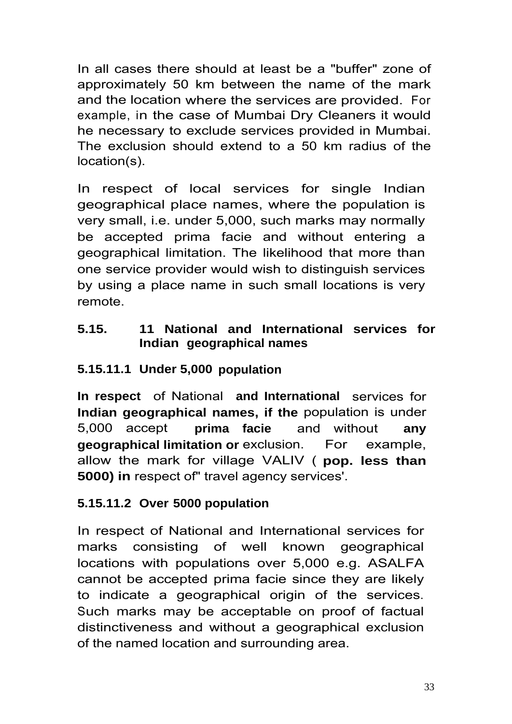In all cases there should at least be a "buffer" zone of approximately 50 km between the name of the mark and the location where the services are provided. For example, in the case of Mumbai Dry Cleaners it would he necessary to exclude services provided in Mumbai. The exclusion should extend to a 50 km radius of the location(s).

In respect of local services for single Indian geographical place names, where the population is very small, i.e. under 5,000, such marks may normally be accepted prima facie and without entering a geographical limitation. The likelihood that more than one service provider would wish to distinguish services by using a place name in such small locations is very remote.

# **5.15. 11 National and International services for Indian geographical names**

# **5.15.11.1 Under 5,000 population**

**In respect** of National **and International** services for **Indian geographical names, if the** population is under 5,000 accept **prima facie** and without **any geographical limitation or** exclusion. For example, allow the mark for village VALIV ( **pop. less than 5000) in** respect of" travel agency services'.

# **5.15.11.2 Over 5000 population**

In respect of National and International services for marks consisting of well known geographical locations with populations over 5,000 e.g. ASALFA cannot be accepted prima facie since they are likely to indicate a geographical origin of the services. Such marks may be acceptable on proof of factual distinctiveness and without a geographical exclusion of the named location and surrounding area.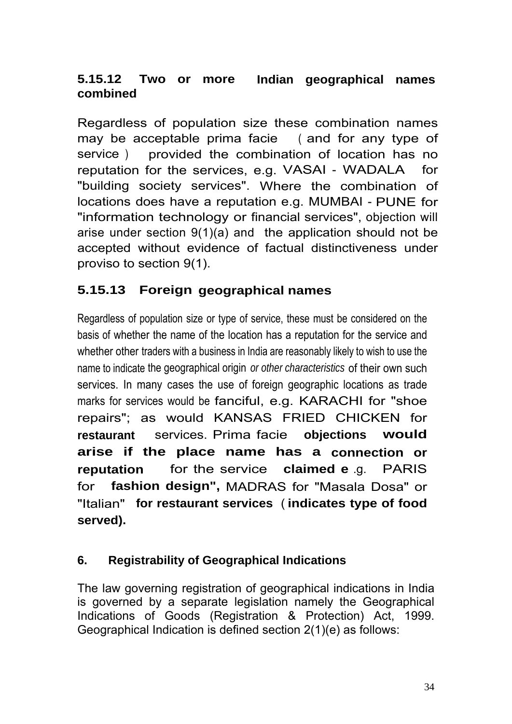# **5.15.12 Two or more Indian geographical names combined**

Regardless of population size these combination names may be acceptable prima facie ( and for any type of service ) provided the combination of location has no reputation for the services, e.g. VASAI - WADALA for "building society services". Where the combination of locations does have a reputation e.g. MUMBAI - PUNE for "information technology or financial services", objection will arise under section 9(1)(a) and the application should not be accepted without evidence of factual distinctiveness under proviso to section 9(1).

# **5.15.13 Foreign geographical names**

Regardless of population size or type of service, these must be considered on the basis of whether the name of the location has a reputation for the service and whether other traders with a business in India are reasonably likely to wish to use the name to indicate the geographical origin *or other characteristics* of their own such services. In many cases the use of foreign geographic locations as trade marks for services would be fanciful, e.g. KARACHI for "shoe repairs"; as would KANSAS FRIED CHICKEN for **restaurant** services. Prima facie **objections would arise if the place name has a connection or reputation** for the service **claimed e** .g. PARIS for **fashion design",** MADRAS for "Masala Dosa" or "Italian" **for restaurant services** ( **indicates type of food served).**

### **6. Registrability of Geographical Indications**

The law governing registration of geographical indications in India is governed by a separate legislation namely the Geographical Indications of Goods (Registration & Protection) Act, 1999. Geographical Indication is defined section 2(1)(e) as follows: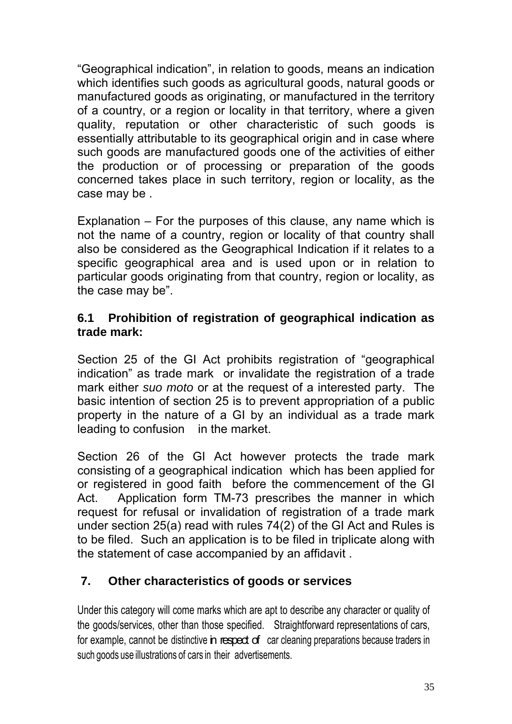"Geographical indication", in relation to goods, means an indication which identifies such goods as agricultural goods, natural goods or manufactured goods as originating, or manufactured in the territory of a country, or a region or locality in that territory, where a given quality, reputation or other characteristic of such goods is essentially attributable to its geographical origin and in case where such goods are manufactured goods one of the activities of either the production or of processing or preparation of the goods concerned takes place in such territory, region or locality, as the case may be .

Explanation – For the purposes of this clause, any name which is not the name of a country, region or locality of that country shall also be considered as the Geographical Indication if it relates to a specific geographical area and is used upon or in relation to particular goods originating from that country, region or locality, as the case may be".

### **6.1 Prohibition of registration of geographical indication as trade mark:**

Section 25 of the GI Act prohibits registration of "geographical indication" as trade mark or invalidate the registration of a trade mark either *suo moto* or at the request of a interested party. The basic intention of section 25 is to prevent appropriation of a public property in the nature of a GI by an individual as a trade mark leading to confusion in the market.

Section 26 of the GI Act however protects the trade mark consisting of a geographical indication which has been applied for or registered in good faith before the commencement of the GI Act. Application form TM-73 prescribes the manner in which request for refusal or invalidation of registration of a trade mark under section 25(a) read with rules 74(2) of the GI Act and Rules is to be filed. Such an application is to be filed in triplicate along with the statement of case accompanied by an affidavit .

## **7. Other characteristics of goods or services**

Under this category will come marks which are apt to describe any character or quality of the goods/services, other than those specified. Straightforward representations of cars, for example, cannot be distinctive in respect of car cleaning preparations because traders in such goods use illustrations of cars in their advertisements.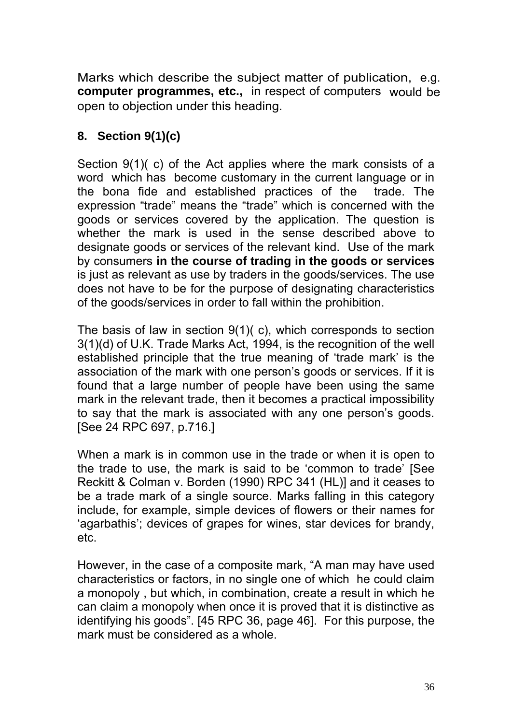Marks which describe the subject matter of publication, e.g. **computer programmes, etc.,** in respect of computers would be open to objection under this heading.

## **8. Section 9(1)(c)**

Section 9(1)( c) of the Act applies where the mark consists of a word which has become customary in the current language or in the bona fide and established practices of the trade. The expression "trade" means the "trade" which is concerned with the goods or services covered by the application. The question is whether the mark is used in the sense described above to designate goods or services of the relevant kind. Use of the mark by consumers **in the course of trading in the goods or services**  is just as relevant as use by traders in the goods/services. The use does not have to be for the purpose of designating characteristics of the goods/services in order to fall within the prohibition.

The basis of law in section 9(1)( c), which corresponds to section 3(1)(d) of U.K. Trade Marks Act, 1994, is the recognition of the well established principle that the true meaning of 'trade mark' is the association of the mark with one person's goods or services. If it is found that a large number of people have been using the same mark in the relevant trade, then it becomes a practical impossibility to say that the mark is associated with any one person's goods. [See 24 RPC 697, p.716.]

When a mark is in common use in the trade or when it is open to the trade to use, the mark is said to be 'common to trade' [See Reckitt & Colman v. Borden (1990) RPC 341 (HL)] and it ceases to be a trade mark of a single source. Marks falling in this category include, for example, simple devices of flowers or their names for 'agarbathis'; devices of grapes for wines, star devices for brandy, etc.

However, in the case of a composite mark, "A man may have used characteristics or factors, in no single one of which he could claim a monopoly , but which, in combination, create a result in which he can claim a monopoly when once it is proved that it is distinctive as identifying his goods". [45 RPC 36, page 46]. For this purpose, the mark must be considered as a whole.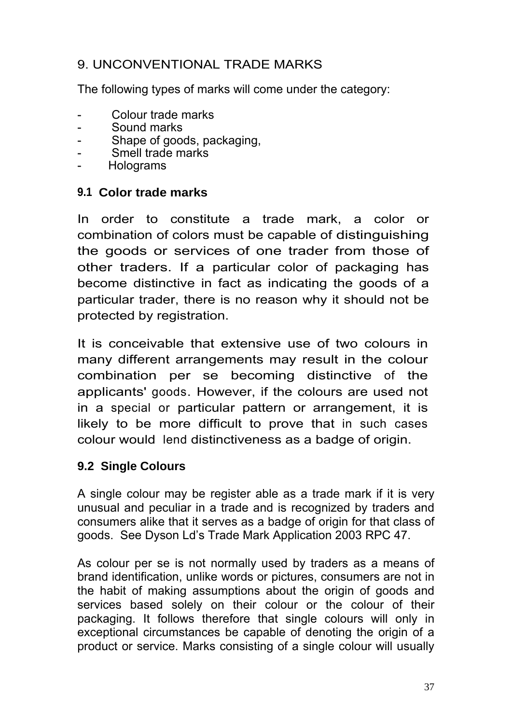# 9. UNCONVENTIONAL TRADE MARKS

The following types of marks will come under the category:

- Colour trade marks
- Sound marks
- Shape of goods, packaging,
- Smell trade marks
- Holograms

## **9.1 Color trade marks**

In order to constitute a trade mark, a color or combination of colors must be capable of distinguishing the goods or services of one trader from those of other traders. If a particular color of packaging has become distinctive in fact as indicating the goods of a particular trader, there is no reason why it should not be protected by registration.

It is conceivable that extensive use of two colours in many different arrangements may result in the colour combination per se becoming distinctive of the applicants' goods. However, if the colours are used not in a special or particular pattern or arrangement, it is likely to be more difficult to prove that in such cases colour would lend distinctiveness as a badge of origin.

## **9.2 Single Colours**

A single colour may be register able as a trade mark if it is very unusual and peculiar in a trade and is recognized by traders and consumers alike that it serves as a badge of origin for that class of goods. See Dyson Ld's Trade Mark Application 2003 RPC 47.

As colour per se is not normally used by traders as a means of brand identification, unlike words or pictures, consumers are not in the habit of making assumptions about the origin of goods and services based solely on their colour or the colour of their packaging. It follows therefore that single colours will only in exceptional circumstances be capable of denoting the origin of a product or service. Marks consisting of a single colour will usually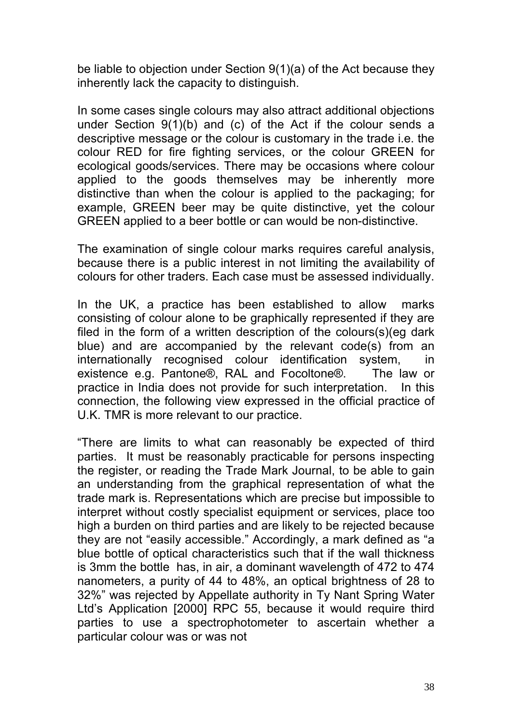be liable to objection under Section 9(1)(a) of the Act because they inherently lack the capacity to distinguish.

In some cases single colours may also attract additional objections under Section 9(1)(b) and (c) of the Act if the colour sends a descriptive message or the colour is customary in the trade i.e. the colour RED for fire fighting services, or the colour GREEN for ecological goods/services. There may be occasions where colour applied to the goods themselves may be inherently more distinctive than when the colour is applied to the packaging; for example, GREEN beer may be quite distinctive, yet the colour GREEN applied to a beer bottle or can would be non-distinctive.

The examination of single colour marks requires careful analysis, because there is a public interest in not limiting the availability of colours for other traders. Each case must be assessed individually.

In the UK, a practice has been established to allow marks consisting of colour alone to be graphically represented if they are filed in the form of a written description of the colours(s)(eg dark blue) and are accompanied by the relevant code(s) from an internationally recognised colour identification system, existence e.g. Pantone®, RAL and Focoltone®. The law or practice in India does not provide for such interpretation. In this connection, the following view expressed in the official practice of U.K. TMR is more relevant to our practice.

"There are limits to what can reasonably be expected of third parties. It must be reasonably practicable for persons inspecting the register, or reading the Trade Mark Journal, to be able to gain an understanding from the graphical representation of what the trade mark is. Representations which are precise but impossible to interpret without costly specialist equipment or services, place too high a burden on third parties and are likely to be rejected because they are not "easily accessible." Accordingly, a mark defined as "a blue bottle of optical characteristics such that if the wall thickness is 3mm the bottle has, in air, a dominant wavelength of 472 to 474 nanometers, a purity of 44 to 48%, an optical brightness of 28 to 32%" was rejected by Appellate authority in Ty Nant Spring Water Ltd's Application [2000] RPC 55, because it would require third parties to use a spectrophotometer to ascertain whether a particular colour was or was not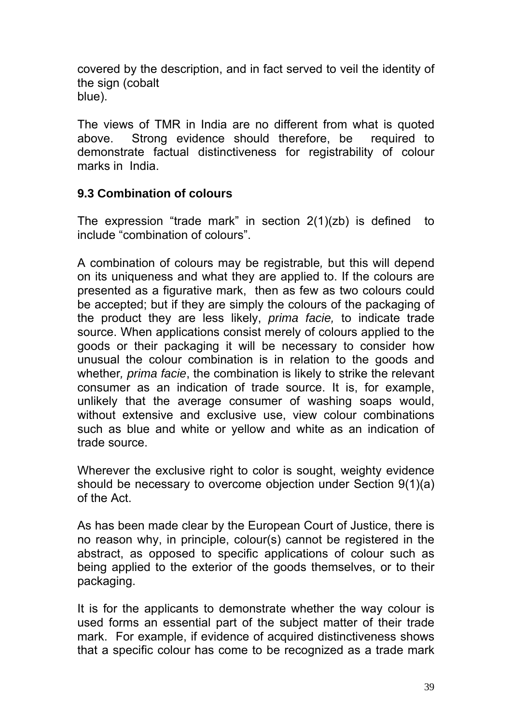covered by the description, and in fact served to veil the identity of the sign (cobalt blue).

The views of TMR in India are no different from what is quoted above. Strong evidence should therefore, be required to demonstrate factual distinctiveness for registrability of colour marks in India.

### **9.3 Combination of colours**

The expression "trade mark" in section  $2(1)(zb)$  is defined to include "combination of colours".

A combination of colours may be registrable*,* but this will depend on its uniqueness and what they are applied to. If the colours are presented as a figurative mark, then as few as two colours could be accepted; but if they are simply the colours of the packaging of the product they are less likely, *prima facie,* to indicate trade source. When applications consist merely of colours applied to the goods or their packaging it will be necessary to consider how unusual the colour combination is in relation to the goods and whether*, prima facie*, the combination is likely to strike the relevant consumer as an indication of trade source. It is, for example, unlikely that the average consumer of washing soaps would, without extensive and exclusive use, view colour combinations such as blue and white or yellow and white as an indication of trade source.

Wherever the exclusive right to color is sought, weighty evidence should be necessary to overcome objection under Section 9(1)(a) of the Act.

As has been made clear by the European Court of Justice, there is no reason why, in principle, colour(s) cannot be registered in the abstract, as opposed to specific applications of colour such as being applied to the exterior of the goods themselves, or to their packaging.

It is for the applicants to demonstrate whether the way colour is used forms an essential part of the subject matter of their trade mark. For example, if evidence of acquired distinctiveness shows that a specific colour has come to be recognized as a trade mark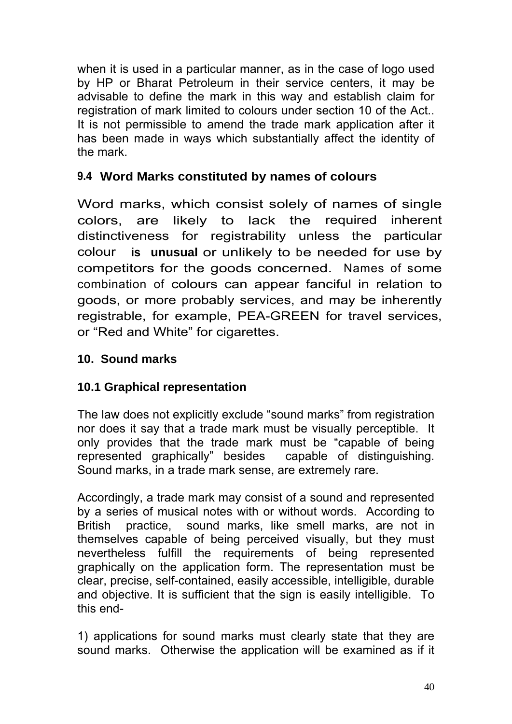when it is used in a particular manner, as in the case of logo used by HP or Bharat Petroleum in their service centers, it may be advisable to define the mark in this way and establish claim for registration of mark limited to colours under section 10 of the Act.. It is not permissible to amend the trade mark application after it has been made in ways which substantially affect the identity of the mark.

## **9.4 Word Marks constituted by names of colours**

Word marks, which consist solely of names of single colors, are likely to lack the required inherent distinctiveness for registrability unless the particular colour **is unusual** or unlikely to be needed for use by competitors for the goods concerned. Names of some combination of colours can appear fanciful in relation to goods, or more probably services, and may be inherently registrable, for example, PEA-GREEN for travel services, or "Red and White" for cigarettes.

### **10. Sound marks**

## **10.1 Graphical representation**

The law does not explicitly exclude "sound marks" from registration nor does it say that a trade mark must be visually perceptible. It only provides that the trade mark must be "capable of being represented graphically" besides capable of distinguishing. Sound marks, in a trade mark sense, are extremely rare.

Accordingly, a trade mark may consist of a sound and represented by a series of musical notes with or without words. According to British practice, sound marks, like smell marks, are not in themselves capable of being perceived visually, but they must nevertheless fulfill the requirements of being represented graphically on the application form. The representation must be clear, precise, self-contained, easily accessible, intelligible, durable and objective. It is sufficient that the sign is easily intelligible. To this end-

1) applications for sound marks must clearly state that they are sound marks. Otherwise the application will be examined as if it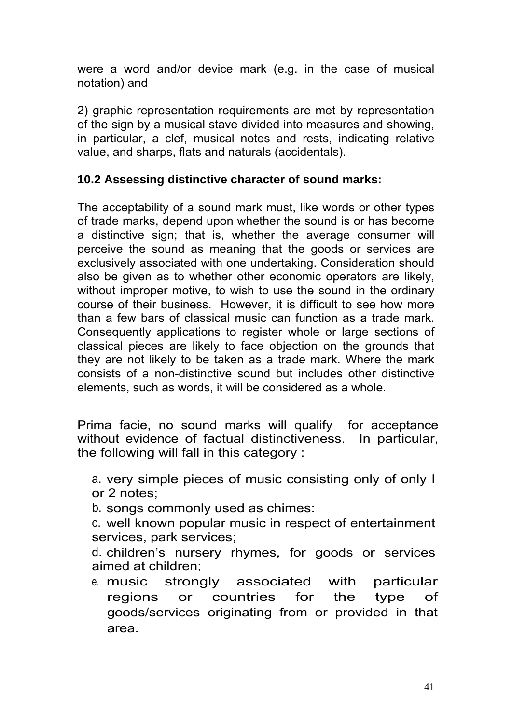were a word and/or device mark (e.g. in the case of musical notation) and

2) graphic representation requirements are met by representation of the sign by a musical stave divided into measures and showing, in particular, a clef, musical notes and rests, indicating relative value, and sharps, flats and naturals (accidentals).

### **10.2 Assessing distinctive character of sound marks:**

The acceptability of a sound mark must, like words or other types of trade marks, depend upon whether the sound is or has become a distinctive sign; that is, whether the average consumer will perceive the sound as meaning that the goods or services are exclusively associated with one undertaking. Consideration should also be given as to whether other economic operators are likely, without improper motive, to wish to use the sound in the ordinary course of their business. However, it is difficult to see how more than a few bars of classical music can function as a trade mark. Consequently applications to register whole or large sections of classical pieces are likely to face objection on the grounds that they are not likely to be taken as a trade mark. Where the mark consists of a non-distinctive sound but includes other distinctive elements, such as words, it will be considered as a whole.

Prima facie, no sound marks will qualify for acceptance without evidence of factual distinctiveness. In particular, the following will fall in this category :

- a. very simple pieces of music consisting only of only I or 2 notes;
- b. songs commonly used as chimes:
- c. well known popular music in respect of entertainment services, park services;
- d. children's nursery rhymes, for goods or services aimed at children;
- e. music strongly associated with particular regions or countries for the type of goods/services originating from or provided in that area.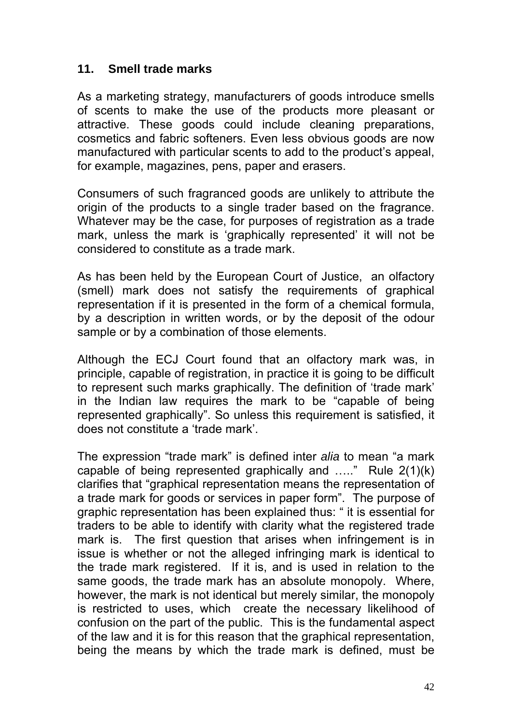### **11. Smell trade marks**

As a marketing strategy, manufacturers of goods introduce smells of scents to make the use of the products more pleasant or attractive. These goods could include cleaning preparations, cosmetics and fabric softeners. Even less obvious goods are now manufactured with particular scents to add to the product's appeal, for example, magazines, pens, paper and erasers.

Consumers of such fragranced goods are unlikely to attribute the origin of the products to a single trader based on the fragrance. Whatever may be the case, for purposes of registration as a trade mark, unless the mark is 'graphically represented' it will not be considered to constitute as a trade mark.

As has been held by the European Court of Justice, an olfactory (smell) mark does not satisfy the requirements of graphical representation if it is presented in the form of a chemical formula, by a description in written words, or by the deposit of the odour sample or by a combination of those elements.

Although the ECJ Court found that an olfactory mark was, in principle, capable of registration, in practice it is going to be difficult to represent such marks graphically. The definition of 'trade mark' in the Indian law requires the mark to be "capable of being represented graphically". So unless this requirement is satisfied, it does not constitute a 'trade mark'.

The expression "trade mark" is defined inter *alia* to mean "a mark capable of being represented graphically and ….." Rule 2(1)(k) clarifies that "graphical representation means the representation of a trade mark for goods or services in paper form". The purpose of graphic representation has been explained thus: " it is essential for traders to be able to identify with clarity what the registered trade mark is. The first question that arises when infringement is in issue is whether or not the alleged infringing mark is identical to the trade mark registered. If it is, and is used in relation to the same goods, the trade mark has an absolute monopoly. Where, however, the mark is not identical but merely similar, the monopoly is restricted to uses, which create the necessary likelihood of confusion on the part of the public. This is the fundamental aspect of the law and it is for this reason that the graphical representation, being the means by which the trade mark is defined, must be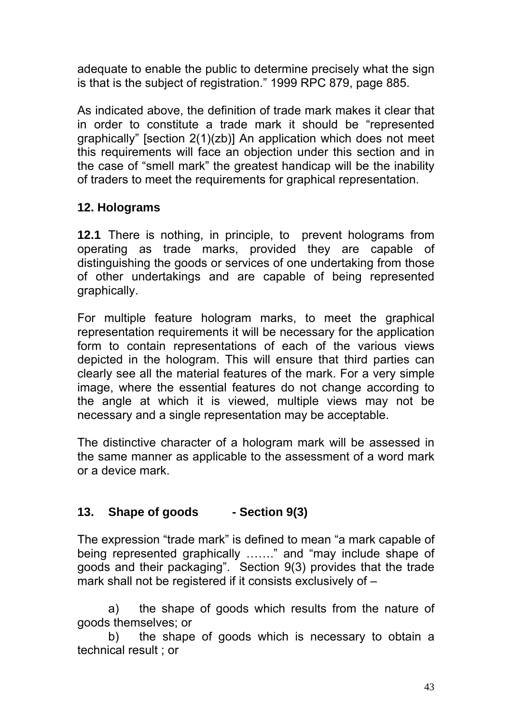adequate to enable the public to determine precisely what the sign is that is the subject of registration." 1999 RPC 879, page 885.

As indicated above, the definition of trade mark makes it clear that in order to constitute a trade mark it should be "represented graphically" [section 2(1)(zb)] An application which does not meet this requirements will face an objection under this section and in the case of "smell mark" the greatest handicap will be the inability of traders to meet the requirements for graphical representation.

## **12. Holograms**

**12.1** There is nothing, in principle, to prevent holograms from operating as trade marks, provided they are capable of distinguishing the goods or services of one undertaking from those of other undertakings and are capable of being represented graphically.

For multiple feature hologram marks, to meet the graphical representation requirements it will be necessary for the application form to contain representations of each of the various views depicted in the hologram. This will ensure that third parties can clearly see all the material features of the mark. For a very simple image, where the essential features do not change according to the angle at which it is viewed, multiple views may not be necessary and a single representation may be acceptable.

The distinctive character of a hologram mark will be assessed in the same manner as applicable to the assessment of a word mark or a device mark.

# **13. Shape of goods - Section 9(3)**

The expression "trade mark" is defined to mean "a mark capable of being represented graphically ……." and "may include shape of goods and their packaging". Section 9(3) provides that the trade mark shall not be registered if it consists exclusively of –

a) the shape of goods which results from the nature of goods themselves; or

b) the shape of goods which is necessary to obtain a technical result ; or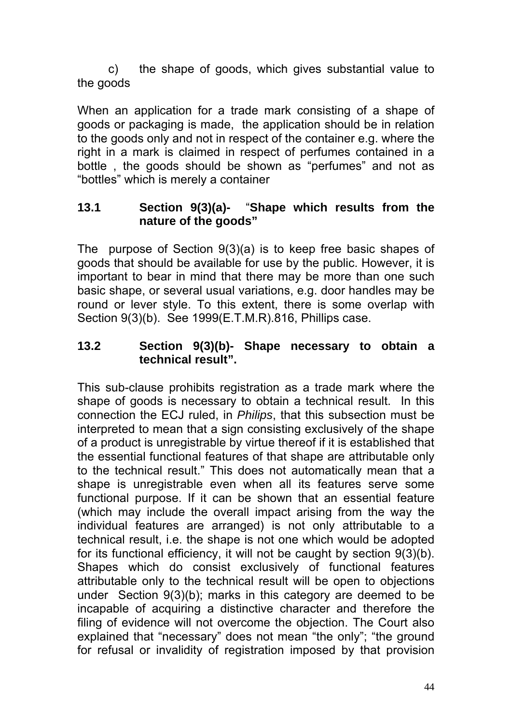c) the shape of goods, which gives substantial value to the goods

When an application for a trade mark consisting of a shape of goods or packaging is made, the application should be in relation to the goods only and not in respect of the container e.g. where the right in a mark is claimed in respect of perfumes contained in a bottle , the goods should be shown as "perfumes" and not as "bottles" which is merely a container

### **13.1 Section 9(3)(a)-** "**Shape which results from the nature of the goods"**

The purpose of Section 9(3)(a) is to keep free basic shapes of goods that should be available for use by the public. However, it is important to bear in mind that there may be more than one such basic shape, or several usual variations, e.g. door handles may be round or lever style. To this extent, there is some overlap with Section 9(3)(b). See 1999(E.T.M.R).816, Phillips case.

### **13.2 Section 9(3)(b)- Shape necessary to obtain a technical result".**

This sub-clause prohibits registration as a trade mark where the shape of goods is necessary to obtain a technical result. In this connection the ECJ ruled, in *Philips*, that this subsection must be interpreted to mean that a sign consisting exclusively of the shape of a product is unregistrable by virtue thereof if it is established that the essential functional features of that shape are attributable only to the technical result." This does not automatically mean that a shape is unregistrable even when all its features serve some functional purpose. If it can be shown that an essential feature (which may include the overall impact arising from the way the individual features are arranged) is not only attributable to a technical result, i.e. the shape is not one which would be adopted for its functional efficiency, it will not be caught by section 9(3)(b). Shapes which do consist exclusively of functional features attributable only to the technical result will be open to objections under Section 9(3)(b); marks in this category are deemed to be incapable of acquiring a distinctive character and therefore the filing of evidence will not overcome the objection. The Court also explained that "necessary" does not mean "the only"; "the ground for refusal or invalidity of registration imposed by that provision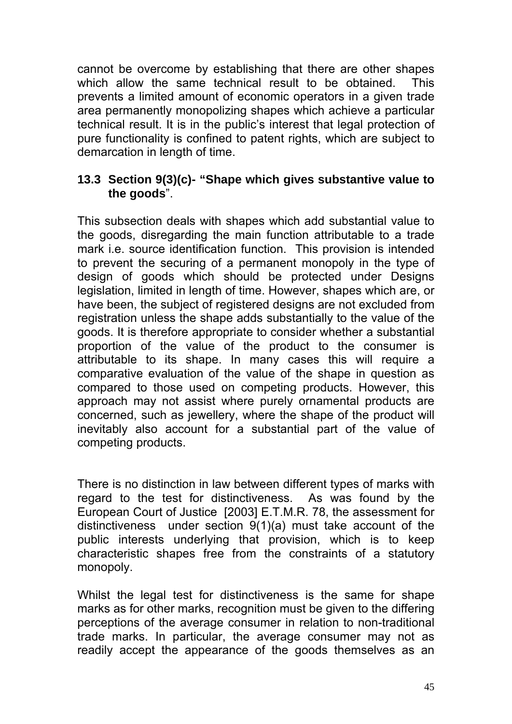cannot be overcome by establishing that there are other shapes which allow the same technical result to be obtained. This prevents a limited amount of economic operators in a given trade area permanently monopolizing shapes which achieve a particular technical result. It is in the public's interest that legal protection of pure functionality is confined to patent rights, which are subject to demarcation in length of time.

### **13.3 Section 9(3)(c)- "Shape which gives substantive value to the goods**".

This subsection deals with shapes which add substantial value to the goods, disregarding the main function attributable to a trade mark i.e. source identification function. This provision is intended to prevent the securing of a permanent monopoly in the type of design of goods which should be protected under Designs legislation, limited in length of time. However, shapes which are, or have been, the subject of registered designs are not excluded from registration unless the shape adds substantially to the value of the goods. It is therefore appropriate to consider whether a substantial proportion of the value of the product to the consumer is attributable to its shape. In many cases this will require a comparative evaluation of the value of the shape in question as compared to those used on competing products. However, this approach may not assist where purely ornamental products are concerned, such as jewellery, where the shape of the product will inevitably also account for a substantial part of the value of competing products.

There is no distinction in law between different types of marks with regard to the test for distinctiveness. As was found by the European Court of Justice [2003] E.T.M.R. 78, the assessment for distinctiveness under section 9(1)(a) must take account of the public interests underlying that provision, which is to keep characteristic shapes free from the constraints of a statutory monopoly.

Whilst the legal test for distinctiveness is the same for shape marks as for other marks, recognition must be given to the differing perceptions of the average consumer in relation to non-traditional trade marks. In particular, the average consumer may not as readily accept the appearance of the goods themselves as an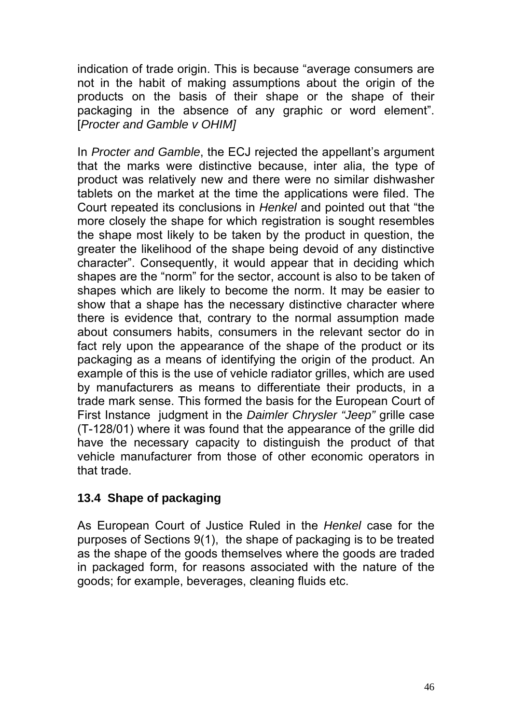indication of trade origin. This is because "average consumers are not in the habit of making assumptions about the origin of the products on the basis of their shape or the shape of their packaging in the absence of any graphic or word element". [*Procter and Gamble v OHIM]*

In *Procter and Gamble*, the ECJ rejected the appellant's argument that the marks were distinctive because, inter alia, the type of product was relatively new and there were no similar dishwasher tablets on the market at the time the applications were filed. The Court repeated its conclusions in *Henkel* and pointed out that "the more closely the shape for which registration is sought resembles the shape most likely to be taken by the product in question, the greater the likelihood of the shape being devoid of any distinctive character". Consequently, it would appear that in deciding which shapes are the "norm" for the sector, account is also to be taken of shapes which are likely to become the norm. It may be easier to show that a shape has the necessary distinctive character where there is evidence that, contrary to the normal assumption made about consumers habits, consumers in the relevant sector do in fact rely upon the appearance of the shape of the product or its packaging as a means of identifying the origin of the product. An example of this is the use of vehicle radiator grilles, which are used by manufacturers as means to differentiate their products, in a trade mark sense. This formed the basis for the European Court of First Instance judgment in the *Daimler Chrysler "Jeep"* grille case (T-128/01) where it was found that the appearance of the grille did have the necessary capacity to distinguish the product of that vehicle manufacturer from those of other economic operators in that trade.

## **13.4 Shape of packaging**

As European Court of Justice Ruled in the *Henkel* case for the purposes of Sections 9(1), the shape of packaging is to be treated as the shape of the goods themselves where the goods are traded in packaged form, for reasons associated with the nature of the goods; for example, beverages, cleaning fluids etc.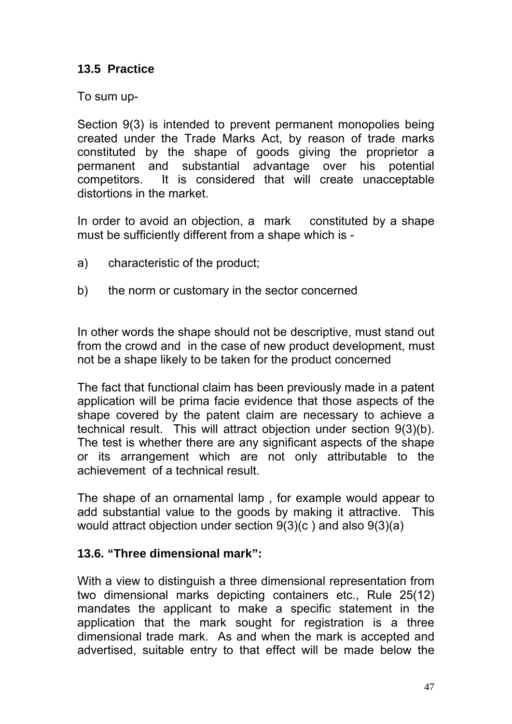## **13.5 Practice**

To sum up-

Section 9(3) is intended to prevent permanent monopolies being created under the Trade Marks Act, by reason of trade marks constituted by the shape of goods giving the proprietor a permanent and substantial advantage over his potential competitors. It is considered that will create unacceptable distortions in the market.

In order to avoid an objection, a mark constituted by a shape must be sufficiently different from a shape which is -

- a) characteristic of the product;
- b) the norm or customary in the sector concerned

In other words the shape should not be descriptive, must stand out from the crowd and in the case of new product development, must not be a shape likely to be taken for the product concerned

The fact that functional claim has been previously made in a patent application will be prima facie evidence that those aspects of the shape covered by the patent claim are necessary to achieve a technical result. This will attract objection under section 9(3)(b). The test is whether there are any significant aspects of the shape or its arrangement which are not only attributable to the achievement of a technical result.

The shape of an ornamental lamp , for example would appear to add substantial value to the goods by making it attractive. This would attract objection under section 9(3)(c ) and also 9(3)(a)

## **13.6. "Three dimensional mark":**

With a view to distinguish a three dimensional representation from two dimensional marks depicting containers etc., Rule 25(12) mandates the applicant to make a specific statement in the application that the mark sought for registration is a three dimensional trade mark. As and when the mark is accepted and advertised, suitable entry to that effect will be made below the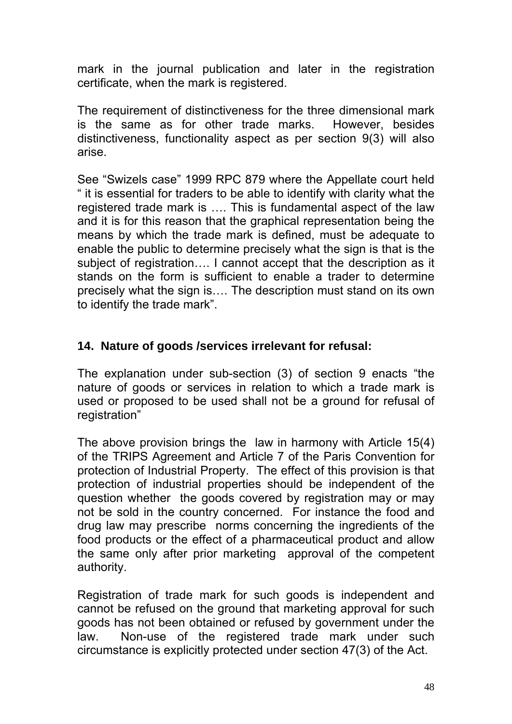mark in the journal publication and later in the registration certificate, when the mark is registered.

The requirement of distinctiveness for the three dimensional mark is the same as for other trade marks. However, besides distinctiveness, functionality aspect as per section 9(3) will also arise.

See "Swizels case" 1999 RPC 879 where the Appellate court held " it is essential for traders to be able to identify with clarity what the registered trade mark is …. This is fundamental aspect of the law and it is for this reason that the graphical representation being the means by which the trade mark is defined, must be adequate to enable the public to determine precisely what the sign is that is the subject of registration…. I cannot accept that the description as it stands on the form is sufficient to enable a trader to determine precisely what the sign is…. The description must stand on its own to identify the trade mark".

### **14. Nature of goods /services irrelevant for refusal:**

The explanation under sub-section (3) of section 9 enacts "the nature of goods or services in relation to which a trade mark is used or proposed to be used shall not be a ground for refusal of registration"

The above provision brings the law in harmony with Article 15(4) of the TRIPS Agreement and Article 7 of the Paris Convention for protection of Industrial Property. The effect of this provision is that protection of industrial properties should be independent of the question whether the goods covered by registration may or may not be sold in the country concerned. For instance the food and drug law may prescribe norms concerning the ingredients of the food products or the effect of a pharmaceutical product and allow the same only after prior marketing approval of the competent authority.

Registration of trade mark for such goods is independent and cannot be refused on the ground that marketing approval for such goods has not been obtained or refused by government under the law. Non-use of the registered trade mark under such circumstance is explicitly protected under section 47(3) of the Act.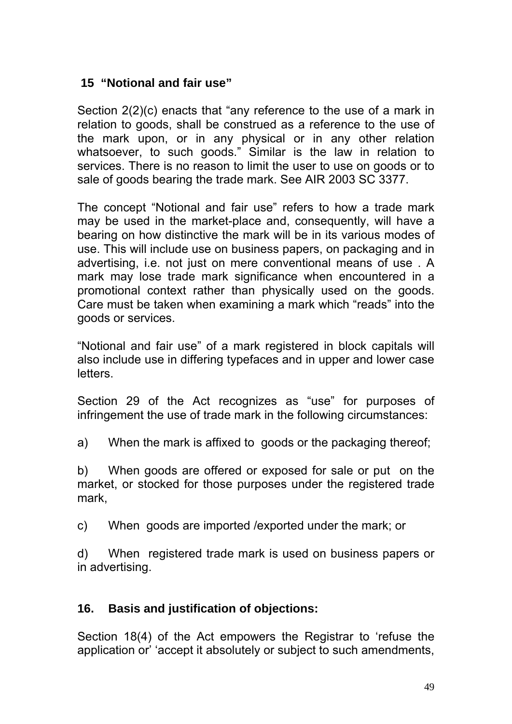### **15 "Notional and fair use"**

Section 2(2)(c) enacts that "any reference to the use of a mark in relation to goods, shall be construed as a reference to the use of the mark upon, or in any physical or in any other relation whatsoever, to such goods." Similar is the law in relation to services. There is no reason to limit the user to use on goods or to sale of goods bearing the trade mark. See AIR 2003 SC 3377.

The concept "Notional and fair use" refers to how a trade mark may be used in the market-place and, consequently, will have a bearing on how distinctive the mark will be in its various modes of use. This will include use on business papers, on packaging and in advertising, i.e. not just on mere conventional means of use . A mark may lose trade mark significance when encountered in a promotional context rather than physically used on the goods. Care must be taken when examining a mark which "reads" into the goods or services.

"Notional and fair use" of a mark registered in block capitals will also include use in differing typefaces and in upper and lower case letters.

Section 29 of the Act recognizes as "use" for purposes of infringement the use of trade mark in the following circumstances:

a) When the mark is affixed to goods or the packaging thereof;

b) When goods are offered or exposed for sale or put on the market, or stocked for those purposes under the registered trade mark,

c) When goods are imported /exported under the mark; or

d) When registered trade mark is used on business papers or in advertising.

## **16. Basis and justification of objections:**

Section 18(4) of the Act empowers the Registrar to 'refuse the application or' 'accept it absolutely or subject to such amendments,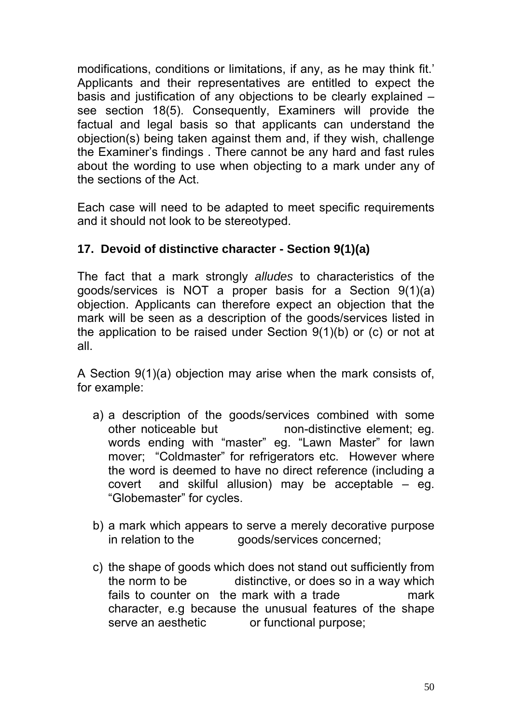modifications, conditions or limitations, if any, as he may think fit.' Applicants and their representatives are entitled to expect the basis and justification of any objections to be clearly explained – see section 18(5). Consequently, Examiners will provide the factual and legal basis so that applicants can understand the objection(s) being taken against them and, if they wish, challenge the Examiner's findings . There cannot be any hard and fast rules about the wording to use when objecting to a mark under any of the sections of the Act.

Each case will need to be adapted to meet specific requirements and it should not look to be stereotyped.

## **17. Devoid of distinctive character - Section 9(1)(a)**

The fact that a mark strongly *alludes* to characteristics of the goods/services is NOT a proper basis for a Section 9(1)(a) objection. Applicants can therefore expect an objection that the mark will be seen as a description of the goods/services listed in the application to be raised under Section 9(1)(b) or (c) or not at all.

A Section 9(1)(a) objection may arise when the mark consists of, for example:

- a) a description of the goods/services combined with some other noticeable but non-distinctive element; eq. words ending with "master" eg. "Lawn Master" for lawn mover; "Coldmaster" for refrigerators etc. However where the word is deemed to have no direct reference (including a covert and skilful allusion) may be acceptable – eg. "Globemaster" for cycles.
- b) a mark which appears to serve a merely decorative purpose in relation to the goods/services concerned:
- c) the shape of goods which does not stand out sufficiently from the norm to be distinctive, or does so in a way which fails to counter on the mark with a trade mark character, e.g because the unusual features of the shape serve an aesthetic or functional purpose;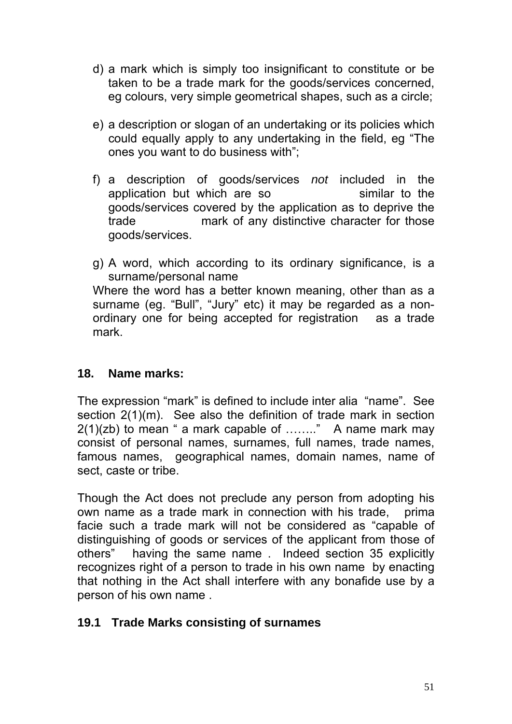- d) a mark which is simply too insignificant to constitute or be taken to be a trade mark for the goods/services concerned, eg colours, very simple geometrical shapes, such as a circle;
- e) a description or slogan of an undertaking or its policies which could equally apply to any undertaking in the field, eg "The ones you want to do business with";
- f) a description of goods/services *not* included in the application but which are so similar to the goods/services covered by the application as to deprive the trade mark of any distinctive character for those goods/services.
- g) A word, which according to its ordinary significance, is a surname/personal name Where the word has a better known meaning, other than as a surname (eg. "Bull", "Jury" etc) it may be regarded as a nonordinary one for being accepted for registration as a trade mark.

### **18. Name marks:**

The expression "mark" is defined to include inter alia "name". See section 2(1)(m). See also the definition of trade mark in section  $2(1)(zb)$  to mean " a mark capable of ........" A name mark may consist of personal names, surnames, full names, trade names, famous names, geographical names, domain names, name of sect, caste or tribe.

Though the Act does not preclude any person from adopting his own name as a trade mark in connection with his trade, prima facie such a trade mark will not be considered as "capable of distinguishing of goods or services of the applicant from those of others" having the same name . Indeed section 35 explicitly recognizes right of a person to trade in his own name by enacting that nothing in the Act shall interfere with any bonafide use by a person of his own name .

### **19.1 Trade Marks consisting of surnames**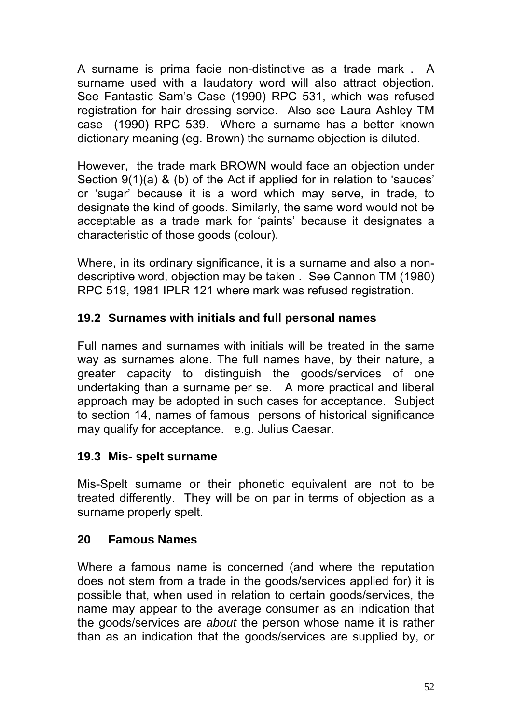A surname is prima facie non-distinctive as a trade mark . A surname used with a laudatory word will also attract objection. See Fantastic Sam's Case (1990) RPC 531, which was refused registration for hair dressing service. Also see Laura Ashley TM case (1990) RPC 539. Where a surname has a better known dictionary meaning (eg. Brown) the surname objection is diluted.

However, the trade mark BROWN would face an objection under Section 9(1)(a) & (b) of the Act if applied for in relation to 'sauces' or 'sugar' because it is a word which may serve, in trade, to designate the kind of goods. Similarly, the same word would not be acceptable as a trade mark for 'paints' because it designates a characteristic of those goods (colour).

Where, in its ordinary significance, it is a surname and also a nondescriptive word, objection may be taken . See Cannon TM (1980) RPC 519, 1981 IPLR 121 where mark was refused registration.

## **19.2 Surnames with initials and full personal names**

Full names and surnames with initials will be treated in the same way as surnames alone. The full names have, by their nature, a greater capacity to distinguish the goods/services of one undertaking than a surname per se. A more practical and liberal approach may be adopted in such cases for acceptance. Subject to section 14, names of famous persons of historical significance may qualify for acceptance. e.g. Julius Caesar.

## **19.3 Mis- spelt surname**

Mis-Spelt surname or their phonetic equivalent are not to be treated differently. They will be on par in terms of objection as a surname properly spelt.

## **20 Famous Names**

Where a famous name is concerned (and where the reputation does not stem from a trade in the goods/services applied for) it is possible that, when used in relation to certain goods/services, the name may appear to the average consumer as an indication that the goods/services are *about* the person whose name it is rather than as an indication that the goods/services are supplied by, or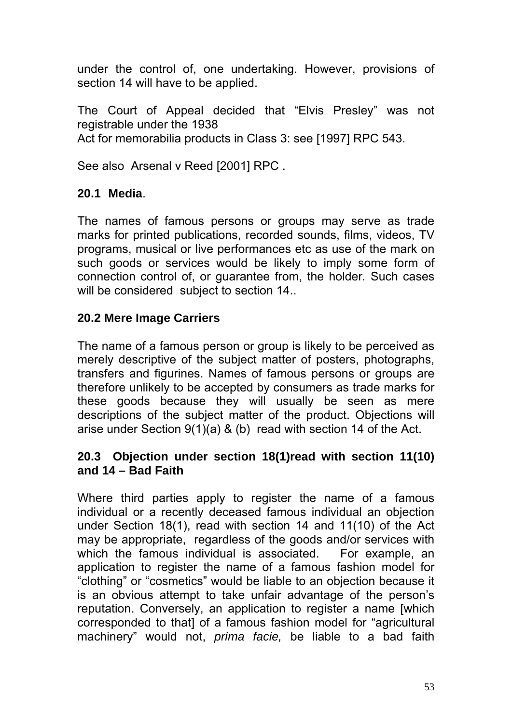under the control of, one undertaking. However, provisions of section 14 will have to be applied.

The Court of Appeal decided that "Elvis Presley" was not registrable under the 1938 Act for memorabilia products in Class 3: see [1997] RPC 543.

See also Arsenal v Reed [2001] RPC .

## **20.1 Media**.

The names of famous persons or groups may serve as trade marks for printed publications, recorded sounds, films, videos, TV programs, musical or live performances etc as use of the mark on such goods or services would be likely to imply some form of connection control of, or guarantee from, the holder*.* Such cases will be considered subject to section 14..

## **20.2 Mere Image Carriers**

The name of a famous person or group is likely to be perceived as merely descriptive of the subject matter of posters, photographs, transfers and figurines. Names of famous persons or groups are therefore unlikely to be accepted by consumers as trade marks for these goods because they will usually be seen as mere descriptions of the subject matter of the product. Objections will arise under Section 9(1)(a) & (b) read with section 14 of the Act.

## **20.3 Objection under section 18(1)read with section 11(10) and 14 – Bad Faith**

Where third parties apply to register the name of a famous individual or a recently deceased famous individual an objection under Section 18(1), read with section 14 and 11(10) of the Act may be appropriate, regardless of the goods and/or services with which the famous individual is associated. For example, an application to register the name of a famous fashion model for "clothing" or "cosmetics" would be liable to an objection because it is an obvious attempt to take unfair advantage of the person's reputation. Conversely, an application to register a name [which corresponded to that] of a famous fashion model for "agricultural machinery" would not, *prima facie,* be liable to a bad faith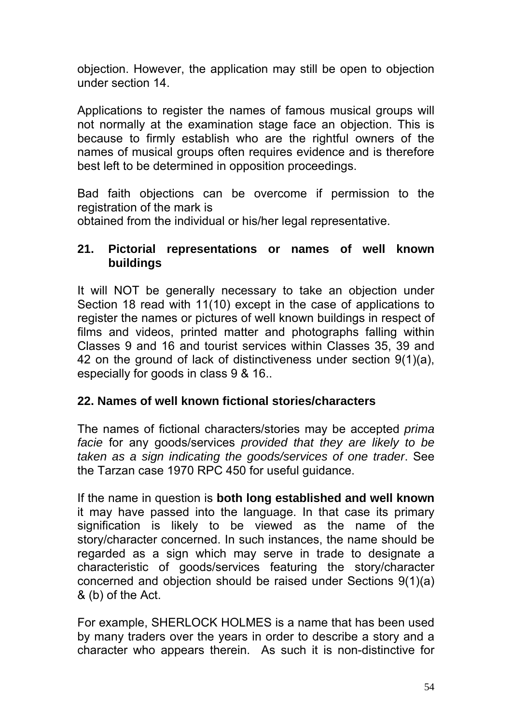objection. However, the application may still be open to objection under section 14.

Applications to register the names of famous musical groups will not normally at the examination stage face an objection. This is because to firmly establish who are the rightful owners of the names of musical groups often requires evidence and is therefore best left to be determined in opposition proceedings.

Bad faith objections can be overcome if permission to the registration of the mark is

obtained from the individual or his/her legal representative.

### **21. Pictorial representations or names of well known buildings**

It will NOT be generally necessary to take an objection under Section 18 read with 11(10) except in the case of applications to register the names or pictures of well known buildings in respect of films and videos, printed matter and photographs falling within Classes 9 and 16 and tourist services within Classes 35, 39 and 42 on the ground of lack of distinctiveness under section 9(1)(a), especially for goods in class 9 & 16..

### **22. Names of well known fictional stories/characters**

The names of fictional characters/stories may be accepted *prima facie* for any goods/services *provided that they are likely to be taken as a sign indicating the goods/services of one trader*. See the Tarzan case 1970 RPC 450 for useful guidance.

If the name in question is **both long established and well known**  it may have passed into the language. In that case its primary signification is likely to be viewed as the name of the story/character concerned. In such instances, the name should be regarded as a sign which may serve in trade to designate a characteristic of goods/services featuring the story/character concerned and objection should be raised under Sections 9(1)(a) & (b) of the Act.

For example, SHERLOCK HOLMES is a name that has been used by many traders over the years in order to describe a story and a character who appears therein. As such it is non-distinctive for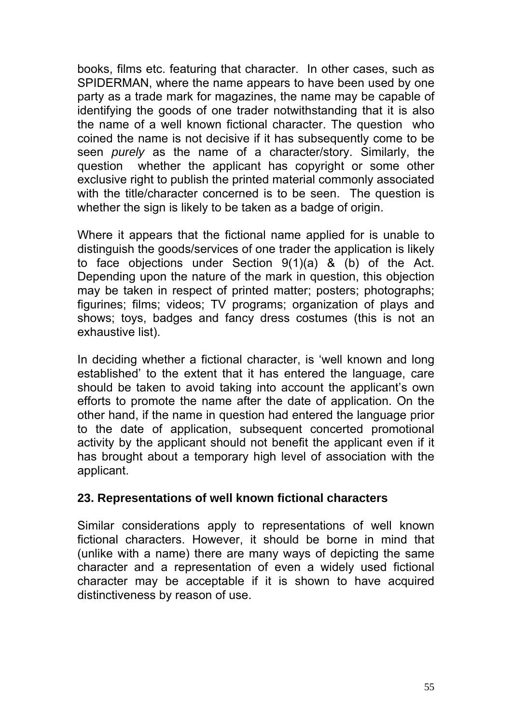books, films etc. featuring that character. In other cases, such as SPIDERMAN, where the name appears to have been used by one party as a trade mark for magazines, the name may be capable of identifying the goods of one trader notwithstanding that it is also the name of a well known fictional character. The question who coined the name is not decisive if it has subsequently come to be seen *purely* as the name of a character/story. Similarly, the question whether the applicant has copyright or some other exclusive right to publish the printed material commonly associated with the title/character concerned is to be seen. The question is whether the sign is likely to be taken as a badge of origin.

Where it appears that the fictional name applied for is unable to distinguish the goods/services of one trader the application is likely to face objections under Section 9(1)(a) & (b) of the Act. Depending upon the nature of the mark in question, this objection may be taken in respect of printed matter; posters; photographs; figurines; films; videos; TV programs; organization of plays and shows; toys, badges and fancy dress costumes (this is not an exhaustive list).

In deciding whether a fictional character, is 'well known and long established' to the extent that it has entered the language, care should be taken to avoid taking into account the applicant's own efforts to promote the name after the date of application. On the other hand, if the name in question had entered the language prior to the date of application, subsequent concerted promotional activity by the applicant should not benefit the applicant even if it has brought about a temporary high level of association with the applicant.

### **23. Representations of well known fictional characters**

Similar considerations apply to representations of well known fictional characters. However, it should be borne in mind that (unlike with a name) there are many ways of depicting the same character and a representation of even a widely used fictional character may be acceptable if it is shown to have acquired distinctiveness by reason of use.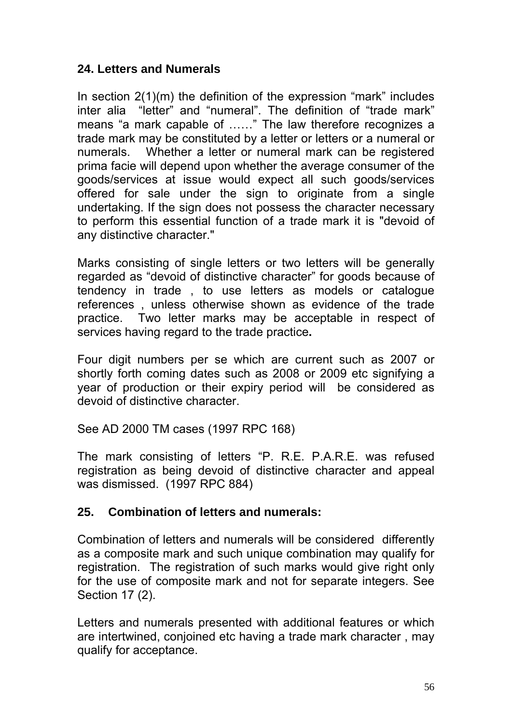### **24. Letters and Numerals**

In section 2(1)(m) the definition of the expression "mark" includes inter alia "letter" and "numeral". The definition of "trade mark" means "a mark capable of ……" The law therefore recognizes a trade mark may be constituted by a letter or letters or a numeral or numerals. Whether a letter or numeral mark can be registered prima facie will depend upon whether the average consumer of the goods/services at issue would expect all such goods/services offered for sale under the sign to originate from a single undertaking. If the sign does not possess the character necessary to perform this essential function of a trade mark it is "devoid of any distinctive character."

Marks consisting of single letters or two letters will be generally regarded as "devoid of distinctive character" for goods because of tendency in trade , to use letters as models or catalogue references , unless otherwise shown as evidence of the trade practice. Two letter marks may be acceptable in respect of services having regard to the trade practice**.** 

Four digit numbers per se which are current such as 2007 or shortly forth coming dates such as 2008 or 2009 etc signifying a year of production or their expiry period will be considered as devoid of distinctive character.

See AD 2000 TM cases (1997 RPC 168)

The mark consisting of letters "P. R.E. P.A.R.E. was refused registration as being devoid of distinctive character and appeal was dismissed. (1997 RPC 884)

#### **25. Combination of letters and numerals:**

Combination of letters and numerals will be considered differently as a composite mark and such unique combination may qualify for registration. The registration of such marks would give right only for the use of composite mark and not for separate integers. See Section 17 (2).

Letters and numerals presented with additional features or which are intertwined, conjoined etc having a trade mark character , may qualify for acceptance.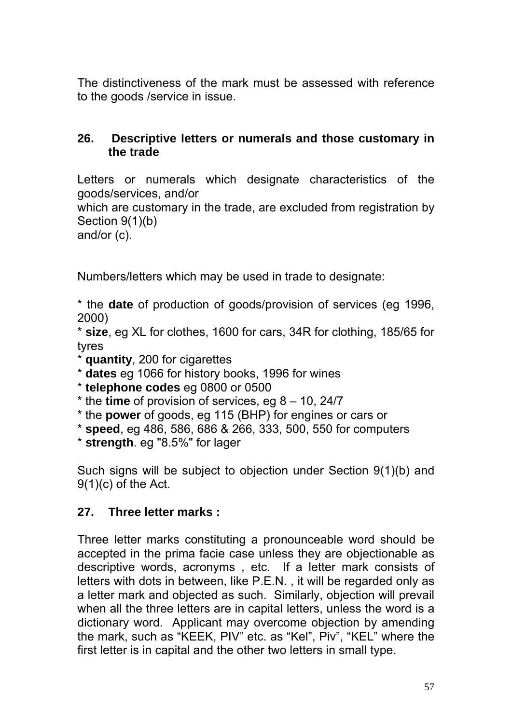The distinctiveness of the mark must be assessed with reference to the goods /service in issue.

### **26. Descriptive letters or numerals and those customary in the trade**

Letters or numerals which designate characteristics of the goods/services, and/or

which are customary in the trade, are excluded from registration by Section 9(1)(b)

and/or (c).

Numbers/letters which may be used in trade to designate:

\* the **date** of production of goods/provision of services (eg 1996, 2000)

\* **size**, eg XL for clothes, 1600 for cars, 34R for clothing, 185/65 for tyres

- \* **quantity**, 200 for cigarettes
- \* **dates** eg 1066 for history books, 1996 for wines
- \* **telephone codes** eg 0800 or 0500
- \* the **time** of provision of services, eg 8 10, 24/7
- \* the **power** of goods, eg 115 (BHP) for engines or cars or
- \* **speed**, eg 486, 586, 686 & 266, 333, 500, 550 for computers
- \* **strength**. eg "8.5%" for lager

Such signs will be subject to objection under Section 9(1)(b) and 9(1)(c) of the Act.

#### **27. Three letter marks :**

Three letter marks constituting a pronounceable word should be accepted in the prima facie case unless they are objectionable as descriptive words, acronyms , etc. If a letter mark consists of letters with dots in between, like P.E.N. , it will be regarded only as a letter mark and objected as such. Similarly, objection will prevail when all the three letters are in capital letters, unless the word is a dictionary word. Applicant may overcome objection by amending the mark, such as "KEEK, PIV" etc. as "Kel", Piv", "KEL" where the first letter is in capital and the other two letters in small type.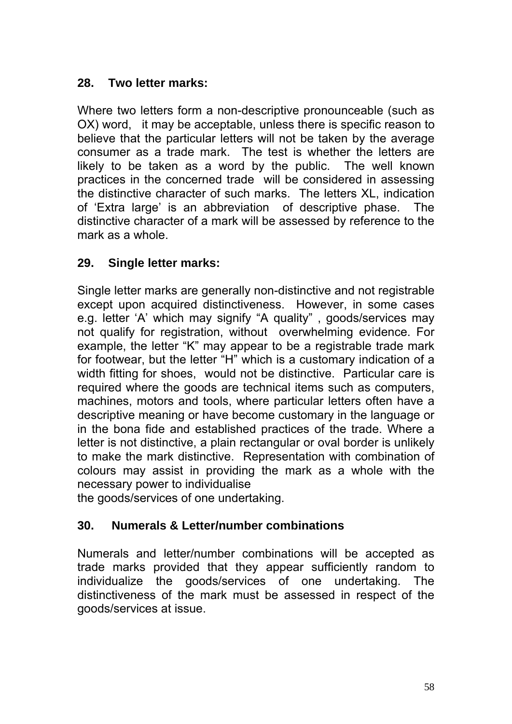## **28. Two letter marks:**

Where two letters form a non-descriptive pronounceable (such as OX) word, it may be acceptable, unless there is specific reason to believe that the particular letters will not be taken by the average consumer as a trade mark. The test is whether the letters are likely to be taken as a word by the public. The well known practices in the concerned trade will be considered in assessing the distinctive character of such marks. The letters XL, indication of 'Extra large' is an abbreviation of descriptive phase. The distinctive character of a mark will be assessed by reference to the mark as a whole.

## **29. Single letter marks:**

Single letter marks are generally non-distinctive and not registrable except upon acquired distinctiveness. However, in some cases e.g. letter 'A' which may signify "A quality" , goods/services may not qualify for registration, without overwhelming evidence. For example, the letter "K" may appear to be a registrable trade mark for footwear, but the letter "H" which is a customary indication of a width fitting for shoes, would not be distinctive. Particular care is required where the goods are technical items such as computers, machines, motors and tools, where particular letters often have a descriptive meaning or have become customary in the language or in the bona fide and established practices of the trade. Where a letter is not distinctive, a plain rectangular or oval border is unlikely to make the mark distinctive. Representation with combination of colours may assist in providing the mark as a whole with the necessary power to individualise

the goods/services of one undertaking.

# **30. Numerals & Letter/number combinations**

Numerals and letter/number combinations will be accepted as trade marks provided that they appear sufficiently random to individualize the goods/services of one undertaking. The distinctiveness of the mark must be assessed in respect of the goods/services at issue.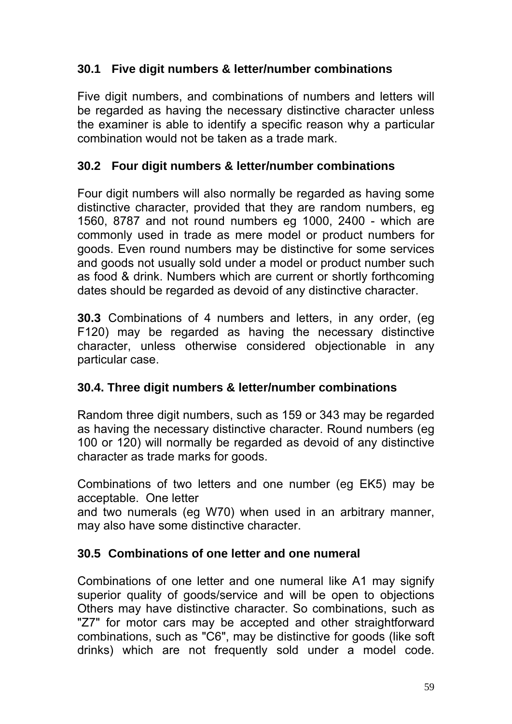## **30.1 Five digit numbers & letter/number combinations**

Five digit numbers, and combinations of numbers and letters will be regarded as having the necessary distinctive character unless the examiner is able to identify a specific reason why a particular combination would not be taken as a trade mark.

## **30.2 Four digit numbers & letter/number combinations**

Four digit numbers will also normally be regarded as having some distinctive character, provided that they are random numbers, eg 1560, 8787 and not round numbers eg 1000, 2400 - which are commonly used in trade as mere model or product numbers for goods. Even round numbers may be distinctive for some services and goods not usually sold under a model or product number such as food & drink. Numbers which are current or shortly forthcoming dates should be regarded as devoid of any distinctive character.

**30.3** Combinations of 4 numbers and letters, in any order, (eg F120) may be regarded as having the necessary distinctive character, unless otherwise considered objectionable in any particular case.

## **30.4. Three digit numbers & letter/number combinations**

Random three digit numbers, such as 159 or 343 may be regarded as having the necessary distinctive character. Round numbers (eg 100 or 120) will normally be regarded as devoid of any distinctive character as trade marks for goods.

Combinations of two letters and one number (eg EK5) may be acceptable. One letter

and two numerals (eg W70) when used in an arbitrary manner, may also have some distinctive character.

## **30.5 Combinations of one letter and one numeral**

Combinations of one letter and one numeral like A1 may signify superior quality of goods/service and will be open to objections Others may have distinctive character. So combinations, such as "Z7" for motor cars may be accepted and other straightforward combinations, such as "C6", may be distinctive for goods (like soft drinks) which are not frequently sold under a model code.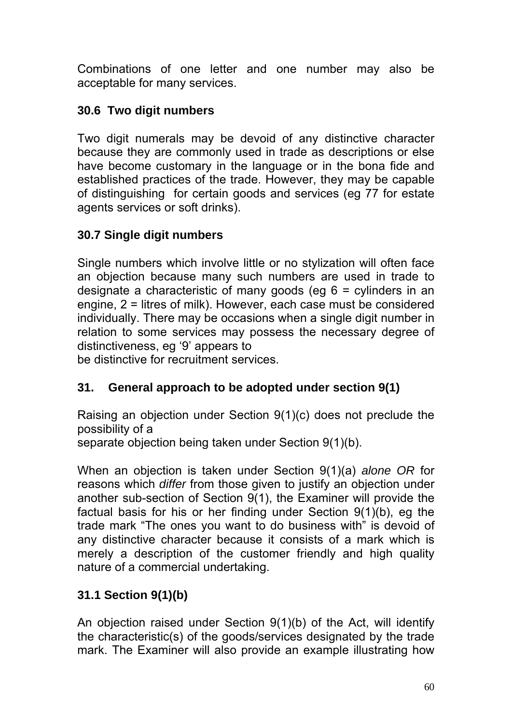Combinations of one letter and one number may also be acceptable for many services.

# **30.6 Two digit numbers**

Two digit numerals may be devoid of any distinctive character because they are commonly used in trade as descriptions or else have become customary in the language or in the bona fide and established practices of the trade. However, they may be capable of distinguishing for certain goods and services (eg 77 for estate agents services or soft drinks).

## **30.7 Single digit numbers**

Single numbers which involve little or no stylization will often face an objection because many such numbers are used in trade to designate a characteristic of many goods (eg 6 = cylinders in an engine, 2 = litres of milk). However, each case must be considered individually. There may be occasions when a single digit number in relation to some services may possess the necessary degree of distinctiveness, eg '9' appears to

be distinctive for recruitment services.

# **31. General approach to be adopted under section 9(1)**

Raising an objection under Section 9(1)(c) does not preclude the possibility of a

separate objection being taken under Section 9(1)(b).

When an objection is taken under Section 9(1)(a) *alone OR* for reasons which *differ* from those given to justify an objection under another sub-section of Section 9(1), the Examiner will provide the factual basis for his or her finding under Section 9(1)(b), eg the trade mark "The ones you want to do business with" is devoid of any distinctive character because it consists of a mark which is merely a description of the customer friendly and high quality nature of a commercial undertaking.

# **31.1 Section 9(1)(b)**

An objection raised under Section 9(1)(b) of the Act, will identify the characteristic(s) of the goods/services designated by the trade mark. The Examiner will also provide an example illustrating how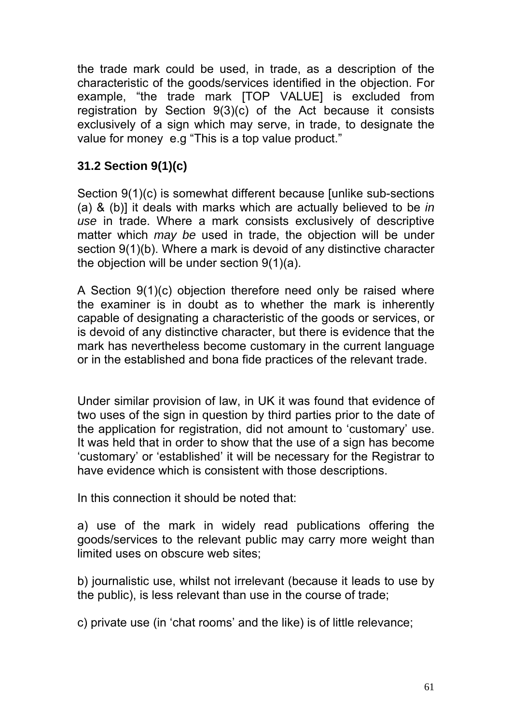the trade mark could be used, in trade, as a description of the characteristic of the goods/services identified in the objection. For example, "the trade mark [TOP VALUE] is excluded from registration by Section 9(3)(c) of the Act because it consists exclusively of a sign which may serve, in trade, to designate the value for money e.g "This is a top value product."

## **31.2 Section 9(1)(c)**

Section 9(1)(c) is somewhat different because [unlike sub-sections (a) & (b)] it deals with marks which are actually believed to be *in use* in trade. Where a mark consists exclusively of descriptive matter which *may be* used in trade, the objection will be under section 9(1)(b). Where a mark is devoid of any distinctive character the objection will be under section 9(1)(a).

A Section 9(1)(c) objection therefore need only be raised where the examiner is in doubt as to whether the mark is inherently capable of designating a characteristic of the goods or services, or is devoid of any distinctive character, but there is evidence that the mark has nevertheless become customary in the current language or in the established and bona fide practices of the relevant trade.

Under similar provision of law, in UK it was found that evidence of two uses of the sign in question by third parties prior to the date of the application for registration, did not amount to 'customary' use. It was held that in order to show that the use of a sign has become 'customary' or 'established' it will be necessary for the Registrar to have evidence which is consistent with those descriptions.

In this connection it should be noted that:

a) use of the mark in widely read publications offering the goods/services to the relevant public may carry more weight than limited uses on obscure web sites;

b) journalistic use, whilst not irrelevant (because it leads to use by the public), is less relevant than use in the course of trade;

c) private use (in 'chat rooms' and the like) is of little relevance;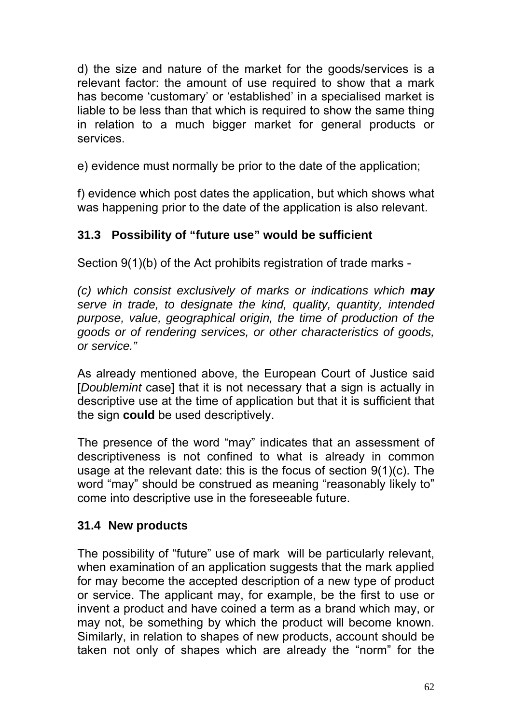d) the size and nature of the market for the goods/services is a relevant factor: the amount of use required to show that a mark has become 'customary' or 'established' in a specialised market is liable to be less than that which is required to show the same thing in relation to a much bigger market for general products or services.

e) evidence must normally be prior to the date of the application;

f) evidence which post dates the application, but which shows what was happening prior to the date of the application is also relevant.

# **31.3 Possibility of "future use" would be sufficient**

Section 9(1)(b) of the Act prohibits registration of trade marks -

*(c) which consist exclusively of marks or indications which may serve in trade, to designate the kind, quality, quantity, intended purpose, value, geographical origin, the time of production of the goods or of rendering services, or other characteristics of goods, or service."* 

As already mentioned above, the European Court of Justice said [*Doublemint* case] that it is not necessary that a sign is actually in descriptive use at the time of application but that it is sufficient that the sign **could** be used descriptively.

The presence of the word "may" indicates that an assessment of descriptiveness is not confined to what is already in common usage at the relevant date: this is the focus of section 9(1)(c). The word "may" should be construed as meaning "reasonably likely to" come into descriptive use in the foreseeable future.

# **31.4 New products**

The possibility of "future" use of mark will be particularly relevant, when examination of an application suggests that the mark applied for may become the accepted description of a new type of product or service. The applicant may, for example, be the first to use or invent a product and have coined a term as a brand which may, or may not, be something by which the product will become known. Similarly, in relation to shapes of new products, account should be taken not only of shapes which are already the "norm" for the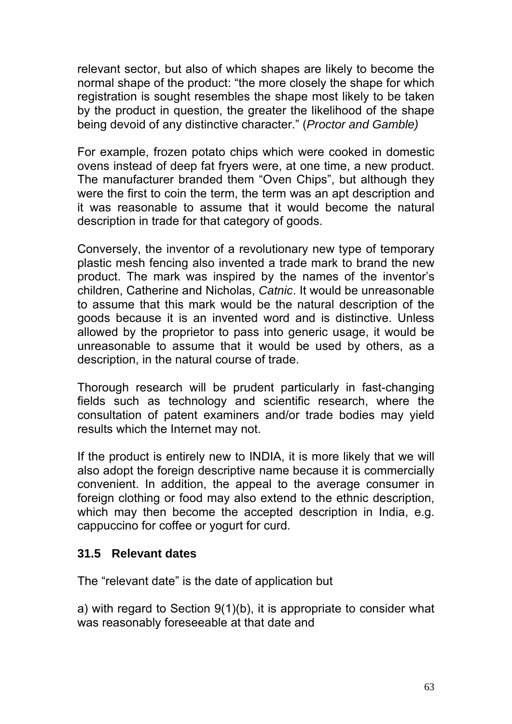relevant sector, but also of which shapes are likely to become the normal shape of the product: "the more closely the shape for which registration is sought resembles the shape most likely to be taken by the product in question, the greater the likelihood of the shape being devoid of any distinctive character." (*Proctor and Gamble)* 

For example, frozen potato chips which were cooked in domestic ovens instead of deep fat fryers were, at one time, a new product. The manufacturer branded them "Oven Chips", but although they were the first to coin the term, the term was an apt description and it was reasonable to assume that it would become the natural description in trade for that category of goods.

Conversely, the inventor of a revolutionary new type of temporary plastic mesh fencing also invented a trade mark to brand the new product. The mark was inspired by the names of the inventor's children, Catherine and Nicholas, *Catnic*. It would be unreasonable to assume that this mark would be the natural description of the goods because it is an invented word and is distinctive. Unless allowed by the proprietor to pass into generic usage, it would be unreasonable to assume that it would be used by others, as a description, in the natural course of trade.

Thorough research will be prudent particularly in fast-changing fields such as technology and scientific research, where the consultation of patent examiners and/or trade bodies may yield results which the Internet may not.

If the product is entirely new to INDIA, it is more likely that we will also adopt the foreign descriptive name because it is commercially convenient. In addition, the appeal to the average consumer in foreign clothing or food may also extend to the ethnic description, which may then become the accepted description in India, e.g. cappuccino for coffee or yogurt for curd.

### **31.5 Relevant dates**

The "relevant date" is the date of application but

a) with regard to Section 9(1)(b), it is appropriate to consider what was reasonably foreseeable at that date and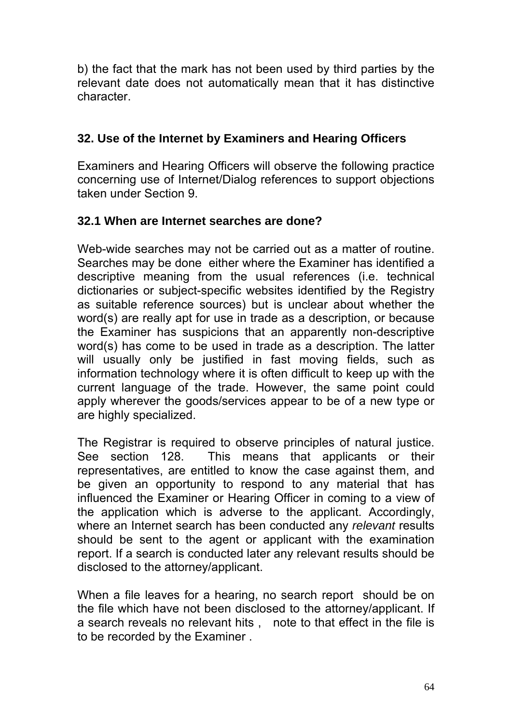b) the fact that the mark has not been used by third parties by the relevant date does not automatically mean that it has distinctive character.

## **32. Use of the Internet by Examiners and Hearing Officers**

Examiners and Hearing Officers will observe the following practice concerning use of Internet/Dialog references to support objections taken under Section 9.

## **32.1 When are Internet searches are done?**

Web-wide searches may not be carried out as a matter of routine. Searches may be done either where the Examiner has identified a descriptive meaning from the usual references (i.e. technical dictionaries or subject-specific websites identified by the Registry as suitable reference sources) but is unclear about whether the word(s) are really apt for use in trade as a description, or because the Examiner has suspicions that an apparently non-descriptive word(s) has come to be used in trade as a description. The latter will usually only be justified in fast moving fields, such as information technology where it is often difficult to keep up with the current language of the trade. However, the same point could apply wherever the goods/services appear to be of a new type or are highly specialized.

The Registrar is required to observe principles of natural justice. See section 128. This means that applicants or their representatives, are entitled to know the case against them, and be given an opportunity to respond to any material that has influenced the Examiner or Hearing Officer in coming to a view of the application which is adverse to the applicant. Accordingly, where an Internet search has been conducted any *relevant* results should be sent to the agent or applicant with the examination report. If a search is conducted later any relevant results should be disclosed to the attorney/applicant.

When a file leaves for a hearing, no search report should be on the file which have not been disclosed to the attorney/applicant. If a search reveals no relevant hits , note to that effect in the file is to be recorded by the Examiner .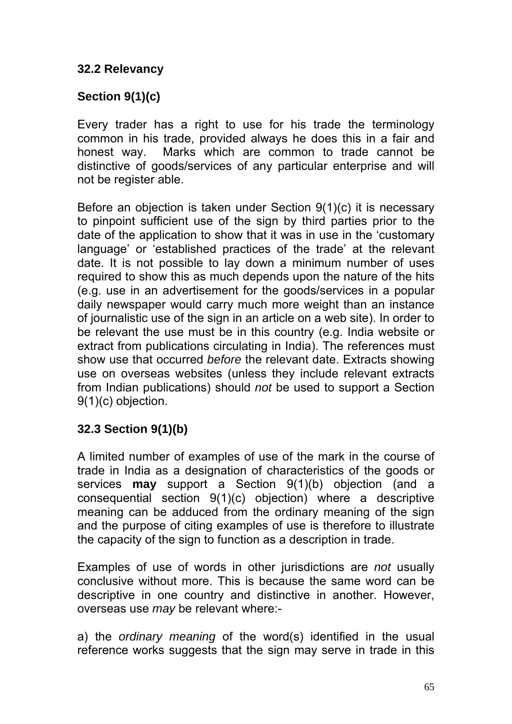## **32.2 Relevancy**

## **Section 9(1)(c)**

Every trader has a right to use for his trade the terminology common in his trade, provided always he does this in a fair and honest way. Marks which are common to trade cannot be distinctive of goods/services of any particular enterprise and will not be register able.

Before an objection is taken under Section 9(1)(c) it is necessary to pinpoint sufficient use of the sign by third parties prior to the date of the application to show that it was in use in the 'customary language' or 'established practices of the trade' at the relevant date. It is not possible to lay down a minimum number of uses required to show this as much depends upon the nature of the hits (e.g. use in an advertisement for the goods/services in a popular daily newspaper would carry much more weight than an instance of journalistic use of the sign in an article on a web site). In order to be relevant the use must be in this country (e.g. India website or extract from publications circulating in India). The references must show use that occurred *before* the relevant date. Extracts showing use on overseas websites (unless they include relevant extracts from Indian publications) should *not* be used to support a Section 9(1)(c) objection.

## **32.3 Section 9(1)(b)**

A limited number of examples of use of the mark in the course of trade in India as a designation of characteristics of the goods or services **may** support a Section 9(1)(b) objection (and a consequential section 9(1)(c) objection) where a descriptive meaning can be adduced from the ordinary meaning of the sign and the purpose of citing examples of use is therefore to illustrate the capacity of the sign to function as a description in trade.

Examples of use of words in other jurisdictions are *not* usually conclusive without more. This is because the same word can be descriptive in one country and distinctive in another. However, overseas use *may* be relevant where:-

a) the *ordinary meaning* of the word(s) identified in the usual reference works suggests that the sign may serve in trade in this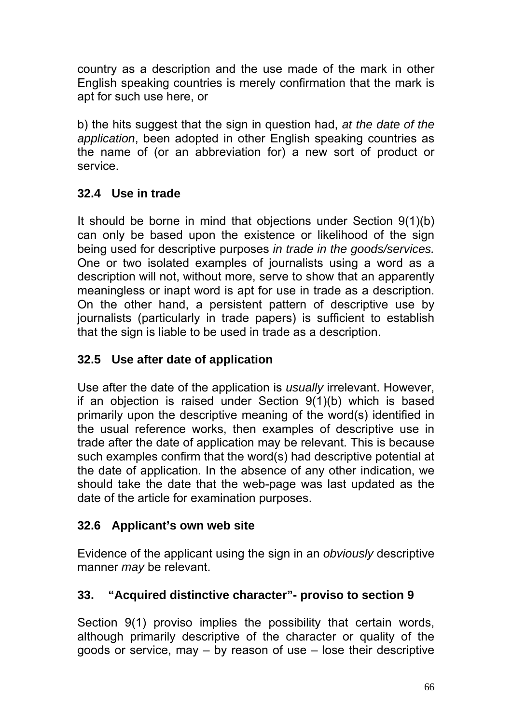country as a description and the use made of the mark in other English speaking countries is merely confirmation that the mark is apt for such use here, or

b) the hits suggest that the sign in question had, *at the date of the application*, been adopted in other English speaking countries as the name of (or an abbreviation for) a new sort of product or service.

## **32.4 Use in trade**

It should be borne in mind that objections under Section 9(1)(b) can only be based upon the existence or likelihood of the sign being used for descriptive purposes *in trade in the goods/services.*  One or two isolated examples of journalists using a word as a description will not, without more, serve to show that an apparently meaningless or inapt word is apt for use in trade as a description. On the other hand, a persistent pattern of descriptive use by journalists (particularly in trade papers) is sufficient to establish that the sign is liable to be used in trade as a description.

## **32.5 Use after date of application**

Use after the date of the application is *usually* irrelevant. However, if an objection is raised under Section 9(1)(b) which is based primarily upon the descriptive meaning of the word(s) identified in the usual reference works, then examples of descriptive use in trade after the date of application may be relevant. This is because such examples confirm that the word(s) had descriptive potential at the date of application. In the absence of any other indication, we should take the date that the web-page was last updated as the date of the article for examination purposes.

## **32.6 Applicant's own web site**

Evidence of the applicant using the sign in an *obviously* descriptive manner *may* be relevant.

# **33. "Acquired distinctive character"- proviso to section 9**

Section 9(1) proviso implies the possibility that certain words, although primarily descriptive of the character or quality of the goods or service, may – by reason of use – lose their descriptive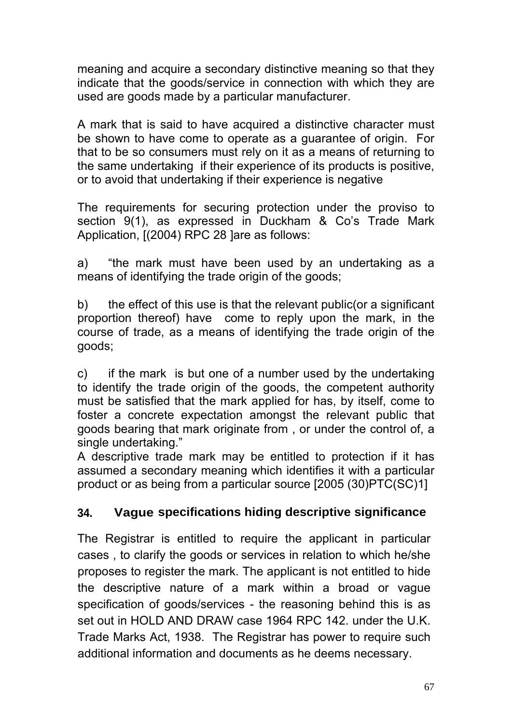meaning and acquire a secondary distinctive meaning so that they indicate that the goods/service in connection with which they are used are goods made by a particular manufacturer.

A mark that is said to have acquired a distinctive character must be shown to have come to operate as a guarantee of origin. For that to be so consumers must rely on it as a means of returning to the same undertaking if their experience of its products is positive, or to avoid that undertaking if their experience is negative

The requirements for securing protection under the proviso to section 9(1), as expressed in Duckham & Co's Trade Mark Application, [(2004) RPC 28 ]are as follows:

a) "the mark must have been used by an undertaking as a means of identifying the trade origin of the goods;

b) the effect of this use is that the relevant public(or a significant proportion thereof) have come to reply upon the mark, in the course of trade, as a means of identifying the trade origin of the goods;

c) if the mark is but one of a number used by the undertaking to identify the trade origin of the goods, the competent authority must be satisfied that the mark applied for has, by itself, come to foster a concrete expectation amongst the relevant public that goods bearing that mark originate from , or under the control of, a single undertaking."

A descriptive trade mark may be entitled to protection if it has assumed a secondary meaning which identifies it with a particular product or as being from a particular source [2005 (30)PTC(SC)1]

# **34. Vague specifications hiding descriptive significance**

The Registrar is entitled to require the applicant in particular cases , to clarify the goods or services in relation to which he/she proposes to register the mark. The applicant is not entitled to hide the descriptive nature of a mark within a broad or vague specification of goods/services - the reasoning behind this is as set out in HOLD AND DRAW case 1964 RPC 142. under the U.K. Trade Marks Act, 1938. The Registrar has power to require such additional information and documents as he deems necessary.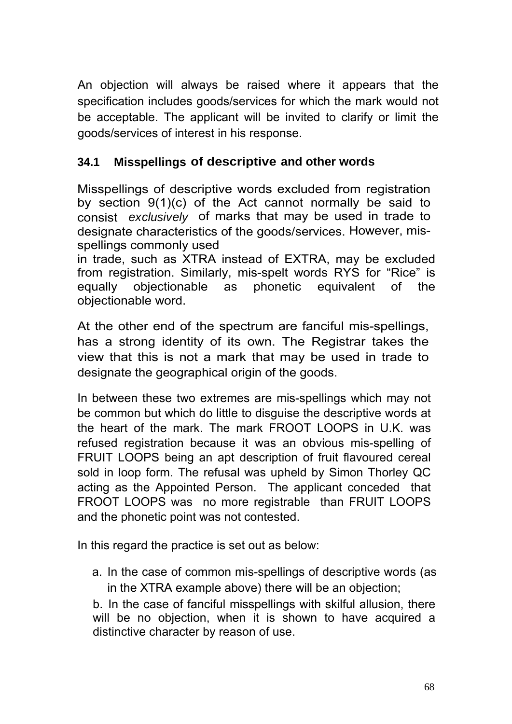An objection will always be raised where it appears that the specification includes goods/services for which the mark would not be acceptable. The applicant will be invited to clarify or limit the goods/services of interest in his response.

## **34.1 Misspellings of descriptive and other words**

Misspellings of descriptive words excluded from registration by section  $9(1)(c)$  of the Act cannot normally be said to consist *exclusively* of marks that may be used in trade to designate characteristics of the goods/services. However, misspellings commonly used

in trade, such as XTRA instead of EXTRA, may be excluded from registration. Similarly, mis-spelt words RYS for "Rice" is equally objectionable as phonetic equivalent of the objectionable word.

At the other end of the spectrum are fanciful mis-spellings, has a strong identity of its own. The Registrar takes the view that this is not a mark that may be used in trade to designate the geographical origin of the goods.

In between these two extremes are mis-spellings which may not be common but which do little to disguise the descriptive words at the heart of the mark. The mark FROOT LOOPS in U.K. was refused registration because it was an obvious mis-spelling of FRUIT LOOPS being an apt description of fruit flavoured cereal sold in loop form. The refusal was upheld by Simon Thorley QC acting as the Appointed Person. The applicant conceded that FROOT LOOPS was no more registrable than FRUIT LOOPS and the phonetic point was not contested.

In this regard the practice is set out as below:

a. In the case of common mis-spellings of descriptive words (as in the XTRA example above) there will be an objection;

b. In the case of fanciful misspellings with skilful allusion, there will be no objection, when it is shown to have acquired a distinctive character by reason of use.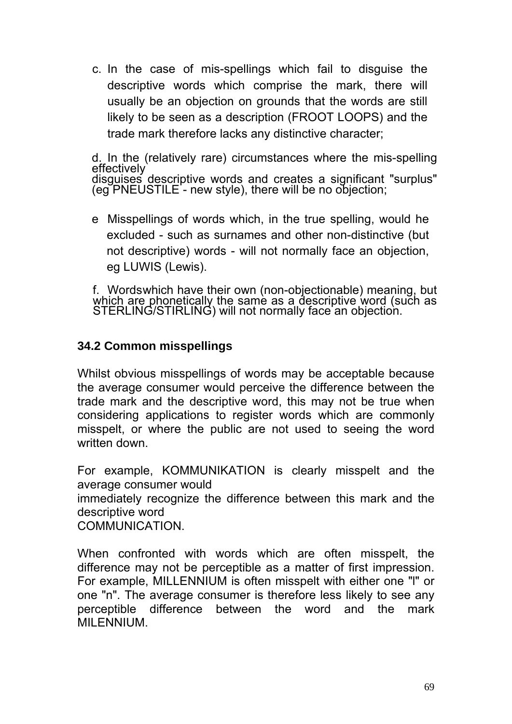c. In the case of mis-spellings which fail to disguise the descriptive words which comprise the mark, there will usually be an objection on grounds that the words are still likely to be seen as a description (FROOT LOOPS) and the trade mark therefore lacks any distinctive character;

d. In the (relatively rare) circumstances where the mis-spelling effectively disguises descriptive words and creates a significant "surplus" (eg PNEUSTILE - new style), there will be no objection;

e Misspellings of words which, in the true spelling, would he excluded - such as surnames and other non-distinctive (but not descriptive) words - will not normally face an objection, eg LUWIS (Lewis).

f. Words which have their own (non-objectionable) meaning, but which are phonetically the same as a descriptive word (such as STERLING/STIRLING) will not normally face an objection.

## **34.2 Common misspellings**

Whilst obvious misspellings of words may be acceptable because the average consumer would perceive the difference between the trade mark and the descriptive word, this may not be true when considering applications to register words which are commonly misspelt, or where the public are not used to seeing the word written down.

For example, KOMMUNIKATION is clearly misspelt and the average consumer would immediately recognize the difference between this mark and the descriptive word **COMMUNICATION** 

When confronted with words which are often misspelt, the difference may not be perceptible as a matter of first impression. For example, MILLENNIUM is often misspelt with either one "l" or one "n". The average consumer is therefore less likely to see any perceptible difference between the word and the mark MILENNIUM.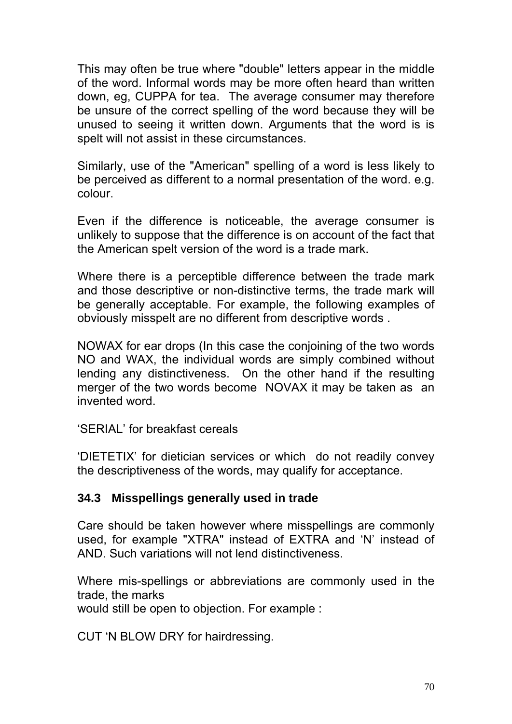This may often be true where "double" letters appear in the middle of the word. Informal words may be more often heard than written down, eg, CUPPA for tea. The average consumer may therefore be unsure of the correct spelling of the word because they will be unused to seeing it written down. Arguments that the word is is spelt will not assist in these circumstances.

Similarly, use of the "American" spelling of a word is less likely to be perceived as different to a normal presentation of the word. e.g. colour.

Even if the difference is noticeable, the average consumer is unlikely to suppose that the difference is on account of the fact that the American spelt version of the word is a trade mark.

Where there is a perceptible difference between the trade mark and those descriptive or non-distinctive terms, the trade mark will be generally acceptable. For example, the following examples of obviously misspelt are no different from descriptive words .

NOWAX for ear drops (In this case the conjoining of the two words NO and WAX, the individual words are simply combined without lending any distinctiveness. On the other hand if the resulting merger of the two words become NOVAX it may be taken as an invented word.

'SERIAL' for breakfast cereals

'DIETETIX' for dietician services or which do not readily convey the descriptiveness of the words, may qualify for acceptance.

## **34.3 Misspellings generally used in trade**

Care should be taken however where misspellings are commonly used, for example "XTRA" instead of EXTRA and 'N' instead of AND. Such variations will not lend distinctiveness.

Where mis-spellings or abbreviations are commonly used in the trade, the marks

would still be open to objection. For example :

CUT 'N BLOW DRY for hairdressing.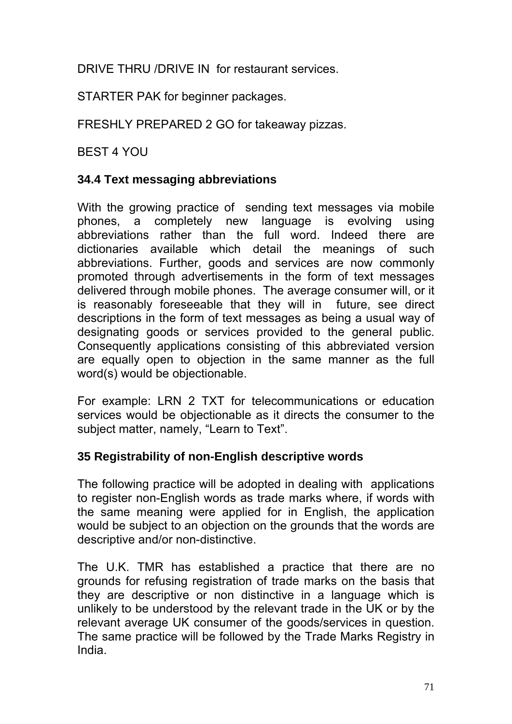DRIVE THRU /DRIVE IN for restaurant services.

STARTER PAK for beginner packages.

FRESHLY PREPARED 2 GO for takeaway pizzas.

BEST 4 YOU

### **34.4 Text messaging abbreviations**

With the growing practice of sending text messages via mobile phones, a completely new language is evolving using abbreviations rather than the full word. Indeed there are dictionaries available which detail the meanings of such abbreviations. Further, goods and services are now commonly promoted through advertisements in the form of text messages delivered through mobile phones. The average consumer will, or it is reasonably foreseeable that they will in future, see direct descriptions in the form of text messages as being a usual way of designating goods or services provided to the general public. Consequently applications consisting of this abbreviated version are equally open to objection in the same manner as the full word(s) would be objectionable.

For example: LRN 2 TXT for telecommunications or education services would be objectionable as it directs the consumer to the subject matter, namely, "Learn to Text".

## **35 Registrability of non-English descriptive words**

The following practice will be adopted in dealing with applications to register non-English words as trade marks where, if words with the same meaning were applied for in English, the application would be subject to an objection on the grounds that the words are descriptive and/or non-distinctive.

The U.K. TMR has established a practice that there are no grounds for refusing registration of trade marks on the basis that they are descriptive or non distinctive in a language which is unlikely to be understood by the relevant trade in the UK or by the relevant average UK consumer of the goods/services in question. The same practice will be followed by the Trade Marks Registry in India.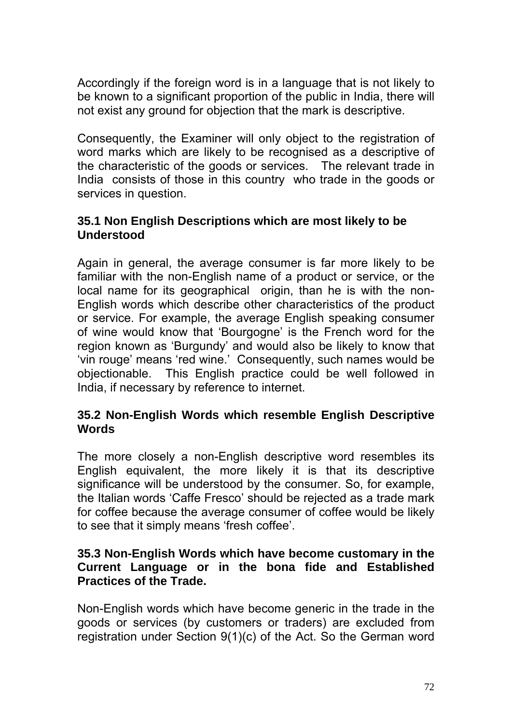Accordingly if the foreign word is in a language that is not likely to be known to a significant proportion of the public in India, there will not exist any ground for objection that the mark is descriptive.

Consequently, the Examiner will only object to the registration of word marks which are likely to be recognised as a descriptive of the characteristic of the goods or services. The relevant trade in India consists of those in this country who trade in the goods or services in question.

#### **35.1 Non English Descriptions which are most likely to be Understood**

Again in general, the average consumer is far more likely to be familiar with the non-English name of a product or service, or the local name for its geographical origin, than he is with the non-English words which describe other characteristics of the product or service. For example, the average English speaking consumer of wine would know that 'Bourgogne' is the French word for the region known as 'Burgundy' and would also be likely to know that 'vin rouge' means 'red wine.' Consequently, such names would be objectionable. This English practice could be well followed in India, if necessary by reference to internet.

### **35.2 Non-English Words which resemble English Descriptive Words**

The more closely a non-English descriptive word resembles its English equivalent, the more likely it is that its descriptive significance will be understood by the consumer. So, for example, the Italian words 'Caffe Fresco' should be rejected as a trade mark for coffee because the average consumer of coffee would be likely to see that it simply means 'fresh coffee'.

#### **35.3 Non-English Words which have become customary in the Current Language or in the bona fide and Established Practices of the Trade.**

Non-English words which have become generic in the trade in the goods or services (by customers or traders) are excluded from registration under Section 9(1)(c) of the Act. So the German word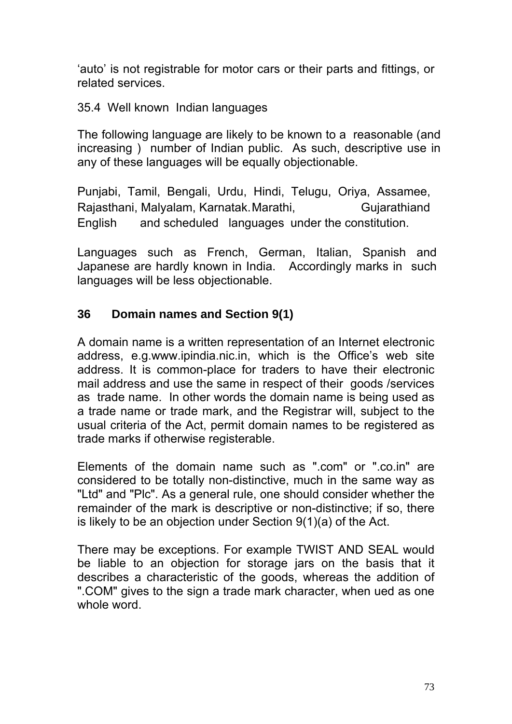'auto' is not registrable for motor cars or their parts and fittings, or related services.

#### 35.4 Well known Indian languages

The following language are likely to be known to a reasonable (and increasing ) number of Indian public. As such, descriptive use in any of these languages will be equally objectionable.

Punjabi, Tamil, Bengali, Urdu, Hindi, Telugu, Oriya, Assamee, Rajasthani, Malyalam, Karnatak. Marathi, Frankiand English and scheduled languages under the constitution.

Languages such as French, German, Italian, Spanish and Japanese are hardly known in India. Accordingly marks in such languages will be less objectionable.

### **36 Domain names and Section 9(1)**

A domain name is a written representation of an Internet electronic address, e.g.www.ipindia.nic.in, which is the Office's web site address. It is common-place for traders to have their electronic mail address and use the same in respect of their goods /services as trade name. In other words the domain name is being used as a trade name or trade mark, and the Registrar will, subject to the usual criteria of the Act, permit domain names to be registered as trade marks if otherwise registerable.

Elements of the domain name such as ".com" or ".co.in" are considered to be totally non-distinctive, much in the same way as "Ltd" and "Plc". As a general rule, one should consider whether the remainder of the mark is descriptive or non-distinctive; if so, there is likely to be an objection under Section 9(1)(a) of the Act.

There may be exceptions. For example TWIST AND SEAL would be liable to an objection for storage jars on the basis that it describes a characteristic of the goods, whereas the addition of ".COM" gives to the sign a trade mark character, when ued as one whole word.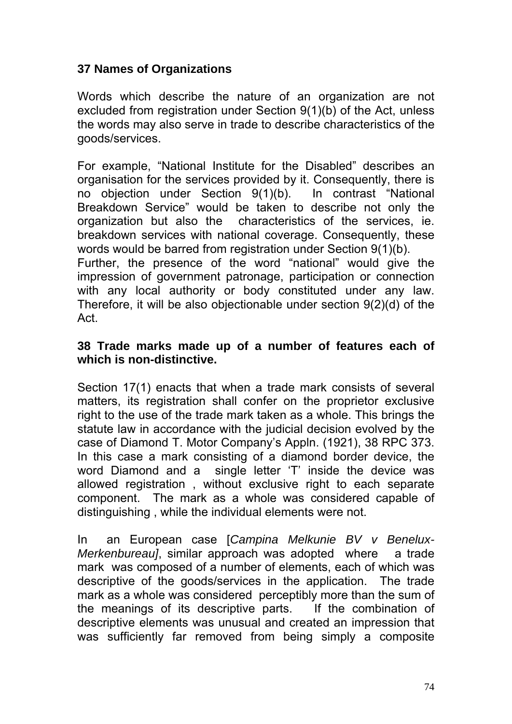## **37 Names of Organizations**

Words which describe the nature of an organization are not excluded from registration under Section 9(1)(b) of the Act, unless the words may also serve in trade to describe characteristics of the goods/services.

For example, "National Institute for the Disabled" describes an organisation for the services provided by it. Consequently, there is no objection under Section 9(1)(b). In contrast "National Breakdown Service" would be taken to describe not only the organization but also the characteristics of the services, ie. breakdown services with national coverage. Consequently, these words would be barred from registration under Section 9(1)(b).

Further, the presence of the word "national" would give the impression of government patronage, participation or connection with any local authority or body constituted under any law. Therefore, it will be also objectionable under section 9(2)(d) of the Act.

### **38 Trade marks made up of a number of features each of which is non-distinctive.**

Section 17(1) enacts that when a trade mark consists of several matters, its registration shall confer on the proprietor exclusive right to the use of the trade mark taken as a whole. This brings the statute law in accordance with the judicial decision evolved by the case of Diamond T. Motor Company's Appln. (1921), 38 RPC 373. In this case a mark consisting of a diamond border device, the word Diamond and a single letter 'T' inside the device was allowed registration , without exclusive right to each separate component. The mark as a whole was considered capable of distinguishing , while the individual elements were not.

In an European case [*Campina Melkunie BV v Benelux-Merkenbureau]*, similar approach was adopted where a trade mark was composed of a number of elements, each of which was descriptive of the goods/services in the application. The trade mark as a whole was considered perceptibly more than the sum of the meanings of its descriptive parts. If the combination of descriptive elements was unusual and created an impression that was sufficiently far removed from being simply a composite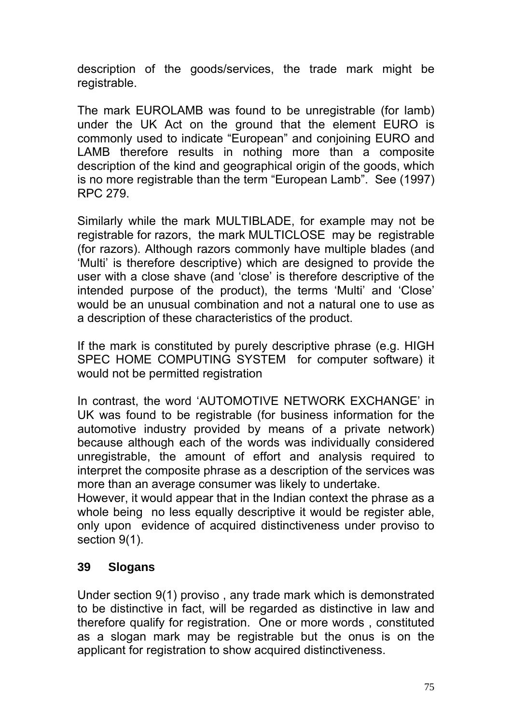description of the goods/services, the trade mark might be registrable.

The mark EUROLAMB was found to be unregistrable (for lamb) under the UK Act on the ground that the element EURO is commonly used to indicate "European" and conjoining EURO and LAMB therefore results in nothing more than a composite description of the kind and geographical origin of the goods, which is no more registrable than the term "European Lamb". See (1997) RPC 279.

Similarly while the mark MULTIBLADE, for example may not be registrable for razors, the mark MULTICLOSE may be registrable (for razors). Although razors commonly have multiple blades (and 'Multi' is therefore descriptive) which are designed to provide the user with a close shave (and 'close' is therefore descriptive of the intended purpose of the product), the terms 'Multi' and 'Close' would be an unusual combination and not a natural one to use as a description of these characteristics of the product.

If the mark is constituted by purely descriptive phrase (e.g. HIGH SPEC HOME COMPUTING SYSTEM for computer software) it would not be permitted registration

In contrast, the word 'AUTOMOTIVE NETWORK EXCHANGE' in UK was found to be registrable (for business information for the automotive industry provided by means of a private network) because although each of the words was individually considered unregistrable, the amount of effort and analysis required to interpret the composite phrase as a description of the services was more than an average consumer was likely to undertake.

However, it would appear that in the Indian context the phrase as a whole being no less equally descriptive it would be register able, only upon evidence of acquired distinctiveness under proviso to section 9(1).

### **39 Slogans**

Under section 9(1) proviso , any trade mark which is demonstrated to be distinctive in fact, will be regarded as distinctive in law and therefore qualify for registration. One or more words , constituted as a slogan mark may be registrable but the onus is on the applicant for registration to show acquired distinctiveness.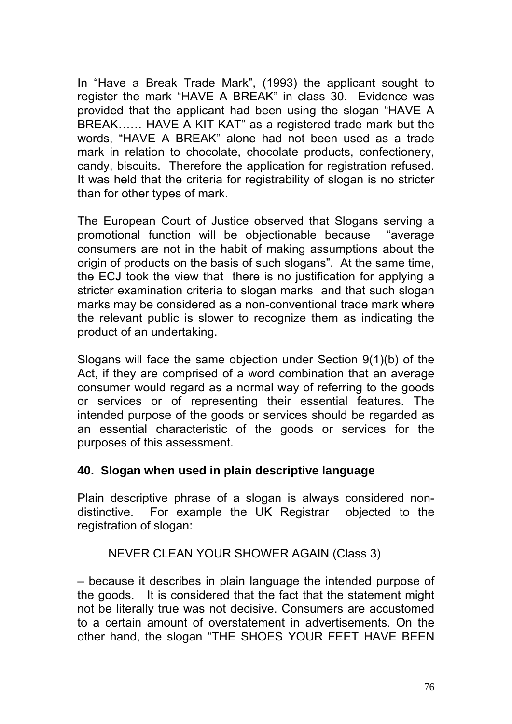In "Have a Break Trade Mark", (1993) the applicant sought to register the mark "HAVE A BREAK" in class 30. Evidence was provided that the applicant had been using the slogan "HAVE A BREAK…… HAVE A KIT KAT" as a registered trade mark but the words, "HAVE A BREAK" alone had not been used as a trade mark in relation to chocolate, chocolate products, confectionery, candy, biscuits. Therefore the application for registration refused. It was held that the criteria for registrability of slogan is no stricter than for other types of mark.

The European Court of Justice observed that Slogans serving a promotional function will be objectionable because "average consumers are not in the habit of making assumptions about the origin of products on the basis of such slogans". At the same time, the ECJ took the view that there is no justification for applying a stricter examination criteria to slogan marks and that such slogan marks may be considered as a non-conventional trade mark where the relevant public is slower to recognize them as indicating the product of an undertaking.

Slogans will face the same objection under Section 9(1)(b) of the Act, if they are comprised of a word combination that an average consumer would regard as a normal way of referring to the goods or services or of representing their essential features. The intended purpose of the goods or services should be regarded as an essential characteristic of the goods or services for the purposes of this assessment.

### **40. Slogan when used in plain descriptive language**

Plain descriptive phrase of a slogan is always considered nondistinctive. For example the UK Registrar objected to the registration of slogan:

### NEVER CLEAN YOUR SHOWER AGAIN (Class 3)

– because it describes in plain language the intended purpose of the goods. It is considered that the fact that the statement might not be literally true was not decisive. Consumers are accustomed to a certain amount of overstatement in advertisements. On the other hand, the slogan "THE SHOES YOUR FEET HAVE BEEN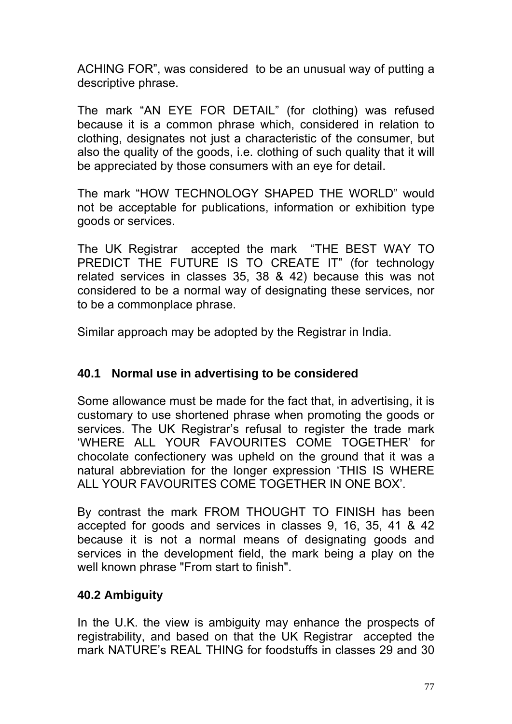ACHING FOR", was considered to be an unusual way of putting a descriptive phrase.

The mark "AN EYE FOR DETAIL" (for clothing) was refused because it is a common phrase which, considered in relation to clothing, designates not just a characteristic of the consumer, but also the quality of the goods, i.e. clothing of such quality that it will be appreciated by those consumers with an eye for detail.

The mark "HOW TECHNOLOGY SHAPED THE WORLD" would not be acceptable for publications, information or exhibition type goods or services.

The UK Registrar accepted the mark "THE BEST WAY TO PREDICT THE FUTURE IS TO CREATE IT" (for technology related services in classes 35, 38 & 42) because this was not considered to be a normal way of designating these services, nor to be a commonplace phrase.

Similar approach may be adopted by the Registrar in India.

## **40.1 Normal use in advertising to be considered**

Some allowance must be made for the fact that, in advertising, it is customary to use shortened phrase when promoting the goods or services. The UK Registrar's refusal to register the trade mark 'WHERE ALL YOUR FAVOURITES COME TOGETHER' for chocolate confectionery was upheld on the ground that it was a natural abbreviation for the longer expression 'THIS IS WHERE ALL YOUR FAVOURITES COME TOGETHER IN ONE BOX'.

By contrast the mark FROM THOUGHT TO FINISH has been accepted for goods and services in classes 9, 16, 35, 41 & 42 because it is not a normal means of designating goods and services in the development field, the mark being a play on the well known phrase "From start to finish".

## **40.2 Ambiguity**

In the U.K. the view is ambiguity may enhance the prospects of registrability, and based on that the UK Registrar accepted the mark NATURE's REAL THING for foodstuffs in classes 29 and 30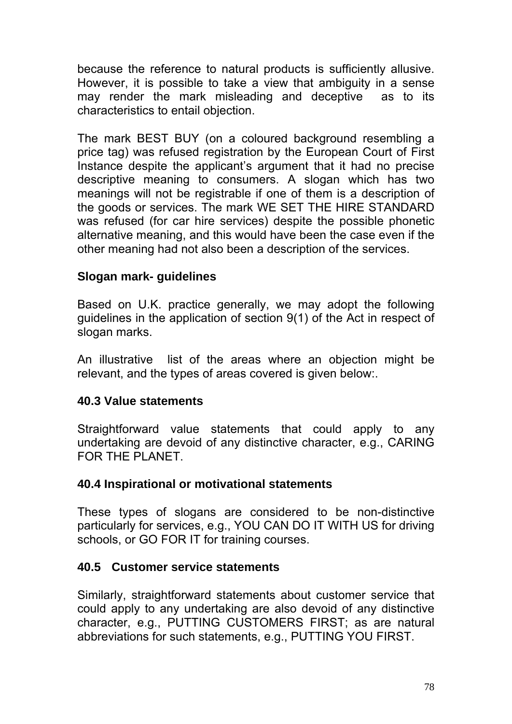because the reference to natural products is sufficiently allusive. However, it is possible to take a view that ambiguity in a sense may render the mark misleading and deceptive as to its characteristics to entail objection.

The mark BEST BUY (on a coloured background resembling a price tag) was refused registration by the European Court of First Instance despite the applicant's argument that it had no precise descriptive meaning to consumers. A slogan which has two meanings will not be registrable if one of them is a description of the goods or services. The mark WE SET THE HIRE STANDARD was refused (for car hire services) despite the possible phonetic alternative meaning, and this would have been the case even if the other meaning had not also been a description of the services.

### **Slogan mark- guidelines**

Based on U.K. practice generally, we may adopt the following guidelines in the application of section 9(1) of the Act in respect of slogan marks.

An illustrative list of the areas where an objection might be relevant, and the types of areas covered is given below:.

### **40.3 Value statements**

Straightforward value statements that could apply to any undertaking are devoid of any distinctive character, e.g., CARING FOR THE PLANET.

### **40.4 Inspirational or motivational statements**

These types of slogans are considered to be non-distinctive particularly for services, e.g., YOU CAN DO IT WITH US for driving schools, or GO FOR IT for training courses.

### **40.5 Customer service statements**

Similarly, straightforward statements about customer service that could apply to any undertaking are also devoid of any distinctive character, e.g., PUTTING CUSTOMERS FIRST; as are natural abbreviations for such statements, e.g., PUTTING YOU FIRST.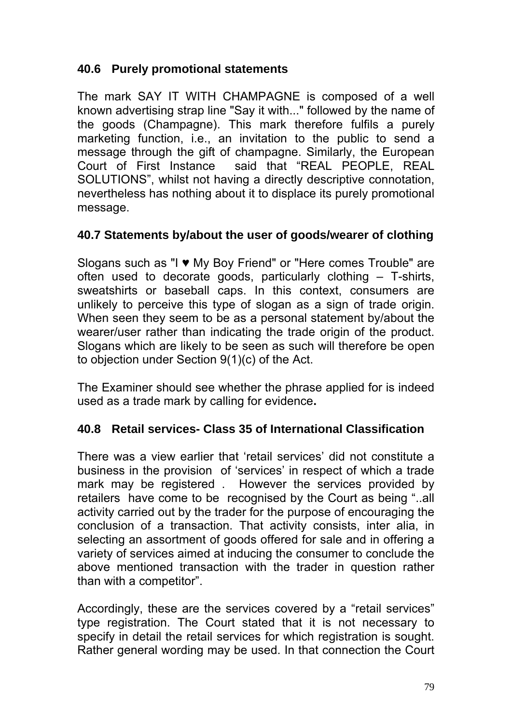### **40.6 Purely promotional statements**

The mark SAY IT WITH CHAMPAGNE is composed of a well known advertising strap line "Say it with..." followed by the name of the goods (Champagne). This mark therefore fulfils a purely marketing function, i.e., an invitation to the public to send a message through the gift of champagne. Similarly, the European Court of First Instance said that "REAL PEOPLE, REAL SOLUTIONS", whilst not having a directly descriptive connotation, nevertheless has nothing about it to displace its purely promotional message.

### **40.7 Statements by/about the user of goods/wearer of clothing**

Slogans such as "I ♥ My Boy Friend" or "Here comes Trouble" are often used to decorate goods, particularly clothing – T-shirts, sweatshirts or baseball caps. In this context, consumers are unlikely to perceive this type of slogan as a sign of trade origin. When seen they seem to be as a personal statement by/about the wearer/user rather than indicating the trade origin of the product. Slogans which are likely to be seen as such will therefore be open to objection under Section 9(1)(c) of the Act.

The Examiner should see whether the phrase applied for is indeed used as a trade mark by calling for evidence**.** 

### **40.8 Retail services- Class 35 of International Classification**

There was a view earlier that 'retail services' did not constitute a business in the provision of 'services' in respect of which a trade mark may be registered . However the services provided by retailers have come to be recognised by the Court as being "..all activity carried out by the trader for the purpose of encouraging the conclusion of a transaction. That activity consists, inter alia, in selecting an assortment of goods offered for sale and in offering a variety of services aimed at inducing the consumer to conclude the above mentioned transaction with the trader in question rather than with a competitor".

Accordingly, these are the services covered by a "retail services" type registration. The Court stated that it is not necessary to specify in detail the retail services for which registration is sought. Rather general wording may be used. In that connection the Court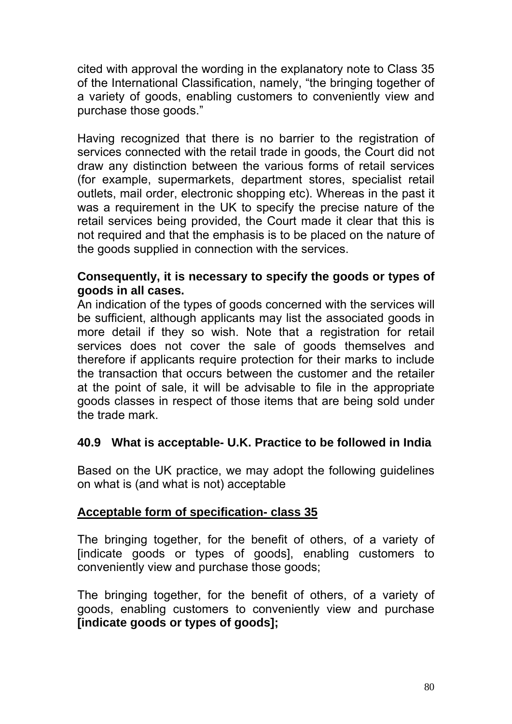cited with approval the wording in the explanatory note to Class 35 of the International Classification, namely, "the bringing together of a variety of goods, enabling customers to conveniently view and purchase those goods."

Having recognized that there is no barrier to the registration of services connected with the retail trade in goods, the Court did not draw any distinction between the various forms of retail services (for example, supermarkets, department stores, specialist retail outlets, mail order, electronic shopping etc). Whereas in the past it was a requirement in the UK to specify the precise nature of the retail services being provided, the Court made it clear that this is not required and that the emphasis is to be placed on the nature of the goods supplied in connection with the services.

#### **Consequently, it is necessary to specify the goods or types of goods in all cases.**

An indication of the types of goods concerned with the services will be sufficient, although applicants may list the associated goods in more detail if they so wish. Note that a registration for retail services does not cover the sale of goods themselves and therefore if applicants require protection for their marks to include the transaction that occurs between the customer and the retailer at the point of sale, it will be advisable to file in the appropriate goods classes in respect of those items that are being sold under the trade mark.

## **40.9 What is acceptable- U.K. Practice to be followed in India**

Based on the UK practice, we may adopt the following guidelines on what is (and what is not) acceptable

## **Acceptable form of specification- class 35**

The bringing together, for the benefit of others, of a variety of [indicate goods or types of goods], enabling customers to conveniently view and purchase those goods;

The bringing together, for the benefit of others, of a variety of goods, enabling customers to conveniently view and purchase **[indicate goods or types of goods];**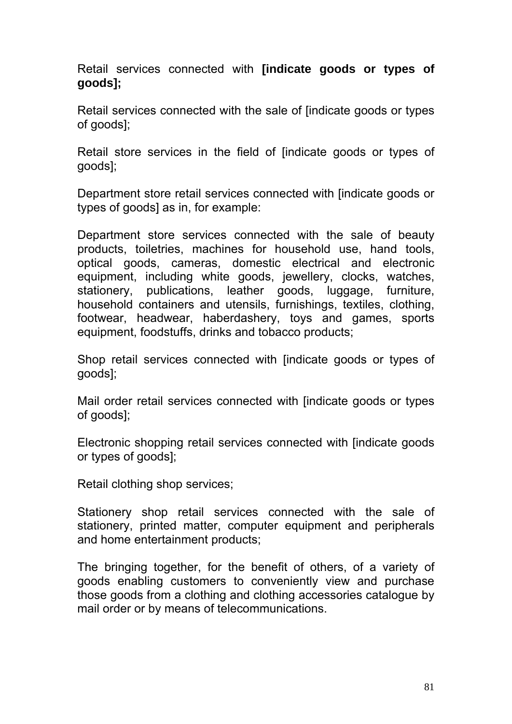Retail services connected with **[indicate goods or types of goods];** 

Retail services connected with the sale of [indicate goods or types of goods];

Retail store services in the field of [indicate goods or types of goods];

Department store retail services connected with [indicate goods or types of goods] as in, for example:

Department store services connected with the sale of beauty products, toiletries, machines for household use, hand tools, optical goods, cameras, domestic electrical and electronic equipment, including white goods, jewellery, clocks, watches, stationery, publications, leather goods, luggage, furniture, household containers and utensils, furnishings, textiles, clothing, footwear, headwear, haberdashery, toys and games, sports equipment, foodstuffs, drinks and tobacco products;

Shop retail services connected with [indicate goods or types of goods];

Mail order retail services connected with [indicate goods or types of goods];

Electronic shopping retail services connected with [indicate goods or types of goods];

Retail clothing shop services;

Stationery shop retail services connected with the sale of stationery, printed matter, computer equipment and peripherals and home entertainment products;

The bringing together, for the benefit of others, of a variety of goods enabling customers to conveniently view and purchase those goods from a clothing and clothing accessories catalogue by mail order or by means of telecommunications.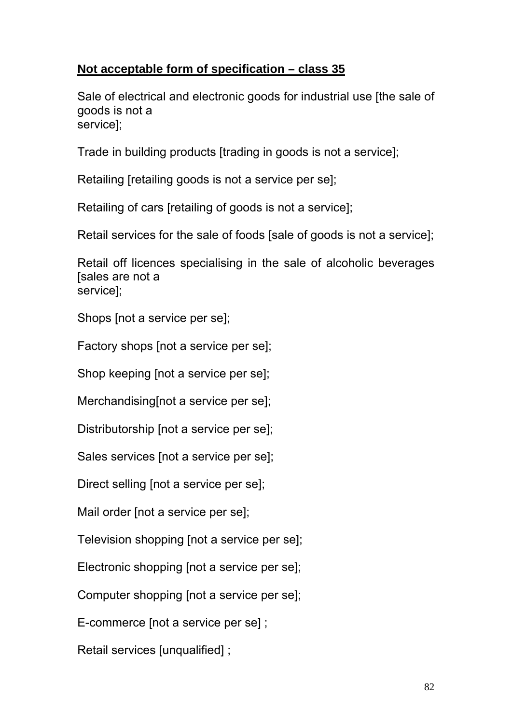## **Not acceptable form of specification – class 35**

Sale of electrical and electronic goods for industrial use [the sale of goods is not a service];

Trade in building products [trading in goods is not a service];

Retailing [retailing goods is not a service per se];

Retailing of cars [retailing of goods is not a service];

Retail services for the sale of foods [sale of goods is not a service];

Retail off licences specialising in the sale of alcoholic beverages [sales are not a service];

Shops [not a service per se];

Factory shops [not a service per se];

Shop keeping [not a service per se];

Merchandising[not a service per se];

Distributorship [not a service per se];

Sales services [not a service per se];

Direct selling [not a service per se];

Mail order [not a service per se];

Television shopping [not a service per se];

Electronic shopping [not a service per se];

Computer shopping [not a service per se];

E-commerce [not a service per se] ;

Retail services [unqualified] ;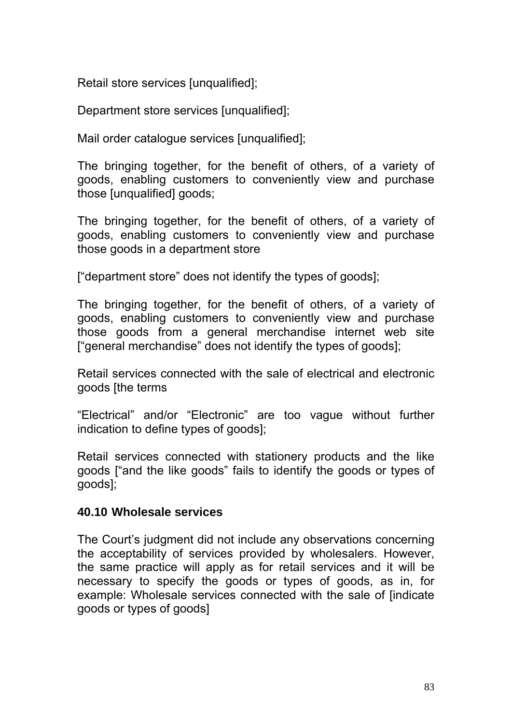Retail store services [unqualified];

Department store services [unqualified];

Mail order catalogue services [unqualified];

The bringing together, for the benefit of others, of a variety of goods, enabling customers to conveniently view and purchase those [unqualified] goods;

The bringing together, for the benefit of others, of a variety of goods, enabling customers to conveniently view and purchase those goods in a department store

["department store" does not identify the types of goods];

The bringing together, for the benefit of others, of a variety of goods, enabling customers to conveniently view and purchase those goods from a general merchandise internet web site ["general merchandise" does not identify the types of goods];

Retail services connected with the sale of electrical and electronic goods [the terms

"Electrical" and/or "Electronic" are too vague without further indication to define types of goods];

Retail services connected with stationery products and the like goods ["and the like goods" fails to identify the goods or types of goods];

#### **40.10 Wholesale services**

The Court's judgment did not include any observations concerning the acceptability of services provided by wholesalers. However, the same practice will apply as for retail services and it will be necessary to specify the goods or types of goods, as in, for example: Wholesale services connected with the sale of [indicate goods or types of goods]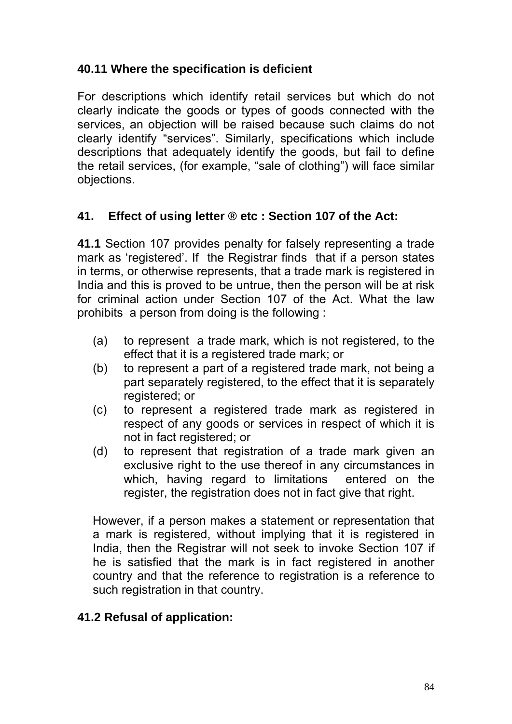## **40.11 Where the specification is deficient**

For descriptions which identify retail services but which do not clearly indicate the goods or types of goods connected with the services, an objection will be raised because such claims do not clearly identify "services". Similarly, specifications which include descriptions that adequately identify the goods, but fail to define the retail services, (for example, "sale of clothing") will face similar objections.

### **41. Effect of using letter ® etc : Section 107 of the Act:**

**41.1** Section 107 provides penalty for falsely representing a trade mark as 'registered'. If the Registrar finds that if a person states in terms, or otherwise represents, that a trade mark is registered in India and this is proved to be untrue, then the person will be at risk for criminal action under Section 107 of the Act. What the law prohibits a person from doing is the following :

- (a) to represent a trade mark, which is not registered, to the effect that it is a registered trade mark; or
- (b) to represent a part of a registered trade mark, not being a part separately registered, to the effect that it is separately registered; or
- (c) to represent a registered trade mark as registered in respect of any goods or services in respect of which it is not in fact registered; or
- (d) to represent that registration of a trade mark given an exclusive right to the use thereof in any circumstances in which, having regard to limitations entered on the register, the registration does not in fact give that right.

However, if a person makes a statement or representation that a mark is registered, without implying that it is registered in India, then the Registrar will not seek to invoke Section 107 if he is satisfied that the mark is in fact registered in another country and that the reference to registration is a reference to such registration in that country.

### **41.2 Refusal of application:**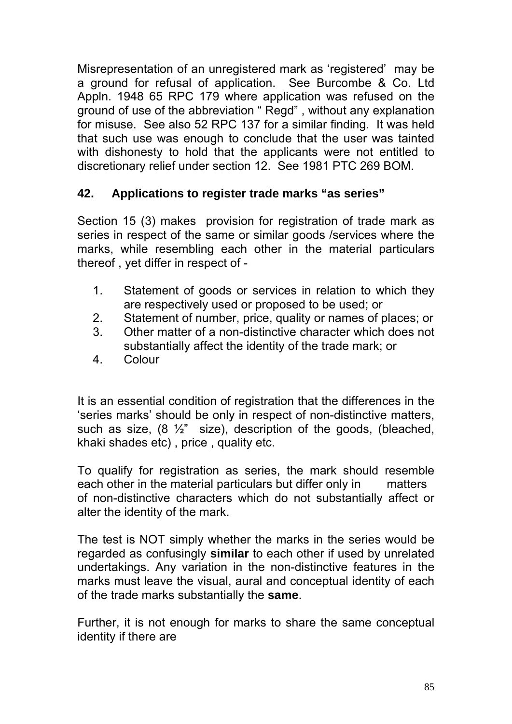Misrepresentation of an unregistered mark as 'registered' may be a ground for refusal of application. See Burcombe & Co. Ltd Appln. 1948 65 RPC 179 where application was refused on the ground of use of the abbreviation " Regd" , without any explanation for misuse. See also 52 RPC 137 for a similar finding. It was held that such use was enough to conclude that the user was tainted with dishonesty to hold that the applicants were not entitled to discretionary relief under section 12. See 1981 PTC 269 BOM.

# **42. Applications to register trade marks "as series"**

Section 15 (3) makesprovision for registration of trade mark as series in respect of the same or similar goods /services where the marks, while resembling each other in the material particulars thereof , yet differ in respect of -

- 1. Statement of goods or services in relation to which they are respectively used or proposed to be used; or
- 2. Statement of number, price, quality or names of places; or
- 3. Other matter of a non-distinctive character which does not substantially affect the identity of the trade mark; or
- 4. Colour

It is an essential condition of registration that the differences in the 'series marks' should be only in respect of non-distinctive matters, such as size, (8 ½" size), description of the goods, (bleached, khaki shades etc) , price , quality etc.

To qualify for registration as series, the mark should resemble each other in the material particulars but differ only in matters of non-distinctive characters which do not substantially affect or alter the identity of the mark.

The test is NOT simply whether the marks in the series would be regarded as confusingly **similar** to each other if used by unrelated undertakings. Any variation in the non-distinctive features in the marks must leave the visual, aural and conceptual identity of each of the trade marks substantially the **same**.

Further, it is not enough for marks to share the same conceptual identity if there are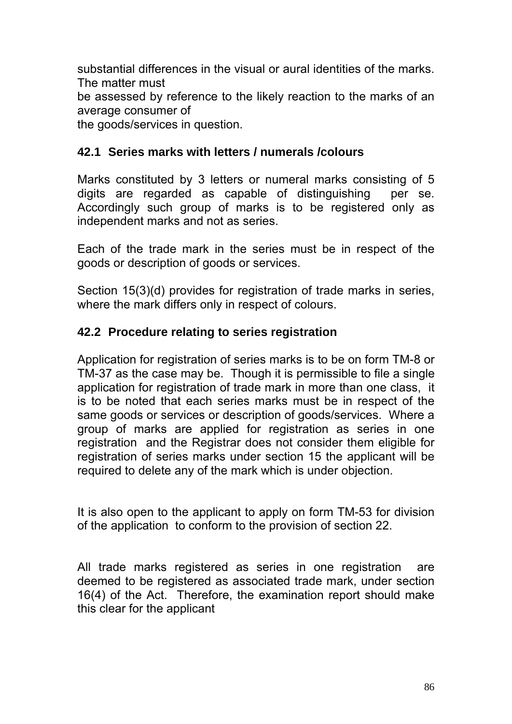substantial differences in the visual or aural identities of the marks. The matter must

be assessed by reference to the likely reaction to the marks of an average consumer of

the goods/services in question.

### **42.1 Series marks with letters / numerals /colours**

Marks constituted by 3 letters or numeral marks consisting of 5 digits are regarded as capable of distinguishing per se. Accordingly such group of marks is to be registered only as independent marks and not as series.

Each of the trade mark in the series must be in respect of the goods or description of goods or services.

Section 15(3)(d) provides for registration of trade marks in series, where the mark differs only in respect of colours.

### **42.2 Procedure relating to series registration**

Application for registration of series marks is to be on form TM-8 or TM-37 as the case may be. Though it is permissible to file a single application for registration of trade mark in more than one class, it is to be noted that each series marks must be in respect of the same goods or services or description of goods/services. Where a group of marks are applied for registration as series in one registration and the Registrar does not consider them eligible for registration of series marks under section 15 the applicant will be required to delete any of the mark which is under objection.

It is also open to the applicant to apply on form TM-53 for division of the application to conform to the provision of section 22.

All trade marks registered as series in one registration are deemed to be registered as associated trade mark, under section 16(4) of the Act. Therefore, the examination report should make this clear for the applicant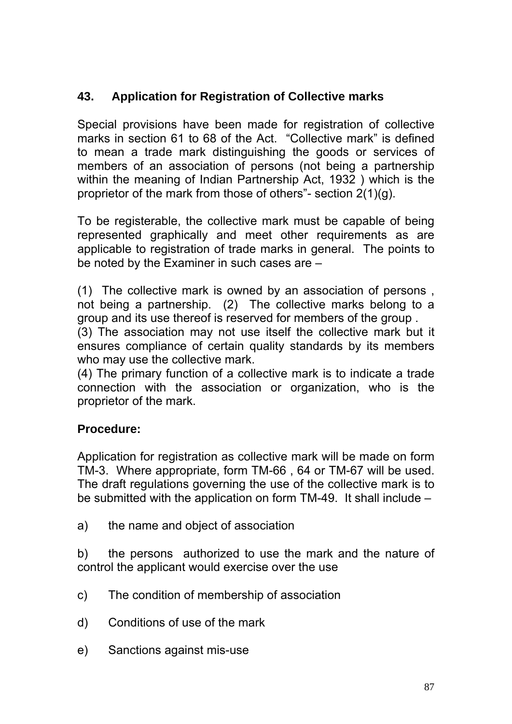# **43. Application for Registration of Collective marks**

Special provisions have been made for registration of collective marks in section 61 to 68 of the Act. "Collective mark" is defined to mean a trade mark distinguishing the goods or services of members of an association of persons (not being a partnership within the meaning of Indian Partnership Act, 1932 ) which is the proprietor of the mark from those of others"- section 2(1)(g).

To be registerable, the collective mark must be capable of being represented graphically and meet other requirements as are applicable to registration of trade marks in general. The points to be noted by the Examiner in such cases are –

(1) The collective mark is owned by an association of persons , not being a partnership. (2) The collective marks belong to a group and its use thereof is reserved for members of the group .

(3) The association may not use itself the collective mark but it ensures compliance of certain quality standards by its members who may use the collective mark.

(4) The primary function of a collective mark is to indicate a trade connection with the association or organization, who is the proprietor of the mark.

## **Procedure:**

Application for registration as collective mark will be made on form TM-3. Where appropriate, form TM-66 , 64 or TM-67 will be used. The draft regulations governing the use of the collective mark is to be submitted with the application on form TM-49. It shall include –

a) the name and object of association

b) the persons authorized to use the mark and the nature of control the applicant would exercise over the use

- c) The condition of membership of association
- d) Conditions of use of the mark
- e) Sanctions against mis-use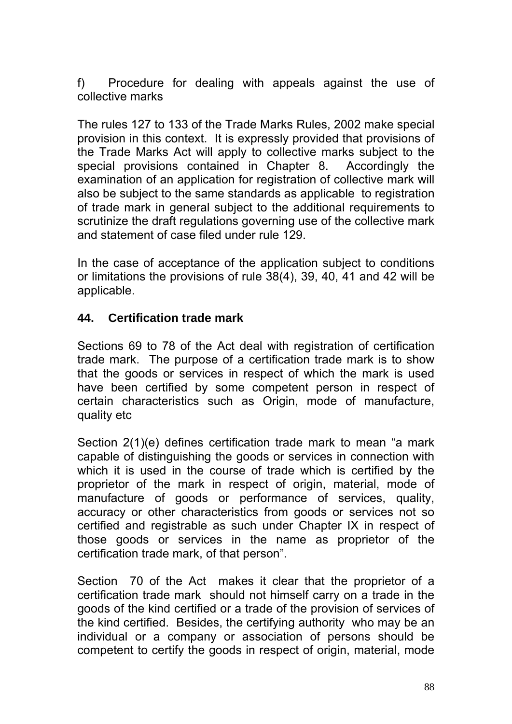f) Procedure for dealing with appeals against the use of collective marks

The rules 127 to 133 of the Trade Marks Rules, 2002 make special provision in this context. It is expressly provided that provisions of the Trade Marks Act will apply to collective marks subject to the special provisions contained in Chapter 8. Accordingly the examination of an application for registration of collective mark will also be subject to the same standards as applicable to registration of trade mark in general subject to the additional requirements to scrutinize the draft regulations governing use of the collective mark and statement of case filed under rule 129.

In the case of acceptance of the application subject to conditions or limitations the provisions of rule 38(4), 39, 40, 41 and 42 will be applicable.

### **44. Certification trade mark**

Sections 69 to 78 of the Act deal with registration of certification trade mark. The purpose of a certification trade mark is to show that the goods or services in respect of which the mark is used have been certified by some competent person in respect of certain characteristics such as Origin, mode of manufacture, quality etc

Section 2(1)(e) defines certification trade mark to mean "a mark capable of distinguishing the goods or services in connection with which it is used in the course of trade which is certified by the proprietor of the mark in respect of origin, material, mode of manufacture of goods or performance of services, quality, accuracy or other characteristics from goods or services not so certified and registrable as such under Chapter IX in respect of those goods or services in the name as proprietor of the certification trade mark, of that person".

Section 70 of the Act makes it clear that the proprietor of a certification trade mark should not himself carry on a trade in the goods of the kind certified or a trade of the provision of services of the kind certified. Besides, the certifying authority who may be an individual or a company or association of persons should be competent to certify the goods in respect of origin, material, mode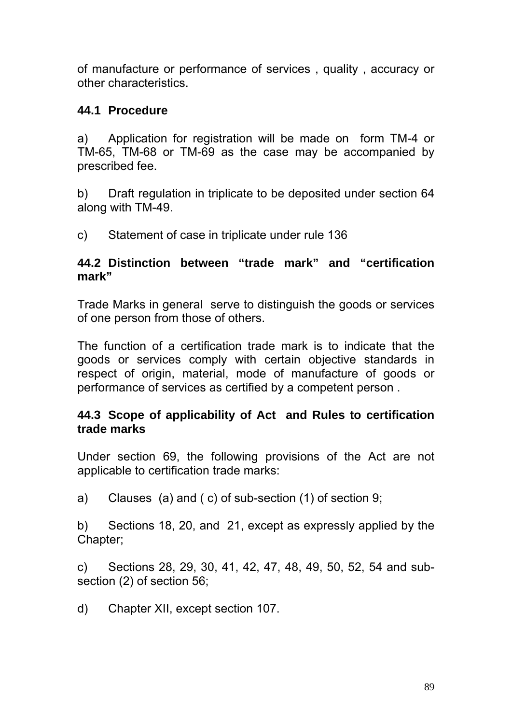of manufacture or performance of services , quality , accuracy or other characteristics.

### **44.1 Procedure**

a) Application for registration will be made on form TM-4 or TM-65, TM-68 or TM-69 as the case may be accompanied by prescribed fee.

b) Draft regulation in triplicate to be deposited under section 64 along with TM-49.

c) Statement of case in triplicate under rule 136

#### **44.2 Distinction between "trade mark" and "certification mark"**

Trade Marks in general serve to distinguish the goods or services of one person from those of others.

The function of a certification trade mark is to indicate that the goods or services comply with certain objective standards in respect of origin, material, mode of manufacture of goods or performance of services as certified by a competent person .

### **44.3 Scope of applicability of Act and Rules to certification trade marks**

Under section 69, the following provisions of the Act are not applicable to certification trade marks:

a) Clauses (a) and ( c) of sub-section (1) of section 9;

b) Sections 18, 20, and 21, except as expressly applied by the Chapter;

c) Sections 28, 29, 30, 41, 42, 47, 48, 49, 50, 52, 54 and subsection (2) of section 56;

d) Chapter XII, except section 107.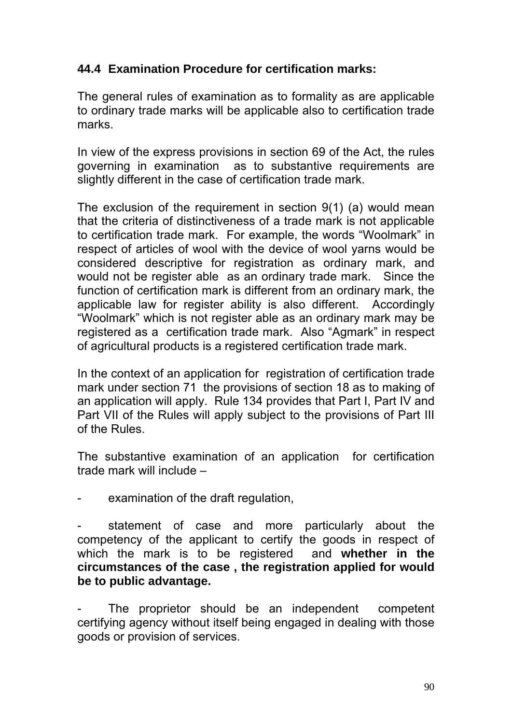## **44.4 Examination Procedure for certification marks:**

The general rules of examination as to formality as are applicable to ordinary trade marks will be applicable also to certification trade marks.

In view of the express provisions in section 69 of the Act, the rules governing in examination as to substantive requirements are slightly different in the case of certification trade mark.

The exclusion of the requirement in section 9(1) (a) would mean that the criteria of distinctiveness of a trade mark is not applicable to certification trade mark. For example, the words "Woolmark" in respect of articles of wool with the device of wool yarns would be considered descriptive for registration as ordinary mark, and would not be register able as an ordinary trade mark. Since the function of certification mark is different from an ordinary mark, the applicable law for register ability is also different. Accordingly "Woolmark" which is not register able as an ordinary mark may be registered as a certification trade mark. Also "Agmark" in respect of agricultural products is a registered certification trade mark.

In the context of an application for registration of certification trade mark under section 71 the provisions of section 18 as to making of an application will apply. Rule 134 provides that Part I, Part IV and Part VII of the Rules will apply subject to the provisions of Part III of the Rules.

The substantive examination of an application for certification trade mark will include –

examination of the draft regulation,

statement of case and more particularly about the competency of the applicant to certify the goods in respect of which the mark is to be registered and **whether in the circumstances of the case , the registration applied for would be to public advantage.**

The proprietor should be an independent competent certifying agency without itself being engaged in dealing with those goods or provision of services.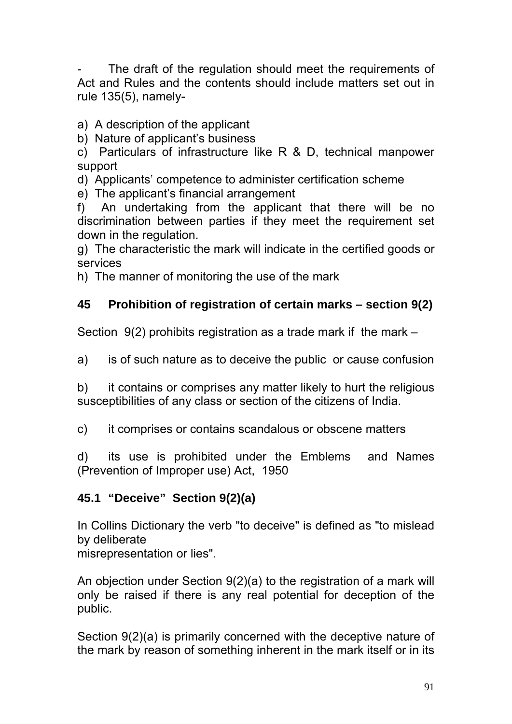The draft of the regulation should meet the requirements of Act and Rules and the contents should include matters set out in rule 135(5), namely-

a) A description of the applicant

b) Nature of applicant's business

c) Particulars of infrastructure like R & D, technical manpower support

d) Applicants' competence to administer certification scheme

e) The applicant's financial arrangement

f) An undertaking from the applicant that there will be no discrimination between parties if they meet the requirement set down in the regulation.

g) The characteristic the mark will indicate in the certified goods or services

h) The manner of monitoring the use of the mark

# **45 Prohibition of registration of certain marks – section 9(2)**

Section 9(2) prohibits registration as a trade mark if the mark –

a) is of such nature as to deceive the public or cause confusion

b) it contains or comprises any matter likely to hurt the religious susceptibilities of any class or section of the citizens of India.

c) it comprises or contains scandalous or obscene matters

d) its use is prohibited under the Emblems and Names (Prevention of Improper use) Act, 1950

## **45.1 "Deceive" Section 9(2)(a)**

In Collins Dictionary the verb "to deceive" is defined as "to mislead by deliberate

misrepresentation or lies".

An objection under Section 9(2)(a) to the registration of a mark will only be raised if there is any real potential for deception of the public.

Section 9(2)(a) is primarily concerned with the deceptive nature of the mark by reason of something inherent in the mark itself or in its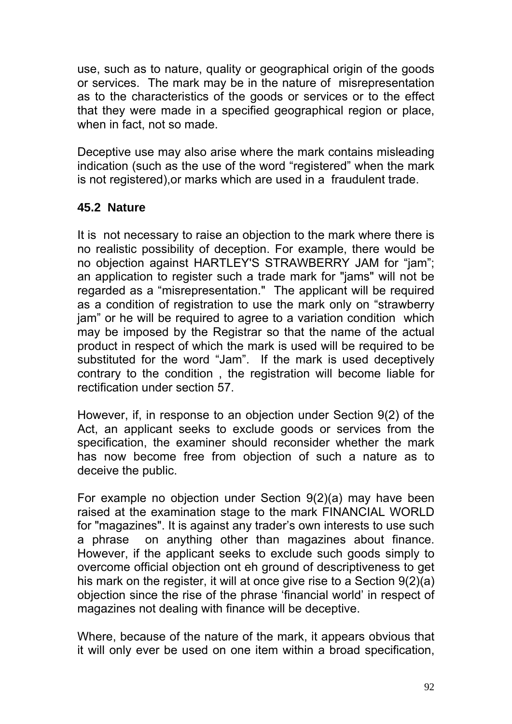use, such as to nature, quality or geographical origin of the goods or services. The mark may be in the nature of misrepresentation as to the characteristics of the goods or services or to the effect that they were made in a specified geographical region or place, when in fact, not so made.

Deceptive use may also arise where the mark contains misleading indication (such as the use of the word "registered" when the mark is not registered),or marks which are used in a fraudulent trade.

# **45.2 Nature**

It is not necessary to raise an objection to the mark where there is no realistic possibility of deception. For example, there would be no objection against HARTLEY'S STRAWBERRY JAM for "jam"; an application to register such a trade mark for "jams" will not be regarded as a "misrepresentation." The applicant will be required as a condition of registration to use the mark only on "strawberry jam" or he will be required to agree to a variation condition which may be imposed by the Registrar so that the name of the actual product in respect of which the mark is used will be required to be substituted for the word "Jam". If the mark is used deceptively contrary to the condition , the registration will become liable for rectification under section 57.

However, if, in response to an objection under Section 9(2) of the Act, an applicant seeks to exclude goods or services from the specification, the examiner should reconsider whether the mark has now become free from objection of such a nature as to deceive the public.

For example no objection under Section 9(2)(a) may have been raised at the examination stage to the mark FINANCIAL WORLD for "magazines". It is against any trader's own interests to use such a phrase on anything other than magazines about finance. However, if the applicant seeks to exclude such goods simply to overcome official objection ont eh ground of descriptiveness to get his mark on the register, it will at once give rise to a Section 9(2)(a) objection since the rise of the phrase 'financial world' in respect of magazines not dealing with finance will be deceptive.

Where, because of the nature of the mark, it appears obvious that it will only ever be used on one item within a broad specification,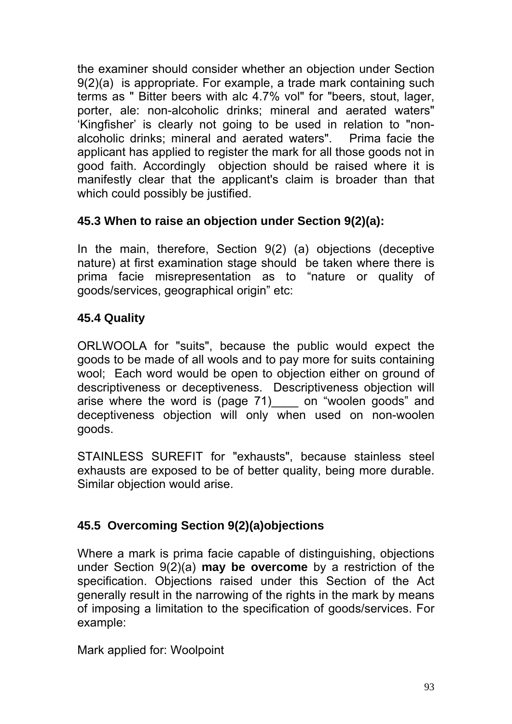the examiner should consider whether an objection under Section 9(2)(a) is appropriate. For example, a trade mark containing such terms as " Bitter beers with alc 4.7% vol" for "beers, stout, lager, porter, ale: non-alcoholic drinks; mineral and aerated waters" 'Kingfisher' is clearly not going to be used in relation to "nonalcoholic drinks; mineral and aerated waters". Prima facie the applicant has applied to register the mark for all those goods not in good faith. Accordingly objection should be raised where it is manifestly clear that the applicant's claim is broader than that which could possibly be justified.

## **45.3 When to raise an objection under Section 9(2)(a):**

In the main, therefore, Section 9(2) (a) objections (deceptive nature) at first examination stage should be taken where there is prima facie misrepresentation as to "nature or quality of goods/services, geographical origin" etc:

### **45.4 Quality**

ORLWOOLA for "suits", because the public would expect the goods to be made of all wools and to pay more for suits containing wool; Each word would be open to objection either on ground of descriptiveness or deceptiveness. Descriptiveness objection will arise where the word is (page 71)\_\_\_\_ on "woolen goods" and deceptiveness objection will only when used on non-woolen goods.

STAINLESS SUREFIT for "exhausts", because stainless steel exhausts are exposed to be of better quality, being more durable. Similar objection would arise.

## **45.5 Overcoming Section 9(2)(a)objections**

Where a mark is prima facie capable of distinguishing, objections under Section 9(2)(a) **may be overcome** by a restriction of the specification. Objections raised under this Section of the Act generally result in the narrowing of the rights in the mark by means of imposing a limitation to the specification of goods/services. For example:

Mark applied for: Woolpoint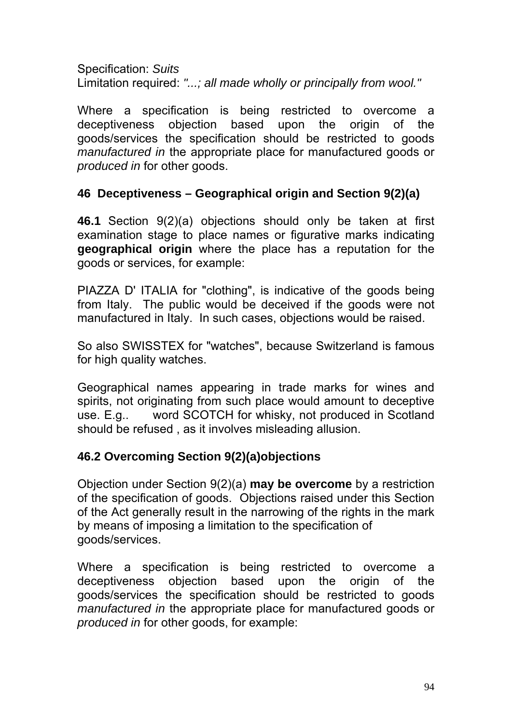Specification: *Suits*  Limitation required: *"...; all made wholly or principally from wool."* 

Where a specification is being restricted to overcome a deceptiveness objection based upon the origin of the goods/services the specification should be restricted to goods *manufactured in* the appropriate place for manufactured goods or *produced in* for other goods.

### **46 Deceptiveness – Geographical origin and Section 9(2)(a)**

**46.1** Section 9(2)(a) objections should only be taken at first examination stage to place names or figurative marks indicating **geographical origin** where the place has a reputation for the goods or services, for example:

PIAZZA D' ITALIA for "clothing", is indicative of the goods being from Italy. The public would be deceived if the goods were not manufactured in Italy. In such cases, objections would be raised.

So also SWISSTEX for "watches", because Switzerland is famous for high quality watches.

Geographical names appearing in trade marks for wines and spirits, not originating from such place would amount to deceptive use. E.g.. word SCOTCH for whisky, not produced in Scotland should be refused , as it involves misleading allusion.

## **46.2 Overcoming Section 9(2)(a)objections**

Objection under Section 9(2)(a) **may be overcome** by a restriction of the specification of goods. Objections raised under this Section of the Act generally result in the narrowing of the rights in the mark by means of imposing a limitation to the specification of goods/services.

Where a specification is being restricted to overcome a deceptiveness objection based upon the origin of the goods/services the specification should be restricted to goods *manufactured in* the appropriate place for manufactured goods or *produced in* for other goods, for example: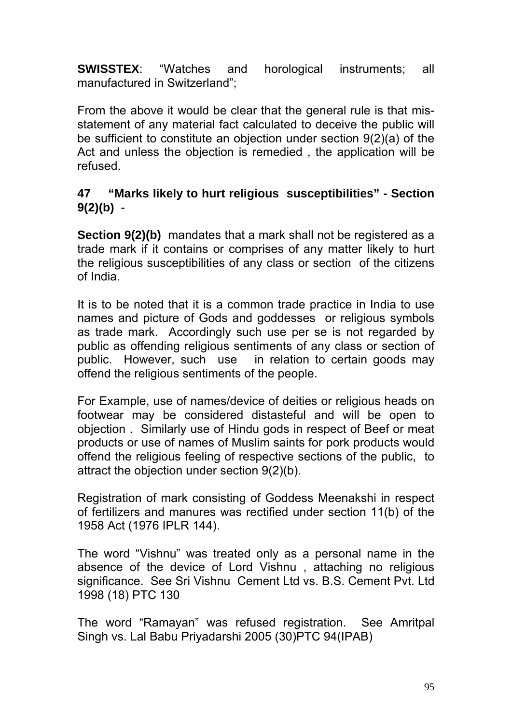**SWISSTEX**: "Watches and horological instruments; all manufactured in Switzerland";

From the above it would be clear that the general rule is that misstatement of any material fact calculated to deceive the public will be sufficient to constitute an objection under section 9(2)(a) of the Act and unless the objection is remedied , the application will be refused.

### **47 "Marks likely to hurt religious susceptibilities" - Section 9(2)(b)** -

**Section 9(2)(b)** mandates that a mark shall not be registered as a trade mark if it contains or comprises of any matter likely to hurt the religious susceptibilities of any class or section of the citizens of India.

It is to be noted that it is a common trade practice in India to use names and picture of Gods and goddesses or religious symbols as trade mark. Accordingly such use per se is not regarded by public as offending religious sentiments of any class or section of public. However, such use in relation to certain goods may offend the religious sentiments of the people.

For Example, use of names/device of deities or religious heads on footwear may be considered distasteful and will be open to objection . Similarly use of Hindu gods in respect of Beef or meat products or use of names of Muslim saints for pork products would offend the religious feeling of respective sections of the public, to attract the objection under section 9(2)(b).

Registration of mark consisting of Goddess Meenakshi in respect of fertilizers and manures was rectified under section 11(b) of the 1958 Act (1976 IPLR 144).

The word "Vishnu" was treated only as a personal name in the absence of the device of Lord Vishnu , attaching no religious significance. See Sri Vishnu Cement Ltd vs. B.S. Cement Pvt. Ltd 1998 (18) PTC 130

The word "Ramayan" was refused registration. See Amritpal Singh vs. Lal Babu Priyadarshi 2005 (30)PTC 94(IPAB)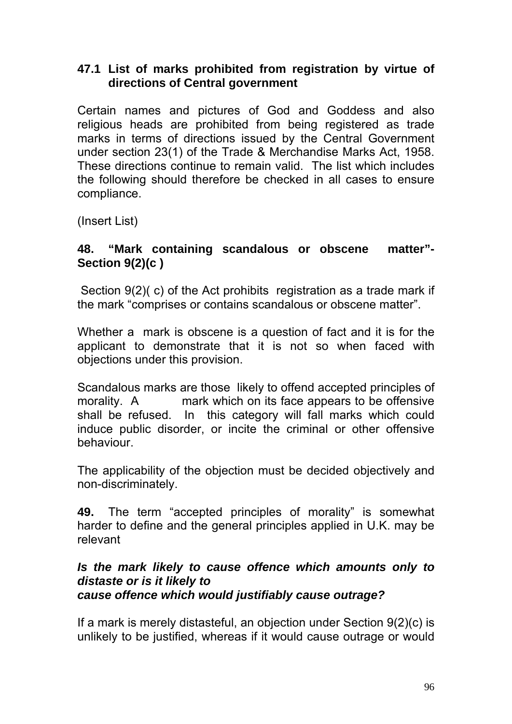### **47.1 List of marks prohibited from registration by virtue of directions of Central government**

Certain names and pictures of God and Goddess and also religious heads are prohibited from being registered as trade marks in terms of directions issued by the Central Government under section 23(1) of the Trade & Merchandise Marks Act, 1958. These directions continue to remain valid. The list which includes the following should therefore be checked in all cases to ensure compliance.

(Insert List)

### **48. "Mark containing scandalous or obscene matter"- Section 9(2)(c )**

 Section 9(2)( c) of the Act prohibits registration as a trade mark if the mark "comprises or contains scandalous or obscene matter".

Whether a mark is obscene is a question of fact and it is for the applicant to demonstrate that it is not so when faced with objections under this provision.

Scandalous marks are those likely to offend accepted principles of morality. A mark which on its face appears to be offensive shall be refused. In this category will fall marks which could induce public disorder, or incite the criminal or other offensive behaviour.

The applicability of the objection must be decided objectively and non-discriminately.

**49.** The term "accepted principles of morality" is somewhat harder to define and the general principles applied in U.K. may be relevant

#### *Is the mark likely to cause offence which amounts only to distaste or is it likely to cause offence which would justifiably cause outrage?*

If a mark is merely distasteful, an objection under Section 9(2)(c) is unlikely to be justified, whereas if it would cause outrage or would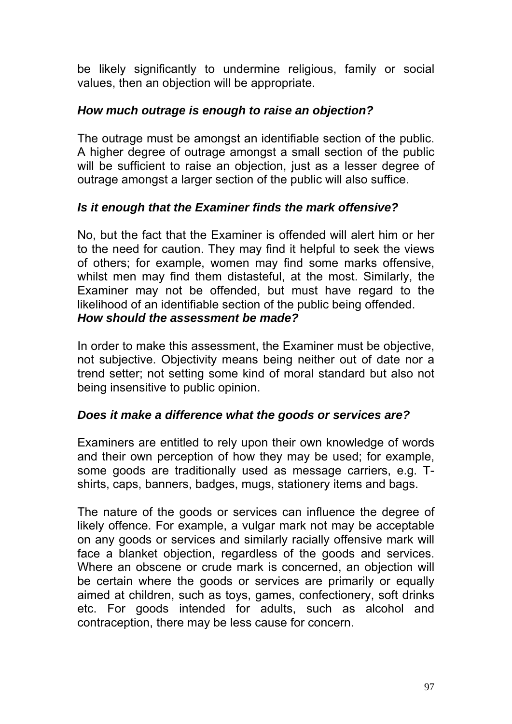be likely significantly to undermine religious, family or social values, then an objection will be appropriate.

### *How much outrage is enough to raise an objection?*

The outrage must be amongst an identifiable section of the public. A higher degree of outrage amongst a small section of the public will be sufficient to raise an objection, just as a lesser degree of outrage amongst a larger section of the public will also suffice.

## *Is it enough that the Examiner finds the mark offensive?*

No, but the fact that the Examiner is offended will alert him or her to the need for caution. They may find it helpful to seek the views of others; for example, women may find some marks offensive, whilst men may find them distasteful, at the most. Similarly, the Examiner may not be offended, but must have regard to the likelihood of an identifiable section of the public being offended. *How should the assessment be made?* 

In order to make this assessment, the Examiner must be objective, not subjective. Objectivity means being neither out of date nor a trend setter; not setting some kind of moral standard but also not being insensitive to public opinion.

### *Does it make a difference what the goods or services are?*

Examiners are entitled to rely upon their own knowledge of words and their own perception of how they may be used; for example, some goods are traditionally used as message carriers, e.g. Tshirts, caps, banners, badges, mugs, stationery items and bags.

The nature of the goods or services can influence the degree of likely offence. For example, a vulgar mark not may be acceptable on any goods or services and similarly racially offensive mark will face a blanket objection, regardless of the goods and services. Where an obscene or crude mark is concerned, an objection will be certain where the goods or services are primarily or equally aimed at children, such as toys, games, confectionery, soft drinks etc. For goods intended for adults, such as alcohol and contraception, there may be less cause for concern.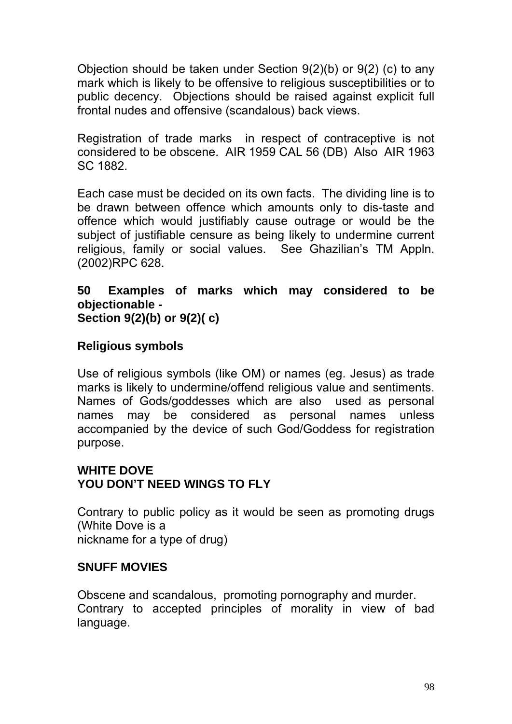Objection should be taken under Section 9(2)(b) or 9(2) (c) to any mark which is likely to be offensive to religious susceptibilities or to public decency. Objections should be raised against explicit full frontal nudes and offensive (scandalous) back views.

Registration of trade marks in respect of contraceptive is not considered to be obscene. AIR 1959 CAL 56 (DB) Also AIR 1963 SC 1882.

Each case must be decided on its own facts. The dividing line is to be drawn between offence which amounts only to dis-taste and offence which would justifiably cause outrage or would be the subject of justifiable censure as being likely to undermine current religious, family or social values. See Ghazilian's TM Appln. (2002)RPC 628.

**50 Examples of marks which may considered to be objectionable - Section 9(2)(b) or 9(2)( c)** 

### **Religious symbols**

Use of religious symbols (like OM) or names (eg. Jesus) as trade marks is likely to undermine/offend religious value and sentiments. Names of Gods/goddesses which are also used as personal names may be considered as personal names unless accompanied by the device of such God/Goddess for registration purpose.

#### **WHITE DOVE YOU DON'T NEED WINGS TO FLY**

Contrary to public policy as it would be seen as promoting drugs (White Dove is a nickname for a type of drug)

### **SNUFF MOVIES**

Obscene and scandalous, promoting pornography and murder. Contrary to accepted principles of morality in view of bad language.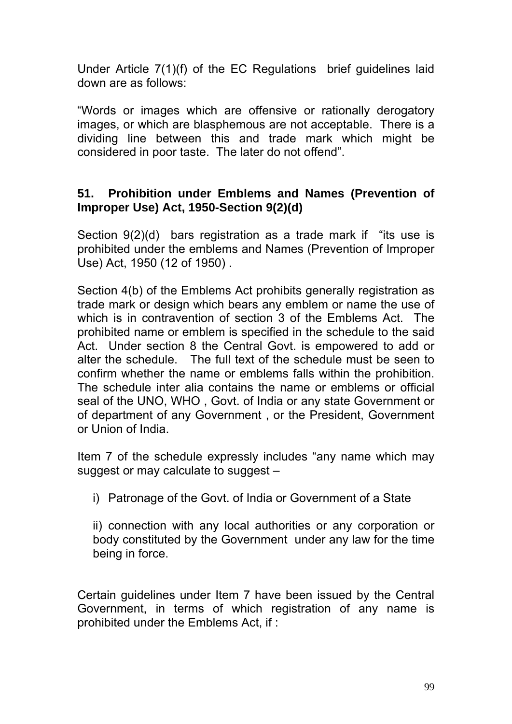Under Article 7(1)(f) of the EC Regulations brief guidelines laid down are as follows:

"Words or images which are offensive or rationally derogatory images, or which are blasphemous are not acceptable. There is a dividing line between this and trade mark which might be considered in poor taste. The later do not offend".

#### **51. Prohibition under Emblems and Names (Prevention of Improper Use) Act, 1950-Section 9(2)(d)**

Section 9(2)(d) bars registration as a trade mark if "its use is prohibited under the emblems and Names (Prevention of Improper Use) Act, 1950 (12 of 1950) .

Section 4(b) of the Emblems Act prohibits generally registration as trade mark or design which bears any emblem or name the use of which is in contravention of section 3 of the Emblems Act. The prohibited name or emblem is specified in the schedule to the said Act. Under section 8 the Central Govt. is empowered to add or alter the schedule. The full text of the schedule must be seen to confirm whether the name or emblems falls within the prohibition. The schedule inter alia contains the name or emblems or official seal of the UNO, WHO , Govt. of India or any state Government or of department of any Government , or the President, Government or Union of India.

Item 7 of the schedule expressly includes "any name which may suggest or may calculate to suggest –

i) Patronage of the Govt. of India or Government of a State

ii) connection with any local authorities or any corporation or body constituted by the Government under any law for the time being in force.

Certain guidelines under Item 7 have been issued by the Central Government, in terms of which registration of any name is prohibited under the Emblems Act, if :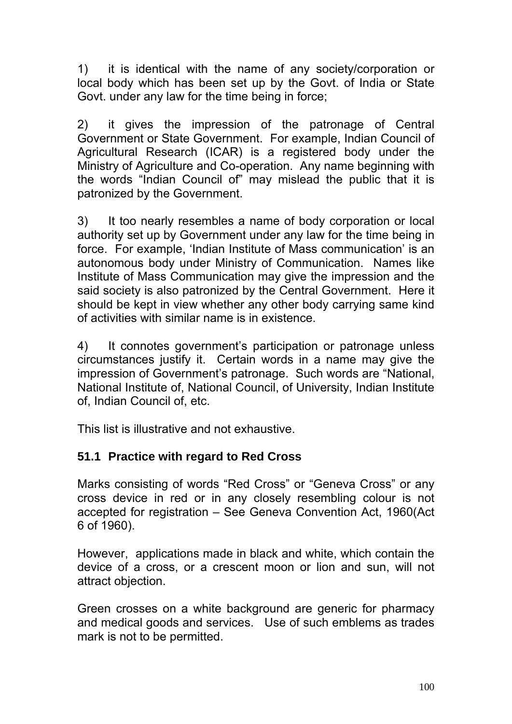1) it is identical with the name of any society/corporation or local body which has been set up by the Govt. of India or State Govt. under any law for the time being in force;

2) it gives the impression of the patronage of Central Government or State Government. For example, Indian Council of Agricultural Research (ICAR) is a registered body under the Ministry of Agriculture and Co-operation. Any name beginning with the words "Indian Council of" may mislead the public that it is patronized by the Government.

3) It too nearly resembles a name of body corporation or local authority set up by Government under any law for the time being in force. For example, 'Indian Institute of Mass communication' is an autonomous body under Ministry of Communication. Names like Institute of Mass Communication may give the impression and the said society is also patronized by the Central Government. Here it should be kept in view whether any other body carrying same kind of activities with similar name is in existence.

4) It connotes government's participation or patronage unless circumstances justify it. Certain words in a name may give the impression of Government's patronage. Such words are "National, National Institute of, National Council, of University, Indian Institute of, Indian Council of, etc.

This list is illustrative and not exhaustive.

# **51.1 Practice with regard to Red Cross**

Marks consisting of words "Red Cross" or "Geneva Cross" or any cross device in red or in any closely resembling colour is not accepted for registration – See Geneva Convention Act, 1960(Act 6 of 1960).

However, applications made in black and white, which contain the device of a cross, or a crescent moon or lion and sun, will not attract objection.

Green crosses on a white background are generic for pharmacy and medical goods and services. Use of such emblems as trades mark is not to be permitted.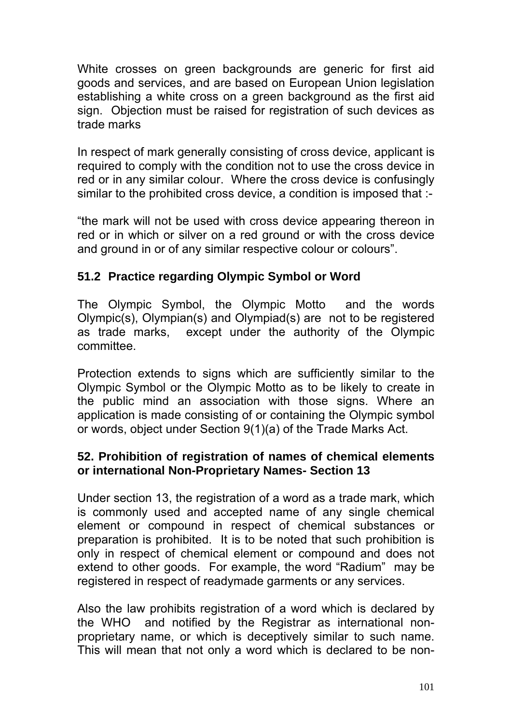White crosses on green backgrounds are generic for first aid goods and services, and are based on European Union legislation establishing a white cross on a green background as the first aid sign. Objection must be raised for registration of such devices as trade marks

In respect of mark generally consisting of cross device, applicant is required to comply with the condition not to use the cross device in red or in any similar colour. Where the cross device is confusingly similar to the prohibited cross device, a condition is imposed that :-

"the mark will not be used with cross device appearing thereon in red or in which or silver on a red ground or with the cross device and ground in or of any similar respective colour or colours".

## **51.2 Practice regarding Olympic Symbol or Word**

The Olympic Symbol, the Olympic Motto and the words Olympic(s), Olympian(s) and Olympiad(s) are not to be registered as trade marks, except under the authority of the Olympic committee.

Protection extends to signs which are sufficiently similar to the Olympic Symbol or the Olympic Motto as to be likely to create in the public mind an association with those signs. Where an application is made consisting of or containing the Olympic symbol or words, object under Section 9(1)(a) of the Trade Marks Act.

### **52. Prohibition of registration of names of chemical elements or international Non-Proprietary Names- Section 13**

Under section 13, the registration of a word as a trade mark, which is commonly used and accepted name of any single chemical element or compound in respect of chemical substances or preparation is prohibited. It is to be noted that such prohibition is only in respect of chemical element or compound and does not extend to other goods. For example, the word "Radium" may be registered in respect of readymade garments or any services.

Also the law prohibits registration of a word which is declared by the WHO and notified by the Registrar as international nonproprietary name, or which is deceptively similar to such name. This will mean that not only a word which is declared to be non-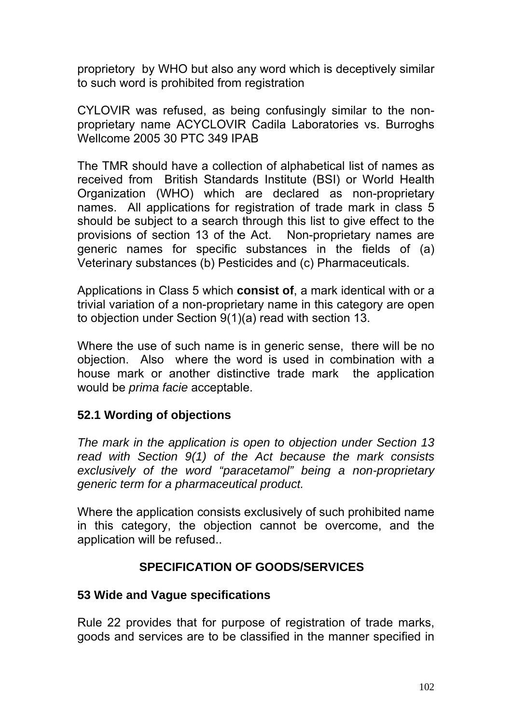proprietory by WHO but also any word which is deceptively similar to such word is prohibited from registration

CYLOVIR was refused, as being confusingly similar to the nonproprietary name ACYCLOVIR Cadila Laboratories vs. Burroghs Wellcome 2005 30 PTC 349 IPAB

The TMR should have a collection of alphabetical list of names as received from British Standards Institute (BSI) or World Health Organization (WHO) which are declared as non-proprietary names. All applications for registration of trade mark in class 5 should be subject to a search through this list to give effect to the provisions of section 13 of the Act. Non-proprietary names are generic names for specific substances in the fields of (a) Veterinary substances (b) Pesticides and (c) Pharmaceuticals.

Applications in Class 5 which **consist of**, a mark identical with or a trivial variation of a non-proprietary name in this category are open to objection under Section 9(1)(a) read with section 13.

Where the use of such name is in generic sense, there will be no objection. Also where the word is used in combination with a house mark or another distinctive trade mark the application would be *prima facie* acceptable.

## **52.1 Wording of objections**

*The mark in the application is open to objection under Section 13 read with Section 9(1) of the Act because the mark consists exclusively of the word "paracetamol" being a non-proprietary generic term for a pharmaceutical product.* 

Where the application consists exclusively of such prohibited name in this category, the objection cannot be overcome, and the application will be refused..

## **SPECIFICATION OF GOODS/SERVICES**

### **53 Wide and Vague specifications**

Rule 22 provides that for purpose of registration of trade marks, goods and services are to be classified in the manner specified in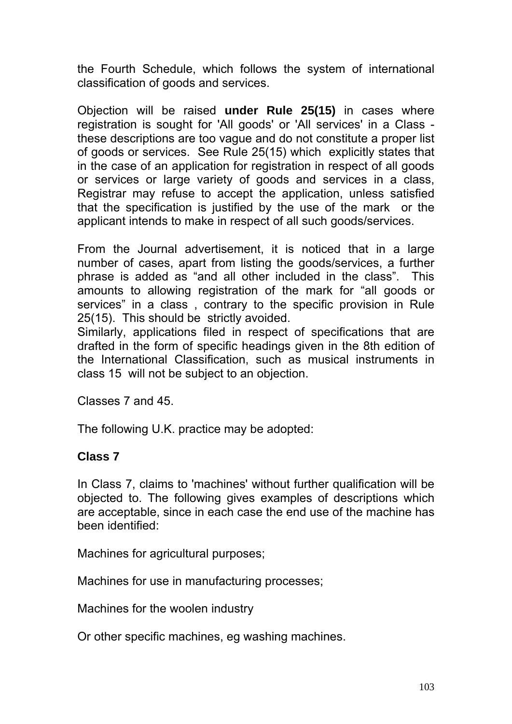the Fourth Schedule, which follows the system of international classification of goods and services.

Objection will be raised **under Rule 25(15)** in cases where registration is sought for 'All goods' or 'All services' in a Class these descriptions are too vague and do not constitute a proper list of goods or services. See Rule 25(15) which explicitly states that in the case of an application for registration in respect of all goods or services or large variety of goods and services in a class, Registrar may refuse to accept the application, unless satisfied that the specification is justified by the use of the mark or the applicant intends to make in respect of all such goods/services.

From the Journal advertisement, it is noticed that in a large number of cases, apart from listing the goods/services, a further phrase is added as "and all other included in the class". This amounts to allowing registration of the mark for "all goods or services" in a class , contrary to the specific provision in Rule 25(15). This should be strictly avoided.

Similarly, applications filed in respect of specifications that are drafted in the form of specific headings given in the 8th edition of the International Classification, such as musical instruments in class 15 will not be subject to an objection.

Classes 7 and 45.

The following U.K. practice may be adopted:

### **Class 7**

In Class 7, claims to 'machines' without further qualification will be objected to. The following gives examples of descriptions which are acceptable, since in each case the end use of the machine has been identified:

Machines for agricultural purposes;

Machines for use in manufacturing processes;

Machines for the woolen industry

Or other specific machines, eg washing machines.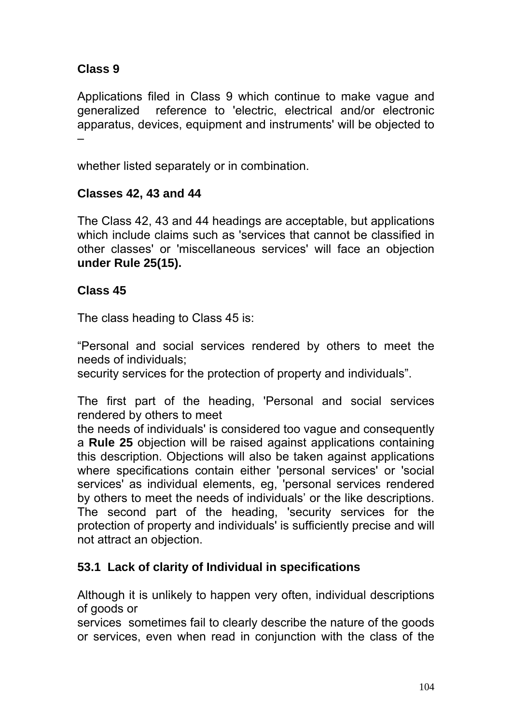# **Class 9**

Applications filed in Class 9 which continue to make vague and generalized reference to 'electric, electrical and/or electronic apparatus, devices, equipment and instruments' will be objected to –

whether listed separately or in combination.

### **Classes 42, 43 and 44**

The Class 42, 43 and 44 headings are acceptable, but applications which include claims such as 'services that cannot be classified in other classes' or 'miscellaneous services' will face an objection **under Rule 25(15).** 

### **Class 45**

The class heading to Class 45 is:

"Personal and social services rendered by others to meet the needs of individuals;

security services for the protection of property and individuals".

The first part of the heading, 'Personal and social services rendered by others to meet

the needs of individuals' is considered too vague and consequently a **Rule 25** objection will be raised against applications containing this description. Objections will also be taken against applications where specifications contain either 'personal services' or 'social services' as individual elements, eg, 'personal services rendered by others to meet the needs of individuals' or the like descriptions. The second part of the heading, 'security services for the protection of property and individuals' is sufficiently precise and will not attract an objection.

## **53.1 Lack of clarity of Individual in specifications**

Although it is unlikely to happen very often, individual descriptions of goods or

services sometimes fail to clearly describe the nature of the goods or services, even when read in conjunction with the class of the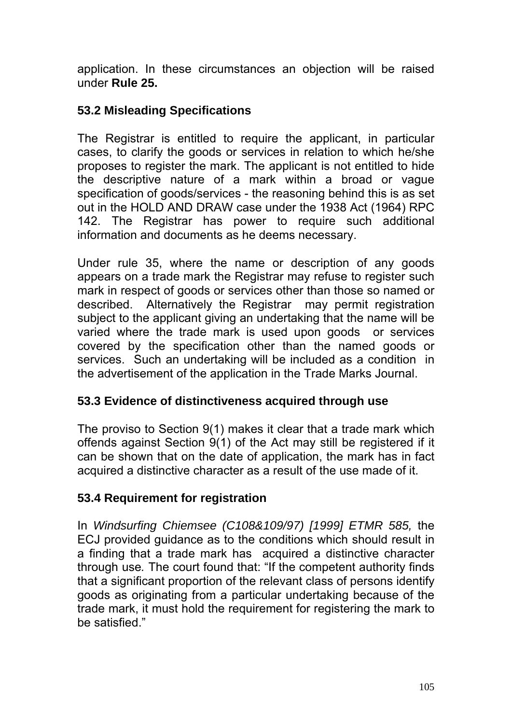application. In these circumstances an objection will be raised under **Rule 25.** 

### **53.2 Misleading Specifications**

The Registrar is entitled to require the applicant, in particular cases, to clarify the goods or services in relation to which he/she proposes to register the mark. The applicant is not entitled to hide the descriptive nature of a mark within a broad or vague specification of goods/services - the reasoning behind this is as set out in the HOLD AND DRAW case under the 1938 Act (1964) RPC 142. The Registrar has power to require such additional information and documents as he deems necessary.

Under rule 35, where the name or description of any goods appears on a trade mark the Registrar may refuse to register such mark in respect of goods or services other than those so named or described. Alternatively the Registrar may permit registration subject to the applicant giving an undertaking that the name will be varied where the trade mark is used upon goods or services covered by the specification other than the named goods or services. Such an undertaking will be included as a condition in the advertisement of the application in the Trade Marks Journal.

### **53.3 Evidence of distinctiveness acquired through use**

The proviso to Section 9(1) makes it clear that a trade mark which offends against Section 9(1) of the Act may still be registered if it can be shown that on the date of application, the mark has in fact acquired a distinctive character as a result of the use made of it.

### **53.4 Requirement for registration**

In *Windsurfing Chiemsee (C108&109/97) [1999] ETMR 585,* the ECJ provided guidance as to the conditions which should result in a finding that a trade mark has acquired a distinctive character through use*.* The court found that: "If the competent authority finds that a significant proportion of the relevant class of persons identify goods as originating from a particular undertaking because of the trade mark, it must hold the requirement for registering the mark to be satisfied."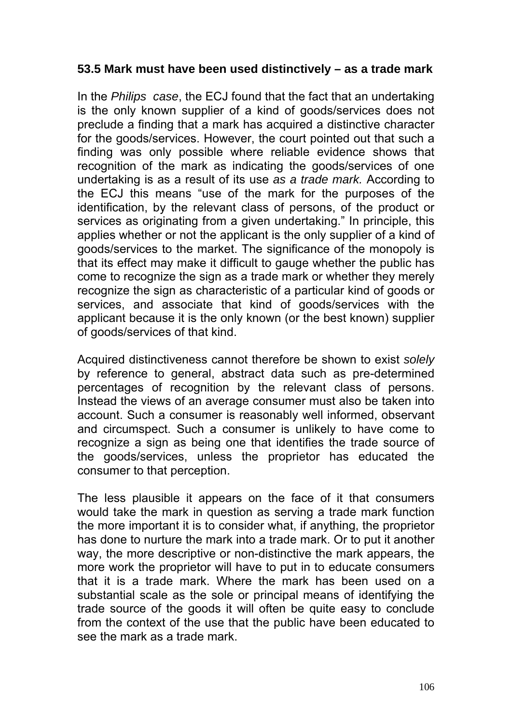### **53.5 Mark must have been used distinctively – as a trade mark**

In the *Philips case*, the ECJ found that the fact that an undertaking is the only known supplier of a kind of goods/services does not preclude a finding that a mark has acquired a distinctive character for the goods/services. However, the court pointed out that such a finding was only possible where reliable evidence shows that recognition of the mark as indicating the goods/services of one undertaking is as a result of its use *as a trade mark.* According to the ECJ this means "use of the mark for the purposes of the identification, by the relevant class of persons, of the product or services as originating from a given undertaking." In principle, this applies whether or not the applicant is the only supplier of a kind of goods/services to the market. The significance of the monopoly is that its effect may make it difficult to gauge whether the public has come to recognize the sign as a trade mark or whether they merely recognize the sign as characteristic of a particular kind of goods or services, and associate that kind of goods/services with the applicant because it is the only known (or the best known) supplier of goods/services of that kind.

Acquired distinctiveness cannot therefore be shown to exist *solely*  by reference to general, abstract data such as pre-determined percentages of recognition by the relevant class of persons. Instead the views of an average consumer must also be taken into account. Such a consumer is reasonably well informed, observant and circumspect. Such a consumer is unlikely to have come to recognize a sign as being one that identifies the trade source of the goods/services, unless the proprietor has educated the consumer to that perception.

The less plausible it appears on the face of it that consumers would take the mark in question as serving a trade mark function the more important it is to consider what, if anything, the proprietor has done to nurture the mark into a trade mark. Or to put it another way, the more descriptive or non-distinctive the mark appears, the more work the proprietor will have to put in to educate consumers that it is a trade mark. Where the mark has been used on a substantial scale as the sole or principal means of identifying the trade source of the goods it will often be quite easy to conclude from the context of the use that the public have been educated to see the mark as a trade mark.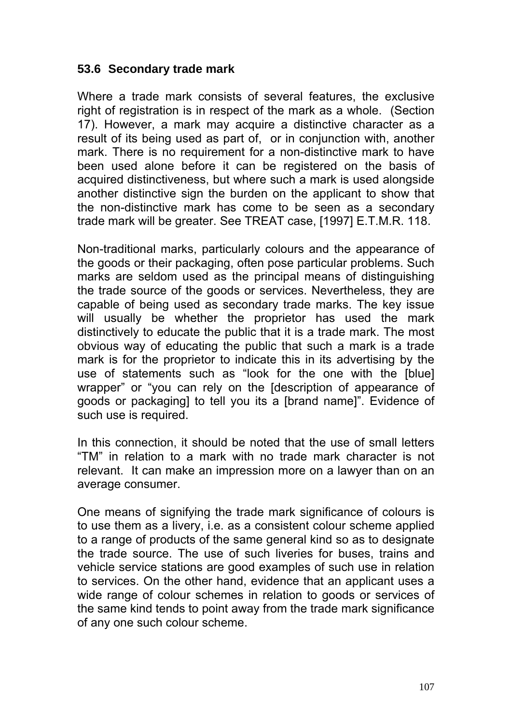### **53.6 Secondary trade mark**

Where a trade mark consists of several features, the exclusive right of registration is in respect of the mark as a whole. (Section 17). However, a mark may acquire a distinctive character as a result of its being used as part of, or in conjunction with, another mark. There is no requirement for a non-distinctive mark to have been used alone before it can be registered on the basis of acquired distinctiveness, but where such a mark is used alongside another distinctive sign the burden on the applicant to show that the non-distinctive mark has come to be seen as a secondary trade mark will be greater. See TREAT case, [1997] E.T.M.R. 118.

Non-traditional marks, particularly colours and the appearance of the goods or their packaging, often pose particular problems. Such marks are seldom used as the principal means of distinguishing the trade source of the goods or services. Nevertheless, they are capable of being used as secondary trade marks. The key issue will usually be whether the proprietor has used the mark distinctively to educate the public that it is a trade mark. The most obvious way of educating the public that such a mark is a trade mark is for the proprietor to indicate this in its advertising by the use of statements such as "look for the one with the [blue] wrapper" or "you can rely on the [description of appearance of goods or packaging] to tell you its a [brand name]". Evidence of such use is required.

In this connection, it should be noted that the use of small letters "TM" in relation to a mark with no trade mark character is not relevant. It can make an impression more on a lawyer than on an average consumer.

One means of signifying the trade mark significance of colours is to use them as a livery, i.e. as a consistent colour scheme applied to a range of products of the same general kind so as to designate the trade source. The use of such liveries for buses, trains and vehicle service stations are good examples of such use in relation to services. On the other hand, evidence that an applicant uses a wide range of colour schemes in relation to goods or services of the same kind tends to point away from the trade mark significance of any one such colour scheme.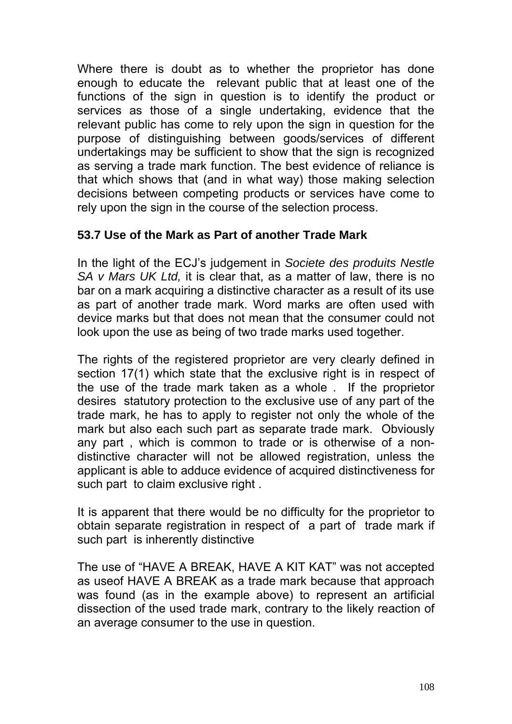Where there is doubt as to whether the proprietor has done enough to educate the relevant public that at least one of the functions of the sign in question is to identify the product or services as those of a single undertaking, evidence that the relevant public has come to rely upon the sign in question for the purpose of distinguishing between goods/services of different undertakings may be sufficient to show that the sign is recognized as serving a trade mark function. The best evidence of reliance is that which shows that (and in what way) those making selection decisions between competing products or services have come to rely upon the sign in the course of the selection process.

#### **53.7 Use of the Mark as Part of another Trade Mark**

In the light of the ECJ's judgement in *Societe des produits Nestle SA v Mars UK Ltd,* it is clear that, as a matter of law, there is no bar on a mark acquiring a distinctive character as a result of its use as part of another trade mark. Word marks are often used with device marks but that does not mean that the consumer could not look upon the use as being of two trade marks used together.

The rights of the registered proprietor are very clearly defined in section 17(1) which state that the exclusive right is in respect of the use of the trade mark taken as a whole . If the proprietor desires statutory protection to the exclusive use of any part of the trade mark, he has to apply to register not only the whole of the mark but also each such part as separate trade mark. Obviously any part , which is common to trade or is otherwise of a nondistinctive character will not be allowed registration, unless the applicant is able to adduce evidence of acquired distinctiveness for such part to claim exclusive right.

It is apparent that there would be no difficulty for the proprietor to obtain separate registration in respect of a part of trade mark if such part is inherently distinctive

The use of "HAVE A BREAK, HAVE A KIT KAT" was not accepted as useof HAVE A BREAK as a trade mark because that approach was found (as in the example above) to represent an artificial dissection of the used trade mark, contrary to the likely reaction of an average consumer to the use in question.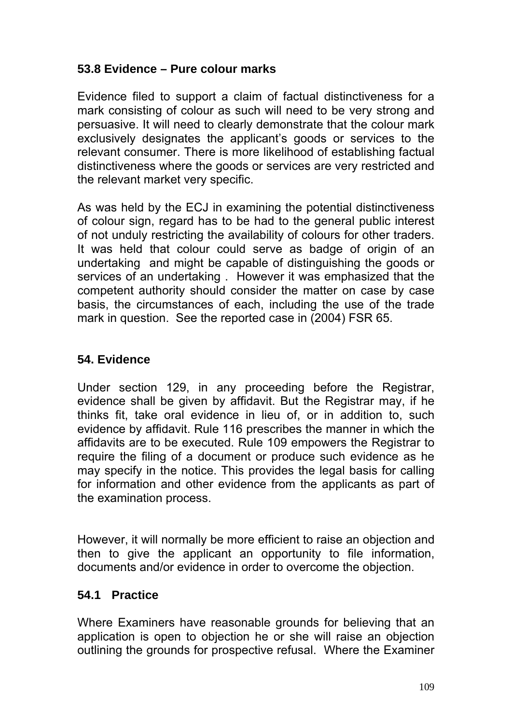### **53.8 Evidence – Pure colour marks**

Evidence filed to support a claim of factual distinctiveness for a mark consisting of colour as such will need to be very strong and persuasive. It will need to clearly demonstrate that the colour mark exclusively designates the applicant's goods or services to the relevant consumer. There is more likelihood of establishing factual distinctiveness where the goods or services are very restricted and the relevant market very specific.

As was held by the ECJ in examining the potential distinctiveness of colour sign, regard has to be had to the general public interest of not unduly restricting the availability of colours for other traders. It was held that colour could serve as badge of origin of an undertaking and might be capable of distinguishing the goods or services of an undertaking . However it was emphasized that the competent authority should consider the matter on case by case basis, the circumstances of each, including the use of the trade mark in question. See the reported case in (2004) FSR 65.

#### **54. Evidence**

Under section 129, in any proceeding before the Registrar, evidence shall be given by affidavit. But the Registrar may, if he thinks fit, take oral evidence in lieu of, or in addition to, such evidence by affidavit. Rule 116 prescribes the manner in which the affidavits are to be executed. Rule 109 empowers the Registrar to require the filing of a document or produce such evidence as he may specify in the notice. This provides the legal basis for calling for information and other evidence from the applicants as part of the examination process.

However, it will normally be more efficient to raise an objection and then to give the applicant an opportunity to file information, documents and/or evidence in order to overcome the objection.

#### **54.1 Practice**

Where Examiners have reasonable grounds for believing that an application is open to objection he or she will raise an objection outlining the grounds for prospective refusal. Where the Examiner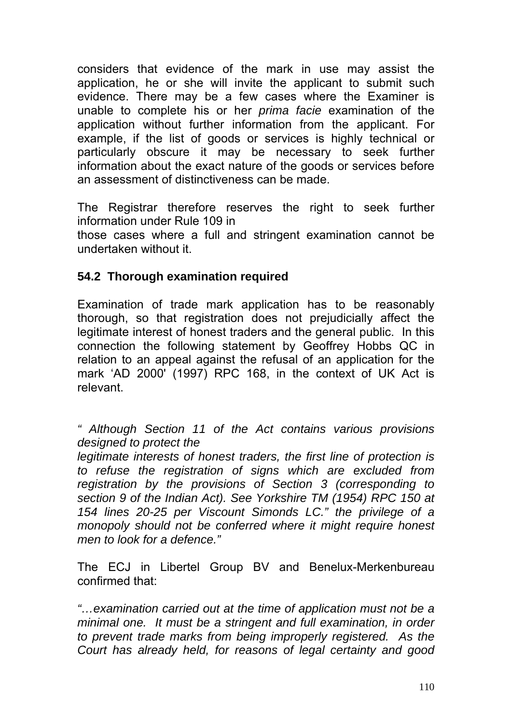considers that evidence of the mark in use may assist the application, he or she will invite the applicant to submit such evidence. There may be a few cases where the Examiner is unable to complete his or her *prima facie* examination of the application without further information from the applicant. For example, if the list of goods or services is highly technical or particularly obscure it may be necessary to seek further information about the exact nature of the goods or services before an assessment of distinctiveness can be made.

The Registrar therefore reserves the right to seek further information under Rule 109 in

those cases where a full and stringent examination cannot be undertaken without it.

### **54.2 Thorough examination required**

Examination of trade mark application has to be reasonably thorough, so that registration does not prejudicially affect the legitimate interest of honest traders and the general public. In this connection the following statement by Geoffrey Hobbs QC in relation to an appeal against the refusal of an application for the mark 'AD 2000' (1997) RPC 168, in the context of UK Act is relevant.

*" Although Section 11 of the Act contains various provisions designed to protect the* 

*legitimate interests of honest traders, the first line of protection is to refuse the registration of signs which are excluded from registration by the provisions of Section 3 (corresponding to section 9 of the Indian Act). See Yorkshire TM (1954) RPC 150 at 154 lines 20-25 per Viscount Simonds LC." the privilege of a monopoly should not be conferred where it might require honest men to look for a defence."* 

The ECJ in Libertel Group BV and Benelux-Merkenbureau confirmed that:

*"…examination carried out at the time of application must not be a minimal one. It must be a stringent and full examination, in order to prevent trade marks from being improperly registered. As the Court has already held, for reasons of legal certainty and good*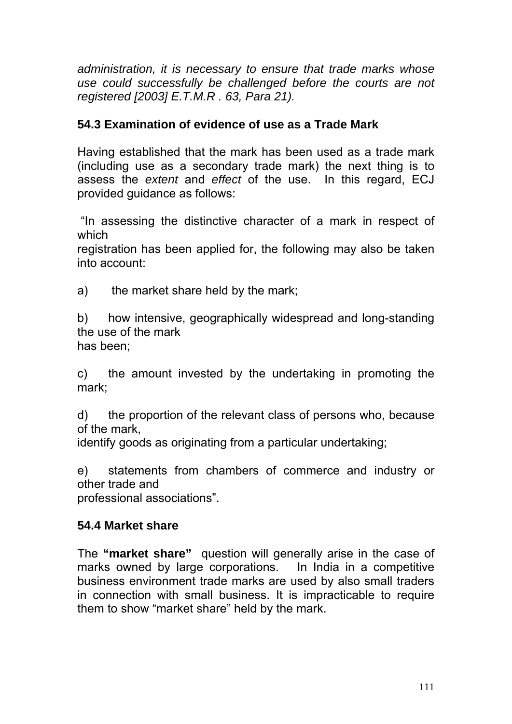*administration, it is necessary to ensure that trade marks whose use could successfully be challenged before the courts are not registered [2003] E.T.M.R . 63, Para 21).* 

### **54.3 Examination of evidence of use as a Trade Mark**

Having established that the mark has been used as a trade mark (including use as a secondary trade mark) the next thing is to assess the *extent* and *effect* of the use. In this regard, ECJ provided guidance as follows:

 "In assessing the distinctive character of a mark in respect of which

registration has been applied for, the following may also be taken into account:

a) the market share held by the mark;

b) how intensive, geographically widespread and long-standing the use of the mark has been;

c) the amount invested by the undertaking in promoting the mark;

d) the proportion of the relevant class of persons who, because of the mark,

identify goods as originating from a particular undertaking;

e) statements from chambers of commerce and industry or other trade and

professional associations".

#### **54.4 Market share**

The **"market share"** question will generally arise in the case of marks owned by large corporations. In India in a competitive business environment trade marks are used by also small traders in connection with small business. It is impracticable to require them to show "market share" held by the mark.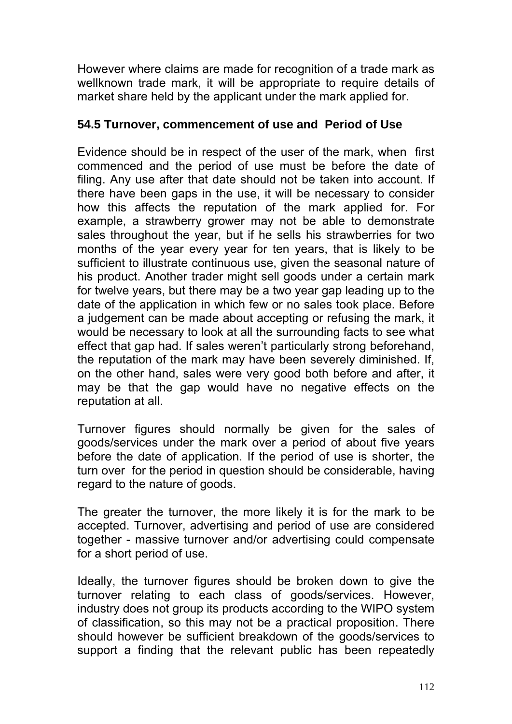However where claims are made for recognition of a trade mark as wellknown trade mark, it will be appropriate to require details of market share held by the applicant under the mark applied for.

#### **54.5 Turnover, commencement of use and Period of Use**

Evidence should be in respect of the user of the mark, when first commenced and the period of use must be before the date of filing. Any use after that date should not be taken into account. If there have been gaps in the use, it will be necessary to consider how this affects the reputation of the mark applied for. For example, a strawberry grower may not be able to demonstrate sales throughout the year, but if he sells his strawberries for two months of the year every year for ten years, that is likely to be sufficient to illustrate continuous use, given the seasonal nature of his product. Another trader might sell goods under a certain mark for twelve years, but there may be a two year gap leading up to the date of the application in which few or no sales took place. Before a judgement can be made about accepting or refusing the mark, it would be necessary to look at all the surrounding facts to see what effect that gap had. If sales weren't particularly strong beforehand, the reputation of the mark may have been severely diminished. If, on the other hand, sales were very good both before and after, it may be that the gap would have no negative effects on the reputation at all.

Turnover figures should normally be given for the sales of goods/services under the mark over a period of about five years before the date of application. If the period of use is shorter, the turn over for the period in question should be considerable, having regard to the nature of goods.

The greater the turnover, the more likely it is for the mark to be accepted. Turnover, advertising and period of use are considered together - massive turnover and/or advertising could compensate for a short period of use.

Ideally, the turnover figures should be broken down to give the turnover relating to each class of goods/services. However, industry does not group its products according to the WIPO system of classification, so this may not be a practical proposition. There should however be sufficient breakdown of the goods/services to support a finding that the relevant public has been repeatedly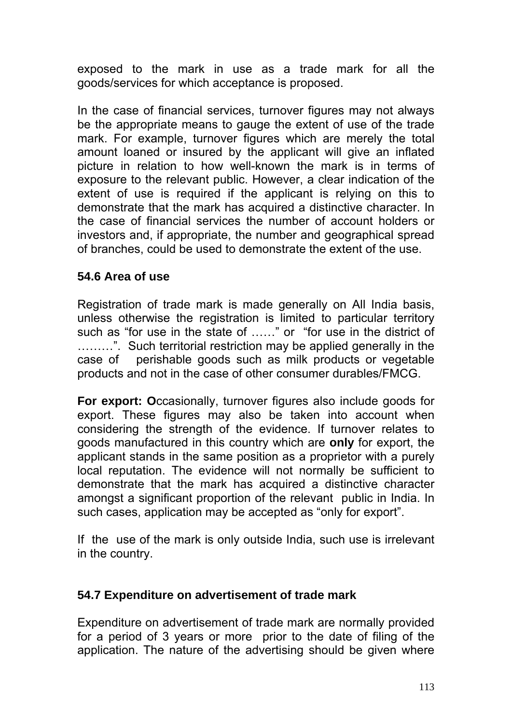exposed to the mark in use as a trade mark for all the goods/services for which acceptance is proposed.

In the case of financial services, turnover figures may not always be the appropriate means to gauge the extent of use of the trade mark. For example, turnover figures which are merely the total amount loaned or insured by the applicant will give an inflated picture in relation to how well-known the mark is in terms of exposure to the relevant public. However, a clear indication of the extent of use is required if the applicant is relying on this to demonstrate that the mark has acquired a distinctive character. In the case of financial services the number of account holders or investors and, if appropriate, the number and geographical spread of branches, could be used to demonstrate the extent of the use.

#### **54.6 Area of use**

Registration of trade mark is made generally on All India basis, unless otherwise the registration is limited to particular territory such as "for use in the state of ……" or "for use in the district of ………". Such territorial restriction may be applied generally in the case of perishable goods such as milk products or vegetable products and not in the case of other consumer durables/FMCG.

**For export: O**ccasionally, turnover figures also include goods for export. These figures may also be taken into account when considering the strength of the evidence. If turnover relates to goods manufactured in this country which are **only** for export, the applicant stands in the same position as a proprietor with a purely local reputation. The evidence will not normally be sufficient to demonstrate that the mark has acquired a distinctive character amongst a significant proportion of the relevant public in India. In such cases, application may be accepted as "only for export".

If the use of the mark is only outside India, such use is irrelevant in the country.

#### **54.7 Expenditure on advertisement of trade mark**

Expenditure on advertisement of trade mark are normally provided for a period of 3 years or more prior to the date of filing of the application. The nature of the advertising should be given where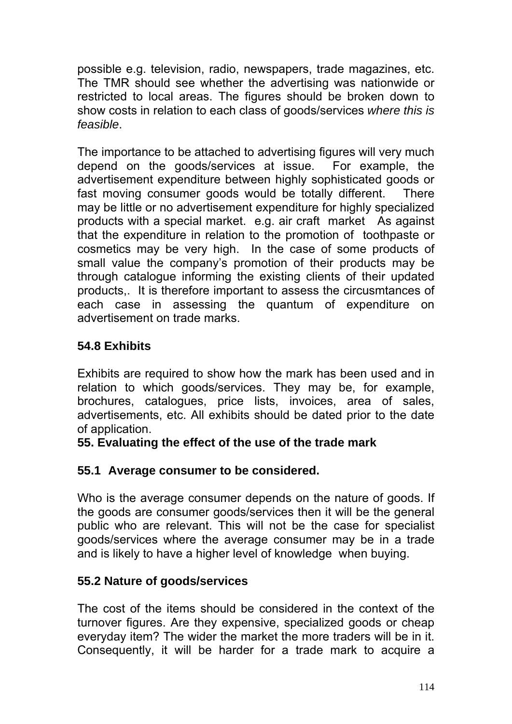possible e.g. television, radio, newspapers, trade magazines, etc. The TMR should see whether the advertising was nationwide or restricted to local areas. The figures should be broken down to show costs in relation to each class of goods/services *where this is feasible*.

The importance to be attached to advertising figures will very much depend on the goods/services at issue. For example, the advertisement expenditure between highly sophisticated goods or fast moving consumer goods would be totally different. There may be little or no advertisement expenditure for highly specialized products with a special market. e.g. air craft market As against that the expenditure in relation to the promotion of toothpaste or cosmetics may be very high. In the case of some products of small value the company's promotion of their products may be through catalogue informing the existing clients of their updated products,. It is therefore important to assess the circusmtances of each case in assessing the quantum of expenditure on advertisement on trade marks.

# **54.8 Exhibits**

Exhibits are required to show how the mark has been used and in relation to which goods/services. They may be, for example, brochures, catalogues, price lists, invoices, area of sales, advertisements, etc. All exhibits should be dated prior to the date of application.

### **55. Evaluating the effect of the use of the trade mark**

### **55.1 Average consumer to be considered.**

Who is the average consumer depends on the nature of goods. If the goods are consumer goods/services then it will be the general public who are relevant. This will not be the case for specialist goods/services where the average consumer may be in a trade and is likely to have a higher level of knowledge when buying.

### **55.2 Nature of goods/services**

The cost of the items should be considered in the context of the turnover figures. Are they expensive, specialized goods or cheap everyday item? The wider the market the more traders will be in it. Consequently, it will be harder for a trade mark to acquire a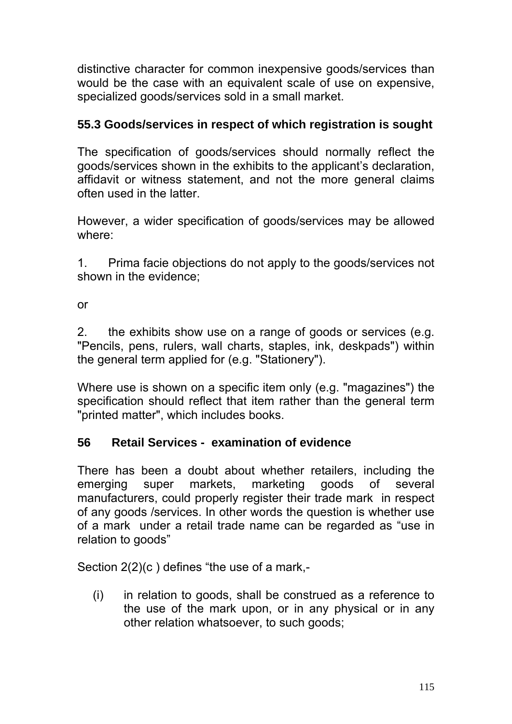distinctive character for common inexpensive goods/services than would be the case with an equivalent scale of use on expensive, specialized goods/services sold in a small market.

# **55.3 Goods/services in respect of which registration is sought**

The specification of goods/services should normally reflect the goods/services shown in the exhibits to the applicant's declaration, affidavit or witness statement, and not the more general claims often used in the latter.

However, a wider specification of goods/services may be allowed where:

1. Prima facie objections do not apply to the goods/services not shown in the evidence;

or

2. the exhibits show use on a range of goods or services (e.g. "Pencils, pens, rulers, wall charts, staples, ink, deskpads") within the general term applied for (e.g. "Stationery").

Where use is shown on a specific item only (e.g. "magazines") the specification should reflect that item rather than the general term "printed matter", which includes books.

### **56 Retail Services - examination of evidence**

There has been a doubt about whether retailers, including the emerging super markets, marketing goods of several manufacturers, could properly register their trade mark in respect of any goods /services. In other words the question is whether use of a mark under a retail trade name can be regarded as "use in relation to goods"

Section 2(2)(c ) defines "the use of a mark,-

(i) in relation to goods, shall be construed as a reference to the use of the mark upon, or in any physical or in any other relation whatsoever, to such goods;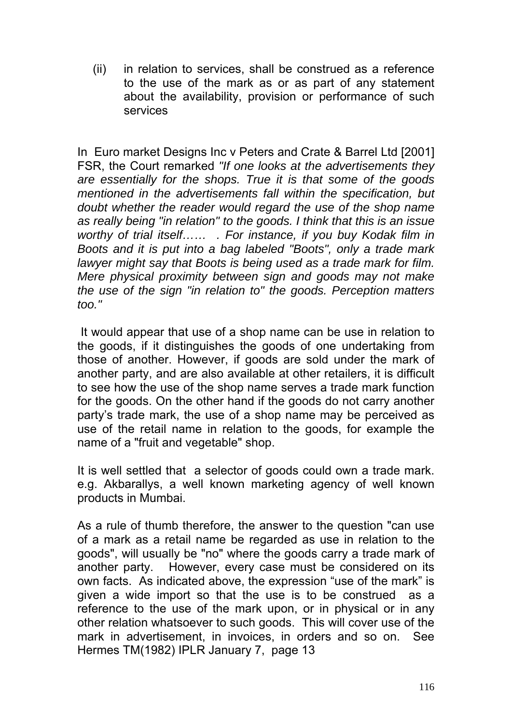(ii) in relation to services, shall be construed as a reference to the use of the mark as or as part of any statement about the availability, provision or performance of such services

In Euro market Designs Inc v Peters and Crate & Barrel Ltd [2001] FSR, the Court remarked *"If one looks at the advertisements they are essentially for the shops. True it is that some of the goods mentioned in the advertisements fall within the specification, but doubt whether the reader would regard the use of the shop name as really being "in relation" to the goods. I think that this is an issue worthy of trial itself…… . For instance, if you buy Kodak film in Boots and it is put into a bag labeled "Boots", only a trade mark lawyer might say that Boots is being used as a trade mark for film. Mere physical proximity between sign and goods may not make the use of the sign "in relation to" the goods. Perception matters too."* 

It would appear that use of a shop name can be use in relation to the goods, if it distinguishes the goods of one undertaking from those of another. However, if goods are sold under the mark of another party, and are also available at other retailers, it is difficult to see how the use of the shop name serves a trade mark function for the goods. On the other hand if the goods do not carry another party's trade mark, the use of a shop name may be perceived as use of the retail name in relation to the goods, for example the name of a "fruit and vegetable" shop.

It is well settled that a selector of goods could own a trade mark. e.g. Akbarallys, a well known marketing agency of well known products in Mumbai.

As a rule of thumb therefore, the answer to the question "can use of a mark as a retail name be regarded as use in relation to the goods", will usually be "no" where the goods carry a trade mark of another party. However, every case must be considered on its own facts. As indicated above, the expression "use of the mark" is given a wide import so that the use is to be construed as a reference to the use of the mark upon, or in physical or in any other relation whatsoever to such goods. This will cover use of the mark in advertisement, in invoices, in orders and so on. See Hermes TM(1982) IPLR January 7, page 13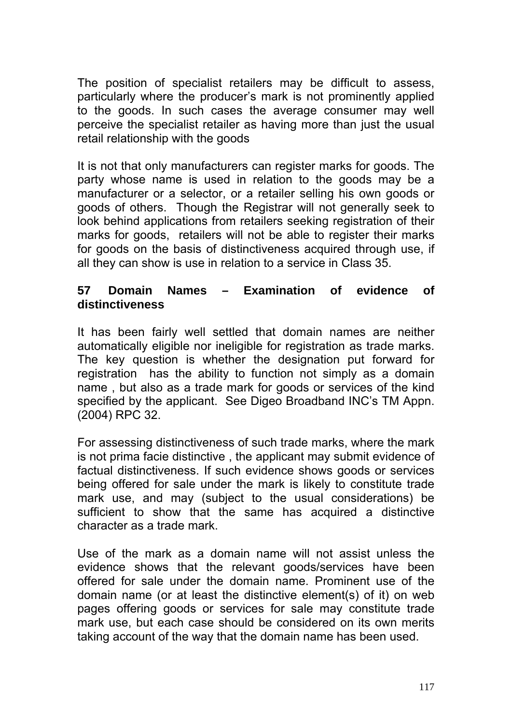The position of specialist retailers may be difficult to assess, particularly where the producer's mark is not prominently applied to the goods. In such cases the average consumer may well perceive the specialist retailer as having more than just the usual retail relationship with the goods

It is not that only manufacturers can register marks for goods. The party whose name is used in relation to the goods may be a manufacturer or a selector, or a retailer selling his own goods or goods of others. Though the Registrar will not generally seek to look behind applications from retailers seeking registration of their marks for goods, retailers will not be able to register their marks for goods on the basis of distinctiveness acquired through use, if all they can show is use in relation to a service in Class 35.

#### **57 Domain Names – Examination of evidence of distinctiveness**

It has been fairly well settled that domain names are neither automatically eligible nor ineligible for registration as trade marks. The key question is whether the designation put forward for registration has the ability to function not simply as a domain name , but also as a trade mark for goods or services of the kind specified by the applicant. See Digeo Broadband INC's TM Appn. (2004) RPC 32.

For assessing distinctiveness of such trade marks, where the mark is not prima facie distinctive , the applicant may submit evidence of factual distinctiveness. If such evidence shows goods or services being offered for sale under the mark is likely to constitute trade mark use, and may (subject to the usual considerations) be sufficient to show that the same has acquired a distinctive character as a trade mark.

Use of the mark as a domain name will not assist unless the evidence shows that the relevant goods/services have been offered for sale under the domain name. Prominent use of the domain name (or at least the distinctive element(s) of it) on web pages offering goods or services for sale may constitute trade mark use, but each case should be considered on its own merits taking account of the way that the domain name has been used.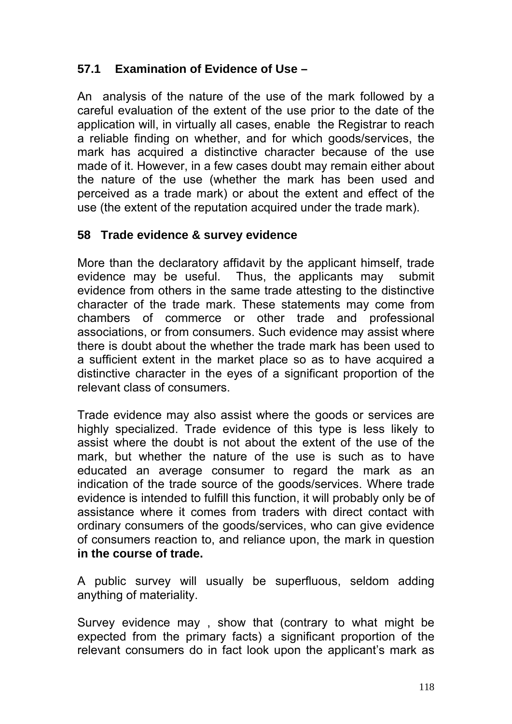# **57.1 Examination of Evidence of Use –**

An analysis of the nature of the use of the mark followed by a careful evaluation of the extent of the use prior to the date of the application will, in virtually all cases, enable the Registrar to reach a reliable finding on whether, and for which goods/services, the mark has acquired a distinctive character because of the use made of it. However, in a few cases doubt may remain either about the nature of the use (whether the mark has been used and perceived as a trade mark) or about the extent and effect of the use (the extent of the reputation acquired under the trade mark).

### **58 Trade evidence & survey evidence**

More than the declaratory affidavit by the applicant himself, trade evidence may be useful. Thus, the applicants may submit evidence from others in the same trade attesting to the distinctive character of the trade mark. These statements may come from chambers of commerce or other trade and professional associations, or from consumers. Such evidence may assist where there is doubt about the whether the trade mark has been used to a sufficient extent in the market place so as to have acquired a distinctive character in the eyes of a significant proportion of the relevant class of consumers.

Trade evidence may also assist where the goods or services are highly specialized. Trade evidence of this type is less likely to assist where the doubt is not about the extent of the use of the mark, but whether the nature of the use is such as to have educated an average consumer to regard the mark as an indication of the trade source of the goods/services. Where trade evidence is intended to fulfill this function, it will probably only be of assistance where it comes from traders with direct contact with ordinary consumers of the goods/services, who can give evidence of consumers reaction to, and reliance upon, the mark in question **in the course of trade.** 

A public survey will usually be superfluous, seldom adding anything of materiality.

Survey evidence may , show that (contrary to what might be expected from the primary facts) a significant proportion of the relevant consumers do in fact look upon the applicant's mark as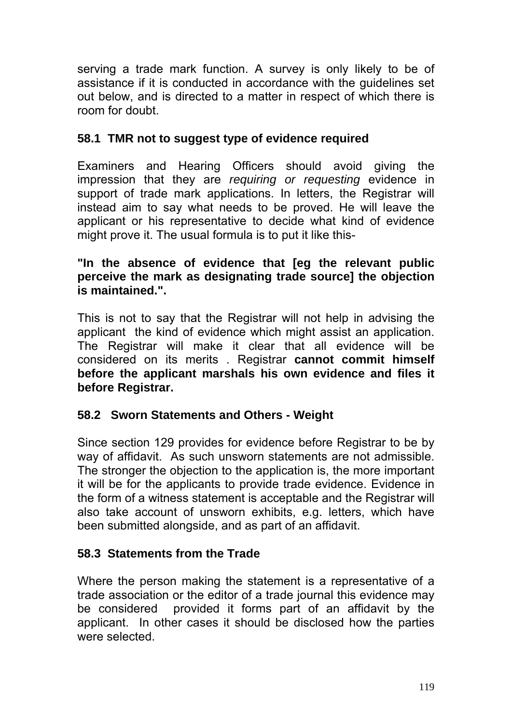serving a trade mark function. A survey is only likely to be of assistance if it is conducted in accordance with the guidelines set out below, and is directed to a matter in respect of which there is room for doubt.

### **58.1 TMR not to suggest type of evidence required**

Examiners and Hearing Officers should avoid giving the impression that they are *requiring or requesting* evidence in support of trade mark applications. In letters, the Registrar will instead aim to say what needs to be proved. He will leave the applicant or his representative to decide what kind of evidence might prove it. The usual formula is to put it like this-

### **"In the absence of evidence that [eg the relevant public perceive the mark as designating trade source] the objection is maintained.".**

This is not to say that the Registrar will not help in advising the applicant the kind of evidence which might assist an application. The Registrar will make it clear that all evidence will be considered on its merits . Registrar **cannot commit himself before the applicant marshals his own evidence and files it before Registrar.** 

### **58.2 Sworn Statements and Others - Weight**

Since section 129 provides for evidence before Registrar to be by way of affidavit. As such unsworn statements are not admissible. The stronger the objection to the application is, the more important it will be for the applicants to provide trade evidence. Evidence in the form of a witness statement is acceptable and the Registrar will also take account of unsworn exhibits, e.g. letters, which have been submitted alongside, and as part of an affidavit.

# **58.3 Statements from the Trade**

Where the person making the statement is a representative of a trade association or the editor of a trade journal this evidence may be considered provided it forms part of an affidavit by the applicant. In other cases it should be disclosed how the parties were selected.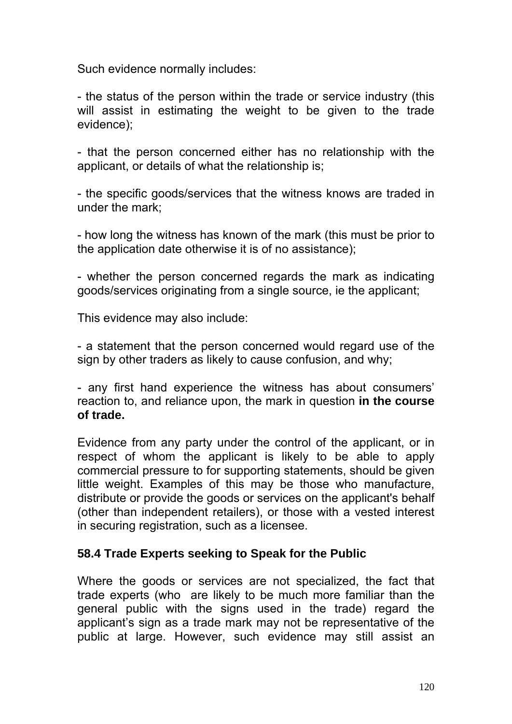Such evidence normally includes:

- the status of the person within the trade or service industry (this will assist in estimating the weight to be given to the trade evidence);

- that the person concerned either has no relationship with the applicant, or details of what the relationship is;

- the specific goods/services that the witness knows are traded in under the mark;

- how long the witness has known of the mark (this must be prior to the application date otherwise it is of no assistance);

- whether the person concerned regards the mark as indicating goods/services originating from a single source, ie the applicant;

This evidence may also include:

- a statement that the person concerned would regard use of the sign by other traders as likely to cause confusion, and why;

- any first hand experience the witness has about consumers' reaction to, and reliance upon, the mark in question **in the course of trade.** 

Evidence from any party under the control of the applicant, or in respect of whom the applicant is likely to be able to apply commercial pressure to for supporting statements, should be given little weight. Examples of this may be those who manufacture, distribute or provide the goods or services on the applicant's behalf (other than independent retailers), or those with a vested interest in securing registration, such as a licensee.

#### **58.4 Trade Experts seeking to Speak for the Public**

Where the goods or services are not specialized, the fact that trade experts (who are likely to be much more familiar than the general public with the signs used in the trade) regard the applicant's sign as a trade mark may not be representative of the public at large. However, such evidence may still assist an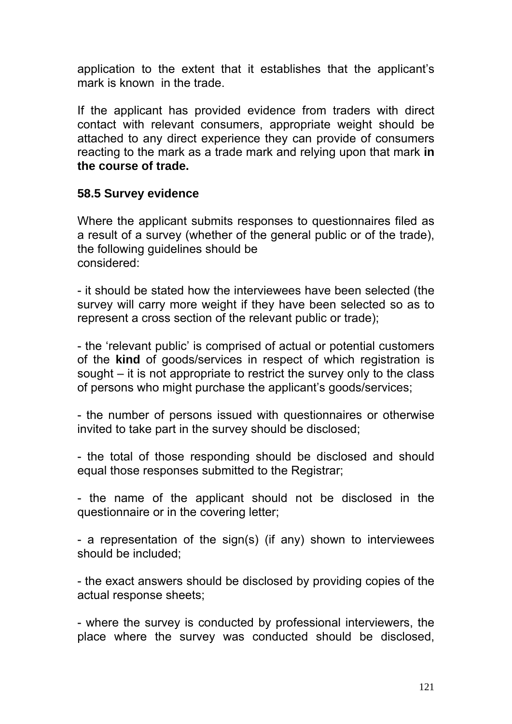application to the extent that it establishes that the applicant's mark is known in the trade.

If the applicant has provided evidence from traders with direct contact with relevant consumers, appropriate weight should be attached to any direct experience they can provide of consumers reacting to the mark as a trade mark and relying upon that mark **in the course of trade.** 

#### **58.5 Survey evidence**

Where the applicant submits responses to questionnaires filed as a result of a survey (whether of the general public or of the trade), the following guidelines should be considered:

- it should be stated how the interviewees have been selected (the survey will carry more weight if they have been selected so as to represent a cross section of the relevant public or trade);

- the 'relevant public' is comprised of actual or potential customers of the **kind** of goods/services in respect of which registration is sought – it is not appropriate to restrict the survey only to the class of persons who might purchase the applicant's goods/services;

- the number of persons issued with questionnaires or otherwise invited to take part in the survey should be disclosed;

- the total of those responding should be disclosed and should equal those responses submitted to the Registrar;

- the name of the applicant should not be disclosed in the questionnaire or in the covering letter;

- a representation of the sign(s) (if any) shown to interviewees should be included;

- the exact answers should be disclosed by providing copies of the actual response sheets;

- where the survey is conducted by professional interviewers, the place where the survey was conducted should be disclosed,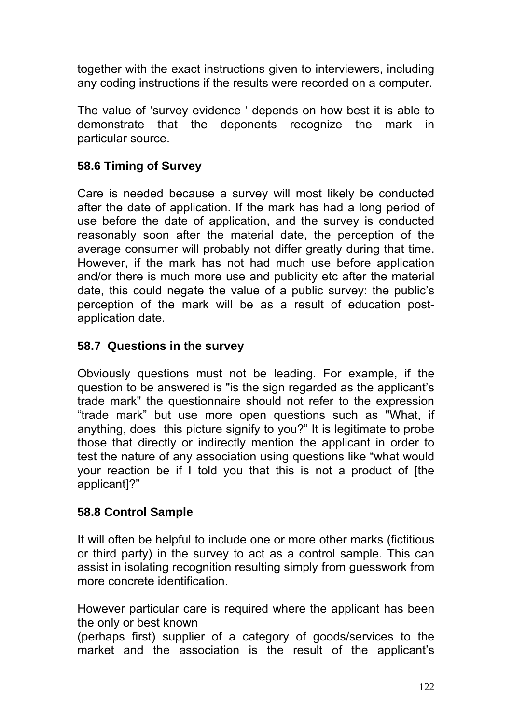together with the exact instructions given to interviewers, including any coding instructions if the results were recorded on a computer.

The value of 'survey evidence ' depends on how best it is able to demonstrate that the deponents recognize the mark in particular source.

# **58.6 Timing of Survey**

Care is needed because a survey will most likely be conducted after the date of application. If the mark has had a long period of use before the date of application, and the survey is conducted reasonably soon after the material date, the perception of the average consumer will probably not differ greatly during that time. However, if the mark has not had much use before application and/or there is much more use and publicity etc after the material date, this could negate the value of a public survey: the public's perception of the mark will be as a result of education postapplication date.

### **58.7 Questions in the survey**

Obviously questions must not be leading. For example, if the question to be answered is "is the sign regarded as the applicant's trade mark" the questionnaire should not refer to the expression "trade mark" but use more open questions such as "What, if anything, does this picture signify to you?" It is legitimate to probe those that directly or indirectly mention the applicant in order to test the nature of any association using questions like "what would your reaction be if I told you that this is not a product of [the applicant]?"

### **58.8 Control Sample**

It will often be helpful to include one or more other marks (fictitious or third party) in the survey to act as a control sample. This can assist in isolating recognition resulting simply from guesswork from more concrete identification.

However particular care is required where the applicant has been the only or best known

(perhaps first) supplier of a category of goods/services to the market and the association is the result of the applicant's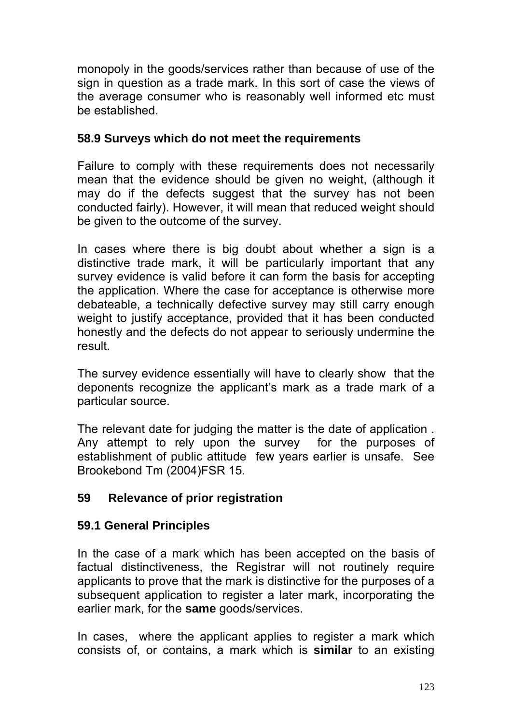monopoly in the goods/services rather than because of use of the sign in question as a trade mark. In this sort of case the views of the average consumer who is reasonably well informed etc must be established.

### **58.9 Surveys which do not meet the requirements**

Failure to comply with these requirements does not necessarily mean that the evidence should be given no weight, (although it may do if the defects suggest that the survey has not been conducted fairly). However, it will mean that reduced weight should be given to the outcome of the survey.

In cases where there is big doubt about whether a sign is a distinctive trade mark, it will be particularly important that any survey evidence is valid before it can form the basis for accepting the application. Where the case for acceptance is otherwise more debateable, a technically defective survey may still carry enough weight to justify acceptance, provided that it has been conducted honestly and the defects do not appear to seriously undermine the result.

The survey evidence essentially will have to clearly show that the deponents recognize the applicant's mark as a trade mark of a particular source.

The relevant date for judging the matter is the date of application . Any attempt to rely upon the survey for the purposes of establishment of public attitude few years earlier is unsafe. See Brookebond Tm (2004)FSR 15.

### **59 Relevance of prior registration**

### **59.1 General Principles**

In the case of a mark which has been accepted on the basis of factual distinctiveness, the Registrar will not routinely require applicants to prove that the mark is distinctive for the purposes of a subsequent application to register a later mark, incorporating the earlier mark, for the **same** goods/services.

In cases, where the applicant applies to register a mark which consists of, or contains, a mark which is **similar** to an existing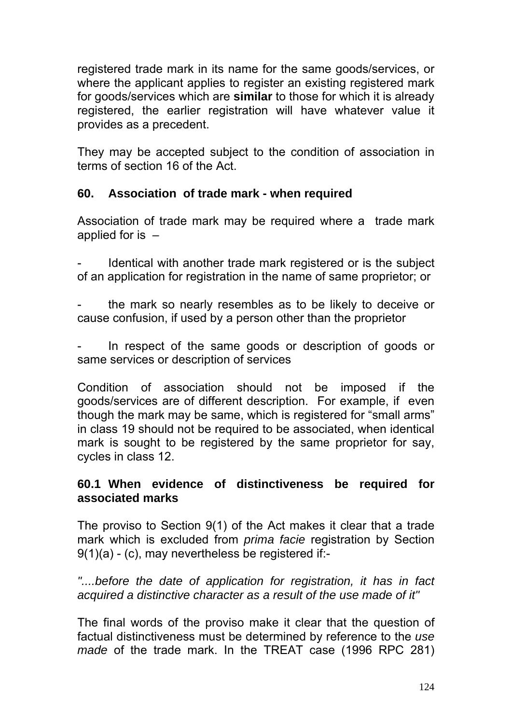registered trade mark in its name for the same goods/services, or where the applicant applies to register an existing registered mark for goods/services which are **similar** to those for which it is already registered, the earlier registration will have whatever value it provides as a precedent.

They may be accepted subject to the condition of association in terms of section 16 of the Act.

### **60. Association of trade mark - when required**

Association of trade mark may be required where a trade mark applied for is –

Identical with another trade mark registered or is the subject of an application for registration in the name of same proprietor; or

the mark so nearly resembles as to be likely to deceive or cause confusion, if used by a person other than the proprietor

In respect of the same goods or description of goods or same services or description of services

Condition of association should not be imposed if the goods/services are of different description. For example, if even though the mark may be same, which is registered for "small arms" in class 19 should not be required to be associated, when identical mark is sought to be registered by the same proprietor for say, cycles in class 12.

### **60.1 When evidence of distinctiveness be required for associated marks**

The proviso to Section 9(1) of the Act makes it clear that a trade mark which is excluded from *prima facie* registration by Section 9(1)(a) - (c), may nevertheless be registered if:-

*"....before the date of application for registration, it has in fact acquired a distinctive character as a result of the use made of it"* 

The final words of the proviso make it clear that the question of factual distinctiveness must be determined by reference to the *use made* of the trade mark. In the TREAT case (1996 RPC 281)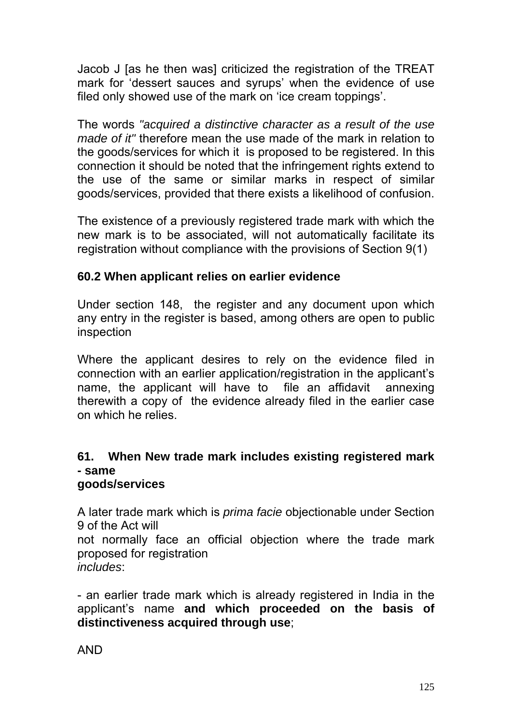Jacob J [as he then was] criticized the registration of the TREAT mark for 'dessert sauces and syrups' when the evidence of use filed only showed use of the mark on 'ice cream toppings'.

The words *"acquired a distinctive character as a result of the use made of it"* therefore mean the use made of the mark in relation to the goods/services for which it is proposed to be registered. In this connection it should be noted that the infringement rights extend to the use of the same or similar marks in respect of similar goods/services, provided that there exists a likelihood of confusion.

The existence of a previously registered trade mark with which the new mark is to be associated, will not automatically facilitate its registration without compliance with the provisions of Section 9(1)

### **60.2 When applicant relies on earlier evidence**

Under section 148, the register and any document upon which any entry in the register is based, among others are open to public inspection

Where the applicant desires to rely on the evidence filed in connection with an earlier application/registration in the applicant's name, the applicant will have to file an affidavit annexing therewith a copy of the evidence already filed in the earlier case on which he relies.

#### **61. When New trade mark includes existing registered mark - same goods/services**

A later trade mark which is *prima facie* objectionable under Section 9 of the Act will

not normally face an official objection where the trade mark proposed for registration

*includes*:

- an earlier trade mark which is already registered in India in the applicant's name **and which proceeded on the basis of distinctiveness acquired through use**;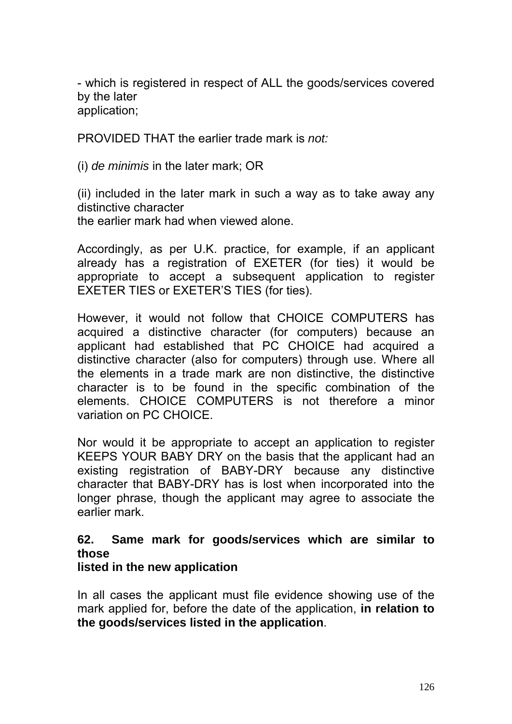- which is registered in respect of ALL the goods/services covered by the later application;

PROVIDED THAT the earlier trade mark is *not:* 

(i) *de minimis* in the later mark; OR

(ii) included in the later mark in such a way as to take away any distinctive character the earlier mark had when viewed alone.

Accordingly, as per U.K. practice, for example, if an applicant already has a registration of EXETER (for ties) it would be appropriate to accept a subsequent application to register EXETER TIES or EXETER'S TIES (for ties).

However, it would not follow that CHOICE COMPUTERS has acquired a distinctive character (for computers) because an applicant had established that PC CHOICE had acquired a distinctive character (also for computers) through use. Where all the elements in a trade mark are non distinctive, the distinctive character is to be found in the specific combination of the elements. CHOICE COMPUTERS is not therefore a minor variation on PC CHOICE.

Nor would it be appropriate to accept an application to register KEEPS YOUR BABY DRY on the basis that the applicant had an existing registration of BABY-DRY because any distinctive character that BABY-DRY has is lost when incorporated into the longer phrase, though the applicant may agree to associate the earlier mark.

### **62. Same mark for goods/services which are similar to those**

#### **listed in the new application**

In all cases the applicant must file evidence showing use of the mark applied for, before the date of the application, **in relation to the goods/services listed in the application**.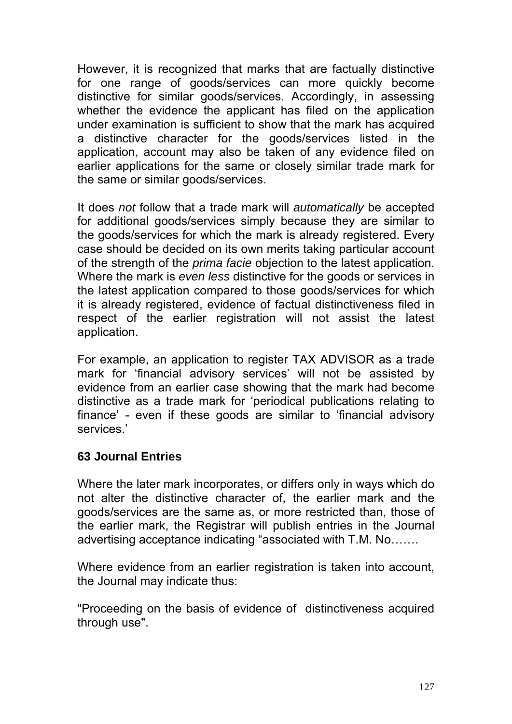However, it is recognized that marks that are factually distinctive for one range of goods/services can more quickly become distinctive for similar goods/services. Accordingly, in assessing whether the evidence the applicant has filed on the application under examination is sufficient to show that the mark has acquired a distinctive character for the goods/services listed in the application, account may also be taken of any evidence filed on earlier applications for the same or closely similar trade mark for the same or similar goods/services.

It does *not* follow that a trade mark will *automatically* be accepted for additional goods/services simply because they are similar to the goods/services for which the mark is already registered. Every case should be decided on its own merits taking particular account of the strength of the *prima facie* objection to the latest application. Where the mark is *even less* distinctive for the goods or services in the latest application compared to those goods/services for which it is already registered, evidence of factual distinctiveness filed in respect of the earlier registration will not assist the latest application.

For example, an application to register TAX ADVISOR as a trade mark for 'financial advisory services' will not be assisted by evidence from an earlier case showing that the mark had become distinctive as a trade mark for 'periodical publications relating to finance' - even if these goods are similar to 'financial advisory services.'

### **63 Journal Entries**

Where the later mark incorporates, or differs only in ways which do not alter the distinctive character of, the earlier mark and the goods/services are the same as, or more restricted than, those of the earlier mark, the Registrar will publish entries in the Journal advertising acceptance indicating "associated with T.M. No…….

Where evidence from an earlier registration is taken into account, the Journal may indicate thus:

"Proceeding on the basis of evidence of distinctiveness acquired through use".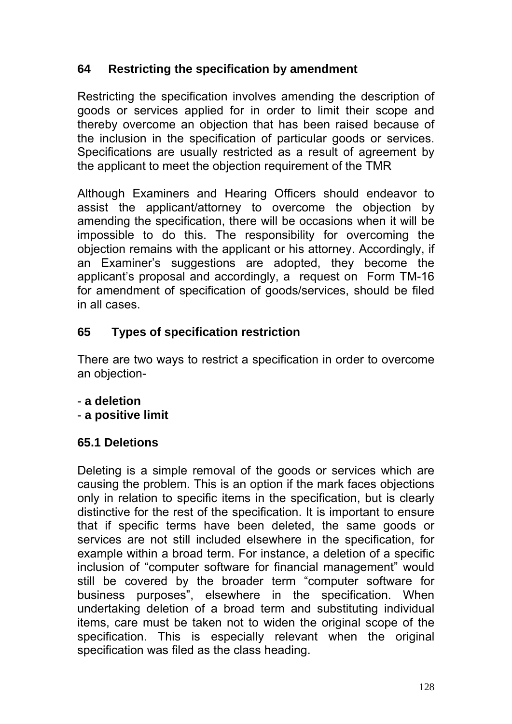# **64 Restricting the specification by amendment**

Restricting the specification involves amending the description of goods or services applied for in order to limit their scope and thereby overcome an objection that has been raised because of the inclusion in the specification of particular goods or services. Specifications are usually restricted as a result of agreement by the applicant to meet the objection requirement of the TMR

Although Examiners and Hearing Officers should endeavor to assist the applicant/attorney to overcome the objection by amending the specification, there will be occasions when it will be impossible to do this. The responsibility for overcoming the objection remains with the applicant or his attorney. Accordingly, if an Examiner's suggestions are adopted, they become the applicant's proposal and accordingly, a request on Form TM-16 for amendment of specification of goods/services, should be filed in all cases.

# **65 Types of specification restriction**

There are two ways to restrict a specification in order to overcome an objection-

- **a deletion**
- **a positive limit**

### **65.1 Deletions**

Deleting is a simple removal of the goods or services which are causing the problem. This is an option if the mark faces objections only in relation to specific items in the specification, but is clearly distinctive for the rest of the specification. It is important to ensure that if specific terms have been deleted, the same goods or services are not still included elsewhere in the specification, for example within a broad term. For instance, a deletion of a specific inclusion of "computer software for financial management" would still be covered by the broader term "computer software for business purposes", elsewhere in the specification. When undertaking deletion of a broad term and substituting individual items, care must be taken not to widen the original scope of the specification. This is especially relevant when the original specification was filed as the class heading.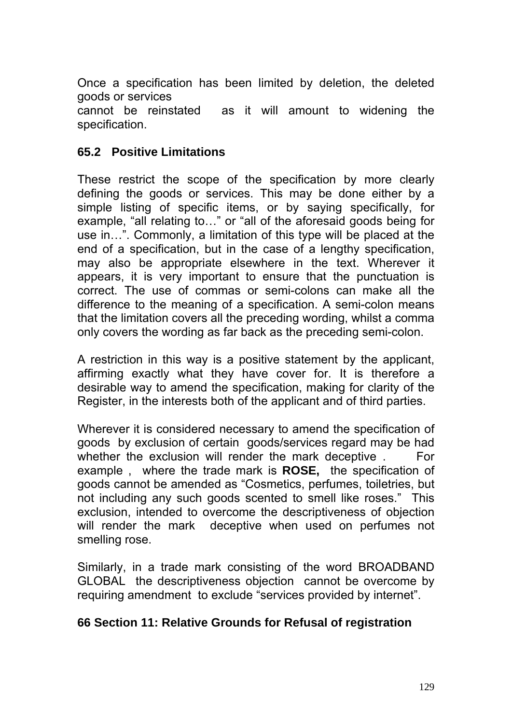Once a specification has been limited by deletion, the deleted goods or services

cannot be reinstated as it will amount to widening the specification.

#### **65.2 Positive Limitations**

These restrict the scope of the specification by more clearly defining the goods or services. This may be done either by a simple listing of specific items, or by saying specifically, for example, "all relating to…" or "all of the aforesaid goods being for use in…". Commonly, a limitation of this type will be placed at the end of a specification, but in the case of a lengthy specification, may also be appropriate elsewhere in the text. Wherever it appears, it is very important to ensure that the punctuation is correct. The use of commas or semi-colons can make all the difference to the meaning of a specification. A semi-colon means that the limitation covers all the preceding wording, whilst a comma only covers the wording as far back as the preceding semi-colon.

A restriction in this way is a positive statement by the applicant, affirming exactly what they have cover for. It is therefore a desirable way to amend the specification, making for clarity of the Register, in the interests both of the applicant and of third parties.

Wherever it is considered necessary to amend the specification of goods by exclusion of certain goods/services regard may be had whether the exclusion will render the mark deceptive . For example , where the trade mark is **ROSE,** the specification of goods cannot be amended as "Cosmetics, perfumes, toiletries, but not including any such goods scented to smell like roses." This exclusion, intended to overcome the descriptiveness of objection will render the mark deceptive when used on perfumes not smelling rose.

Similarly, in a trade mark consisting of the word BROADBAND GLOBAL the descriptiveness objection cannot be overcome by requiring amendment to exclude "services provided by internet".

#### **66 Section 11: Relative Grounds for Refusal of registration**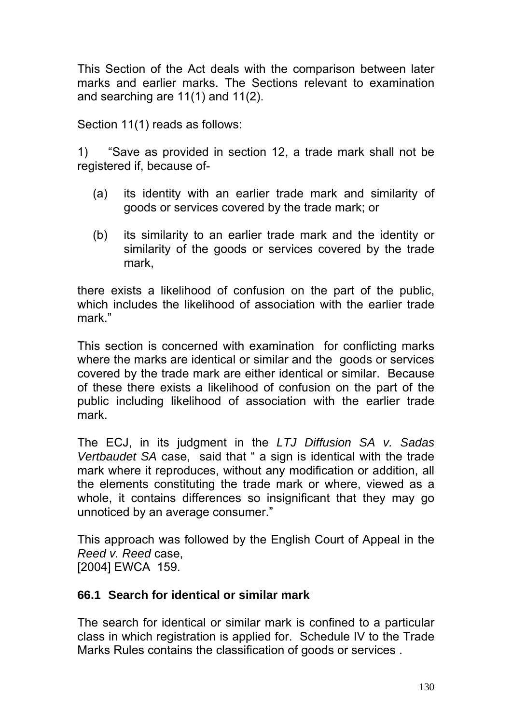This Section of the Act deals with the comparison between later marks and earlier marks. The Sections relevant to examination and searching are 11(1) and 11(2).

Section 11(1) reads as follows:

1) "Save as provided in section 12, a trade mark shall not be registered if, because of-

- (a) its identity with an earlier trade mark and similarity of goods or services covered by the trade mark; or
- (b) its similarity to an earlier trade mark and the identity or similarity of the goods or services covered by the trade mark,

there exists a likelihood of confusion on the part of the public, which includes the likelihood of association with the earlier trade mark."

This section is concerned with examination for conflicting marks where the marks are identical or similar and the goods or services covered by the trade mark are either identical or similar. Because of these there exists a likelihood of confusion on the part of the public including likelihood of association with the earlier trade mark.

The ECJ, in its judgment in the *LTJ Diffusion SA v. Sadas Vertbaudet SA* case, said that " a sign is identical with the trade mark where it reproduces, without any modification or addition, all the elements constituting the trade mark or where, viewed as a whole, it contains differences so insignificant that they may go unnoticed by an average consumer."

This approach was followed by the English Court of Appeal in the *Reed v. Reed* case, [2004] EWCA 159.

#### **66.1 Search for identical or similar mark**

The search for identical or similar mark is confined to a particular class in which registration is applied for. Schedule IV to the Trade Marks Rules contains the classification of goods or services .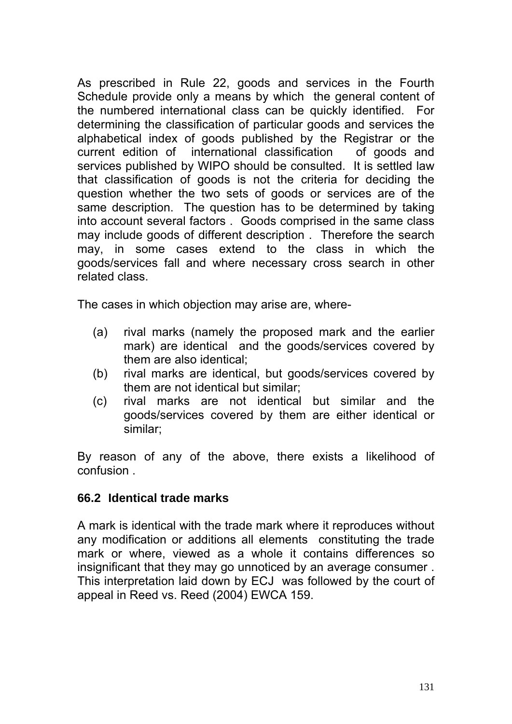As prescribed in Rule 22, goods and services in the Fourth Schedule provide only a means by which the general content of the numbered international class can be quickly identified. For determining the classification of particular goods and services the alphabetical index of goods published by the Registrar or the current edition of international classification of goods and services published by WIPO should be consulted. It is settled law that classification of goods is not the criteria for deciding the question whether the two sets of goods or services are of the same description. The question has to be determined by taking into account several factors . Goods comprised in the same class may include goods of different description . Therefore the search may, in some cases extend to the class in which the goods/services fall and where necessary cross search in other related class.

The cases in which objection may arise are, where-

- (a) rival marks (namely the proposed mark and the earlier mark) are identical and the goods/services covered by them are also identical;
- (b) rival marks are identical, but goods/services covered by them are not identical but similar;
- (c) rival marks are not identical but similar and the goods/services covered by them are either identical or similar;

By reason of any of the above, there exists a likelihood of confusion .

#### **66.2 Identical trade marks**

A mark is identical with the trade mark where it reproduces without any modification or additions all elements constituting the trade mark or where, viewed as a whole it contains differences so insignificant that they may go unnoticed by an average consumer . This interpretation laid down by ECJ was followed by the court of appeal in Reed vs. Reed (2004) EWCA 159.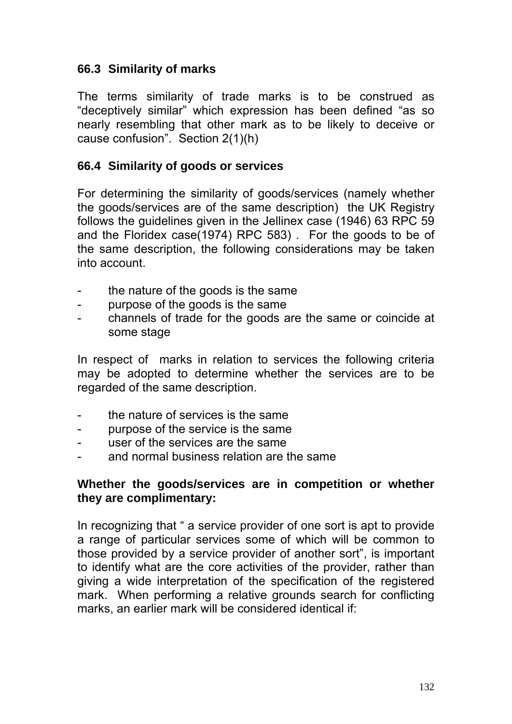#### **66.3 Similarity of marks**

The terms similarity of trade marks is to be construed as "deceptively similar" which expression has been defined "as so nearly resembling that other mark as to be likely to deceive or cause confusion". Section 2(1)(h)

#### **66.4 Similarity of goods or services**

For determining the similarity of goods/services (namely whether the goods/services are of the same description) the UK Registry follows the guidelines given in the Jellinex case (1946) 63 RPC 59 and the Floridex case(1974) RPC 583) . For the goods to be of the same description, the following considerations may be taken into account.

- the nature of the goods is the same
- purpose of the goods is the same
- channels of trade for the goods are the same or coincide at some stage

In respect of marks in relation to services the following criteria may be adopted to determine whether the services are to be regarded of the same description.

- the nature of services is the same
- purpose of the service is the same
- user of the services are the same
- and normal business relation are the same

#### **Whether the goods/services are in competition or whether they are complimentary:**

In recognizing that " a service provider of one sort is apt to provide a range of particular services some of which will be common to those provided by a service provider of another sort", is important to identify what are the core activities of the provider, rather than giving a wide interpretation of the specification of the registered mark. When performing a relative grounds search for conflicting marks, an earlier mark will be considered identical if: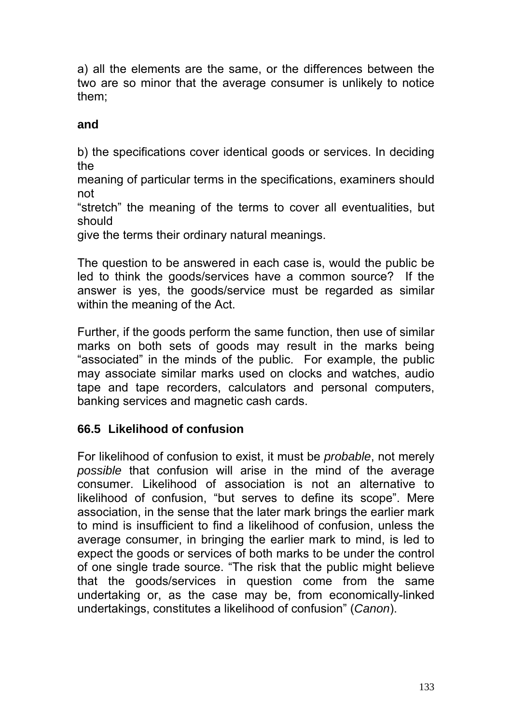a) all the elements are the same, or the differences between the two are so minor that the average consumer is unlikely to notice them;

# **and**

b) the specifications cover identical goods or services. In deciding the

meaning of particular terms in the specifications, examiners should not

"stretch" the meaning of the terms to cover all eventualities, but should

give the terms their ordinary natural meanings.

The question to be answered in each case is, would the public be led to think the goods/services have a common source? If the answer is yes, the goods/service must be regarded as similar within the meaning of the Act.

Further, if the goods perform the same function, then use of similar marks on both sets of goods may result in the marks being "associated" in the minds of the public. For example, the public may associate similar marks used on clocks and watches, audio tape and tape recorders, calculators and personal computers, banking services and magnetic cash cards.

# **66.5 Likelihood of confusion**

For likelihood of confusion to exist, it must be *probable*, not merely *possible* that confusion will arise in the mind of the average consumer. Likelihood of association is not an alternative to likelihood of confusion, "but serves to define its scope". Mere association, in the sense that the later mark brings the earlier mark to mind is insufficient to find a likelihood of confusion, unless the average consumer, in bringing the earlier mark to mind, is led to expect the goods or services of both marks to be under the control of one single trade source. "The risk that the public might believe that the goods/services in question come from the same undertaking or, as the case may be, from economically-linked undertakings, constitutes a likelihood of confusion" (*Canon*).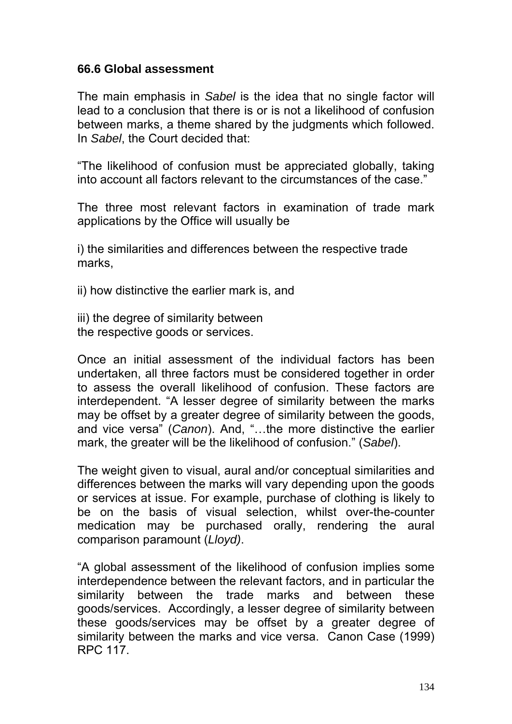#### **66.6 Global assessment**

The main emphasis in *Sabel* is the idea that no single factor will lead to a conclusion that there is or is not a likelihood of confusion between marks, a theme shared by the judgments which followed. In *Sabel*, the Court decided that:

"The likelihood of confusion must be appreciated globally, taking into account all factors relevant to the circumstances of the case."

The three most relevant factors in examination of trade mark applications by the Office will usually be

i) the similarities and differences between the respective trade marks,

ii) how distinctive the earlier mark is, and

iii) the degree of similarity between the respective goods or services.

Once an initial assessment of the individual factors has been undertaken, all three factors must be considered together in order to assess the overall likelihood of confusion. These factors are interdependent. "A lesser degree of similarity between the marks may be offset by a greater degree of similarity between the goods, and vice versa" (*Canon*). And, "…the more distinctive the earlier mark, the greater will be the likelihood of confusion." (*Sabel*).

The weight given to visual, aural and/or conceptual similarities and differences between the marks will vary depending upon the goods or services at issue. For example, purchase of clothing is likely to be on the basis of visual selection, whilst over-the-counter medication may be purchased orally, rendering the aural comparison paramount (*Lloyd)*.

"A global assessment of the likelihood of confusion implies some interdependence between the relevant factors, and in particular the similarity between the trade marks and between these goods/services. Accordingly, a lesser degree of similarity between these goods/services may be offset by a greater degree of similarity between the marks and vice versa. Canon Case (1999) RPC 117.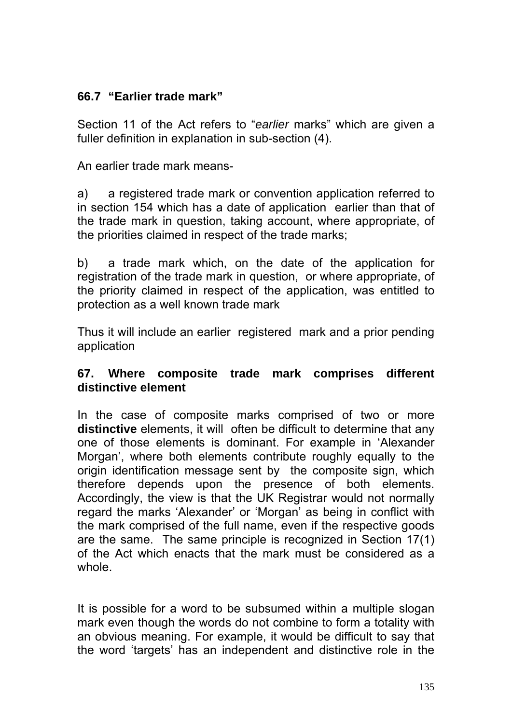### **66.7 "Earlier trade mark"**

Section 11 of the Act refers to "*earlier* marks" which are given a fuller definition in explanation in sub-section (4).

An earlier trade mark means-

a) a registered trade mark or convention application referred to in section 154 which has a date of application earlier than that of the trade mark in question, taking account, where appropriate, of the priorities claimed in respect of the trade marks;

b) a trade mark which, on the date of the application for registration of the trade mark in question, or where appropriate, of the priority claimed in respect of the application, was entitled to protection as a well known trade mark

Thus it will include an earlier registered mark and a prior pending application

#### **67. Where composite trade mark comprises different distinctive element**

In the case of composite marks comprised of two or more **distinctive** elements, it will often be difficult to determine that any one of those elements is dominant. For example in 'Alexander Morgan', where both elements contribute roughly equally to the origin identification message sent by the composite sign, which therefore depends upon the presence of both elements. Accordingly, the view is that the UK Registrar would not normally regard the marks 'Alexander' or 'Morgan' as being in conflict with the mark comprised of the full name, even if the respective goods are the same. The same principle is recognized in Section 17(1) of the Act which enacts that the mark must be considered as a whole.

It is possible for a word to be subsumed within a multiple slogan mark even though the words do not combine to form a totality with an obvious meaning. For example, it would be difficult to say that the word 'targets' has an independent and distinctive role in the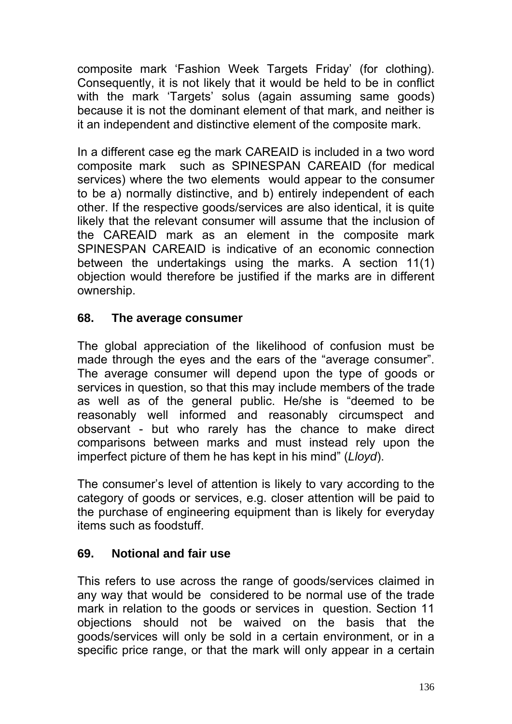composite mark 'Fashion Week Targets Friday' (for clothing). Consequently, it is not likely that it would be held to be in conflict with the mark 'Targets' solus (again assuming same goods) because it is not the dominant element of that mark, and neither is it an independent and distinctive element of the composite mark.

In a different case eg the mark CAREAID is included in a two word composite mark such as SPINESPAN CAREAID (for medical services) where the two elements would appear to the consumer to be a) normally distinctive, and b) entirely independent of each other. If the respective goods/services are also identical, it is quite likely that the relevant consumer will assume that the inclusion of the CAREAID mark as an element in the composite mark SPINESPAN CAREAID is indicative of an economic connection between the undertakings using the marks. A section 11(1) objection would therefore be justified if the marks are in different ownership.

#### **68. The average consumer**

The global appreciation of the likelihood of confusion must be made through the eyes and the ears of the "average consumer". The average consumer will depend upon the type of goods or services in question, so that this may include members of the trade as well as of the general public. He/she is "deemed to be reasonably well informed and reasonably circumspect and observant - but who rarely has the chance to make direct comparisons between marks and must instead rely upon the imperfect picture of them he has kept in his mind" (*Lloyd*).

The consumer's level of attention is likely to vary according to the category of goods or services, e.g. closer attention will be paid to the purchase of engineering equipment than is likely for everyday items such as foodstuff.

### **69. Notional and fair use**

This refers to use across the range of goods/services claimed in any way that would be considered to be normal use of the trade mark in relation to the goods or services in question. Section 11 objections should not be waived on the basis that the goods/services will only be sold in a certain environment, or in a specific price range, or that the mark will only appear in a certain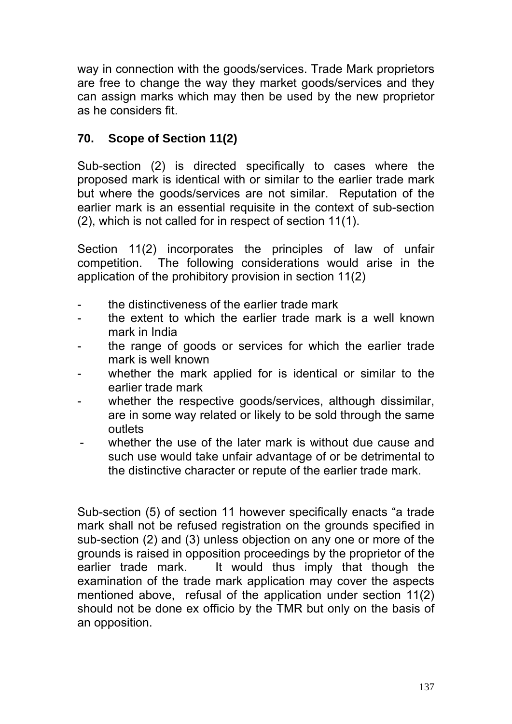way in connection with the goods/services. Trade Mark proprietors are free to change the way they market goods/services and they can assign marks which may then be used by the new proprietor as he considers fit.

# **70. Scope of Section 11(2)**

Sub-section (2) is directed specifically to cases where the proposed mark is identical with or similar to the earlier trade mark but where the goods/services are not similar. Reputation of the earlier mark is an essential requisite in the context of sub-section (2), which is not called for in respect of section 11(1).

Section 11(2) incorporates the principles of law of unfair competition. The following considerations would arise in the application of the prohibitory provision in section 11(2)

- the distinctiveness of the earlier trade mark
- the extent to which the earlier trade mark is a well known mark in India
- the range of goods or services for which the earlier trade mark is well known
- whether the mark applied for is identical or similar to the earlier trade mark
- whether the respective goods/services, although dissimilar, are in some way related or likely to be sold through the same outlets
- whether the use of the later mark is without due cause and such use would take unfair advantage of or be detrimental to the distinctive character or repute of the earlier trade mark.

Sub-section (5) of section 11 however specifically enacts "a trade mark shall not be refused registration on the grounds specified in sub-section (2) and (3) unless objection on any one or more of the grounds is raised in opposition proceedings by the proprietor of the earlier trade mark. It would thus imply that though the examination of the trade mark application may cover the aspects mentioned above, refusal of the application under section 11(2) should not be done ex officio by the TMR but only on the basis of an opposition.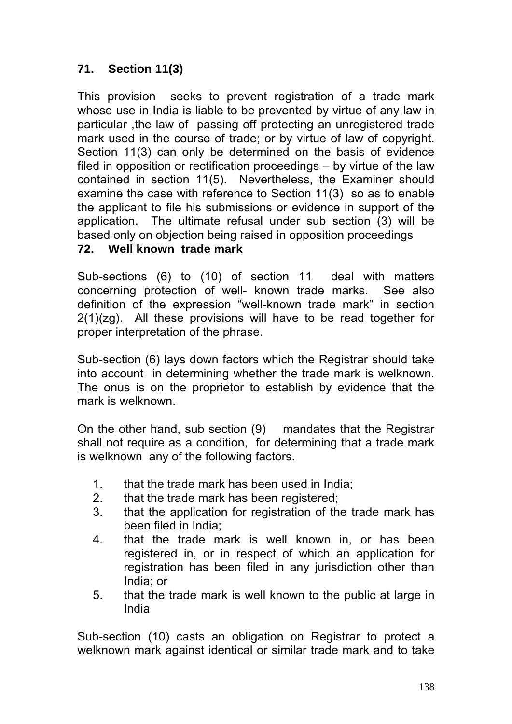# **71. Section 11(3)**

This provision seeks to prevent registration of a trade mark whose use in India is liable to be prevented by virtue of any law in particular ,the law of passing off protecting an unregistered trade mark used in the course of trade; or by virtue of law of copyright. Section 11(3) can only be determined on the basis of evidence filed in opposition or rectification proceedings – by virtue of the law contained in section 11(5). Nevertheless, the Examiner should examine the case with reference to Section 11(3) so as to enable the applicant to file his submissions or evidence in support of the application. The ultimate refusal under sub section (3) will be based only on objection being raised in opposition proceedings

#### **72. Well known trade mark**

Sub-sections (6) to (10) of section 11 deal with matters concerning protection of well- known trade marks. See also definition of the expression "well-known trade mark" in section 2(1)(zg). All these provisions will have to be read together for proper interpretation of the phrase.

Sub-section (6) lays down factors which the Registrar should take into account in determining whether the trade mark is welknown. The onus is on the proprietor to establish by evidence that the mark is welknown.

On the other hand, sub section (9) mandates that the Registrar shall not require as a condition, for determining that a trade mark is welknown any of the following factors.

- 1. that the trade mark has been used in India;
- 2. that the trade mark has been registered;
- 3. that the application for registration of the trade mark has been filed in India;
- 4. that the trade mark is well known in, or has been registered in, or in respect of which an application for registration has been filed in any jurisdiction other than India; or
- 5. that the trade mark is well known to the public at large in India

Sub-section (10) casts an obligation on Registrar to protect a welknown mark against identical or similar trade mark and to take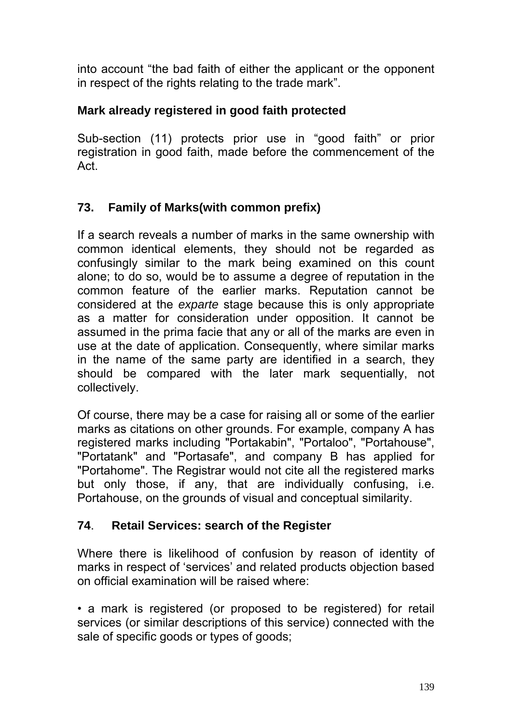into account "the bad faith of either the applicant or the opponent in respect of the rights relating to the trade mark".

### **Mark already registered in good faith protected**

Sub-section (11) protects prior use in "good faith" or prior registration in good faith, made before the commencement of the Act.

# **73. Family of Marks(with common prefix)**

If a search reveals a number of marks in the same ownership with common identical elements, they should not be regarded as confusingly similar to the mark being examined on this count alone; to do so, would be to assume a degree of reputation in the common feature of the earlier marks. Reputation cannot be considered at the *exparte* stage because this is only appropriate as a matter for consideration under opposition. It cannot be assumed in the prima facie that any or all of the marks are even in use at the date of application. Consequently, where similar marks in the name of the same party are identified in a search, they should be compared with the later mark sequentially, not collectively.

Of course, there may be a case for raising all or some of the earlier marks as citations on other grounds. For example, company A has registered marks including "Portakabin", "Portaloo", "Portahouse", "Portatank" and "Portasafe", and company B has applied for "Portahome". The Registrar would not cite all the registered marks but only those, if any, that are individually confusing, i.e. Portahouse, on the grounds of visual and conceptual similarity.

### **74**. **Retail Services: search of the Register**

Where there is likelihood of confusion by reason of identity of marks in respect of 'services' and related products objection based on official examination will be raised where:

• a mark is registered (or proposed to be registered) for retail services (or similar descriptions of this service) connected with the sale of specific goods or types of goods;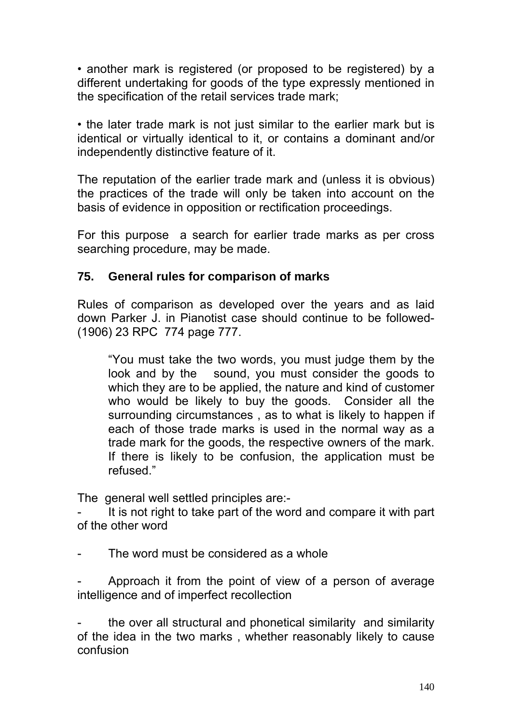• another mark is registered (or proposed to be registered) by a different undertaking for goods of the type expressly mentioned in the specification of the retail services trade mark;

• the later trade mark is not just similar to the earlier mark but is identical or virtually identical to it, or contains a dominant and/or independently distinctive feature of it.

The reputation of the earlier trade mark and (unless it is obvious) the practices of the trade will only be taken into account on the basis of evidence in opposition or rectification proceedings.

For this purpose a search for earlier trade marks as per cross searching procedure, may be made.

### **75. General rules for comparison of marks**

Rules of comparison as developed over the years and as laid down Parker J. in Pianotist case should continue to be followed- (1906) 23 RPC 774 page 777.

"You must take the two words, you must judge them by the look and by the sound, you must consider the goods to which they are to be applied, the nature and kind of customer who would be likely to buy the goods. Consider all the surrounding circumstances , as to what is likely to happen if each of those trade marks is used in the normal way as a trade mark for the goods, the respective owners of the mark. If there is likely to be confusion, the application must be refused."

The general well settled principles are:-

It is not right to take part of the word and compare it with part of the other word

The word must be considered as a whole

Approach it from the point of view of a person of average intelligence and of imperfect recollection

the over all structural and phonetical similarity and similarity of the idea in the two marks , whether reasonably likely to cause confusion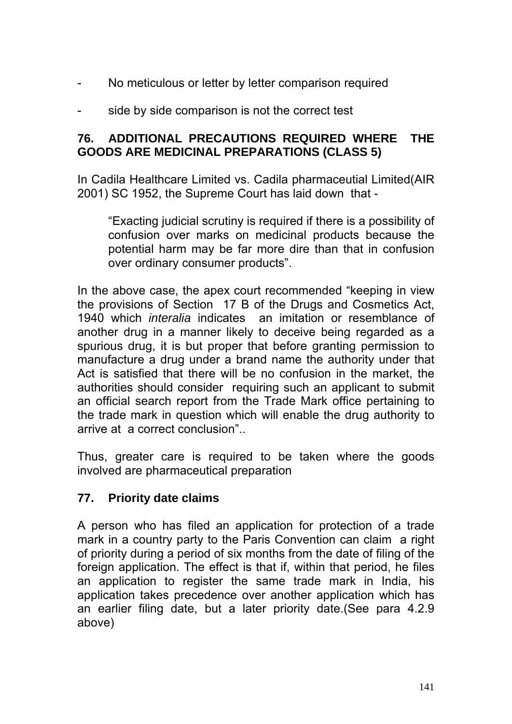- No meticulous or letter by letter comparison required
- side by side comparison is not the correct test

#### **76. ADDITIONAL PRECAUTIONS REQUIRED WHERE THE GOODS ARE MEDICINAL PREPARATIONS (CLASS 5)**

In Cadila Healthcare Limited vs. Cadila pharmaceutial Limited(AIR 2001) SC 1952, the Supreme Court has laid down that -

"Exacting judicial scrutiny is required if there is a possibility of confusion over marks on medicinal products because the potential harm may be far more dire than that in confusion over ordinary consumer products".

In the above case, the apex court recommended "keeping in view the provisions of Section 17 B of the Drugs and Cosmetics Act, 1940 which *interalia* indicates an imitation or resemblance of another drug in a manner likely to deceive being regarded as a spurious drug, it is but proper that before granting permission to manufacture a drug under a brand name the authority under that Act is satisfied that there will be no confusion in the market, the authorities should consider requiring such an applicant to submit an official search report from the Trade Mark office pertaining to the trade mark in question which will enable the drug authority to arrive at a correct conclusion"..

Thus, greater care is required to be taken where the goods involved are pharmaceutical preparation

#### **77. Priority date claims**

A person who has filed an application for protection of a trade mark in a country party to the Paris Convention can claim a right of priority during a period of six months from the date of filing of the foreign application. The effect is that if, within that period, he files an application to register the same trade mark in India, his application takes precedence over another application which has an earlier filing date, but a later priority date.(See para 4.2.9 above)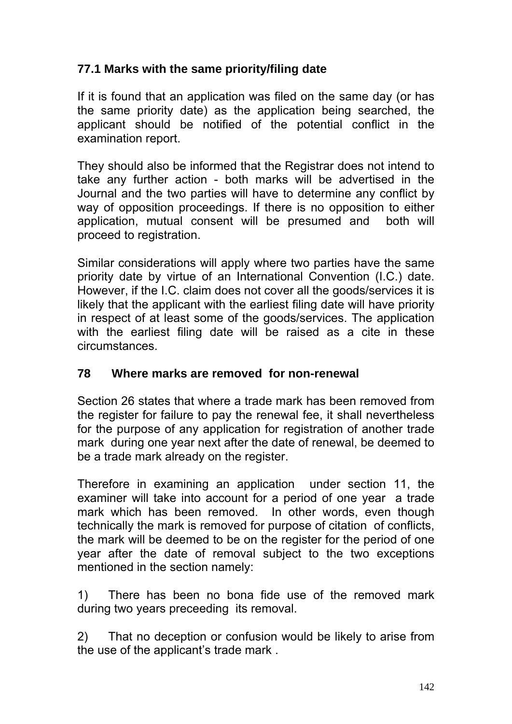## **77.1 Marks with the same priority/filing date**

If it is found that an application was filed on the same day (or has the same priority date) as the application being searched, the applicant should be notified of the potential conflict in the examination report.

They should also be informed that the Registrar does not intend to take any further action - both marks will be advertised in the Journal and the two parties will have to determine any conflict by way of opposition proceedings. If there is no opposition to either application, mutual consent will be presumed and both will proceed to registration.

Similar considerations will apply where two parties have the same priority date by virtue of an International Convention (I.C.) date. However, if the I.C. claim does not cover all the goods/services it is likely that the applicant with the earliest filing date will have priority in respect of at least some of the goods/services. The application with the earliest filing date will be raised as a cite in these circumstances.

### **78 Where marks are removed for non-renewal**

Section 26 states that where a trade mark has been removed from the register for failure to pay the renewal fee, it shall nevertheless for the purpose of any application for registration of another trade mark during one year next after the date of renewal, be deemed to be a trade mark already on the register.

Therefore in examining an application under section 11, the examiner will take into account for a period of one year a trade mark which has been removed. In other words, even though technically the mark is removed for purpose of citation of conflicts, the mark will be deemed to be on the register for the period of one year after the date of removal subject to the two exceptions mentioned in the section namely:

1) There has been no bona fide use of the removed mark during two years preceeding its removal.

2) That no deception or confusion would be likely to arise from the use of the applicant's trade mark .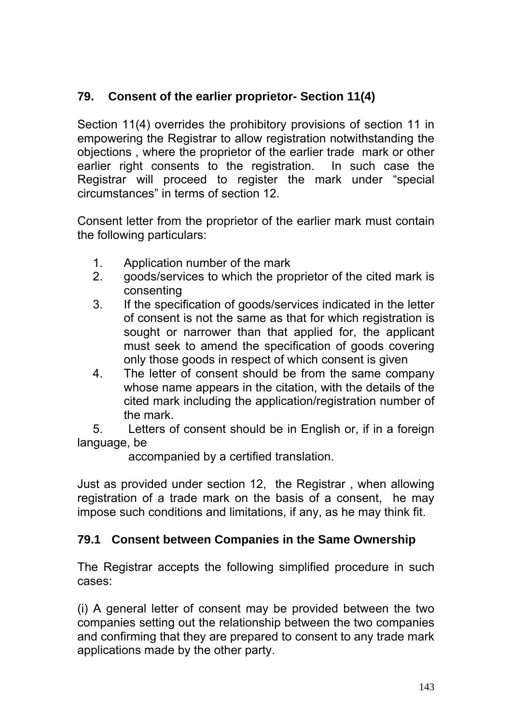# **79. Consent of the earlier proprietor- Section 11(4)**

Section 11(4) overrides the prohibitory provisions of section 11 in empowering the Registrar to allow registration notwithstanding the objections , where the proprietor of the earlier trade mark or other earlier right consents to the registration. In such case the Registrar will proceed to register the mark under "special circumstances" in terms of section 12.

Consent letter from the proprietor of the earlier mark must contain the following particulars:

- 1. Application number of the mark
- 2. goods/services to which the proprietor of the cited mark is consenting
- 3. If the specification of goods/services indicated in the letter of consent is not the same as that for which registration is sought or narrower than that applied for, the applicant must seek to amend the specification of goods covering only those goods in respect of which consent is given
- 4. The letter of consent should be from the same company whose name appears in the citation, with the details of the cited mark including the application/registration number of the mark.

5. Letters of consent should be in English or, if in a foreign language, be

accompanied by a certified translation.

Just as provided under section 12, the Registrar , when allowing registration of a trade mark on the basis of a consent, he may impose such conditions and limitations, if any, as he may think fit.

# **79.1 Consent between Companies in the Same Ownership**

The Registrar accepts the following simplified procedure in such cases:

(i) A general letter of consent may be provided between the two companies setting out the relationship between the two companies and confirming that they are prepared to consent to any trade mark applications made by the other party.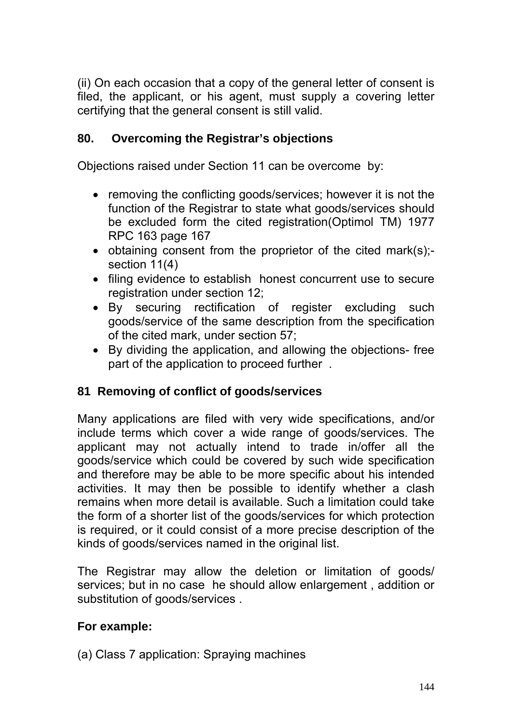(ii) On each occasion that a copy of the general letter of consent is filed, the applicant, or his agent, must supply a covering letter certifying that the general consent is still valid.

# **80. Overcoming the Registrar's objections**

Objections raised under Section 11 can be overcome by:

- removing the conflicting goods/services; however it is not the function of the Registrar to state what goods/services should be excluded form the cited registration(Optimol TM) 1977 RPC 163 page 167
- obtaining consent from the proprietor of the cited mark(s); section 11(4)
- filing evidence to establish honest concurrent use to secure registration under section 12;
- By securing rectification of register excluding such goods/service of the same description from the specification of the cited mark, under section 57;
- By dividing the application, and allowing the objections- free part of the application to proceed further .

# **81 Removing of conflict of goods/services**

Many applications are filed with very wide specifications, and/or include terms which cover a wide range of goods/services. The applicant may not actually intend to trade in/offer all the goods/service which could be covered by such wide specification and therefore may be able to be more specific about his intended activities. It may then be possible to identify whether a clash remains when more detail is available. Such a limitation could take the form of a shorter list of the goods/services for which protection is required, or it could consist of a more precise description of the kinds of goods/services named in the original list.

The Registrar may allow the deletion or limitation of goods/ services; but in no case he should allow enlargement , addition or substitution of goods/services .

# **For example:**

(a) Class 7 application: Spraying machines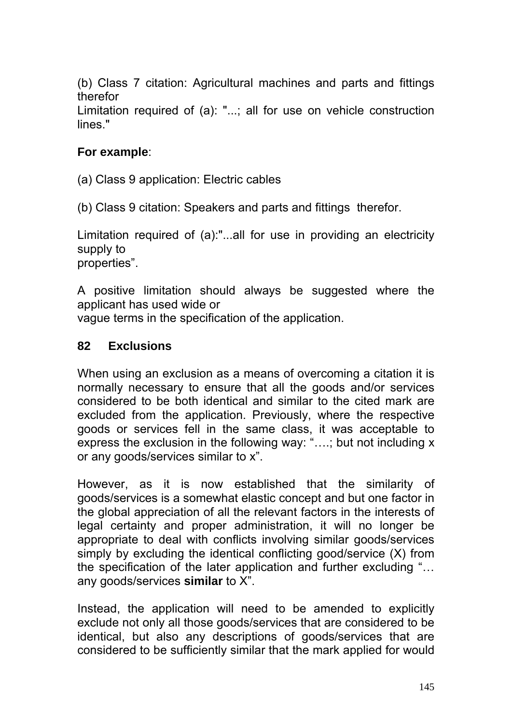(b) Class 7 citation: Agricultural machines and parts and fittings therefor

Limitation required of (a): "...; all for use on vehicle construction lines."

## **For example**:

(a) Class 9 application: Electric cables

(b) Class 9 citation: Speakers and parts and fittings therefor.

Limitation required of (a):"...all for use in providing an electricity supply to properties".

A positive limitation should always be suggested where the applicant has used wide or vague terms in the specification of the application.

### **82 Exclusions**

When using an exclusion as a means of overcoming a citation it is normally necessary to ensure that all the goods and/or services considered to be both identical and similar to the cited mark are excluded from the application. Previously, where the respective goods or services fell in the same class, it was acceptable to express the exclusion in the following way: "….; but not including x or any goods/services similar to x".

However, as it is now established that the similarity of goods/services is a somewhat elastic concept and but one factor in the global appreciation of all the relevant factors in the interests of legal certainty and proper administration, it will no longer be appropriate to deal with conflicts involving similar goods/services simply by excluding the identical conflicting good/service (X) from the specification of the later application and further excluding "… any goods/services **similar** to X".

Instead, the application will need to be amended to explicitly exclude not only all those goods/services that are considered to be identical, but also any descriptions of goods/services that are considered to be sufficiently similar that the mark applied for would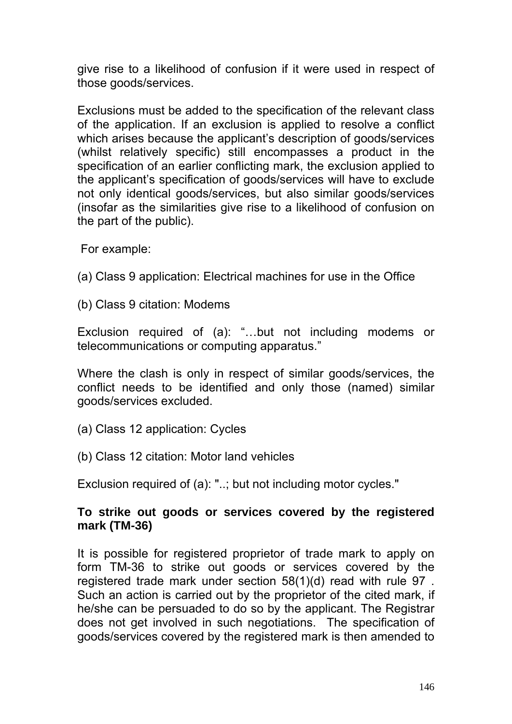give rise to a likelihood of confusion if it were used in respect of those goods/services.

Exclusions must be added to the specification of the relevant class of the application. If an exclusion is applied to resolve a conflict which arises because the applicant's description of goods/services (whilst relatively specific) still encompasses a product in the specification of an earlier conflicting mark, the exclusion applied to the applicant's specification of goods/services will have to exclude not only identical goods/services, but also similar goods/services (insofar as the similarities give rise to a likelihood of confusion on the part of the public).

For example:

- (a) Class 9 application: Electrical machines for use in the Office
- (b) Class 9 citation: Modems

Exclusion required of (a): "…but not including modems or telecommunications or computing apparatus."

Where the clash is only in respect of similar goods/services, the conflict needs to be identified and only those (named) similar goods/services excluded.

- (a) Class 12 application: Cycles
- (b) Class 12 citation: Motor land vehicles

Exclusion required of (a): "..; but not including motor cycles."

## **To strike out goods or services covered by the registered mark (TM-36)**

It is possible for registered proprietor of trade mark to apply on form TM-36 to strike out goods or services covered by the registered trade mark under section 58(1)(d) read with rule 97 . Such an action is carried out by the proprietor of the cited mark, if he/she can be persuaded to do so by the applicant. The Registrar does not get involved in such negotiations. The specification of goods/services covered by the registered mark is then amended to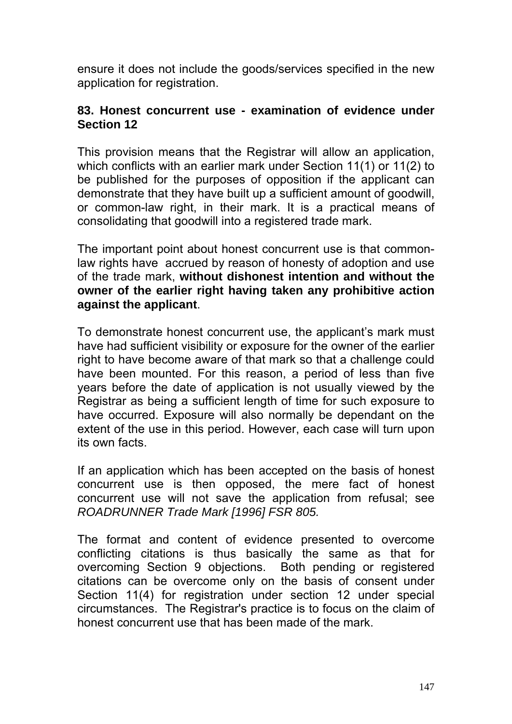ensure it does not include the goods/services specified in the new application for registration.

### **83. Honest concurrent use - examination of evidence under Section 12**

This provision means that the Registrar will allow an application, which conflicts with an earlier mark under Section 11(1) or 11(2) to be published for the purposes of opposition if the applicant can demonstrate that they have built up a sufficient amount of goodwill, or common-law right, in their mark. It is a practical means of consolidating that goodwill into a registered trade mark.

The important point about honest concurrent use is that commonlaw rights have accrued by reason of honesty of adoption and use of the trade mark, **without dishonest intention and without the owner of the earlier right having taken any prohibitive action against the applicant**.

To demonstrate honest concurrent use, the applicant's mark must have had sufficient visibility or exposure for the owner of the earlier right to have become aware of that mark so that a challenge could have been mounted. For this reason, a period of less than five years before the date of application is not usually viewed by the Registrar as being a sufficient length of time for such exposure to have occurred. Exposure will also normally be dependant on the extent of the use in this period. However, each case will turn upon its own facts.

If an application which has been accepted on the basis of honest concurrent use is then opposed, the mere fact of honest concurrent use will not save the application from refusal; see *ROADRUNNER Trade Mark [1996] FSR 805.* 

The format and content of evidence presented to overcome conflicting citations is thus basically the same as that for overcoming Section 9 objections. Both pending or registered citations can be overcome only on the basis of consent under Section 11(4) for registration under section 12 under special circumstances. The Registrar's practice is to focus on the claim of honest concurrent use that has been made of the mark.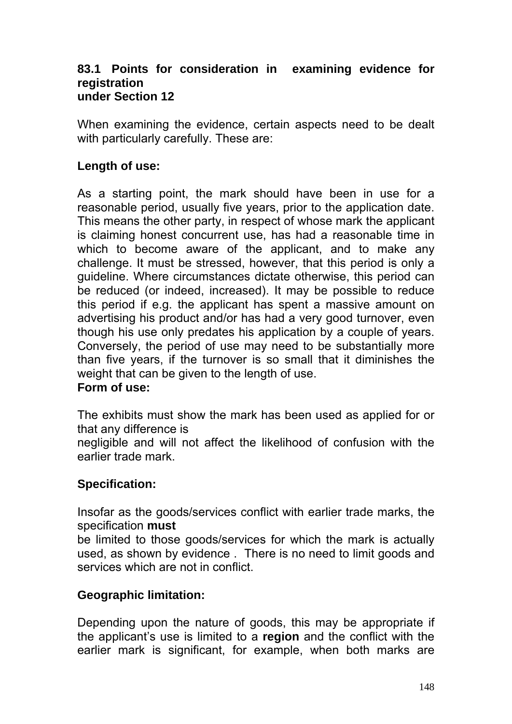### **83.1 Points for consideration in examining evidence for registration under Section 12**

When examining the evidence, certain aspects need to be dealt with particularly carefully. These are:

# **Length of use:**

As a starting point, the mark should have been in use for a reasonable period, usually five years, prior to the application date. This means the other party, in respect of whose mark the applicant is claiming honest concurrent use, has had a reasonable time in which to become aware of the applicant, and to make any challenge. It must be stressed, however, that this period is only a guideline. Where circumstances dictate otherwise, this period can be reduced (or indeed, increased). It may be possible to reduce this period if e.g. the applicant has spent a massive amount on advertising his product and/or has had a very good turnover, even though his use only predates his application by a couple of years. Conversely, the period of use may need to be substantially more than five years, if the turnover is so small that it diminishes the weight that can be given to the length of use.

## **Form of use:**

The exhibits must show the mark has been used as applied for or that any difference is

negligible and will not affect the likelihood of confusion with the earlier trade mark.

## **Specification:**

Insofar as the goods/services conflict with earlier trade marks, the specification **must** 

be limited to those goods/services for which the mark is actually used, as shown by evidence . There is no need to limit goods and services which are not in conflict.

## **Geographic limitation:**

Depending upon the nature of goods, this may be appropriate if the applicant's use is limited to a **region** and the conflict with the earlier mark is significant, for example, when both marks are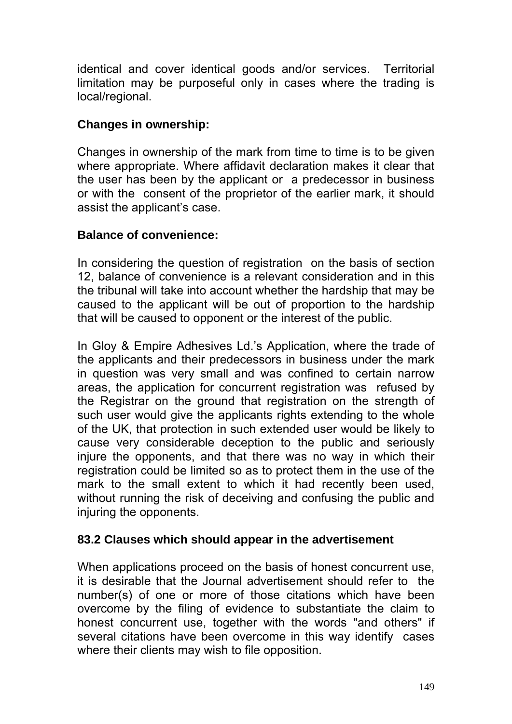identical and cover identical goods and/or services. Territorial limitation may be purposeful only in cases where the trading is local/regional.

## **Changes in ownership:**

Changes in ownership of the mark from time to time is to be given where appropriate. Where affidavit declaration makes it clear that the user has been by the applicant or a predecessor in business or with the consent of the proprietor of the earlier mark, it should assist the applicant's case.

## **Balance of convenience:**

In considering the question of registration on the basis of section 12, balance of convenience is a relevant consideration and in this the tribunal will take into account whether the hardship that may be caused to the applicant will be out of proportion to the hardship that will be caused to opponent or the interest of the public.

In Gloy & Empire Adhesives Ld.'s Application, where the trade of the applicants and their predecessors in business under the mark in question was very small and was confined to certain narrow areas, the application for concurrent registration was refused by the Registrar on the ground that registration on the strength of such user would give the applicants rights extending to the whole of the UK, that protection in such extended user would be likely to cause very considerable deception to the public and seriously injure the opponents, and that there was no way in which their registration could be limited so as to protect them in the use of the mark to the small extent to which it had recently been used, without running the risk of deceiving and confusing the public and injuring the opponents.

## **83.2 Clauses which should appear in the advertisement**

When applications proceed on the basis of honest concurrent use, it is desirable that the Journal advertisement should refer to the number(s) of one or more of those citations which have been overcome by the filing of evidence to substantiate the claim to honest concurrent use, together with the words "and others" if several citations have been overcome in this way identify cases where their clients may wish to file opposition.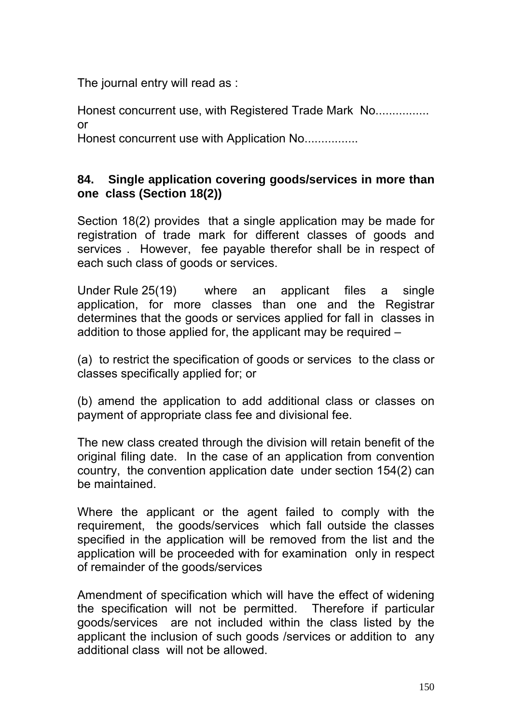The journal entry will read as :

Honest concurrent use, with Registered Trade Mark No................ or

Honest concurrent use with Application No................

# **84. Single application covering goods/services in more than one class (Section 18(2))**

Section 18(2) provides that a single application may be made for registration of trade mark for different classes of goods and services . However, fee payable therefor shall be in respect of each such class of goods or services.

Under Rule 25(19) where an applicant files a single application, for more classes than one and the Registrar determines that the goods or services applied for fall in classes in addition to those applied for, the applicant may be required –

(a) to restrict the specification of goods or services to the class or classes specifically applied for; or

(b) amend the application to add additional class or classes on payment of appropriate class fee and divisional fee.

The new class created through the division will retain benefit of the original filing date. In the case of an application from convention country, the convention application date under section 154(2) can be maintained.

Where the applicant or the agent failed to comply with the requirement, the goods/services which fall outside the classes specified in the application will be removed from the list and the application will be proceeded with for examination only in respect of remainder of the goods/services

Amendment of specification which will have the effect of widening the specification will not be permitted. Therefore if particular goods/services are not included within the class listed by the applicant the inclusion of such goods /services or addition to any additional class will not be allowed.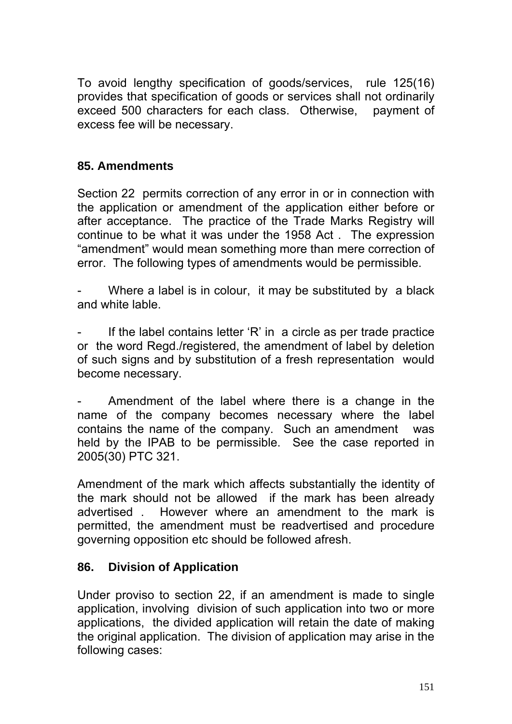To avoid lengthy specification of goods/services, rule 125(16) provides that specification of goods or services shall not ordinarily exceed 500 characters for each class. Otherwise, payment of excess fee will be necessary.

# **85. Amendments**

Section 22 permits correction of any error in or in connection with the application or amendment of the application either before or after acceptance. The practice of the Trade Marks Registry will continue to be what it was under the 1958 Act . The expression "amendment" would mean something more than mere correction of error. The following types of amendments would be permissible.

Where a label is in colour, it may be substituted by a black and white lable.

If the label contains letter  $'R'$  in a circle as per trade practice or the word Regd./registered, the amendment of label by deletion of such signs and by substitution of a fresh representation would become necessary.

Amendment of the label where there is a change in the name of the company becomes necessary where the label contains the name of the company. Such an amendment was held by the IPAB to be permissible. See the case reported in 2005(30) PTC 321.

Amendment of the mark which affects substantially the identity of the mark should not be allowed if the mark has been already advertised . However where an amendment to the mark is permitted, the amendment must be readvertised and procedure governing opposition etc should be followed afresh.

# **86. Division of Application**

Under proviso to section 22, if an amendment is made to single application, involving division of such application into two or more applications, the divided application will retain the date of making the original application. The division of application may arise in the following cases: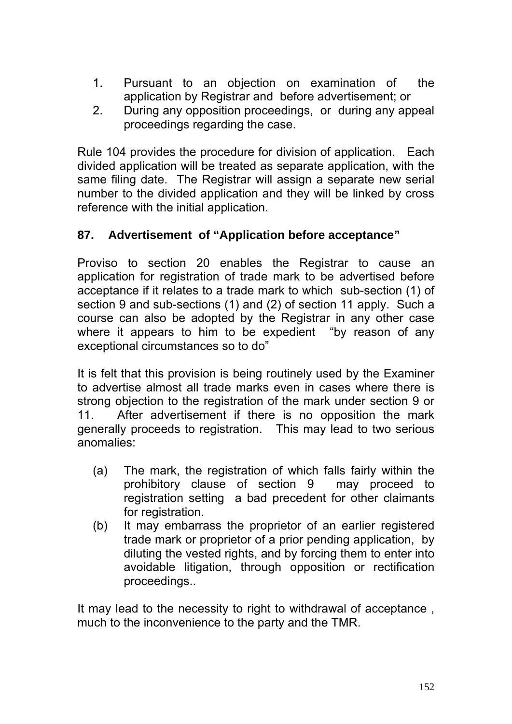- 1. Pursuant to an objection on examination of the application by Registrar and before advertisement; or
- 2. During any opposition proceedings, or during any appeal proceedings regarding the case.

Rule 104 provides the procedure for division of application. Each divided application will be treated as separate application, with the same filing date. The Registrar will assign a separate new serial number to the divided application and they will be linked by cross reference with the initial application.

# **87. Advertisement of "Application before acceptance"**

Proviso to section 20 enables the Registrar to cause an application for registration of trade mark to be advertised before acceptance if it relates to a trade mark to which sub-section (1) of section 9 and sub-sections (1) and (2) of section 11 apply. Such a course can also be adopted by the Registrar in any other case where it appears to him to be expedient "by reason of any exceptional circumstances so to do"

It is felt that this provision is being routinely used by the Examiner to advertise almost all trade marks even in cases where there is strong objection to the registration of the mark under section 9 or 11. After advertisement if there is no opposition the mark generally proceeds to registration. This may lead to two serious anomalies:

- (a) The mark, the registration of which falls fairly within the prohibitory clause of section 9 may proceed to registration setting a bad precedent for other claimants for registration.
- (b) It may embarrass the proprietor of an earlier registered trade mark or proprietor of a prior pending application, by diluting the vested rights, and by forcing them to enter into avoidable litigation, through opposition or rectification proceedings..

It may lead to the necessity to right to withdrawal of acceptance , much to the inconvenience to the party and the TMR.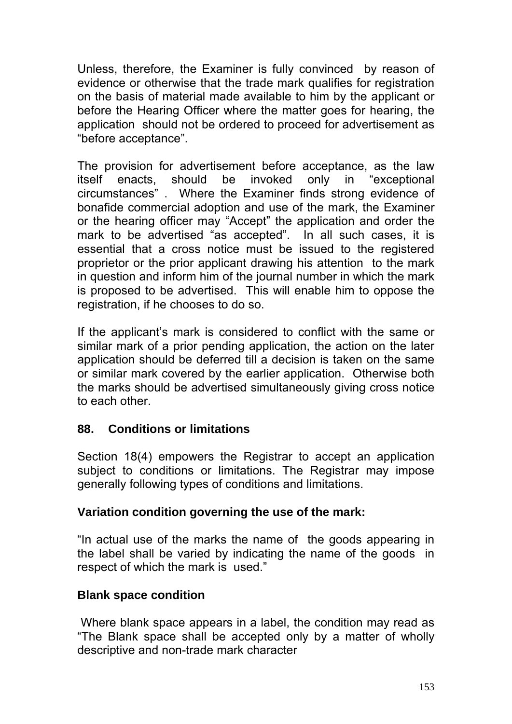Unless, therefore, the Examiner is fully convinced by reason of evidence or otherwise that the trade mark qualifies for registration on the basis of material made available to him by the applicant or before the Hearing Officer where the matter goes for hearing, the application should not be ordered to proceed for advertisement as "before acceptance".

The provision for advertisement before acceptance, as the law itself enacts, should be invoked only in "exceptional circumstances" . Where the Examiner finds strong evidence of bonafide commercial adoption and use of the mark, the Examiner or the hearing officer may "Accept" the application and order the mark to be advertised "as accepted". In all such cases, it is essential that a cross notice must be issued to the registered proprietor or the prior applicant drawing his attention to the mark in question and inform him of the journal number in which the mark is proposed to be advertised. This will enable him to oppose the registration, if he chooses to do so.

If the applicant's mark is considered to conflict with the same or similar mark of a prior pending application, the action on the later application should be deferred till a decision is taken on the same or similar mark covered by the earlier application. Otherwise both the marks should be advertised simultaneously giving cross notice to each other.

# **88. Conditions or limitations**

Section 18(4) empowers the Registrar to accept an application subject to conditions or limitations. The Registrar may impose generally following types of conditions and limitations.

## **Variation condition governing the use of the mark:**

"In actual use of the marks the name of the goods appearing in the label shall be varied by indicating the name of the goods in respect of which the mark is used."

## **Blank space condition**

 Where blank space appears in a label, the condition may read as "The Blank space shall be accepted only by a matter of wholly descriptive and non-trade mark character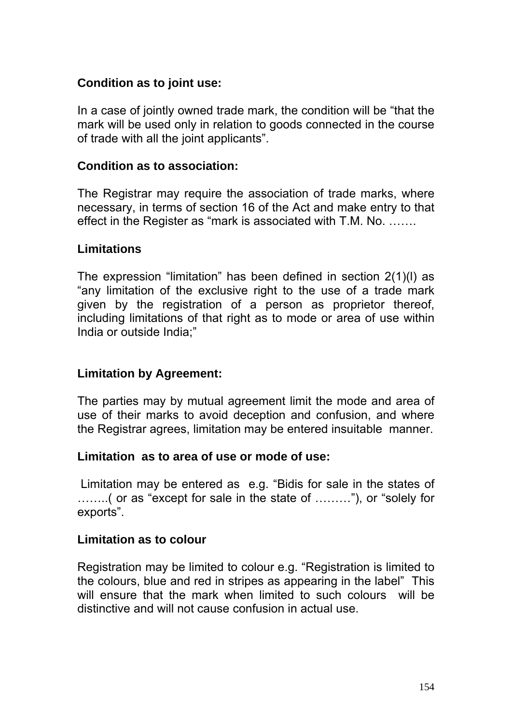## **Condition as to joint use:**

In a case of jointly owned trade mark, the condition will be "that the mark will be used only in relation to goods connected in the course of trade with all the joint applicants".

### **Condition as to association:**

The Registrar may require the association of trade marks, where necessary, in terms of section 16 of the Act and make entry to that effect in the Register as "mark is associated with T.M. No. …….

## **Limitations**

The expression "limitation" has been defined in section 2(1)(l) as "any limitation of the exclusive right to the use of a trade mark given by the registration of a person as proprietor thereof, including limitations of that right as to mode or area of use within India or outside India;"

## **Limitation by Agreement:**

The parties may by mutual agreement limit the mode and area of use of their marks to avoid deception and confusion, and where the Registrar agrees, limitation may be entered insuitable manner.

### **Limitation as to area of use or mode of use:**

 Limitation may be entered as e.g. "Bidis for sale in the states of ……..( or as "except for sale in the state of ………"), or "solely for exports".

### **Limitation as to colour**

Registration may be limited to colour e.g. "Registration is limited to the colours, blue and red in stripes as appearing in the label" This will ensure that the mark when limited to such colours will be distinctive and will not cause confusion in actual use.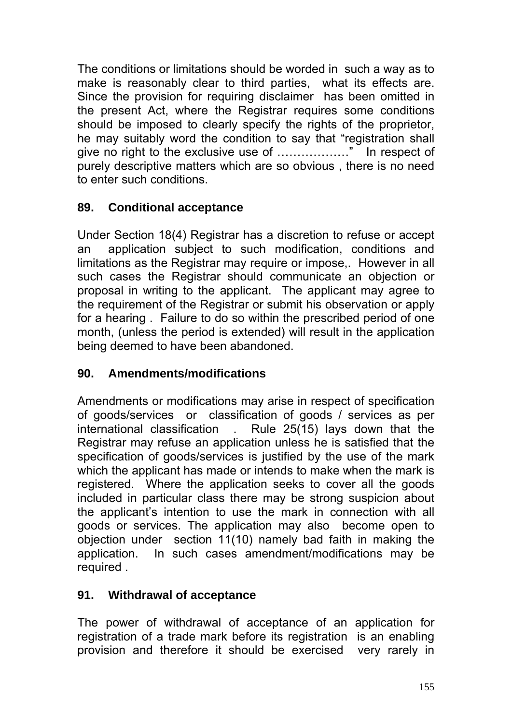The conditions or limitations should be worded in such a way as to make is reasonably clear to third parties, what its effects are. Since the provision for requiring disclaimer has been omitted in the present Act, where the Registrar requires some conditions should be imposed to clearly specify the rights of the proprietor, he may suitably word the condition to say that "registration shall give no right to the exclusive use of ………………" In respect of purely descriptive matters which are so obvious , there is no need to enter such conditions.

# **89. Conditional acceptance**

Under Section 18(4) Registrar has a discretion to refuse or accept an application subject to such modification, conditions and limitations as the Registrar may require or impose,. However in all such cases the Registrar should communicate an objection or proposal in writing to the applicant. The applicant may agree to the requirement of the Registrar or submit his observation or apply for a hearing . Failure to do so within the prescribed period of one month, (unless the period is extended) will result in the application being deemed to have been abandoned.

# **90. Amendments/modifications**

Amendments or modifications may arise in respect of specification of goods/services or classification of goods / services as per international classification . Rule 25(15) lays down that the Registrar may refuse an application unless he is satisfied that the specification of goods/services is justified by the use of the mark which the applicant has made or intends to make when the mark is registered. Where the application seeks to cover all the goods included in particular class there may be strong suspicion about the applicant's intention to use the mark in connection with all goods or services. The application may also become open to objection under section 11(10) namely bad faith in making the application. In such cases amendment/modifications may be required .

# **91. Withdrawal of acceptance**

The power of withdrawal of acceptance of an application for registration of a trade mark before its registration is an enabling provision and therefore it should be exercised very rarely in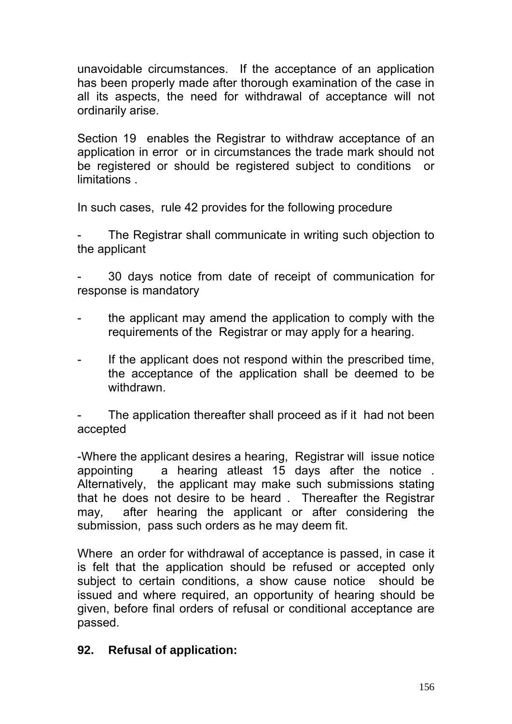unavoidable circumstances. If the acceptance of an application has been properly made after thorough examination of the case in all its aspects, the need for withdrawal of acceptance will not ordinarily arise.

Section 19 enables the Registrar to withdraw acceptance of an application in error or in circumstances the trade mark should not be registered or should be registered subject to conditions or limitations .

In such cases, rule 42 provides for the following procedure

The Registrar shall communicate in writing such objection to the applicant

- 30 days notice from date of receipt of communication for response is mandatory

- the applicant may amend the application to comply with the requirements of the Registrar or may apply for a hearing.
- If the applicant does not respond within the prescribed time, the acceptance of the application shall be deemed to be withdrawn.

The application thereafter shall proceed as if it had not been accepted

-Where the applicant desires a hearing, Registrar will issue notice appointing a hearing atleast 15 days after the notice . Alternatively, the applicant may make such submissions stating that he does not desire to be heard . Thereafter the Registrar may, after hearing the applicant or after considering the submission, pass such orders as he may deem fit.

Where an order for withdrawal of acceptance is passed, in case it is felt that the application should be refused or accepted only subject to certain conditions, a show cause notice should be issued and where required, an opportunity of hearing should be given, before final orders of refusal or conditional acceptance are passed.

## **92. Refusal of application:**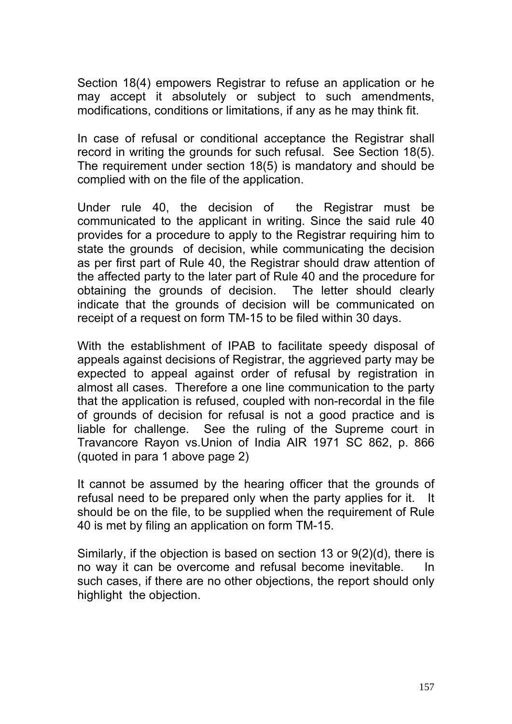Section 18(4) empowers Registrar to refuse an application or he may accept it absolutely or subject to such amendments, modifications, conditions or limitations, if any as he may think fit.

In case of refusal or conditional acceptance the Registrar shall record in writing the grounds for such refusal. See Section 18(5). The requirement under section 18(5) is mandatory and should be complied with on the file of the application.

Under rule 40, the decision of the Registrar must be communicated to the applicant in writing. Since the said rule 40 provides for a procedure to apply to the Registrar requiring him to state the grounds of decision, while communicating the decision as per first part of Rule 40, the Registrar should draw attention of the affected party to the later part of Rule 40 and the procedure for obtaining the grounds of decision. The letter should clearly indicate that the grounds of decision will be communicated on receipt of a request on form TM-15 to be filed within 30 days.

With the establishment of IPAB to facilitate speedy disposal of appeals against decisions of Registrar, the aggrieved party may be expected to appeal against order of refusal by registration in almost all cases. Therefore a one line communication to the party that the application is refused, coupled with non-recordal in the file of grounds of decision for refusal is not a good practice and is liable for challenge. See the ruling of the Supreme court in Travancore Rayon vs.Union of India AIR 1971 SC 862, p. 866 (quoted in para 1 above page 2)

It cannot be assumed by the hearing officer that the grounds of refusal need to be prepared only when the party applies for it. It should be on the file, to be supplied when the requirement of Rule 40 is met by filing an application on form TM-15.

Similarly, if the objection is based on section 13 or 9(2)(d), there is no way it can be overcome and refusal become inevitable. In such cases, if there are no other objections, the report should only highlight the objection.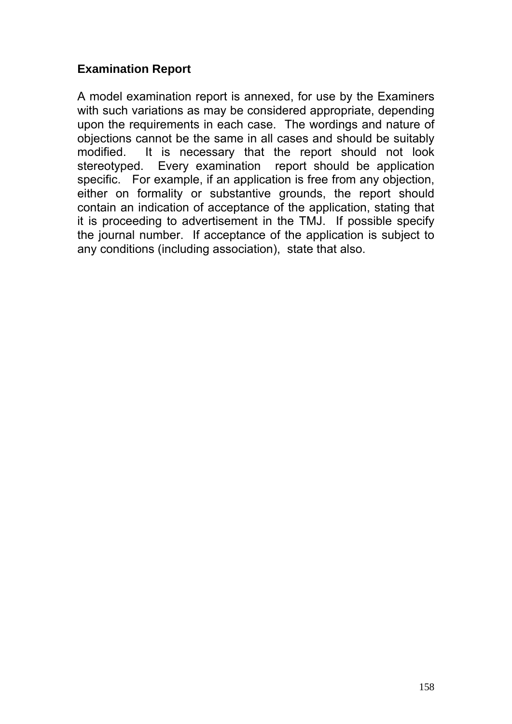# **Examination Report**

A model examination report is annexed, for use by the Examiners with such variations as may be considered appropriate, depending upon the requirements in each case. The wordings and nature of objections cannot be the same in all cases and should be suitably modified. It is necessary that the report should not look stereotyped. Every examination report should be application specific. For example, if an application is free from any objection, either on formality or substantive grounds, the report should contain an indication of acceptance of the application, stating that it is proceeding to advertisement in the TMJ. If possible specify the journal number. If acceptance of the application is subject to any conditions (including association), state that also.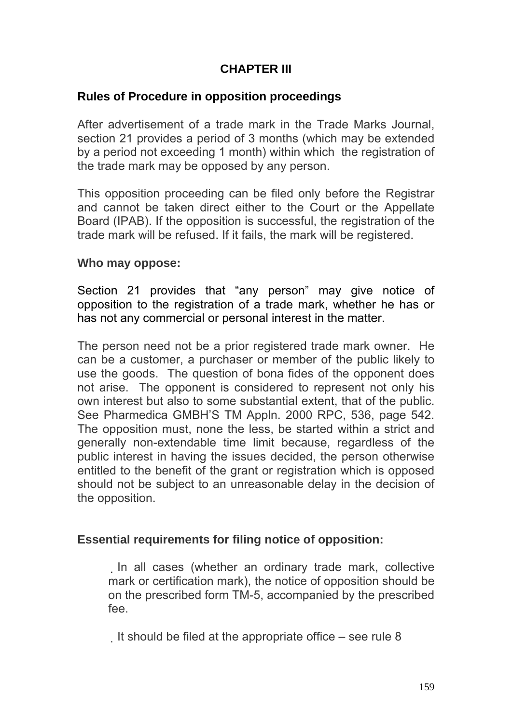# **CHAPTER III**

## **Rules of Procedure in opposition proceedings**

After advertisement of a trade mark in the Trade Marks Journal, section 21 provides a period of 3 months (which may be extended by a period not exceeding 1 month) within which the registration of the trade mark may be opposed by any person.

This opposition proceeding can be filed only before the Registrar and cannot be taken direct either to the Court or the Appellate Board (IPAB). If the opposition is successful, the registration of the trade mark will be refused. If it fails, the mark will be registered.

### **Who may oppose:**

Section 21 provides that "any person" may give notice of opposition to the registration of a trade mark, whether he has or has not any commercial or personal interest in the matter.

The person need not be a prior registered trade mark owner. He can be a customer, a purchaser or member of the public likely to use the goods. The question of bona fides of the opponent does not arise. The opponent is considered to represent not only his own interest but also to some substantial extent, that of the public. See Pharmedica GMBH'S TM Appln. 2000 RPC, 536, page 542. The opposition must, none the less, be started within a strict and generally non-extendable time limit because, regardless of the public interest in having the issues decided, the person otherwise entitled to the benefit of the grant or registration which is opposed should not be subject to an unreasonable delay in the decision of the opposition.

## **Essential requirements for filing notice of opposition:**

In all cases (whether an ordinary trade mark, collective mark or certification mark), the notice of opposition should be on the prescribed form TM-5, accompanied by the prescribed fee.

It should be filed at the appropriate office – see rule 8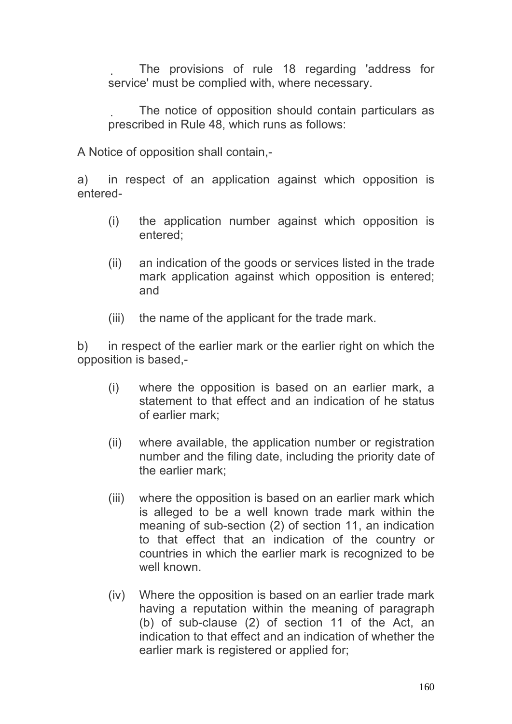The provisions of rule 18 regarding 'address for service' must be complied with, where necessary.

 The notice of opposition should contain particulars as prescribed in Rule 48, which runs as follows:

A Notice of opposition shall contain,-

a) in respect of an application against which opposition is entered-

- (i) the application number against which opposition is entered;
- (ii) an indication of the goods or services listed in the trade mark application against which opposition is entered; and
- (iii) the name of the applicant for the trade mark.

b) in respect of the earlier mark or the earlier right on which the opposition is based,-

- (i) where the opposition is based on an earlier mark, a statement to that effect and an indication of he status of earlier mark;
- (ii) where available, the application number or registration number and the filing date, including the priority date of the earlier mark;
- (iii) where the opposition is based on an earlier mark which is alleged to be a well known trade mark within the meaning of sub-section (2) of section 11, an indication to that effect that an indication of the country or countries in which the earlier mark is recognized to be well known
- (iv) Where the opposition is based on an earlier trade mark having a reputation within the meaning of paragraph (b) of sub-clause (2) of section 11 of the Act, an indication to that effect and an indication of whether the earlier mark is registered or applied for;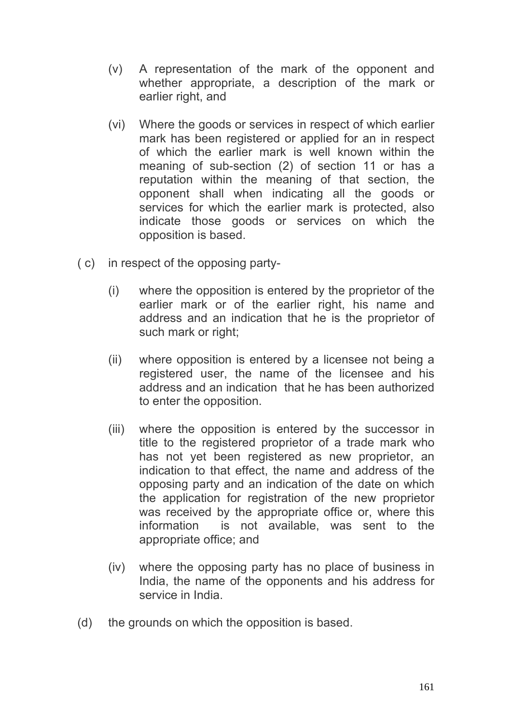- (v) A representation of the mark of the opponent and whether appropriate, a description of the mark or earlier right, and
- (vi) Where the goods or services in respect of which earlier mark has been registered or applied for an in respect of which the earlier mark is well known within the meaning of sub-section (2) of section 11 or has a reputation within the meaning of that section, the opponent shall when indicating all the goods or services for which the earlier mark is protected, also indicate those goods or services on which the opposition is based.
- ( c) in respect of the opposing party-
	- (i) where the opposition is entered by the proprietor of the earlier mark or of the earlier right, his name and address and an indication that he is the proprietor of such mark or right;
	- (ii) where opposition is entered by a licensee not being a registered user, the name of the licensee and his address and an indication that he has been authorized to enter the opposition.
	- (iii) where the opposition is entered by the successor in title to the registered proprietor of a trade mark who has not yet been registered as new proprietor, an indication to that effect, the name and address of the opposing party and an indication of the date on which the application for registration of the new proprietor was received by the appropriate office or, where this information is not available, was sent to the appropriate office; and
	- (iv) where the opposing party has no place of business in India, the name of the opponents and his address for service in India.
- (d) the grounds on which the opposition is based.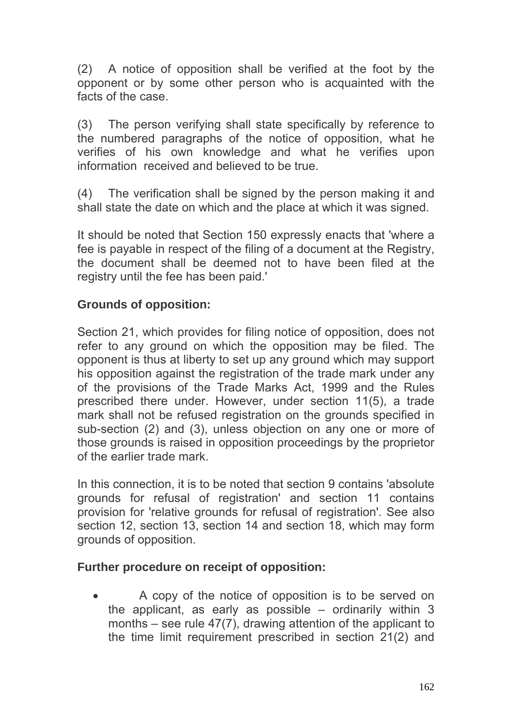(2) A notice of opposition shall be verified at the foot by the opponent or by some other person who is acquainted with the facts of the case.

(3) The person verifying shall state specifically by reference to the numbered paragraphs of the notice of opposition, what he verifies of his own knowledge and what he verifies upon information received and believed to be true.

(4) The verification shall be signed by the person making it and shall state the date on which and the place at which it was signed.

It should be noted that Section 150 expressly enacts that 'where a fee is payable in respect of the filing of a document at the Registry, the document shall be deemed not to have been filed at the registry until the fee has been paid.'

# **Grounds of opposition:**

Section 21, which provides for filing notice of opposition, does not refer to any ground on which the opposition may be filed. The opponent is thus at liberty to set up any ground which may support his opposition against the registration of the trade mark under any of the provisions of the Trade Marks Act, 1999 and the Rules prescribed there under. However, under section 11(5), a trade mark shall not be refused registration on the grounds specified in sub-section (2) and (3), unless objection on any one or more of those grounds is raised in opposition proceedings by the proprietor of the earlier trade mark.

In this connection, it is to be noted that section 9 contains 'absolute grounds for refusal of registration' and section 11 contains provision for 'relative grounds for refusal of registration'. See also section 12, section 13, section 14 and section 18, which may form grounds of opposition.

## **Further procedure on receipt of opposition:**

• A copy of the notice of opposition is to be served on the applicant, as early as possible – ordinarily within 3 months – see rule 47(7), drawing attention of the applicant to the time limit requirement prescribed in section 21(2) and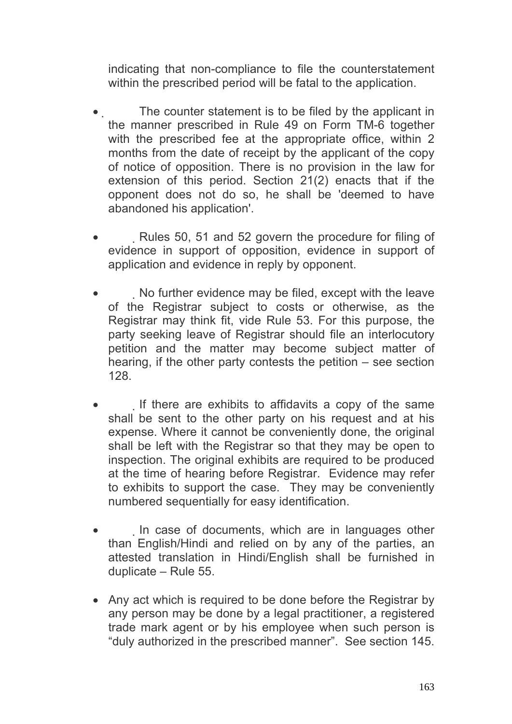indicating that non-compliance to file the counterstatement within the prescribed period will be fatal to the application.

- The counter statement is to be filed by the applicant in the manner prescribed in Rule 49 on Form TM-6 together with the prescribed fee at the appropriate office, within 2 months from the date of receipt by the applicant of the copy of notice of opposition. There is no provision in the law for extension of this period. Section 21(2) enacts that if the opponent does not do so, he shall be 'deemed to have abandoned his application'.
- Rules 50, 51 and 52 govern the procedure for filing of evidence in support of opposition, evidence in support of application and evidence in reply by opponent.
- No further evidence may be filed, except with the leave of the Registrar subject to costs or otherwise, as the Registrar may think fit, vide Rule 53. For this purpose, the party seeking leave of Registrar should file an interlocutory petition and the matter may become subject matter of hearing, if the other party contests the petition – see section 128.
- If there are exhibits to affidavits a copy of the same shall be sent to the other party on his request and at his expense. Where it cannot be conveniently done, the original shall be left with the Registrar so that they may be open to inspection. The original exhibits are required to be produced at the time of hearing before Registrar. Evidence may refer to exhibits to support the case. They may be conveniently numbered sequentially for easy identification.
- In case of documents, which are in languages other than English/Hindi and relied on by any of the parties, an attested translation in Hindi/English shall be furnished in duplicate – Rule 55.
- Any act which is required to be done before the Registrar by any person may be done by a legal practitioner, a registered trade mark agent or by his employee when such person is "duly authorized in the prescribed manner". See section 145.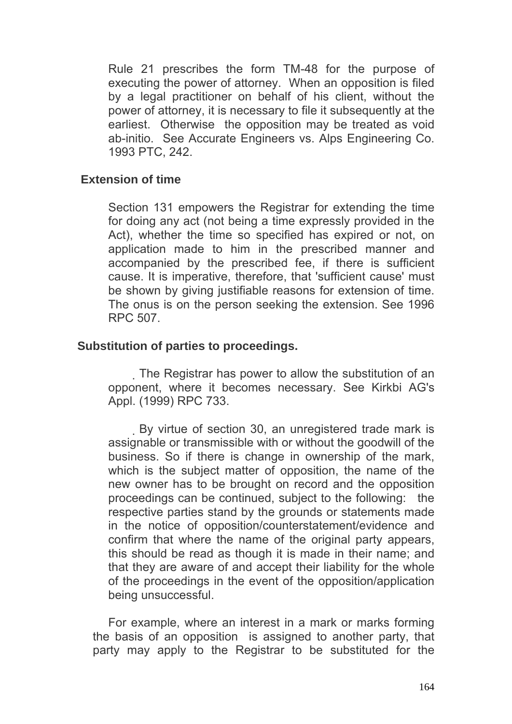Rule 21 prescribes the form TM-48 for the purpose of executing the power of attorney. When an opposition is filed by a legal practitioner on behalf of his client, without the power of attorney, it is necessary to file it subsequently at the earliest. Otherwise the opposition may be treated as void ab-initio. See Accurate Engineers vs. Alps Engineering Co. 1993 PTC, 242.

### **Extension of time**

Section 131 empowers the Registrar for extending the time for doing any act (not being a time expressly provided in the Act), whether the time so specified has expired or not, on application made to him in the prescribed manner and accompanied by the prescribed fee, if there is sufficient cause. It is imperative, therefore, that 'sufficient cause' must be shown by giving justifiable reasons for extension of time. The onus is on the person seeking the extension. See 1996 RPC 507.

### **Substitution of parties to proceedings.**

 The Registrar has power to allow the substitution of an opponent, where it becomes necessary. See Kirkbi AG's Appl. (1999) RPC 733.

 By virtue of section 30, an unregistered trade mark is assignable or transmissible with or without the goodwill of the business. So if there is change in ownership of the mark, which is the subject matter of opposition, the name of the new owner has to be brought on record and the opposition proceedings can be continued, subject to the following: the respective parties stand by the grounds or statements made in the notice of opposition/counterstatement/evidence and confirm that where the name of the original party appears, this should be read as though it is made in their name; and that they are aware of and accept their liability for the whole of the proceedings in the event of the opposition/application being unsuccessful.

 For example, where an interest in a mark or marks forming the basis of an opposition is assigned to another party, that party may apply to the Registrar to be substituted for the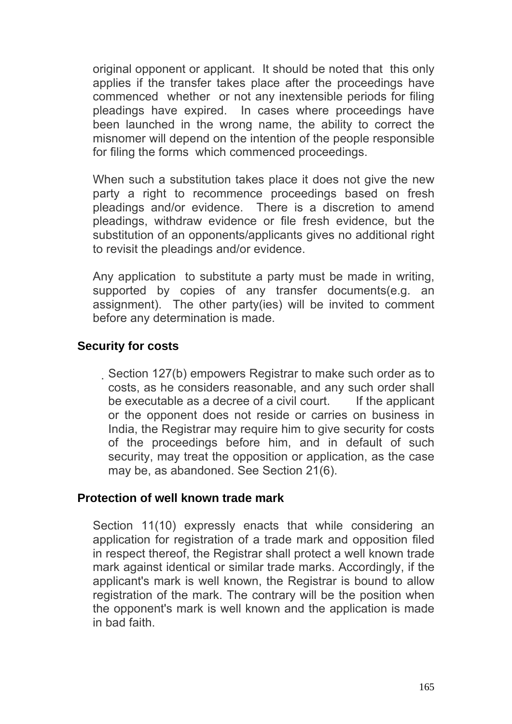original opponent or applicant. It should be noted that this only applies if the transfer takes place after the proceedings have commenced whether or not any inextensible periods for filing pleadings have expired. In cases where proceedings have been launched in the wrong name, the ability to correct the misnomer will depend on the intention of the people responsible for filing the forms which commenced proceedings.

When such a substitution takes place it does not give the new party a right to recommence proceedings based on fresh pleadings and/or evidence. There is a discretion to amend pleadings, withdraw evidence or file fresh evidence, but the substitution of an opponents/applicants gives no additional right to revisit the pleadings and/or evidence.

Any application to substitute a party must be made in writing, supported by copies of any transfer documents(e.g. an assignment). The other party(ies) will be invited to comment before any determination is made.

### **Security for costs**

Section 127(b) empowers Registrar to make such order as to costs, as he considers reasonable, and any such order shall be executable as a decree of a civil court. If the applicant or the opponent does not reside or carries on business in India, the Registrar may require him to give security for costs of the proceedings before him, and in default of such security, may treat the opposition or application, as the case may be, as abandoned. See Section 21(6).

### **Protection of well known trade mark**

Section 11(10) expressly enacts that while considering an application for registration of a trade mark and opposition filed in respect thereof, the Registrar shall protect a well known trade mark against identical or similar trade marks. Accordingly, if the applicant's mark is well known, the Registrar is bound to allow registration of the mark. The contrary will be the position when the opponent's mark is well known and the application is made in bad faith.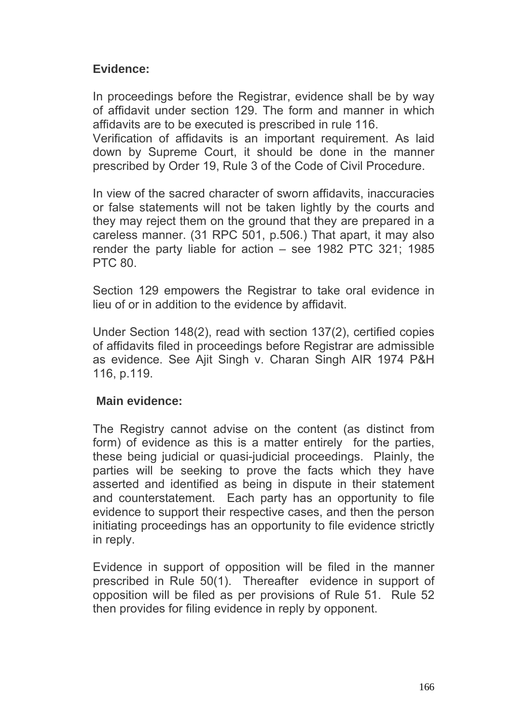## **Evidence:**

In proceedings before the Registrar, evidence shall be by way of affidavit under section 129. The form and manner in which affidavits are to be executed is prescribed in rule 116.

Verification of affidavits is an important requirement. As laid down by Supreme Court, it should be done in the manner prescribed by Order 19, Rule 3 of the Code of Civil Procedure.

In view of the sacred character of sworn affidavits, inaccuracies or false statements will not be taken lightly by the courts and they may reject them on the ground that they are prepared in a careless manner. (31 RPC 501, p.506.) That apart, it may also render the party liable for action – see 1982 PTC 321; 1985 PTC 80.

Section 129 empowers the Registrar to take oral evidence in lieu of or in addition to the evidence by affidavit.

Under Section 148(2), read with section 137(2), certified copies of affidavits filed in proceedings before Registrar are admissible as evidence. See Ajit Singh v. Charan Singh AIR 1974 P&H 116, p.119.

## **Main evidence:**

The Registry cannot advise on the content (as distinct from form) of evidence as this is a matter entirely for the parties, these being judicial or quasi-judicial proceedings. Plainly, the parties will be seeking to prove the facts which they have asserted and identified as being in dispute in their statement and counterstatement. Each party has an opportunity to file evidence to support their respective cases, and then the person initiating proceedings has an opportunity to file evidence strictly in reply.

Evidence in support of opposition will be filed in the manner prescribed in Rule 50(1). Thereafter evidence in support of opposition will be filed as per provisions of Rule 51. Rule 52 then provides for filing evidence in reply by opponent.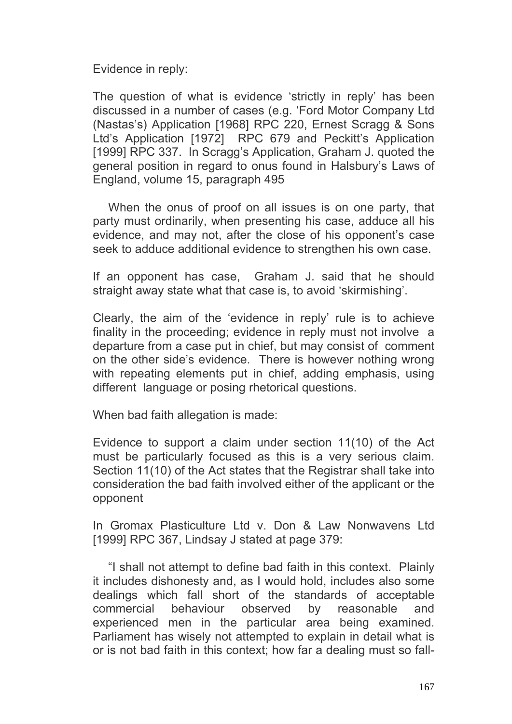Evidence in reply:

The question of what is evidence 'strictly in reply' has been discussed in a number of cases (e.g. 'Ford Motor Company Ltd (Nastas's) Application [1968] RPC 220, Ernest Scragg & Sons Ltd's Application [1972] RPC 679 and Peckitt's Application [1999] RPC 337. In Scragg's Application, Graham J. quoted the general position in regard to onus found in Halsbury's Laws of England, volume 15, paragraph 495

 When the onus of proof on all issues is on one party, that party must ordinarily, when presenting his case, adduce all his evidence, and may not, after the close of his opponent's case seek to adduce additional evidence to strengthen his own case.

If an opponent has case, Graham J. said that he should straight away state what that case is, to avoid 'skirmishing'.

Clearly, the aim of the 'evidence in reply' rule is to achieve finality in the proceeding; evidence in reply must not involve a departure from a case put in chief, but may consist of comment on the other side's evidence. There is however nothing wrong with repeating elements put in chief, adding emphasis, using different language or posing rhetorical questions.

When bad faith allegation is made:

Evidence to support a claim under section 11(10) of the Act must be particularly focused as this is a very serious claim. Section 11(10) of the Act states that the Registrar shall take into consideration the bad faith involved either of the applicant or the opponent

In Gromax Plasticulture Ltd v. Don & Law Nonwavens Ltd [1999] RPC 367, Lindsay J stated at page 379:

 "I shall not attempt to define bad faith in this context. Plainly it includes dishonesty and, as I would hold, includes also some dealings which fall short of the standards of acceptable commercial behaviour observed by reasonable and experienced men in the particular area being examined. Parliament has wisely not attempted to explain in detail what is or is not bad faith in this context; how far a dealing must so fall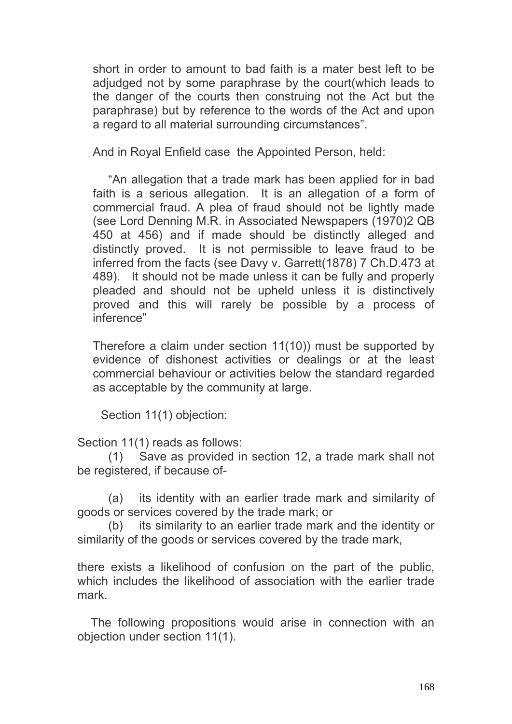short in order to amount to bad faith is a mater best left to be adjudged not by some paraphrase by the court(which leads to the danger of the courts then construing not the Act but the paraphrase) but by reference to the words of the Act and upon a regard to all material surrounding circumstances".

And in Royal Enfield case the Appointed Person, held:

 "An allegation that a trade mark has been applied for in bad faith is a serious allegation. It is an allegation of a form of commercial fraud. A plea of fraud should not be lightly made (see Lord Denning M.R. in Associated Newspapers (1970)2 QB 450 at 456) and if made should be distinctly alleged and distinctly proved. It is not permissible to leave fraud to be inferred from the facts (see Davy v. Garrett(1878) 7 Ch.D.473 at 489). It should not be made unless it can be fully and properly pleaded and should not be upheld unless it is distinctively proved and this will rarely be possible by a process of inference"

Therefore a claim under section 11(10)) must be supported by evidence of dishonest activities or dealings or at the least commercial behaviour or activities below the standard regarded as acceptable by the community at large.

Section 11(1) objection:

Section 11(1) reads as follows:

 (1) Save as provided in section 12, a trade mark shall not be registered, if because of-

 (a) its identity with an earlier trade mark and similarity of goods or services covered by the trade mark; or

 (b) its similarity to an earlier trade mark and the identity or similarity of the goods or services covered by the trade mark,

there exists a likelihood of confusion on the part of the public, which includes the likelihood of association with the earlier trade mark.

 The following propositions would arise in connection with an objection under section 11(1).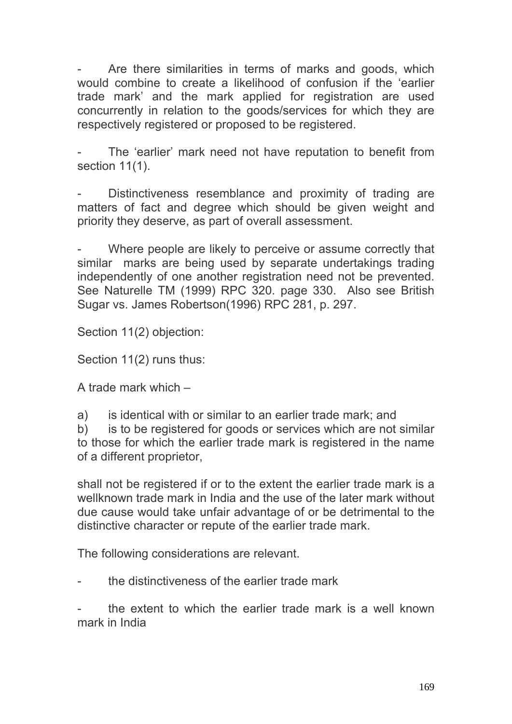Are there similarities in terms of marks and goods, which would combine to create a likelihood of confusion if the 'earlier trade mark' and the mark applied for registration are used concurrently in relation to the goods/services for which they are respectively registered or proposed to be registered.

The 'earlier' mark need not have reputation to benefit from section 11(1).

Distinctiveness resemblance and proximity of trading are matters of fact and degree which should be given weight and priority they deserve, as part of overall assessment.

Where people are likely to perceive or assume correctly that similar marks are being used by separate undertakings trading independently of one another registration need not be prevented. See Naturelle TM (1999) RPC 320. page 330. Also see British Sugar vs. James Robertson(1996) RPC 281, p. 297.

Section 11(2) objection:

Section 11(2) runs thus:

A trade mark which –

a) is identical with or similar to an earlier trade mark; and

b) is to be registered for goods or services which are not similar to those for which the earlier trade mark is registered in the name of a different proprietor,

shall not be registered if or to the extent the earlier trade mark is a wellknown trade mark in India and the use of the later mark without due cause would take unfair advantage of or be detrimental to the distinctive character or repute of the earlier trade mark.

The following considerations are relevant.

the distinctiveness of the earlier trade mark

the extent to which the earlier trade mark is a well known mark in India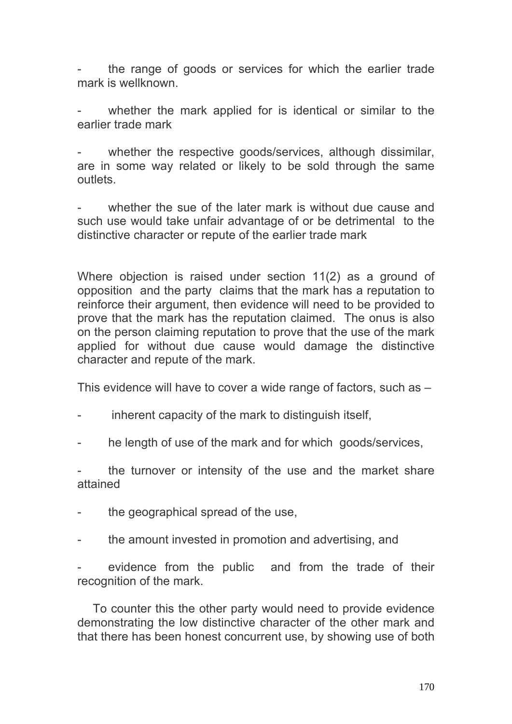the range of goods or services for which the earlier trade mark is wellknown.

whether the mark applied for is identical or similar to the earlier trade mark

whether the respective goods/services, although dissimilar, are in some way related or likely to be sold through the same outlets.

whether the sue of the later mark is without due cause and such use would take unfair advantage of or be detrimental to the distinctive character or repute of the earlier trade mark

Where objection is raised under section 11(2) as a ground of opposition and the party claims that the mark has a reputation to reinforce their argument, then evidence will need to be provided to prove that the mark has the reputation claimed. The onus is also on the person claiming reputation to prove that the use of the mark applied for without due cause would damage the distinctive character and repute of the mark.

This evidence will have to cover a wide range of factors, such as –

- inherent capacity of the mark to distinguish itself,
- he length of use of the mark and for which goods/services,

the turnover or intensity of the use and the market share attained

- the geographical spread of the use,
- the amount invested in promotion and advertising, and

evidence from the public and from the trade of their recognition of the mark.

To counter this the other party would need to provide evidence demonstrating the low distinctive character of the other mark and that there has been honest concurrent use, by showing use of both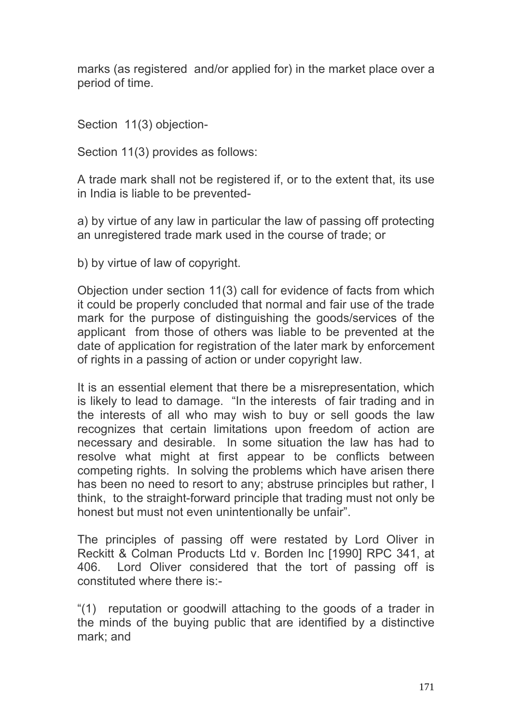marks (as registered and/or applied for) in the market place over a period of time.

Section 11(3) objection-

Section 11(3) provides as follows:

A trade mark shall not be registered if, or to the extent that, its use in India is liable to be prevented-

a) by virtue of any law in particular the law of passing off protecting an unregistered trade mark used in the course of trade; or

b) by virtue of law of copyright.

Objection under section 11(3) call for evidence of facts from which it could be properly concluded that normal and fair use of the trade mark for the purpose of distinguishing the goods/services of the applicant from those of others was liable to be prevented at the date of application for registration of the later mark by enforcement of rights in a passing of action or under copyright law.

It is an essential element that there be a misrepresentation, which is likely to lead to damage. "In the interests of fair trading and in the interests of all who may wish to buy or sell goods the law recognizes that certain limitations upon freedom of action are necessary and desirable. In some situation the law has had to resolve what might at first appear to be conflicts between competing rights. In solving the problems which have arisen there has been no need to resort to any; abstruse principles but rather, I think, to the straight-forward principle that trading must not only be honest but must not even unintentionally be unfair".

The principles of passing off were restated by Lord Oliver in Reckitt & Colman Products Ltd v. Borden Inc [1990] RPC 341, at 406. Lord Oliver considered that the tort of passing off is constituted where there is:-

"(1) reputation or goodwill attaching to the goods of a trader in the minds of the buying public that are identified by a distinctive mark; and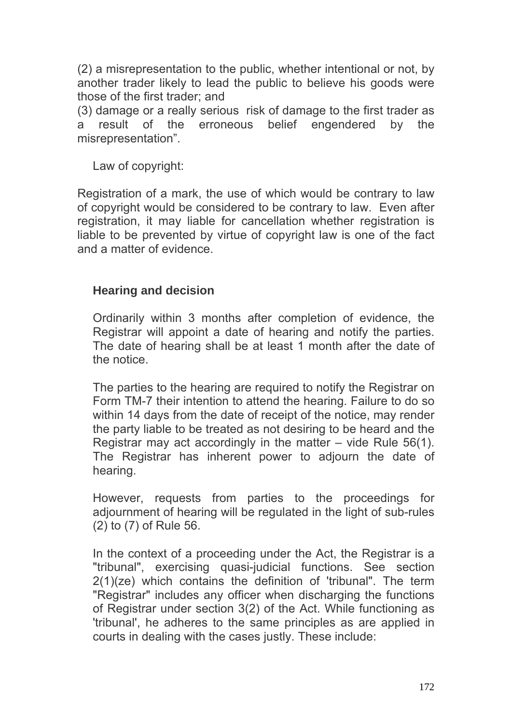(2) a misrepresentation to the public, whether intentional or not, by another trader likely to lead the public to believe his goods were those of the first trader; and

(3) damage or a really serious risk of damage to the first trader as a result of the erroneous belief engendered by the misrepresentation".

Law of copyright:

Registration of a mark, the use of which would be contrary to law of copyright would be considered to be contrary to law. Even after registration, it may liable for cancellation whether registration is liable to be prevented by virtue of copyright law is one of the fact and a matter of evidence.

# **Hearing and decision**

Ordinarily within 3 months after completion of evidence, the Registrar will appoint a date of hearing and notify the parties. The date of hearing shall be at least 1 month after the date of the notice.

The parties to the hearing are required to notify the Registrar on Form TM-7 their intention to attend the hearing. Failure to do so within 14 days from the date of receipt of the notice, may render the party liable to be treated as not desiring to be heard and the Registrar may act accordingly in the matter – vide Rule 56(1). The Registrar has inherent power to adjourn the date of hearing.

However, requests from parties to the proceedings for adjournment of hearing will be regulated in the light of sub-rules (2) to (7) of Rule 56.

In the context of a proceeding under the Act, the Registrar is a "tribunal", exercising quasi-judicial functions. See section 2(1)(ze) which contains the definition of 'tribunal". The term "Registrar" includes any officer when discharging the functions of Registrar under section 3(2) of the Act. While functioning as 'tribunal', he adheres to the same principles as are applied in courts in dealing with the cases justly. These include: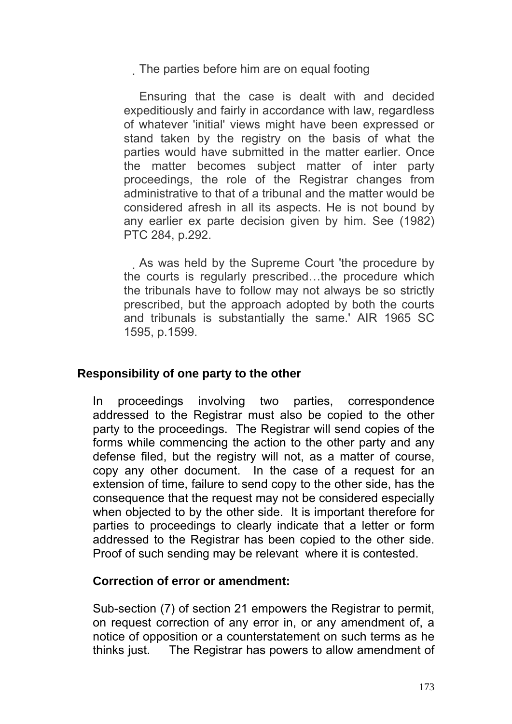The parties before him are on equal footing

 Ensuring that the case is dealt with and decided expeditiously and fairly in accordance with law, regardless of whatever 'initial' views might have been expressed or stand taken by the registry on the basis of what the parties would have submitted in the matter earlier. Once the matter becomes subject matter of inter party proceedings, the role of the Registrar changes from administrative to that of a tribunal and the matter would be considered afresh in all its aspects. He is not bound by any earlier ex parte decision given by him. See (1982) PTC 284, p.292.

 As was held by the Supreme Court 'the procedure by the courts is regularly prescribed…the procedure which the tribunals have to follow may not always be so strictly prescribed, but the approach adopted by both the courts and tribunals is substantially the same.' AIR 1965 SC 1595, p.1599.

## **Responsibility of one party to the other**

In proceedings involving two parties, correspondence addressed to the Registrar must also be copied to the other party to the proceedings. The Registrar will send copies of the forms while commencing the action to the other party and any defense filed, but the registry will not, as a matter of course, copy any other document. In the case of a request for an extension of time, failure to send copy to the other side, has the consequence that the request may not be considered especially when objected to by the other side. It is important therefore for parties to proceedings to clearly indicate that a letter or form addressed to the Registrar has been copied to the other side. Proof of such sending may be relevant where it is contested.

### **Correction of error or amendment:**

Sub-section (7) of section 21 empowers the Registrar to permit, on request correction of any error in, or any amendment of, a notice of opposition or a counterstatement on such terms as he thinks just. The Registrar has powers to allow amendment of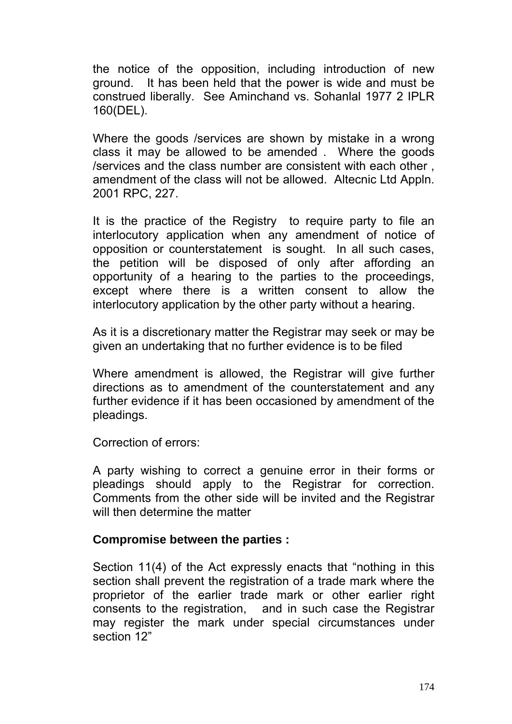the notice of the opposition, including introduction of new ground. It has been held that the power is wide and must be construed liberally. See Aminchand vs. Sohanlal 1977 2 IPLR 160(DEL).

Where the goods /services are shown by mistake in a wrong class it may be allowed to be amended . Where the goods /services and the class number are consistent with each other , amendment of the class will not be allowed. Altecnic Ltd Appln. 2001 RPC, 227.

It is the practice of the Registry to require party to file an interlocutory application when any amendment of notice of opposition or counterstatement is sought. In all such cases, the petition will be disposed of only after affording opportunity of a hearing to the parties to the proceedings, except where there is a written consent to allow the interlocutory application by the other party without a hearing.

As it is a discretionary matter the Registrar may seek or may be given an undertaking that no further evidence is to be filed

Where amendment is allowed, the Registrar will give further directions as to amendment of the counterstatement and any further evidence if it has been occasioned by amendment of the pleadings.

Correction of errors:

A party wishing to correct a genuine error in their forms or pleadings should apply to the Registrar for correction. Comments from the other side will be invited and the Registrar will then determine the matter

### **Compromise between the parties :**

Section 11(4) of the Act expressly enacts that "nothing in this section shall prevent the registration of a trade mark where the proprietor of the earlier trade mark or other earlier right consents to the registration, and in such case the Registrar may register the mark under special circumstances under section 12"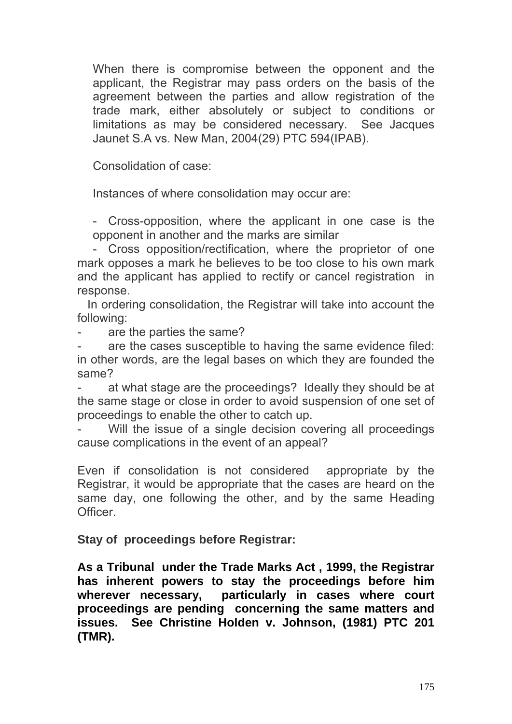When there is compromise between the opponent and the applicant, the Registrar may pass orders on the basis of the agreement between the parties and allow registration of the trade mark, either absolutely or subject to conditions or limitations as may be considered necessary. See Jacques Jaunet S.A vs. New Man, 2004(29) PTC 594(IPAB).

Consolidation of case:

Instances of where consolidation may occur are:

- Cross-opposition, where the applicant in one case is the opponent in another and the marks are similar

- Cross opposition/rectification, where the proprietor of one mark opposes a mark he believes to be too close to his own mark and the applicant has applied to rectify or cancel registration in response.

 In ordering consolidation, the Registrar will take into account the following:

are the parties the same?

are the cases susceptible to having the same evidence filed: in other words, are the legal bases on which they are founded the same?

at what stage are the proceedings? Ideally they should be at the same stage or close in order to avoid suspension of one set of proceedings to enable the other to catch up.

Will the issue of a single decision covering all proceedings cause complications in the event of an appeal?

Even if consolidation is not considered appropriate by the Registrar, it would be appropriate that the cases are heard on the same day, one following the other, and by the same Heading **Officer** 

**Stay of proceedings before Registrar:** 

**As a Tribunal under the Trade Marks Act , 1999, the Registrar has inherent powers to stay the proceedings before him wherever necessary, particularly in cases where court proceedings are pending concerning the same matters and issues. See Christine Holden v. Johnson, (1981) PTC 201 (TMR).**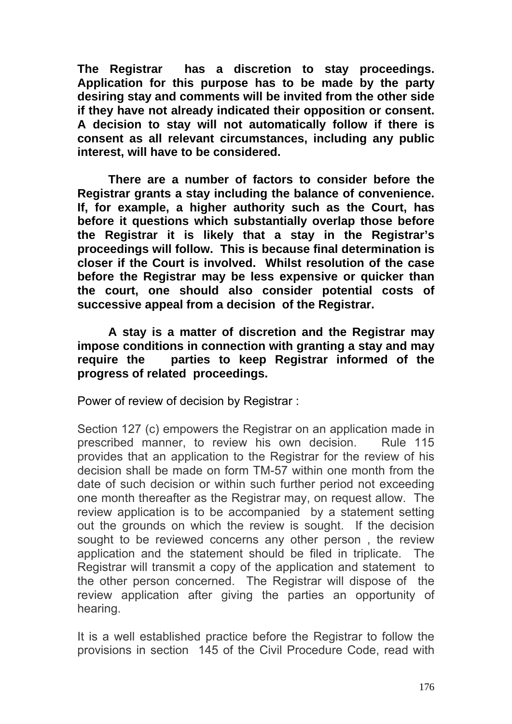**The Registrar has a discretion to stay proceedings. Application for this purpose has to be made by the party desiring stay and comments will be invited from the other side if they have not already indicated their opposition or consent. A decision to stay will not automatically follow if there is consent as all relevant circumstances, including any public interest, will have to be considered.** 

 **There are a number of factors to consider before the Registrar grants a stay including the balance of convenience. If, for example, a higher authority such as the Court, has before it questions which substantially overlap those before the Registrar it is likely that a stay in the Registrar's proceedings will follow. This is because final determination is closer if the Court is involved. Whilst resolution of the case before the Registrar may be less expensive or quicker than the court, one should also consider potential costs of successive appeal from a decision of the Registrar.** 

 **A stay is a matter of discretion and the Registrar may impose conditions in connection with granting a stay and may require the parties to keep Registrar informed of the progress of related proceedings.** 

Power of review of decision by Registrar :

Section 127 (c) empowers the Registrar on an application made in prescribed manner, to review his own decision. Rule 115 provides that an application to the Registrar for the review of his decision shall be made on form TM-57 within one month from the date of such decision or within such further period not exceeding one month thereafter as the Registrar may, on request allow. The review application is to be accompanied by a statement setting out the grounds on which the review is sought. If the decision sought to be reviewed concerns any other person , the review application and the statement should be filed in triplicate. The Registrar will transmit a copy of the application and statement to the other person concerned. The Registrar will dispose of the review application after giving the parties an opportunity of hearing.

It is a well established practice before the Registrar to follow the provisions in section 145 of the Civil Procedure Code, read with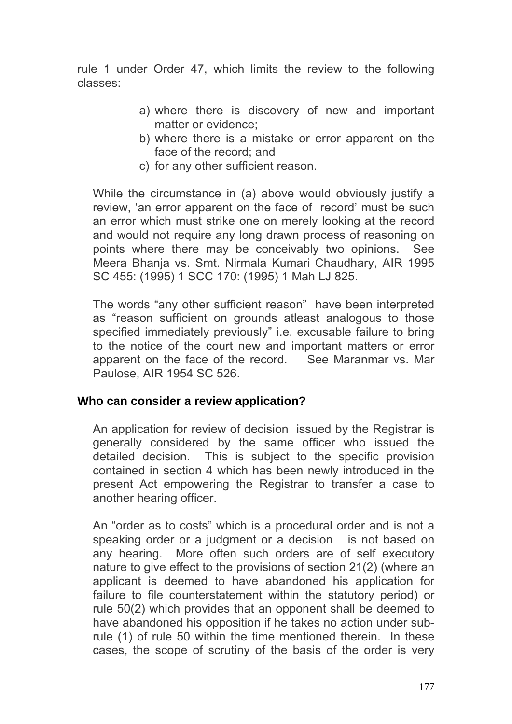rule 1 under Order 47, which limits the review to the following classes:

- a) where there is discovery of new and important matter or evidence;
- b) where there is a mistake or error apparent on the face of the record; and
- c) for any other sufficient reason.

While the circumstance in (a) above would obviously justify a review, 'an error apparent on the face of record' must be such an error which must strike one on merely looking at the record and would not require any long drawn process of reasoning on points where there may be conceivably two opinions. See Meera Bhanja vs. Smt. Nirmala Kumari Chaudhary, AIR 1995 SC 455: (1995) 1 SCC 170: (1995) 1 Mah LJ 825.

The words "any other sufficient reason" have been interpreted as "reason sufficient on grounds atleast analogous to those specified immediately previously" i.e. excusable failure to bring to the notice of the court new and important matters or error apparent on the face of the record. See Maranmar vs. Mar Paulose, AIR 1954 SC 526.

### **Who can consider a review application?**

An application for review of decision issued by the Registrar is generally considered by the same officer who issued the detailed decision. This is subject to the specific provision contained in section 4 which has been newly introduced in the present Act empowering the Registrar to transfer a case to another hearing officer.

An "order as to costs" which is a procedural order and is not a speaking order or a judgment or a decision is not based on any hearing. More often such orders are of self executory nature to give effect to the provisions of section 21(2) (where an applicant is deemed to have abandoned his application for failure to file counterstatement within the statutory period) or rule 50(2) which provides that an opponent shall be deemed to have abandoned his opposition if he takes no action under subrule (1) of rule 50 within the time mentioned therein. In these cases, the scope of scrutiny of the basis of the order is very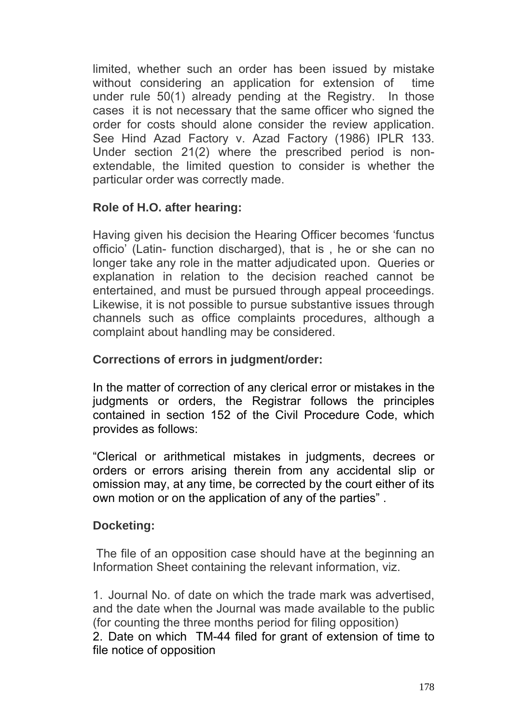limited, whether such an order has been issued by mistake without considering an application for extension of time under rule 50(1) already pending at the Registry. In those cases it is not necessary that the same officer who signed the order for costs should alone consider the review application. See Hind Azad Factory v. Azad Factory (1986) IPLR 133. Under section 21(2) where the prescribed period is nonextendable, the limited question to consider is whether the particular order was correctly made.

# **Role of H.O. after hearing:**

Having given his decision the Hearing Officer becomes 'functus officio' (Latin- function discharged), that is , he or she can no longer take any role in the matter adjudicated upon. Queries or explanation in relation to the decision reached cannot be entertained, and must be pursued through appeal proceedings. Likewise, it is not possible to pursue substantive issues through channels such as office complaints procedures, although a complaint about handling may be considered.

# **Corrections of errors in judgment/order:**

In the matter of correction of any clerical error or mistakes in the judgments or orders, the Registrar follows the principles contained in section 152 of the Civil Procedure Code, which provides as follows:

"Clerical or arithmetical mistakes in judgments, decrees or orders or errors arising therein from any accidental slip or omission may, at any time, be corrected by the court either of its own motion or on the application of any of the parties" .

## **Docketing:**

 The file of an opposition case should have at the beginning an Information Sheet containing the relevant information, viz.

1. Journal No. of date on which the trade mark was advertised, and the date when the Journal was made available to the public (for counting the three months period for filing opposition) 2. Date on which TM-44 filed for grant of extension of time to file notice of opposition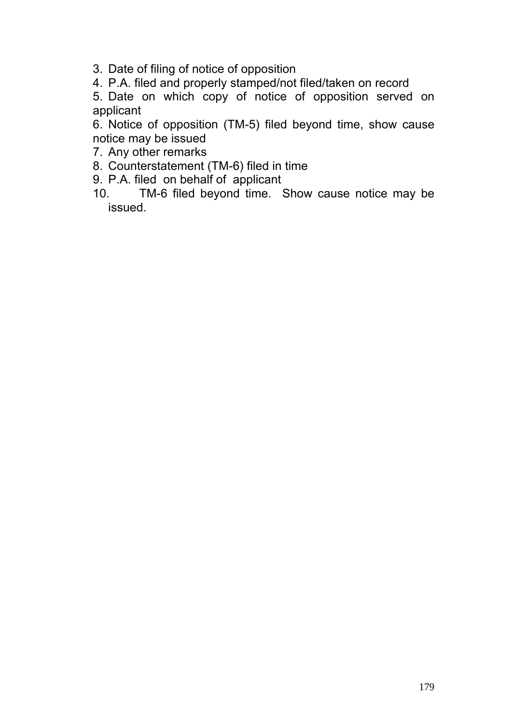3. Date of filing of notice of opposition

4. P.A. filed and properly stamped/not filed/taken on record

5. Date on which copy of notice of opposition served on applicant

6. Notice of opposition (TM-5) filed beyond time, show cause notice may be issued

- 7. Any other remarks
- 8. Counterstatement (TM-6) filed in time
- 9. P.A. filed on behalf of applicant
- 10. TM-6 filed beyond time. Show cause notice may be issued.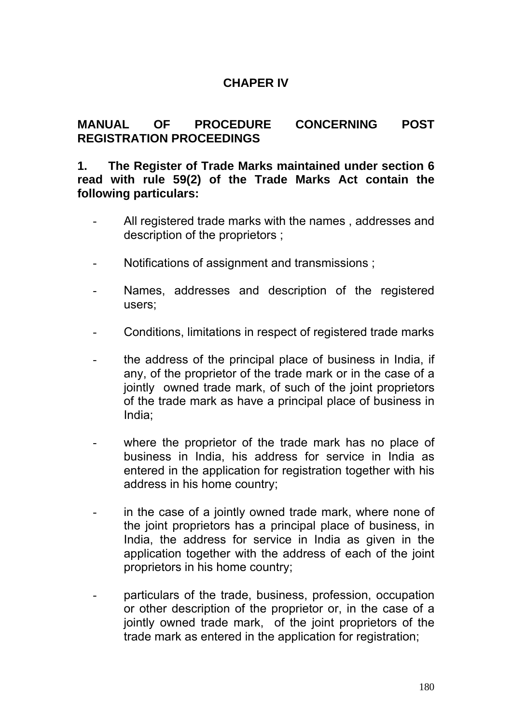## **CHAPER IV**

### **MANUAL OF PROCEDURE CONCERNING POST REGISTRATION PROCEEDINGS**

#### **1. The Register of Trade Marks maintained under section 6 read with rule 59(2) of the Trade Marks Act contain the following particulars:**

- All registered trade marks with the names, addresses and description of the proprietors ;
- Notifications of assignment and transmissions :
- Names, addresses and description of the registered users;
- Conditions, limitations in respect of registered trade marks
- the address of the principal place of business in India, if any, of the proprietor of the trade mark or in the case of a jointly owned trade mark, of such of the joint proprietors of the trade mark as have a principal place of business in India;
- where the proprietor of the trade mark has no place of business in India, his address for service in India as entered in the application for registration together with his address in his home country;
- in the case of a jointly owned trade mark, where none of the joint proprietors has a principal place of business, in India, the address for service in India as given in the application together with the address of each of the joint proprietors in his home country;
- particulars of the trade, business, profession, occupation or other description of the proprietor or, in the case of a jointly owned trade mark, of the joint proprietors of the trade mark as entered in the application for registration;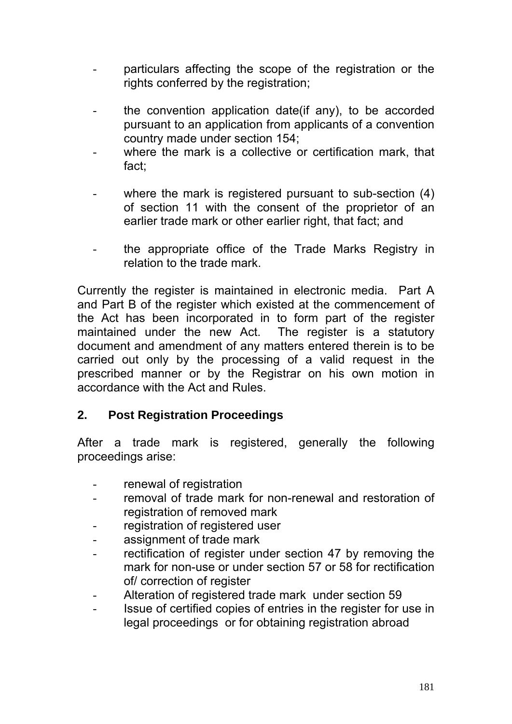- particulars affecting the scope of the registration or the rights conferred by the registration;
- the convention application date(if any), to be accorded pursuant to an application from applicants of a convention country made under section 154;
- where the mark is a collective or certification mark, that fact;
- where the mark is registered pursuant to sub-section  $(4)$ of section 11 with the consent of the proprietor of an earlier trade mark or other earlier right, that fact; and
- the appropriate office of the Trade Marks Registry in relation to the trade mark.

Currently the register is maintained in electronic media. Part A and Part B of the register which existed at the commencement of the Act has been incorporated in to form part of the register maintained under the new Act. The register is a statutory document and amendment of any matters entered therein is to be carried out only by the processing of a valid request in the prescribed manner or by the Registrar on his own motion in accordance with the Act and Rules.

## **2. Post Registration Proceedings**

After a trade mark is registered, generally the following proceedings arise:

- renewal of registration
- removal of trade mark for non-renewal and restoration of registration of removed mark
- registration of registered user
- assignment of trade mark
- rectification of register under section 47 by removing the mark for non-use or under section 57 or 58 for rectification of/ correction of register
- Alteration of registered trade mark under section 59
- Issue of certified copies of entries in the register for use in legal proceedings or for obtaining registration abroad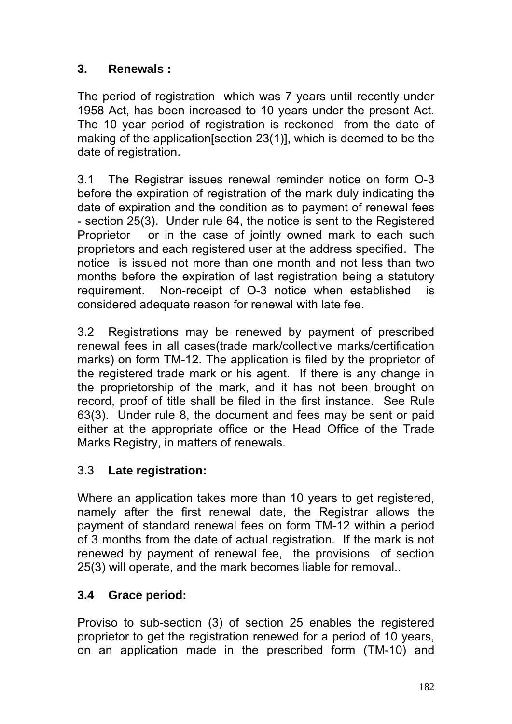## **3. Renewals :**

The period of registration which was 7 years until recently under 1958 Act, has been increased to 10 years under the present Act. The 10 year period of registration is reckoned from the date of making of the application[section 23(1)], which is deemed to be the date of registration.

3.1 The Registrar issues renewal reminder notice on form O-3 before the expiration of registration of the mark duly indicating the date of expiration and the condition as to payment of renewal fees - section 25(3). Under rule 64, the notice is sent to the Registered Proprietor or in the case of jointly owned mark to each such proprietors and each registered user at the address specified. The notice is issued not more than one month and not less than two months before the expiration of last registration being a statutory requirement. Non-receipt of O-3 notice when established is considered adequate reason for renewal with late fee.

3.2 Registrations may be renewed by payment of prescribed renewal fees in all cases(trade mark/collective marks/certification marks) on form TM-12. The application is filed by the proprietor of the registered trade mark or his agent. If there is any change in the proprietorship of the mark, and it has not been brought on record, proof of title shall be filed in the first instance. See Rule 63(3). Under rule 8, the document and fees may be sent or paid either at the appropriate office or the Head Office of the Trade Marks Registry, in matters of renewals.

# 3.3 **Late registration:**

Where an application takes more than 10 years to get registered, namely after the first renewal date, the Registrar allows the payment of standard renewal fees on form TM-12 within a period of 3 months from the date of actual registration. If the mark is not renewed by payment of renewal fee, the provisions of section 25(3) will operate, and the mark becomes liable for removal..

# **3.4 Grace period:**

Proviso to sub-section (3) of section 25 enables the registered proprietor to get the registration renewed for a period of 10 years, on an application made in the prescribed form (TM-10) and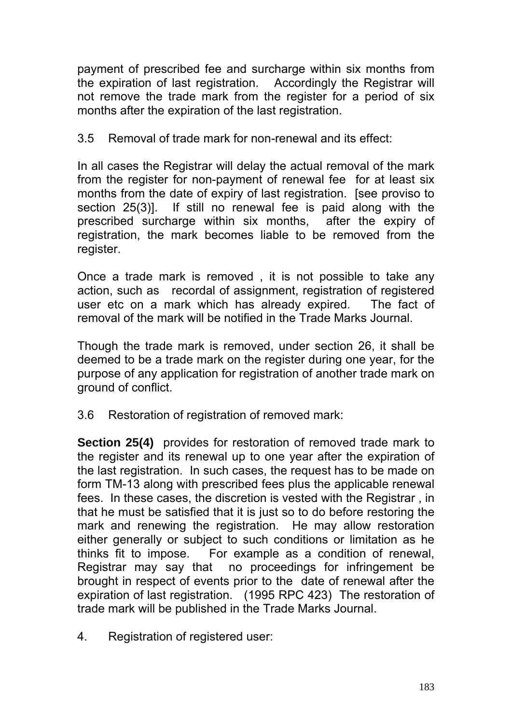payment of prescribed fee and surcharge within six months from the expiration of last registration. Accordingly the Registrar will not remove the trade mark from the register for a period of six months after the expiration of the last registration.

### 3.5 Removal of trade mark for non-renewal and its effect:

In all cases the Registrar will delay the actual removal of the mark from the register for non-payment of renewal fee for at least six months from the date of expiry of last registration. [see proviso to section 25(3)]. If still no renewal fee is paid along with the prescribed surcharge within six months, after the expiry of registration, the mark becomes liable to be removed from the register.

Once a trade mark is removed , it is not possible to take any action, such as recordal of assignment, registration of registered user etc on a mark which has already expired. The fact of removal of the mark will be notified in the Trade Marks Journal.

Though the trade mark is removed, under section 26, it shall be deemed to be a trade mark on the register during one year, for the purpose of any application for registration of another trade mark on ground of conflict.

3.6 Restoration of registration of removed mark:

**Section 25(4)** provides for restoration of removed trade mark to the register and its renewal up to one year after the expiration of the last registration. In such cases, the request has to be made on form TM-13 along with prescribed fees plus the applicable renewal fees. In these cases, the discretion is vested with the Registrar , in that he must be satisfied that it is just so to do before restoring the mark and renewing the registration. He may allow restoration either generally or subject to such conditions or limitation as he thinks fit to impose. For example as a condition of renewal, Registrar may say that no proceedings for infringement be brought in respect of events prior to the date of renewal after the expiration of last registration. (1995 RPC 423) The restoration of trade mark will be published in the Trade Marks Journal.

4. Registration of registered user: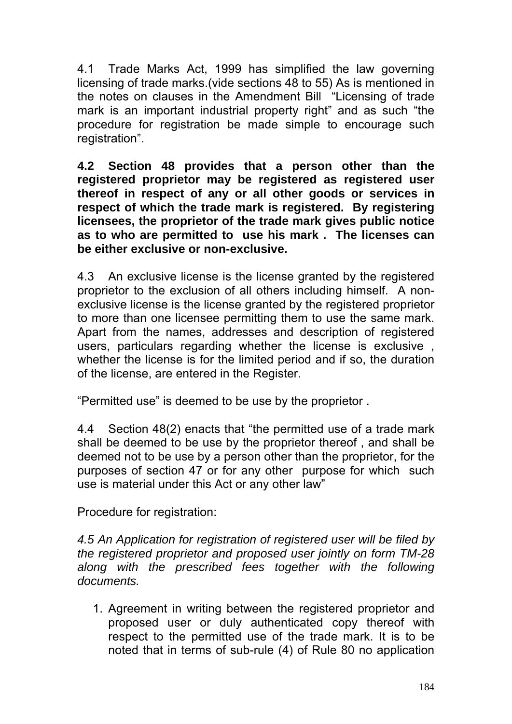4.1 Trade Marks Act, 1999 has simplified the law governing licensing of trade marks.(vide sections 48 to 55) As is mentioned in the notes on clauses in the Amendment Bill "Licensing of trade mark is an important industrial property right" and as such "the procedure for registration be made simple to encourage such registration".

**4.2 Section 48 provides that a person other than the registered proprietor may be registered as registered user thereof in respect of any or all other goods or services in respect of which the trade mark is registered. By registering licensees, the proprietor of the trade mark gives public notice as to who are permitted to use his mark . The licenses can be either exclusive or non-exclusive.** 

4.3 An exclusive license is the license granted by the registered proprietor to the exclusion of all others including himself. A nonexclusive license is the license granted by the registered proprietor to more than one licensee permitting them to use the same mark. Apart from the names, addresses and description of registered users, particulars regarding whether the license is exclusive , whether the license is for the limited period and if so, the duration of the license, are entered in the Register.

"Permitted use" is deemed to be use by the proprietor .

4.4 Section 48(2) enacts that "the permitted use of a trade mark shall be deemed to be use by the proprietor thereof , and shall be deemed not to be use by a person other than the proprietor, for the purposes of section 47 or for any other purpose for which such use is material under this Act or any other law"

Procedure for registration:

*4.5 An Application for registration of registered user will be filed by the registered proprietor and proposed user jointly on form TM-28 along with the prescribed fees together with the following documents.* 

1. Agreement in writing between the registered proprietor and proposed user or duly authenticated copy thereof with respect to the permitted use of the trade mark. It is to be noted that in terms of sub-rule (4) of Rule 80 no application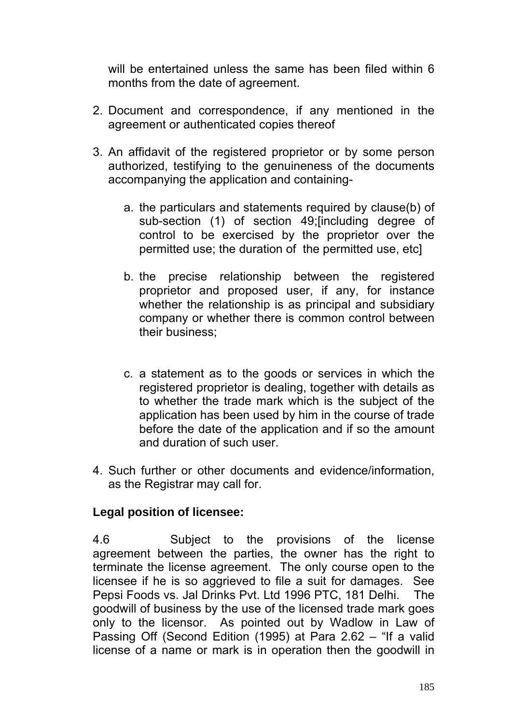will be entertained unless the same has been filed within 6 months from the date of agreement.

- 2. Document and correspondence, if any mentioned in the agreement or authenticated copies thereof
- 3. An affidavit of the registered proprietor or by some person authorized, testifying to the genuineness of the documents accompanying the application and containing
	- a. the particulars and statements required by clause(b) of sub-section (1) of section 49;[including degree of control to be exercised by the proprietor over the permitted use; the duration of the permitted use, etc]
	- b. the precise relationship between the registered proprietor and proposed user, if any, for instance whether the relationship is as principal and subsidiary company or whether there is common control between their business;
	- c. a statement as to the goods or services in which the registered proprietor is dealing, together with details as to whether the trade mark which is the subject of the application has been used by him in the course of trade before the date of the application and if so the amount and duration of such user.
- 4. Such further or other documents and evidence/information, as the Registrar may call for.

### **Legal position of licensee:**

4.6 Subject to the provisions of the license agreement between the parties, the owner has the right to terminate the license agreement. The only course open to the licensee if he is so aggrieved to file a suit for damages. See Pepsi Foods vs. Jal Drinks Pvt. Ltd 1996 PTC, 181 Delhi. The goodwill of business by the use of the licensed trade mark goes only to the licensor. As pointed out by Wadlow in Law of Passing Off (Second Edition (1995) at Para 2.62 – "If a valid license of a name or mark is in operation then the goodwill in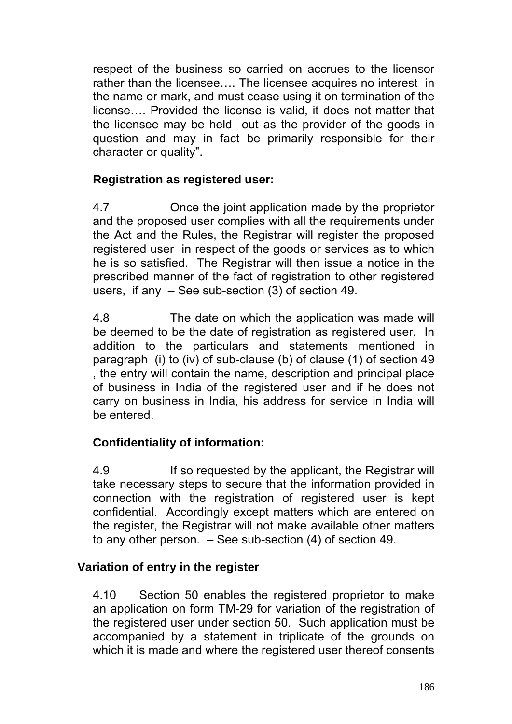respect of the business so carried on accrues to the licensor rather than the licensee…. The licensee acquires no interest in the name or mark, and must cease using it on termination of the license…. Provided the license is valid, it does not matter that the licensee may be held out as the provider of the goods in question and may in fact be primarily responsible for their character or quality".

## **Registration as registered user:**

4.7 Once the joint application made by the proprietor and the proposed user complies with all the requirements under the Act and the Rules, the Registrar will register the proposed registered user in respect of the goods or services as to which he is so satisfied. The Registrar will then issue a notice in the prescribed manner of the fact of registration to other registered users, if any – See sub-section (3) of section 49.

4.8 The date on which the application was made will be deemed to be the date of registration as registered user. In addition to the particulars and statements mentioned in paragraph (i) to (iv) of sub-clause (b) of clause (1) of section 49 , the entry will contain the name, description and principal place of business in India of the registered user and if he does not carry on business in India, his address for service in India will be entered.

## **Confidentiality of information:**

4.9 If so requested by the applicant, the Registrar will take necessary steps to secure that the information provided in connection with the registration of registered user is kept confidential. Accordingly except matters which are entered on the register, the Registrar will not make available other matters to any other person. – See sub-section (4) of section 49.

### **Variation of entry in the register**

4.10 Section 50 enables the registered proprietor to make an application on form TM-29 for variation of the registration of the registered user under section 50. Such application must be accompanied by a statement in triplicate of the grounds on which it is made and where the registered user thereof consents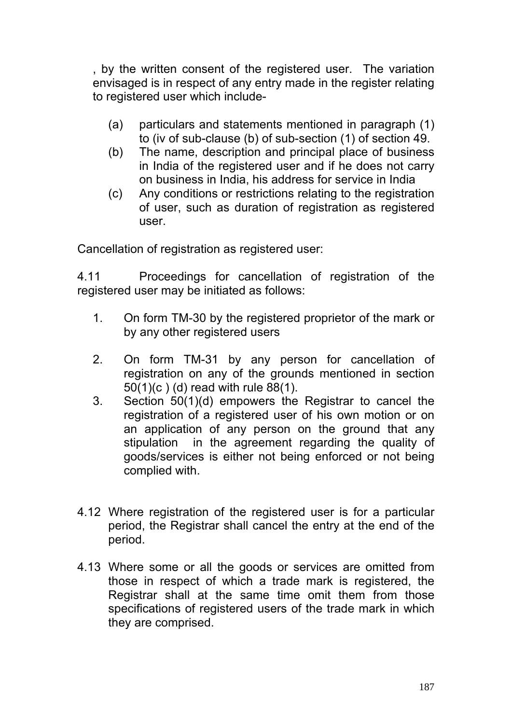, by the written consent of the registered user. The variation envisaged is in respect of any entry made in the register relating to registered user which include-

- (a) particulars and statements mentioned in paragraph (1) to (iv of sub-clause (b) of sub-section (1) of section 49.
- (b) The name, description and principal place of business in India of the registered user and if he does not carry on business in India, his address for service in India
- (c) Any conditions or restrictions relating to the registration of user, such as duration of registration as registered user.

Cancellation of registration as registered user:

4.11 Proceedings for cancellation of registration of the registered user may be initiated as follows:

- 1. On form TM-30 by the registered proprietor of the mark or by any other registered users
- 2. On form TM-31 by any person for cancellation of registration on any of the grounds mentioned in section 50(1)(c ) (d) read with rule 88(1).
- 3. Section 50(1)(d) empowers the Registrar to cancel the registration of a registered user of his own motion or on an application of any person on the ground that any stipulation in the agreement regarding the quality of goods/services is either not being enforced or not being complied with.
- 4.12 Where registration of the registered user is for a particular period, the Registrar shall cancel the entry at the end of the period.
- 4.13 Where some or all the goods or services are omitted from those in respect of which a trade mark is registered, the Registrar shall at the same time omit them from those specifications of registered users of the trade mark in which they are comprised.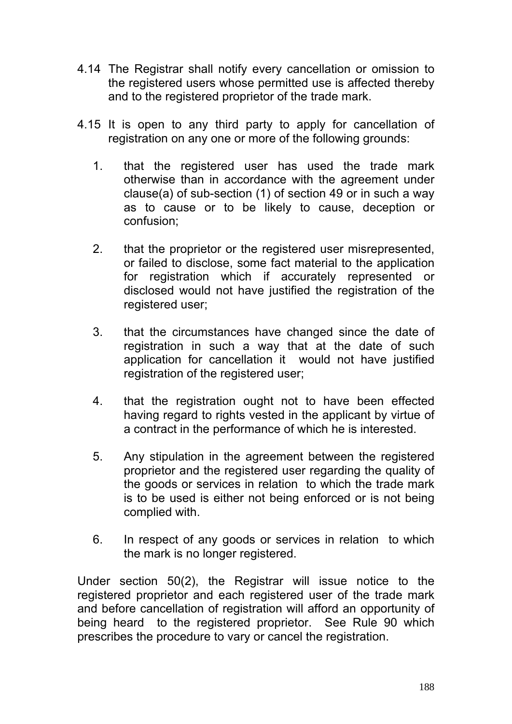- 4.14 The Registrar shall notify every cancellation or omission to the registered users whose permitted use is affected thereby and to the registered proprietor of the trade mark.
- 4.15 It is open to any third party to apply for cancellation of registration on any one or more of the following grounds:
	- 1. that the registered user has used the trade mark otherwise than in accordance with the agreement under clause(a) of sub-section (1) of section 49 or in such a way as to cause or to be likely to cause, deception or confusion;
	- 2. that the proprietor or the registered user misrepresented, or failed to disclose, some fact material to the application for registration which if accurately represented or disclosed would not have justified the registration of the registered user;
	- 3. that the circumstances have changed since the date of registration in such a way that at the date of such application for cancellation it would not have justified registration of the registered user;
	- 4. that the registration ought not to have been effected having regard to rights vested in the applicant by virtue of a contract in the performance of which he is interested.
	- 5. Any stipulation in the agreement between the registered proprietor and the registered user regarding the quality of the goods or services in relation to which the trade mark is to be used is either not being enforced or is not being complied with.
	- 6. In respect of any goods or services in relation to which the mark is no longer registered.

Under section 50(2), the Registrar will issue notice to the registered proprietor and each registered user of the trade mark and before cancellation of registration will afford an opportunity of being heard to the registered proprietor. See Rule 90 which prescribes the procedure to vary or cancel the registration.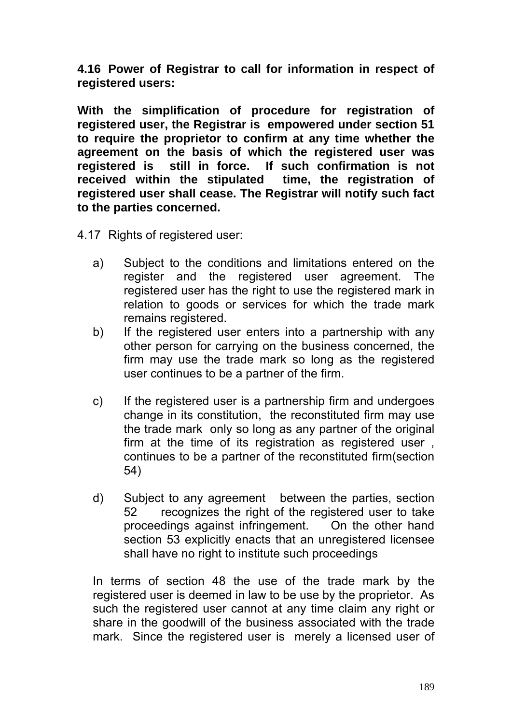**4.16 Power of Registrar to call for information in respect of registered users:** 

**With the simplification of procedure for registration of registered user, the Registrar is empowered under section 51 to require the proprietor to confirm at any time whether the agreement on the basis of which the registered user was registered is still in force. If such confirmation is not received within the stipulated time, the registration of registered user shall cease. The Registrar will notify such fact to the parties concerned.** 

- 4.17 Rights of registered user:
	- a) Subject to the conditions and limitations entered on the register and the registered user agreement. The registered user has the right to use the registered mark in relation to goods or services for which the trade mark remains registered.
	- b) If the registered user enters into a partnership with any other person for carrying on the business concerned, the firm may use the trade mark so long as the registered user continues to be a partner of the firm.
	- c) If the registered user is a partnership firm and undergoes change in its constitution, the reconstituted firm may use the trade mark only so long as any partner of the original firm at the time of its registration as registered user , continues to be a partner of the reconstituted firm(section 54)
	- d) Subject to any agreement between the parties, section 52 recognizes the right of the registered user to take proceedings against infringement. On the other hand section 53 explicitly enacts that an unregistered licensee shall have no right to institute such proceedings

In terms of section 48 the use of the trade mark by the registered user is deemed in law to be use by the proprietor. As such the registered user cannot at any time claim any right or share in the goodwill of the business associated with the trade mark. Since the registered user is merely a licensed user of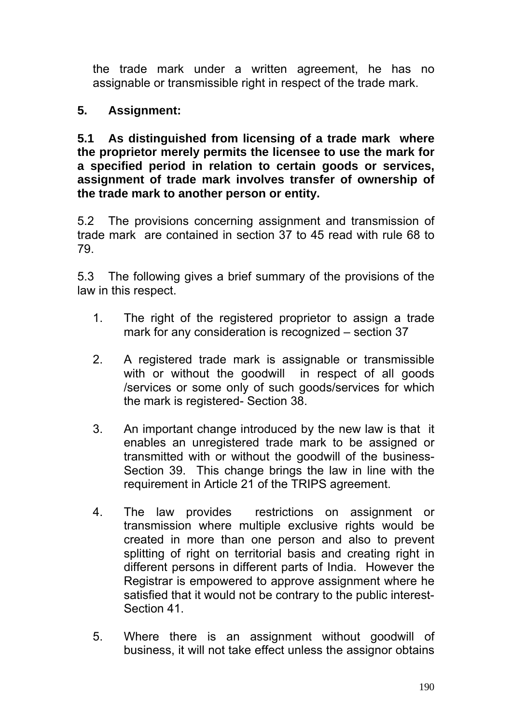the trade mark under a written agreement, he has no assignable or transmissible right in respect of the trade mark.

## **5. Assignment:**

**5.1 As distinguished from licensing of a trade mark where the proprietor merely permits the licensee to use the mark for a specified period in relation to certain goods or services, assignment of trade mark involves transfer of ownership of the trade mark to another person or entity.** 

5.2 The provisions concerning assignment and transmission of trade mark are contained in section 37 to 45 read with rule 68 to 79.

5.3 The following gives a brief summary of the provisions of the law in this respect.

- 1. The right of the registered proprietor to assign a trade mark for any consideration is recognized – section 37
- 2. A registered trade mark is assignable or transmissible with or without the goodwill in respect of all goods /services or some only of such goods/services for which the mark is registered- Section 38.
- 3. An important change introduced by the new law is that it enables an unregistered trade mark to be assigned or transmitted with or without the goodwill of the business-Section 39. This change brings the law in line with the requirement in Article 21 of the TRIPS agreement.
- 4. The law provides restrictions on assignment or transmission where multiple exclusive rights would be created in more than one person and also to prevent splitting of right on territorial basis and creating right in different persons in different parts of India. However the Registrar is empowered to approve assignment where he satisfied that it would not be contrary to the public interest-Section 41.
- 5. Where there is an assignment without goodwill of business, it will not take effect unless the assignor obtains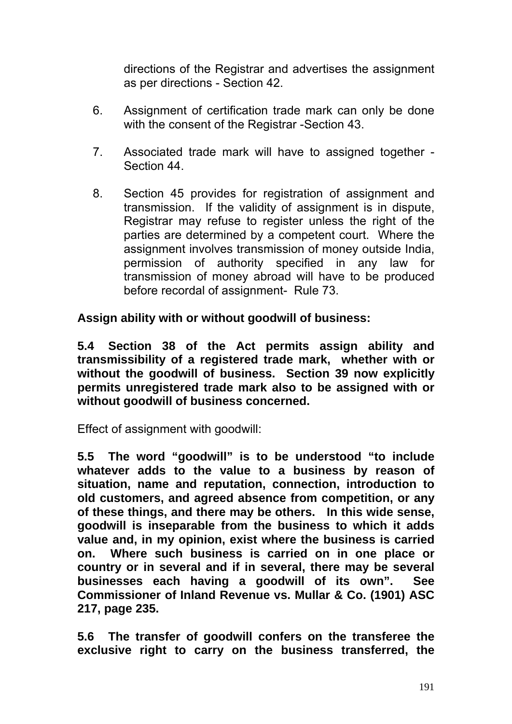directions of the Registrar and advertises the assignment as per directions - Section 42.

- 6. Assignment of certification trade mark can only be done with the consent of the Registrar -Section 43.
- 7. Associated trade mark will have to assigned together Section 44.
- 8. Section 45 provides for registration of assignment and transmission. If the validity of assignment is in dispute, Registrar may refuse to register unless the right of the parties are determined by a competent court. Where the assignment involves transmission of money outside India, permission of authority specified in any law for transmission of money abroad will have to be produced before recordal of assignment- Rule 73.

**Assign ability with or without goodwill of business:** 

**5.4 Section 38 of the Act permits assign ability and transmissibility of a registered trade mark, whether with or without the goodwill of business. Section 39 now explicitly permits unregistered trade mark also to be assigned with or without goodwill of business concerned.** 

Effect of assignment with goodwill:

**5.5 The word "goodwill" is to be understood "to include whatever adds to the value to a business by reason of situation, name and reputation, connection, introduction to old customers, and agreed absence from competition, or any of these things, and there may be others. In this wide sense, goodwill is inseparable from the business to which it adds value and, in my opinion, exist where the business is carried on. Where such business is carried on in one place or country or in several and if in several, there may be several businesses each having a goodwill of its own". See Commissioner of Inland Revenue vs. Mullar & Co. (1901) ASC 217, page 235.** 

**5.6 The transfer of goodwill confers on the transferee the exclusive right to carry on the business transferred, the**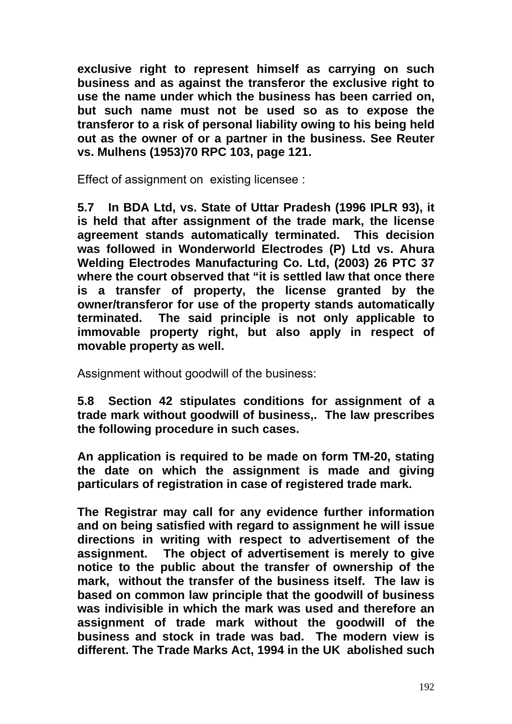**exclusive right to represent himself as carrying on such business and as against the transferor the exclusive right to use the name under which the business has been carried on, but such name must not be used so as to expose the transferor to a risk of personal liability owing to his being held out as the owner of or a partner in the business. See Reuter vs. Mulhens (1953)70 RPC 103, page 121.** 

Effect of assignment on existing licensee :

**5.7 In BDA Ltd, vs. State of Uttar Pradesh (1996 IPLR 93), it is held that after assignment of the trade mark, the license agreement stands automatically terminated. This decision was followed in Wonderworld Electrodes (P) Ltd vs. Ahura Welding Electrodes Manufacturing Co. Ltd, (2003) 26 PTC 37 where the court observed that "it is settled law that once there is a transfer of property, the license granted by the owner/transferor for use of the property stands automatically terminated. The said principle is not only applicable to immovable property right, but also apply in respect of movable property as well.** 

Assignment without goodwill of the business:

**5.8 Section 42 stipulates conditions for assignment of a trade mark without goodwill of business,. The law prescribes the following procedure in such cases.** 

**An application is required to be made on form TM-20, stating the date on which the assignment is made and giving particulars of registration in case of registered trade mark.** 

**The Registrar may call for any evidence further information and on being satisfied with regard to assignment he will issue directions in writing with respect to advertisement of the assignment. The object of advertisement is merely to give notice to the public about the transfer of ownership of the mark, without the transfer of the business itself. The law is based on common law principle that the goodwill of business was indivisible in which the mark was used and therefore an assignment of trade mark without the goodwill of the business and stock in trade was bad. The modern view is different. The Trade Marks Act, 1994 in the UK abolished such**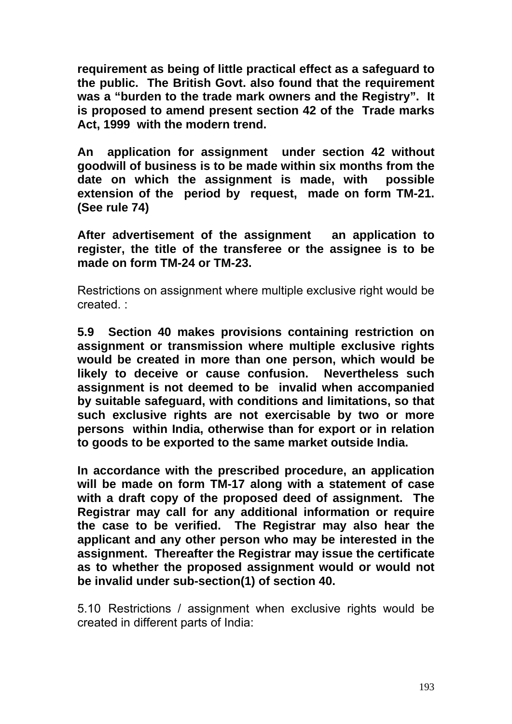**requirement as being of little practical effect as a safeguard to the public. The British Govt. also found that the requirement was a "burden to the trade mark owners and the Registry". It is proposed to amend present section 42 of the Trade marks Act, 1999 with the modern trend.** 

**An application for assignment under section 42 without goodwill of business is to be made within six months from the date on which the assignment is made, with possible extension of the period by request, made on form TM-21. (See rule 74)** 

**After advertisement of the assignment an application to register, the title of the transferee or the assignee is to be made on form TM-24 or TM-23.** 

Restrictions on assignment where multiple exclusive right would be created. :

**5.9 Section 40 makes provisions containing restriction on assignment or transmission where multiple exclusive rights would be created in more than one person, which would be likely to deceive or cause confusion. Nevertheless such assignment is not deemed to be invalid when accompanied by suitable safeguard, with conditions and limitations, so that such exclusive rights are not exercisable by two or more persons within India, otherwise than for export or in relation to goods to be exported to the same market outside India.** 

**In accordance with the prescribed procedure, an application will be made on form TM-17 along with a statement of case with a draft copy of the proposed deed of assignment. The Registrar may call for any additional information or require the case to be verified. The Registrar may also hear the applicant and any other person who may be interested in the assignment. Thereafter the Registrar may issue the certificate as to whether the proposed assignment would or would not be invalid under sub-section(1) of section 40.** 

5.10 Restrictions / assignment when exclusive rights would be created in different parts of India: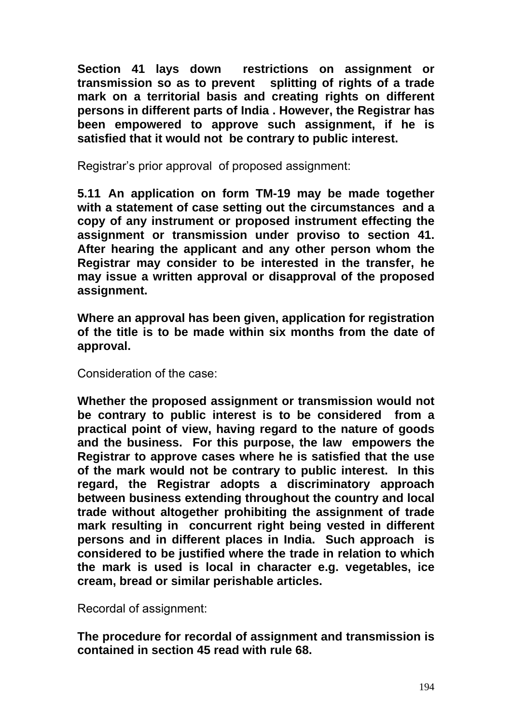**Section 41 lays down restrictions on assignment or transmission so as to prevent splitting of rights of a trade mark on a territorial basis and creating rights on different persons in different parts of India . However, the Registrar has been empowered to approve such assignment, if he is satisfied that it would not be contrary to public interest.** 

Registrar's prior approval of proposed assignment:

**5.11 An application on form TM-19 may be made together with a statement of case setting out the circumstances and a copy of any instrument or proposed instrument effecting the assignment or transmission under proviso to section 41. After hearing the applicant and any other person whom the Registrar may consider to be interested in the transfer, he may issue a written approval or disapproval of the proposed assignment.** 

**Where an approval has been given, application for registration of the title is to be made within six months from the date of approval.** 

Consideration of the case:

**Whether the proposed assignment or transmission would not be contrary to public interest is to be considered from a practical point of view, having regard to the nature of goods and the business. For this purpose, the law empowers the Registrar to approve cases where he is satisfied that the use of the mark would not be contrary to public interest. In this regard, the Registrar adopts a discriminatory approach between business extending throughout the country and local trade without altogether prohibiting the assignment of trade mark resulting in concurrent right being vested in different persons and in different places in India. Such approach is considered to be justified where the trade in relation to which the mark is used is local in character e.g. vegetables, ice cream, bread or similar perishable articles.** 

Recordal of assignment:

**The procedure for recordal of assignment and transmission is contained in section 45 read with rule 68.**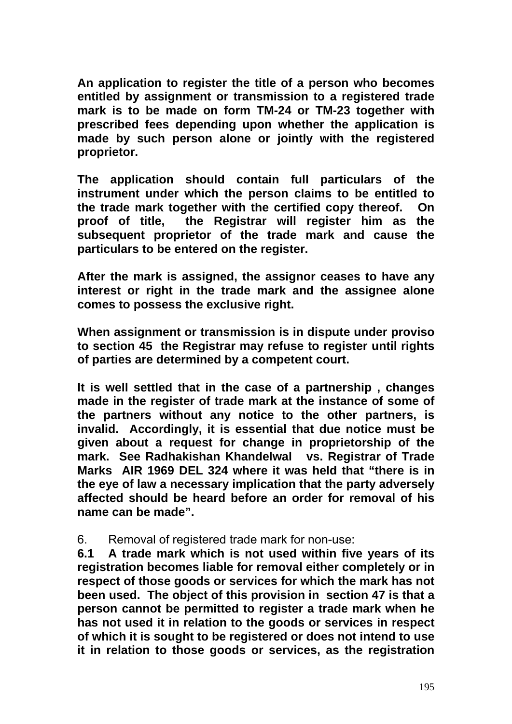**An application to register the title of a person who becomes entitled by assignment or transmission to a registered trade mark is to be made on form TM-24 or TM-23 together with prescribed fees depending upon whether the application is made by such person alone or jointly with the registered proprietor.** 

**The application should contain full particulars of the instrument under which the person claims to be entitled to the trade mark together with the certified copy thereof. On proof of title, the Registrar will register him as the subsequent proprietor of the trade mark and cause the particulars to be entered on the register.** 

**After the mark is assigned, the assignor ceases to have any interest or right in the trade mark and the assignee alone comes to possess the exclusive right.** 

**When assignment or transmission is in dispute under proviso to section 45 the Registrar may refuse to register until rights of parties are determined by a competent court.** 

**It is well settled that in the case of a partnership , changes made in the register of trade mark at the instance of some of the partners without any notice to the other partners, is invalid. Accordingly, it is essential that due notice must be given about a request for change in proprietorship of the mark. See Radhakishan Khandelwal vs. Registrar of Trade Marks AIR 1969 DEL 324 where it was held that "there is in the eye of law a necessary implication that the party adversely affected should be heard before an order for removal of his name can be made".** 

#### 6. Removal of registered trade mark for non-use:

**6.1 A trade mark which is not used within five years of its registration becomes liable for removal either completely or in respect of those goods or services for which the mark has not been used. The object of this provision in section 47 is that a person cannot be permitted to register a trade mark when he has not used it in relation to the goods or services in respect of which it is sought to be registered or does not intend to use it in relation to those goods or services, as the registration**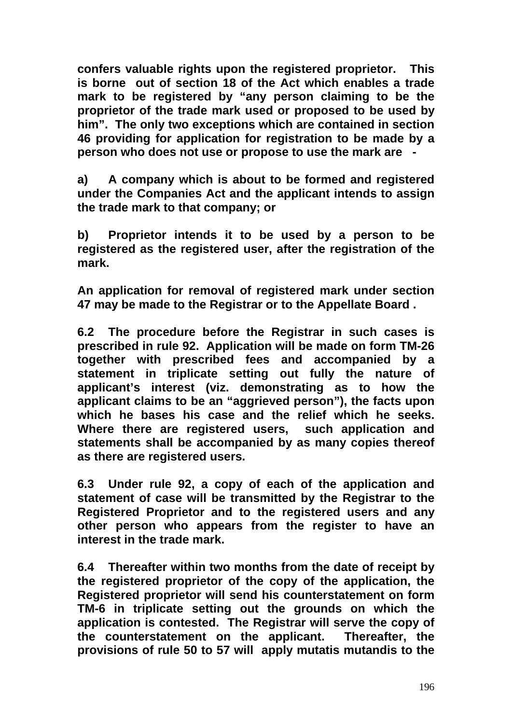**confers valuable rights upon the registered proprietor. This is borne out of section 18 of the Act which enables a trade mark to be registered by "any person claiming to be the proprietor of the trade mark used or proposed to be used by him". The only two exceptions which are contained in section 46 providing for application for registration to be made by a person who does not use or propose to use the mark are -** 

**a) A company which is about to be formed and registered under the Companies Act and the applicant intends to assign the trade mark to that company; or** 

**b) Proprietor intends it to be used by a person to be registered as the registered user, after the registration of the mark.** 

**An application for removal of registered mark under section 47 may be made to the Registrar or to the Appellate Board .** 

**6.2 The procedure before the Registrar in such cases is prescribed in rule 92. Application will be made on form TM-26 together with prescribed fees and accompanied by a statement in triplicate setting out fully the nature of applicant's interest (viz. demonstrating as to how the applicant claims to be an "aggrieved person"), the facts upon which he bases his case and the relief which he seeks. Where there are registered users, such application and statements shall be accompanied by as many copies thereof as there are registered users.** 

**6.3 Under rule 92, a copy of each of the application and statement of case will be transmitted by the Registrar to the Registered Proprietor and to the registered users and any other person who appears from the register to have an interest in the trade mark.** 

**6.4 Thereafter within two months from the date of receipt by the registered proprietor of the copy of the application, the Registered proprietor will send his counterstatement on form TM-6 in triplicate setting out the grounds on which the application is contested. The Registrar will serve the copy of the counterstatement on the applicant. Thereafter, the provisions of rule 50 to 57 will apply mutatis mutandis to the**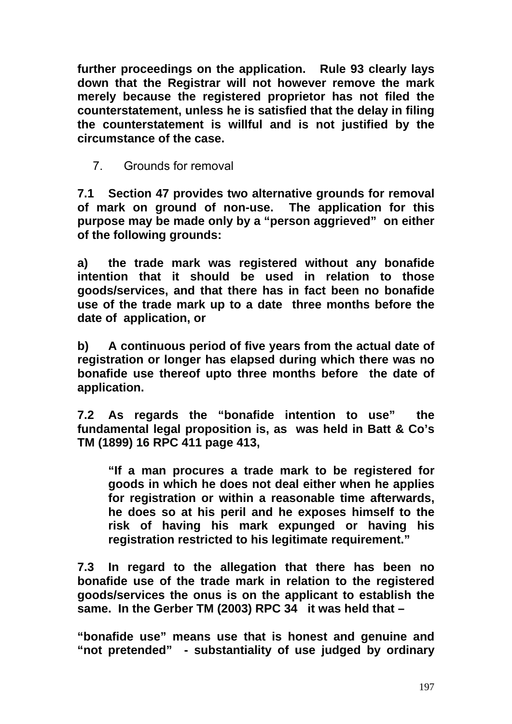**further proceedings on the application. Rule 93 clearly lays down that the Registrar will not however remove the mark merely because the registered proprietor has not filed the counterstatement, unless he is satisfied that the delay in filing the counterstatement is willful and is not justified by the circumstance of the case.** 

7. Grounds for removal

**7.1 Section 47 provides two alternative grounds for removal of mark on ground of non-use. The application for this purpose may be made only by a "person aggrieved" on either of the following grounds:** 

**a) the trade mark was registered without any bonafide intention that it should be used in relation to those goods/services, and that there has in fact been no bonafide use of the trade mark up to a date three months before the date of application, or** 

**b) A continuous period of five years from the actual date of registration or longer has elapsed during which there was no bonafide use thereof upto three months before the date of application.** 

**7.2 As regards the "bonafide intention to use" the fundamental legal proposition is, as was held in Batt & Co's TM (1899) 16 RPC 411 page 413,** 

**"If a man procures a trade mark to be registered for goods in which he does not deal either when he applies for registration or within a reasonable time afterwards, he does so at his peril and he exposes himself to the risk of having his mark expunged or having his registration restricted to his legitimate requirement."** 

**7.3 In regard to the allegation that there has been no bonafide use of the trade mark in relation to the registered goods/services the onus is on the applicant to establish the same. In the Gerber TM (2003) RPC 34 it was held that –** 

**"bonafide use" means use that is honest and genuine and "not pretended" - substantiality of use judged by ordinary**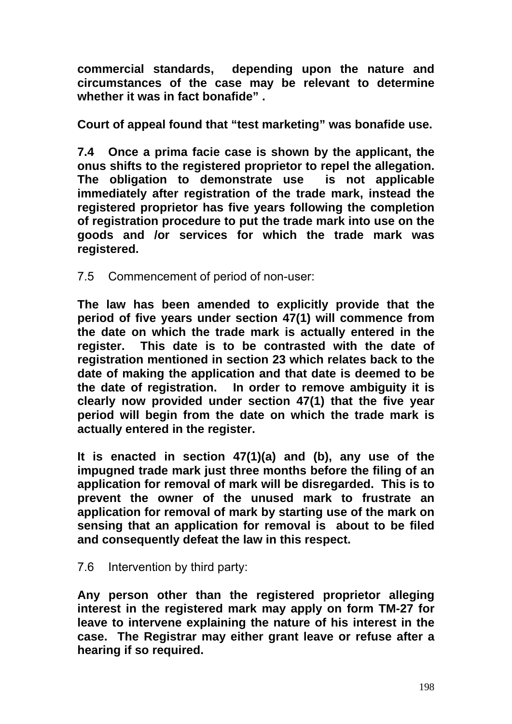**commercial standards, depending upon the nature and circumstances of the case may be relevant to determine whether it was in fact bonafide" .** 

**Court of appeal found that "test marketing" was bonafide use.** 

**7.4 Once a prima facie case is shown by the applicant, the onus shifts to the registered proprietor to repel the allegation. The obligation to demonstrate use is not applicable immediately after registration of the trade mark, instead the registered proprietor has five years following the completion of registration procedure to put the trade mark into use on the goods and /or services for which the trade mark was registered.** 

7.5 Commencement of period of non-user:

**The law has been amended to explicitly provide that the period of five years under section 47(1) will commence from the date on which the trade mark is actually entered in the register. This date is to be contrasted with the date of registration mentioned in section 23 which relates back to the date of making the application and that date is deemed to be the date of registration. In order to remove ambiguity it is clearly now provided under section 47(1) that the five year period will begin from the date on which the trade mark is actually entered in the register.** 

**It is enacted in section 47(1)(a) and (b), any use of the impugned trade mark just three months before the filing of an application for removal of mark will be disregarded. This is to prevent the owner of the unused mark to frustrate an application for removal of mark by starting use of the mark on sensing that an application for removal is about to be filed and consequently defeat the law in this respect.** 

### 7.6 Intervention by third party:

**Any person other than the registered proprietor alleging interest in the registered mark may apply on form TM-27 for leave to intervene explaining the nature of his interest in the case. The Registrar may either grant leave or refuse after a hearing if so required.**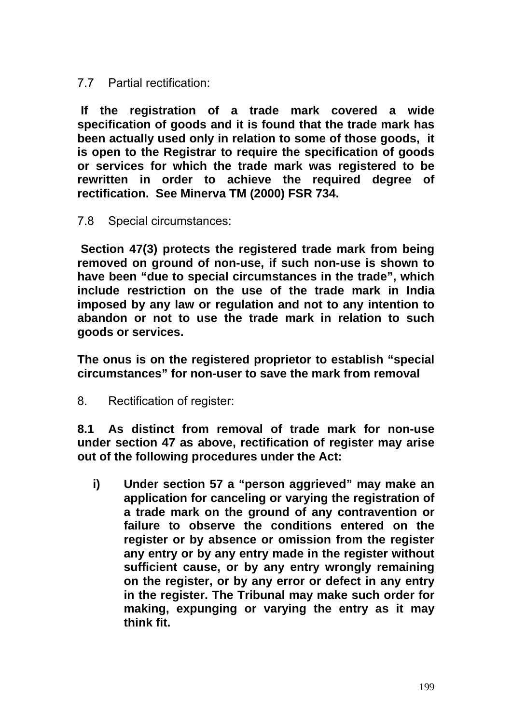7.7 Partial rectification:

 **If the registration of a trade mark covered a wide specification of goods and it is found that the trade mark has been actually used only in relation to some of those goods, it is open to the Registrar to require the specification of goods or services for which the trade mark was registered to be rewritten in order to achieve the required degree of rectification. See Minerva TM (2000) FSR 734.** 

7.8 Special circumstances:

 **Section 47(3) protects the registered trade mark from being removed on ground of non-use, if such non-use is shown to have been "due to special circumstances in the trade", which include restriction on the use of the trade mark in India imposed by any law or regulation and not to any intention to abandon or not to use the trade mark in relation to such goods or services.** 

**The onus is on the registered proprietor to establish "special circumstances" for non-user to save the mark from removal** 

8. Rectification of register:

**8.1 As distinct from removal of trade mark for non-use under section 47 as above, rectification of register may arise out of the following procedures under the Act:** 

**i) Under section 57 a "person aggrieved" may make an application for canceling or varying the registration of a trade mark on the ground of any contravention or failure to observe the conditions entered on the register or by absence or omission from the register any entry or by any entry made in the register without sufficient cause, or by any entry wrongly remaining on the register, or by any error or defect in any entry in the register. The Tribunal may make such order for making, expunging or varying the entry as it may think fit.**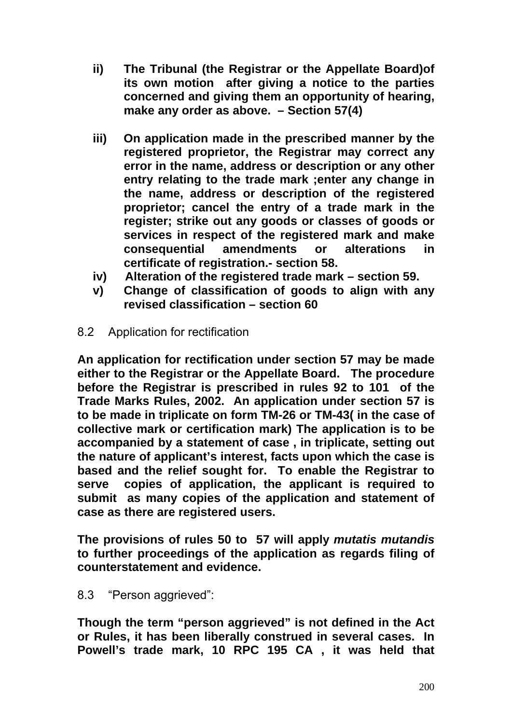- **ii) The Tribunal (the Registrar or the Appellate Board)of its own motion after giving a notice to the parties concerned and giving them an opportunity of hearing, make any order as above. – Section 57(4)**
- **iii) On application made in the prescribed manner by the registered proprietor, the Registrar may correct any error in the name, address or description or any other entry relating to the trade mark ;enter any change in the name, address or description of the registered proprietor; cancel the entry of a trade mark in the register; strike out any goods or classes of goods or services in respect of the registered mark and make consequential amendments or alterations in certificate of registration.- section 58.**
- **iv) Alteration of the registered trade mark section 59.**
- **v) Change of classification of goods to align with any revised classification – section 60**
- 8.2 Application for rectification

**An application for rectification under section 57 may be made either to the Registrar or the Appellate Board. The procedure before the Registrar is prescribed in rules 92 to 101 of the Trade Marks Rules, 2002. An application under section 57 is to be made in triplicate on form TM-26 or TM-43( in the case of collective mark or certification mark) The application is to be accompanied by a statement of case , in triplicate, setting out the nature of applicant's interest, facts upon which the case is based and the relief sought for. To enable the Registrar to serve copies of application, the applicant is required to submit as many copies of the application and statement of case as there are registered users.** 

**The provisions of rules 50 to 57 will apply** *mutatis mutandis* **to further proceedings of the application as regards filing of counterstatement and evidence.** 

8.3 "Person aggrieved":

**Though the term "person aggrieved" is not defined in the Act or Rules, it has been liberally construed in several cases. In Powell's trade mark, 10 RPC 195 CA , it was held that**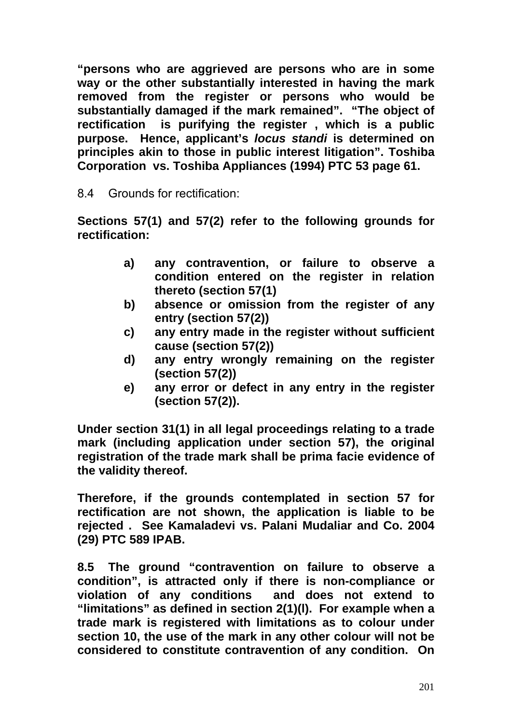**"persons who are aggrieved are persons who are in some way or the other substantially interested in having the mark removed from the register or persons who would be substantially damaged if the mark remained". "The object of rectification is purifying the register , which is a public purpose. Hence, applicant's** *locus standi* **is determined on principles akin to those in public interest litigation". Toshiba Corporation vs. Toshiba Appliances (1994) PTC 53 page 61.** 

8.4 Grounds for rectification:

**Sections 57(1) and 57(2) refer to the following grounds for rectification:** 

- **a) any contravention, or failure to observe a condition entered on the register in relation thereto (section 57(1)**
- **b) absence or omission from the register of any entry (section 57(2))**
- **c) any entry made in the register without sufficient cause (section 57(2))**
- **d) any entry wrongly remaining on the register (section 57(2))**
- **e) any error or defect in any entry in the register (section 57(2)).**

**Under section 31(1) in all legal proceedings relating to a trade mark (including application under section 57), the original registration of the trade mark shall be prima facie evidence of the validity thereof.** 

**Therefore, if the grounds contemplated in section 57 for rectification are not shown, the application is liable to be rejected . See Kamaladevi vs. Palani Mudaliar and Co. 2004 (29) PTC 589 IPAB.** 

**8.5 The ground "contravention on failure to observe a condition", is attracted only if there is non-compliance or violation of any conditions and does not extend to "limitations" as defined in section 2(1)(l). For example when a trade mark is registered with limitations as to colour under section 10, the use of the mark in any other colour will not be considered to constitute contravention of any condition. On**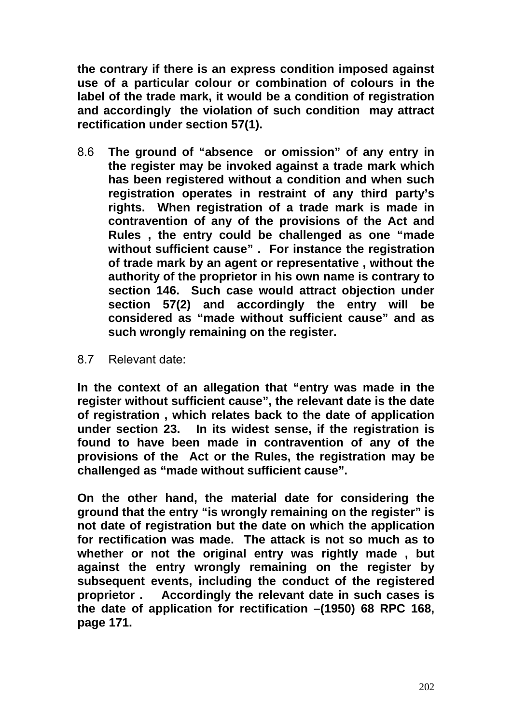**the contrary if there is an express condition imposed against use of a particular colour or combination of colours in the label of the trade mark, it would be a condition of registration and accordingly the violation of such condition may attract rectification under section 57(1).** 

- 8.6 **The ground of "absence or omission" of any entry in the register may be invoked against a trade mark which has been registered without a condition and when such registration operates in restraint of any third party's rights. When registration of a trade mark is made in contravention of any of the provisions of the Act and Rules , the entry could be challenged as one "made without sufficient cause" . For instance the registration of trade mark by an agent or representative , without the authority of the proprietor in his own name is contrary to section 146. Such case would attract objection under section 57(2) and accordingly the entry will be considered as "made without sufficient cause" and as such wrongly remaining on the register.**
- 8.7 Relevant date:

**In the context of an allegation that "entry was made in the register without sufficient cause", the relevant date is the date of registration , which relates back to the date of application under section 23. In its widest sense, if the registration is found to have been made in contravention of any of the provisions of the Act or the Rules, the registration may be challenged as "made without sufficient cause".** 

**On the other hand, the material date for considering the ground that the entry "is wrongly remaining on the register" is not date of registration but the date on which the application for rectification was made. The attack is not so much as to whether or not the original entry was rightly made , but against the entry wrongly remaining on the register by subsequent events, including the conduct of the registered proprietor . Accordingly the relevant date in such cases is the date of application for rectification –(1950) 68 RPC 168, page 171.**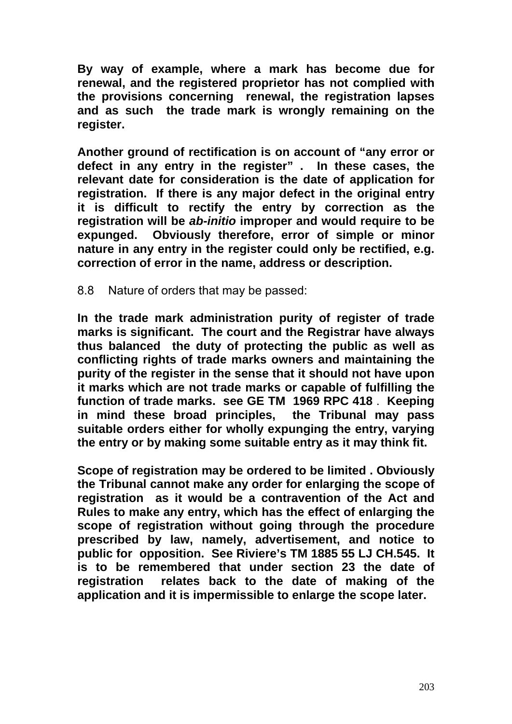**By way of example, where a mark has become due for renewal, and the registered proprietor has not complied with the provisions concerning renewal, the registration lapses and as such the trade mark is wrongly remaining on the register.** 

**Another ground of rectification is on account of "any error or defect in any entry in the register" . In these cases, the relevant date for consideration is the date of application for registration. If there is any major defect in the original entry it is difficult to rectify the entry by correction as the registration will be** *ab-initio* **improper and would require to be expunged. Obviously therefore, error of simple or minor nature in any entry in the register could only be rectified, e.g. correction of error in the name, address or description.** 

8.8 Nature of orders that may be passed:

**In the trade mark administration purity of register of trade marks is significant. The court and the Registrar have always thus balanced the duty of protecting the public as well as conflicting rights of trade marks owners and maintaining the purity of the register in the sense that it should not have upon it marks which are not trade marks or capable of fulfilling the function of trade marks. see GE TM 1969 RPC 418** . **Keeping in mind these broad principles, the Tribunal may pass suitable orders either for wholly expunging the entry, varying the entry or by making some suitable entry as it may think fit.** 

**Scope of registration may be ordered to be limited . Obviously the Tribunal cannot make any order for enlarging the scope of registration as it would be a contravention of the Act and Rules to make any entry, which has the effect of enlarging the scope of registration without going through the procedure prescribed by law, namely, advertisement, and notice to public for opposition. See Riviere's TM 1885 55 LJ CH.545. It is to be remembered that under section 23 the date of registration relates back to the date of making of the application and it is impermissible to enlarge the scope later.**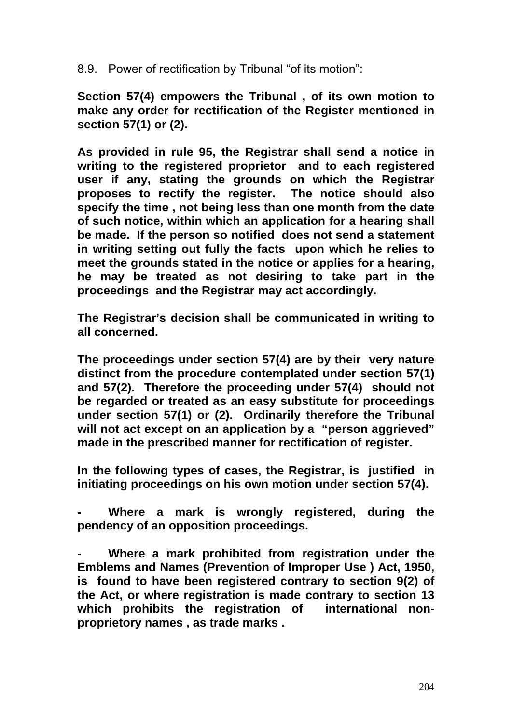8.9. Power of rectification by Tribunal "of its motion":

**Section 57(4) empowers the Tribunal , of its own motion to make any order for rectification of the Register mentioned in section 57(1) or (2).** 

**As provided in rule 95, the Registrar shall send a notice in writing to the registered proprietor and to each registered user if any, stating the grounds on which the Registrar proposes to rectify the register. The notice should also specify the time , not being less than one month from the date of such notice, within which an application for a hearing shall be made. If the person so notified does not send a statement in writing setting out fully the facts upon which he relies to meet the grounds stated in the notice or applies for a hearing, he may be treated as not desiring to take part in the proceedings and the Registrar may act accordingly.** 

**The Registrar's decision shall be communicated in writing to all concerned.** 

**The proceedings under section 57(4) are by their very nature distinct from the procedure contemplated under section 57(1) and 57(2). Therefore the proceeding under 57(4) should not be regarded or treated as an easy substitute for proceedings under section 57(1) or (2). Ordinarily therefore the Tribunal will not act except on an application by a "person aggrieved" made in the prescribed manner for rectification of register.** 

**In the following types of cases, the Registrar, is justified in initiating proceedings on his own motion under section 57(4).** 

**- Where a mark is wrongly registered, during the pendency of an opposition proceedings.** 

**- Where a mark prohibited from registration under the Emblems and Names (Prevention of Improper Use ) Act, 1950, is found to have been registered contrary to section 9(2) of the Act, or where registration is made contrary to section 13 which prohibits the registration of international nonproprietory names , as trade marks .**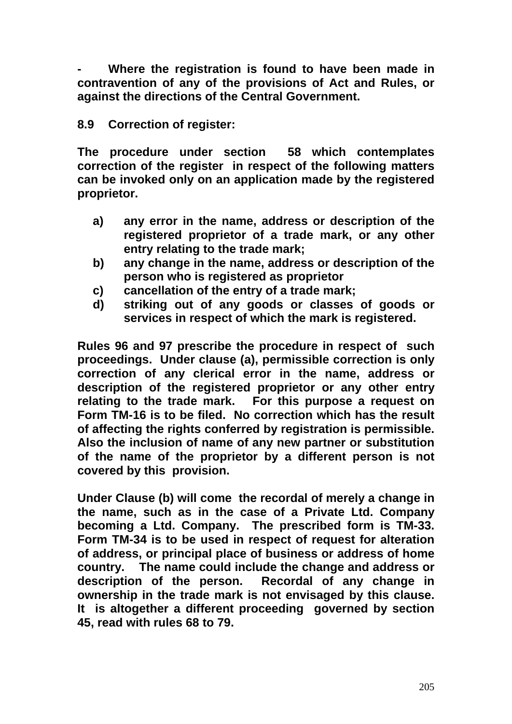**- Where the registration is found to have been made in contravention of any of the provisions of Act and Rules, or against the directions of the Central Government.** 

### **8.9 Correction of register:**

**The procedure under section 58 which contemplates correction of the register in respect of the following matters can be invoked only on an application made by the registered proprietor.** 

- **a) any error in the name, address or description of the registered proprietor of a trade mark, or any other entry relating to the trade mark;**
- **b) any change in the name, address or description of the person who is registered as proprietor**
- **c) cancellation of the entry of a trade mark;**
- **d) striking out of any goods or classes of goods or services in respect of which the mark is registered.**

**Rules 96 and 97 prescribe the procedure in respect of such proceedings. Under clause (a), permissible correction is only correction of any clerical error in the name, address or description of the registered proprietor or any other entry relating to the trade mark. For this purpose a request on Form TM-16 is to be filed. No correction which has the result of affecting the rights conferred by registration is permissible. Also the inclusion of name of any new partner or substitution of the name of the proprietor by a different person is not covered by this provision.** 

**Under Clause (b) will come the recordal of merely a change in the name, such as in the case of a Private Ltd. Company becoming a Ltd. Company. The prescribed form is TM-33. Form TM-34 is to be used in respect of request for alteration of address, or principal place of business or address of home country. The name could include the change and address or description of the person. Recordal of any change in ownership in the trade mark is not envisaged by this clause. It is altogether a different proceeding governed by section 45, read with rules 68 to 79.**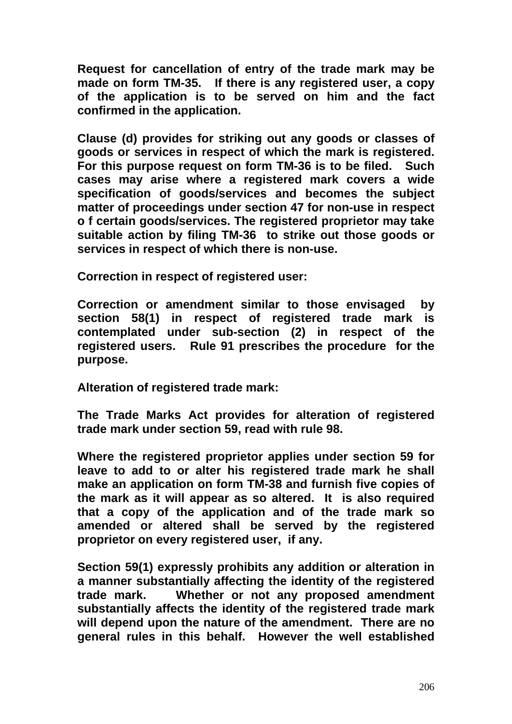**Request for cancellation of entry of the trade mark may be made on form TM-35. If there is any registered user, a copy of the application is to be served on him and the fact confirmed in the application.** 

**Clause (d) provides for striking out any goods or classes of goods or services in respect of which the mark is registered. For this purpose request on form TM-36 is to be filed. Such cases may arise where a registered mark covers a wide specification of goods/services and becomes the subject matter of proceedings under section 47 for non-use in respect o f certain goods/services. The registered proprietor may take suitable action by filing TM-36 to strike out those goods or services in respect of which there is non-use.** 

**Correction in respect of registered user:**

**Correction or amendment similar to those envisaged by section 58(1) in respect of registered trade mark is contemplated under sub-section (2) in respect of the registered users. Rule 91 prescribes the procedure for the purpose.** 

**Alteration of registered trade mark:**

**The Trade Marks Act provides for alteration of registered trade mark under section 59, read with rule 98.** 

**Where the registered proprietor applies under section 59 for leave to add to or alter his registered trade mark he shall make an application on form TM-38 and furnish five copies of the mark as it will appear as so altered. It is also required that a copy of the application and of the trade mark so amended or altered shall be served by the registered proprietor on every registered user, if any.** 

**Section 59(1) expressly prohibits any addition or alteration in a manner substantially affecting the identity of the registered trade mark. Whether or not any proposed amendment substantially affects the identity of the registered trade mark will depend upon the nature of the amendment. There are no general rules in this behalf. However the well established**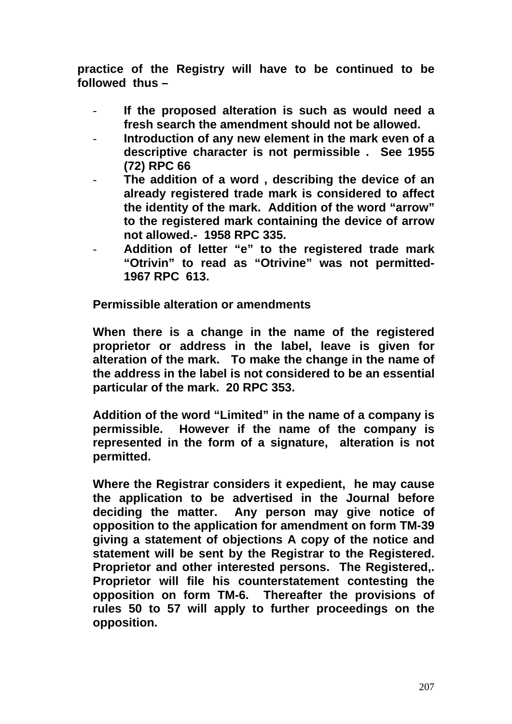**practice of the Registry will have to be continued to be followed thus –** 

- **If the proposed alteration is such as would need a fresh search the amendment should not be allowed.**
- **Introduction of any new element in the mark even of a descriptive character is not permissible . See 1955 (72) RPC 66**
- **The addition of a word , describing the device of an already registered trade mark is considered to affect the identity of the mark. Addition of the word "arrow" to the registered mark containing the device of arrow not allowed.- 1958 RPC 335.**
- **Addition of letter "e" to the registered trade mark "Otrivin" to read as "Otrivine" was not permitted-1967 RPC 613.**

**Permissible alteration or amendments**

**When there is a change in the name of the registered proprietor or address in the label, leave is given for alteration of the mark. To make the change in the name of the address in the label is not considered to be an essential particular of the mark. 20 RPC 353.** 

**Addition of the word "Limited" in the name of a company is permissible. However if the name of the company is represented in the form of a signature, alteration is not permitted.** 

**Where the Registrar considers it expedient, he may cause the application to be advertised in the Journal before deciding the matter. Any person may give notice of opposition to the application for amendment on form TM-39 giving a statement of objections A copy of the notice and statement will be sent by the Registrar to the Registered. Proprietor and other interested persons. The Registered,. Proprietor will file his counterstatement contesting the opposition on form TM-6. Thereafter the provisions of rules 50 to 57 will apply to further proceedings on the opposition.**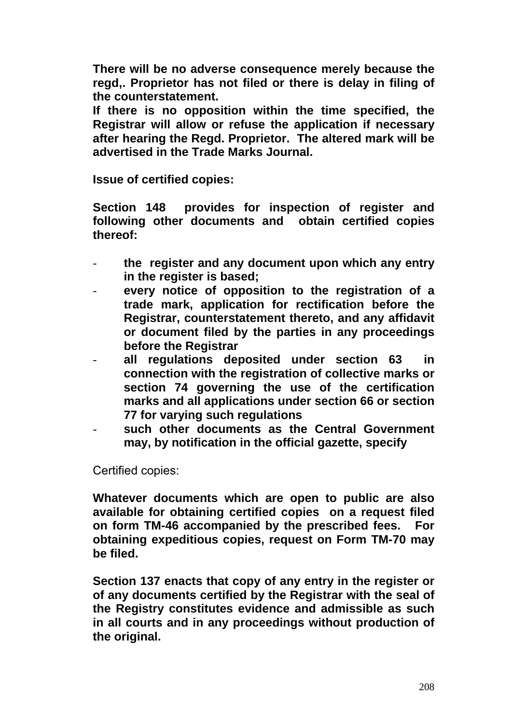**There will be no adverse consequence merely because the regd,. Proprietor has not filed or there is delay in filing of the counterstatement.** 

**If there is no opposition within the time specified, the Registrar will allow or refuse the application if necessary after hearing the Regd. Proprietor. The altered mark will be advertised in the Trade Marks Journal.** 

**Issue of certified copies:** 

**Section 148 provides for inspection of register and following other documents and obtain certified copies thereof:** 

- **the register and any document upon which any entry in the register is based;**
- **every notice of opposition to the registration of a trade mark, application for rectification before the Registrar, counterstatement thereto, and any affidavit or document filed by the parties in any proceedings before the Registrar**
- **all regulations deposited under section 63 in connection with the registration of collective marks or section 74 governing the use of the certification marks and all applications under section 66 or section 77 for varying such regulations**
- such other documents as the Central Government **may, by notification in the official gazette, specify**

Certified copies:

**Whatever documents which are open to public are also available for obtaining certified copies on a request filed on form TM-46 accompanied by the prescribed fees. For obtaining expeditious copies, request on Form TM-70 may be filed.** 

**Section 137 enacts that copy of any entry in the register or of any documents certified by the Registrar with the seal of the Registry constitutes evidence and admissible as such in all courts and in any proceedings without production of the original.**